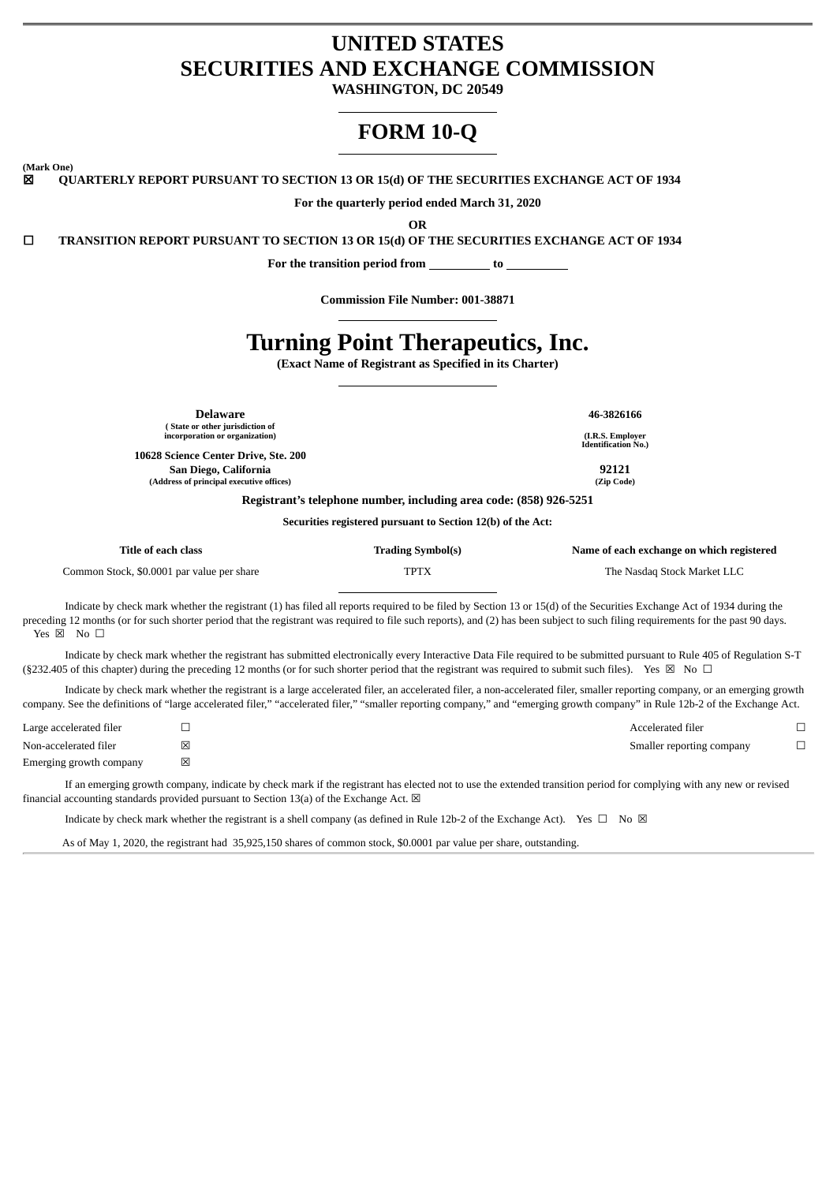# **UNITED STATES SECURITIES AND EXCHANGE COMMISSION**

**WASHINGTON, DC 20549**

# **FORM 10-Q**

**(Mark One)**

☒ **QUARTERLY REPORT PURSUANT TO SECTION 13 OR 15(d) OF THE SECURITIES EXCHANGE ACT OF 1934**

**For the quarterly period ended March 31, 2020**

**OR**

☐ **TRANSITION REPORT PURSUANT TO SECTION 13 OR 15(d) OF THE SECURITIES EXCHANGE ACT OF 1934**

**For the transition period from to**

**Commission File Number: 001-38871**

# **Turning Point Therapeutics, Inc.**

**(Exact Name of Registrant as Specified in its Charter)**

**Delaware 46-3826166 ( State or other jurisdiction of incorporation or organization) (I.R.S. Employer**

**10628 Science Center Drive, Ste. 200 San Diego, California 92121 (Address of principal executive offices) (Zip Code)**

**Identification No.)**

**Registrant's telephone number, including area code: (858) 926-5251**

**Securities registered pursuant to Section 12(b) of the Act:**

| Title of each class                        | <b>Trading Symbol(s)</b> | Name of each exchange on which registered |
|--------------------------------------------|--------------------------|-------------------------------------------|
| Common Stock, \$0.0001 par value per share | <b>TPTX</b>              | The Nasdag Stock Market LLC               |

Indicate by check mark whether the registrant (1) has filed all reports required to be filed by Section 13 or 15(d) of the Securities Exchange Act of 1934 during the preceding 12 months (or for such shorter period that the registrant was required to file such reports), and (2) has been subject to such filing requirements for the past 90 days. Yes ⊠ No □

Indicate by check mark whether the registrant has submitted electronically every Interactive Data File required to be submitted pursuant to Rule 405 of Regulation S-T (§232.405 of this chapter) during the preceding 12 months (or for such shorter period that the registrant was required to submit such files). Yes ⊠ No □

Indicate by check mark whether the registrant is a large accelerated filer, an accelerated filer, a non-accelerated filer, smaller reporting company, or an emerging growth company. See the definitions of "large accelerated filer," "accelerated filer," "smaller reporting company," and "emerging growth company" in Rule 12b-2 of the Exchange Act.

| Large accelerated filer | Accelerated filer         |  |
|-------------------------|---------------------------|--|
| Non-accelerated filer   | Smaller reporting company |  |
| Emerging growth company |                           |  |

If an emerging growth company, indicate by check mark if the registrant has elected not to use the extended transition period for complying with any new or revised financial accounting standards provided pursuant to Section 13(a) of the Exchange Act.  $\boxtimes$ 

Indicate by check mark whether the registrant is a shell company (as defined in Rule 12b-2 of the Exchange Act). Yes  $\Box$  No  $\boxtimes$ 

As of May 1, 2020, the registrant had 35,925,150 shares of common stock, \$0.0001 par value per share, outstanding.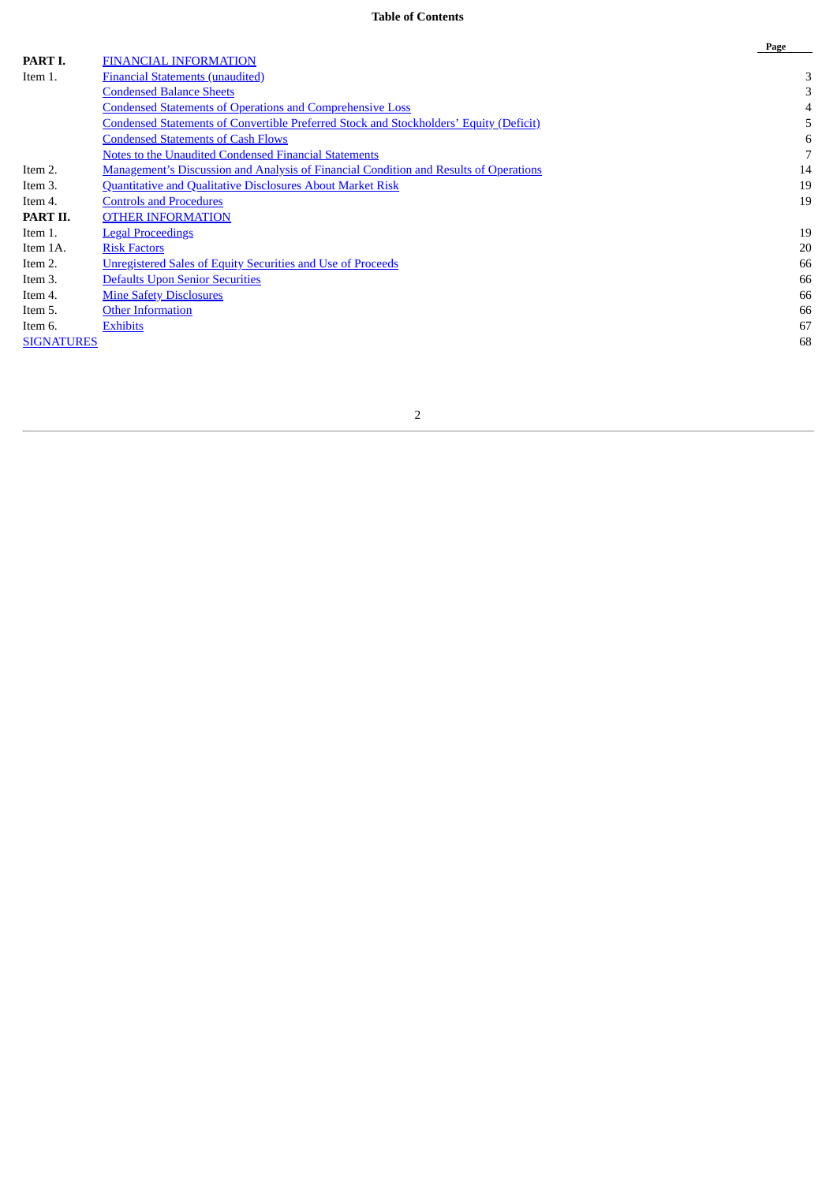# **Table of Contents**

|                   |                                                                                               | Page |
|-------------------|-----------------------------------------------------------------------------------------------|------|
| PART I.           | <b>FINANCIAL INFORMATION</b>                                                                  |      |
| Item 1.           | <b>Financial Statements (unaudited)</b>                                                       | 3    |
|                   | <b>Condensed Balance Sheets</b>                                                               | 3    |
|                   | <b>Condensed Statements of Operations and Comprehensive Loss</b>                              |      |
|                   | <b>Condensed Statements of Convertible Preferred Stock and Stockholders' Equity (Deficit)</b> | 5    |
|                   | <b>Condensed Statements of Cash Flows</b>                                                     | 6    |
|                   | Notes to the Unaudited Condensed Financial Statements                                         |      |
| Item 2.           | <b>Management's Discussion and Analysis of Financial Condition and Results of Operations</b>  | 14   |
| Item 3.           | <b>Quantitative and Qualitative Disclosures About Market Risk</b>                             | 19   |
| Item 4.           | <b>Controls and Procedures</b>                                                                | 19   |
| PART II.          | <b>OTHER INFORMATION</b>                                                                      |      |
| Item 1.           | <b>Legal Proceedings</b>                                                                      | 19   |
| Item 1A.          | <b>Risk Factors</b>                                                                           | 20   |
| Item 2.           | Unregistered Sales of Equity Securities and Use of Proceeds                                   | 66   |
| Item 3.           | <b>Defaults Upon Senior Securities</b>                                                        | 66   |
| Item 4.           | <b>Mine Safety Disclosures</b>                                                                | 66   |
| Item 5.           | <b>Other Information</b>                                                                      | 66   |
| Item 6.           | <b>Exhibits</b>                                                                               | 67   |
| <b>SIGNATURES</b> |                                                                                               | 68   |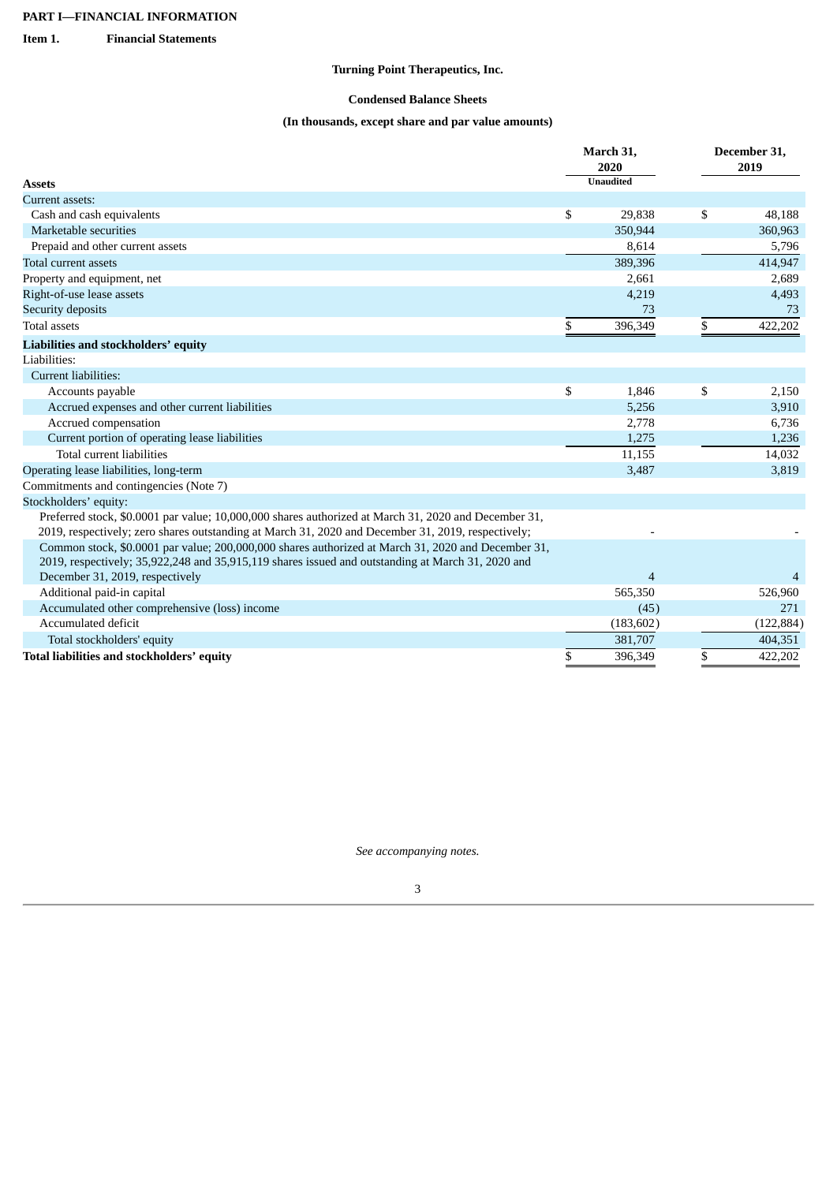# <span id="page-2-1"></span><span id="page-2-0"></span>**Item 1. Financial Statements**

# **Turning Point Therapeutics, Inc.**

# **Condensed Balance Sheets**

# **(In thousands, except share and par value amounts)**

<span id="page-2-2"></span>

|                                                                                                                                                                                                            |    | March 31,<br>2020 | December 31,<br>2019 |
|------------------------------------------------------------------------------------------------------------------------------------------------------------------------------------------------------------|----|-------------------|----------------------|
| <b>Assets</b>                                                                                                                                                                                              |    | <b>Unaudited</b>  |                      |
| Current assets:                                                                                                                                                                                            |    |                   |                      |
| Cash and cash equivalents                                                                                                                                                                                  | \$ | 29,838            | \$<br>48,188         |
| Marketable securities                                                                                                                                                                                      |    | 350,944           | 360,963              |
| Prepaid and other current assets                                                                                                                                                                           |    | 8,614             | 5,796                |
| Total current assets                                                                                                                                                                                       |    | 389,396           | 414,947              |
| Property and equipment, net                                                                                                                                                                                |    | 2,661             | 2,689                |
| Right-of-use lease assets                                                                                                                                                                                  |    | 4,219             | 4,493                |
| Security deposits                                                                                                                                                                                          |    | 73                | 73                   |
| <b>Total assets</b>                                                                                                                                                                                        | \$ | 396,349           | \$<br>422,202        |
| Liabilities and stockholders' equity                                                                                                                                                                       |    |                   |                      |
| Liabilities:                                                                                                                                                                                               |    |                   |                      |
| Current liabilities:                                                                                                                                                                                       |    |                   |                      |
| Accounts payable                                                                                                                                                                                           | \$ | 1,846             | \$<br>2,150          |
| Accrued expenses and other current liabilities                                                                                                                                                             |    | 5,256             | 3,910                |
| Accrued compensation                                                                                                                                                                                       |    | 2,778             | 6,736                |
| Current portion of operating lease liabilities                                                                                                                                                             |    | 1,275             | 1,236                |
| Total current liabilities                                                                                                                                                                                  |    | 11,155            | 14,032               |
| Operating lease liabilities, long-term                                                                                                                                                                     |    | 3,487             | 3,819                |
| Commitments and contingencies (Note 7)                                                                                                                                                                     |    |                   |                      |
| Stockholders' equity:                                                                                                                                                                                      |    |                   |                      |
| Preferred stock, \$0.0001 par value; 10,000,000 shares authorized at March 31, 2020 and December 31,<br>2019, respectively; zero shares outstanding at March 31, 2020 and December 31, 2019, respectively; |    |                   |                      |
| Common stock, \$0.0001 par value; 200,000,000 shares authorized at March 31, 2020 and December 31,<br>2019, respectively; 35,922,248 and 35,915,119 shares issued and outstanding at March 31, 2020 and    |    |                   |                      |
| December 31, 2019, respectively                                                                                                                                                                            |    | 4                 | $\overline{4}$       |
| Additional paid-in capital                                                                                                                                                                                 |    | 565,350           | 526,960              |
| Accumulated other comprehensive (loss) income                                                                                                                                                              |    | (45)              | 271                  |
| Accumulated deficit                                                                                                                                                                                        |    | (183, 602)        | (122, 884)           |
| Total stockholders' equity                                                                                                                                                                                 |    | 381,707           | 404,351              |
| Total liabilities and stockholders' equity                                                                                                                                                                 | \$ | 396,349           | \$<br>422,202        |

*See accompanying notes.*

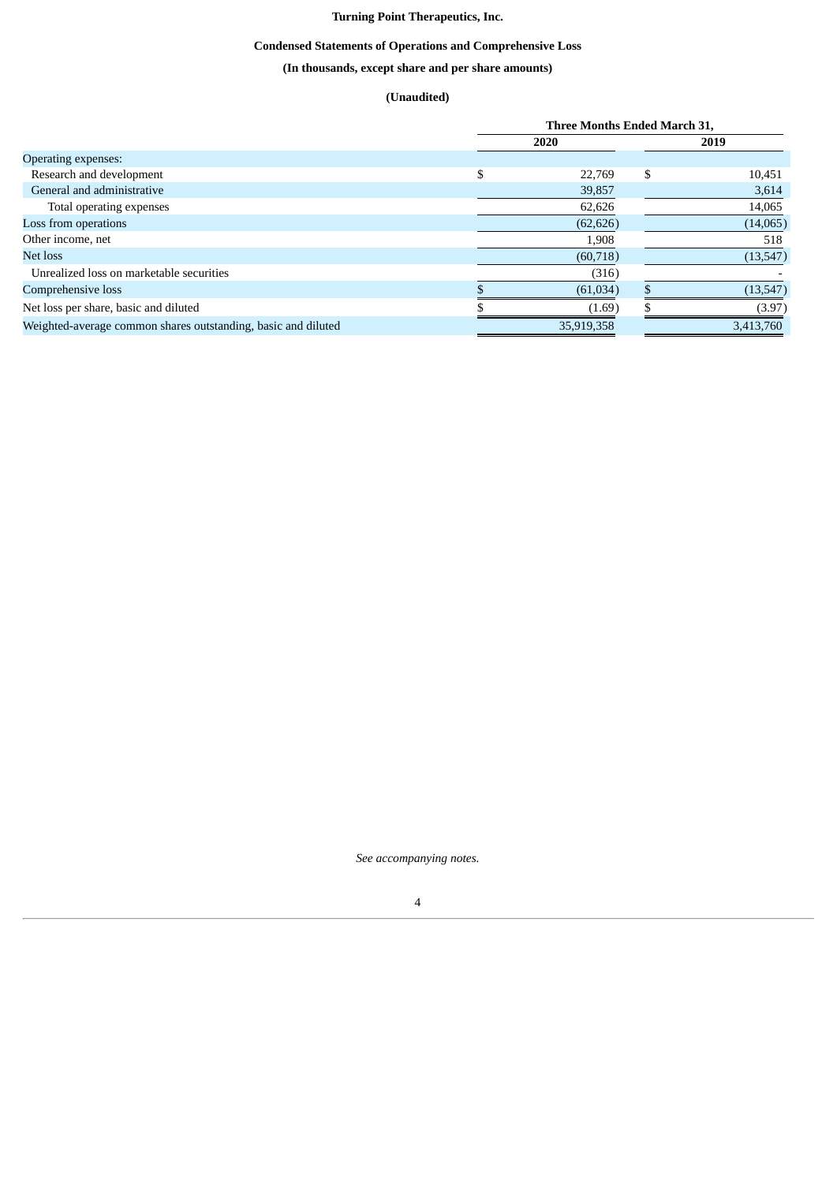# **Turning Point Therapeutics, Inc.**

# **Condensed Statements of Operations and Comprehensive Loss**

**(In thousands, except share and per share amounts)**

# **(Unaudited)**

<span id="page-3-0"></span>

|                                                               | <b>Three Months Ended March 31.</b> |            |    |           |  |  |  |
|---------------------------------------------------------------|-------------------------------------|------------|----|-----------|--|--|--|
|                                                               | 2020                                | 2019       |    |           |  |  |  |
| Operating expenses:                                           |                                     |            |    |           |  |  |  |
| Research and development                                      | \$                                  | 22,769     | \$ | 10,451    |  |  |  |
| General and administrative                                    |                                     | 39,857     |    | 3,614     |  |  |  |
| Total operating expenses                                      |                                     | 62,626     |    | 14,065    |  |  |  |
| Loss from operations                                          |                                     | (62, 626)  |    | (14,065)  |  |  |  |
| Other income, net                                             |                                     | 1,908      |    | 518       |  |  |  |
| Net loss                                                      |                                     | (60, 718)  |    | (13, 547) |  |  |  |
| Unrealized loss on marketable securities                      |                                     | (316)      |    |           |  |  |  |
| Comprehensive loss                                            |                                     | (61,034)   |    | (13, 547) |  |  |  |
| Net loss per share, basic and diluted                         |                                     | (1.69)     |    | (3.97)    |  |  |  |
| Weighted-average common shares outstanding, basic and diluted |                                     | 35,919,358 |    | 3,413,760 |  |  |  |

*See accompanying notes.*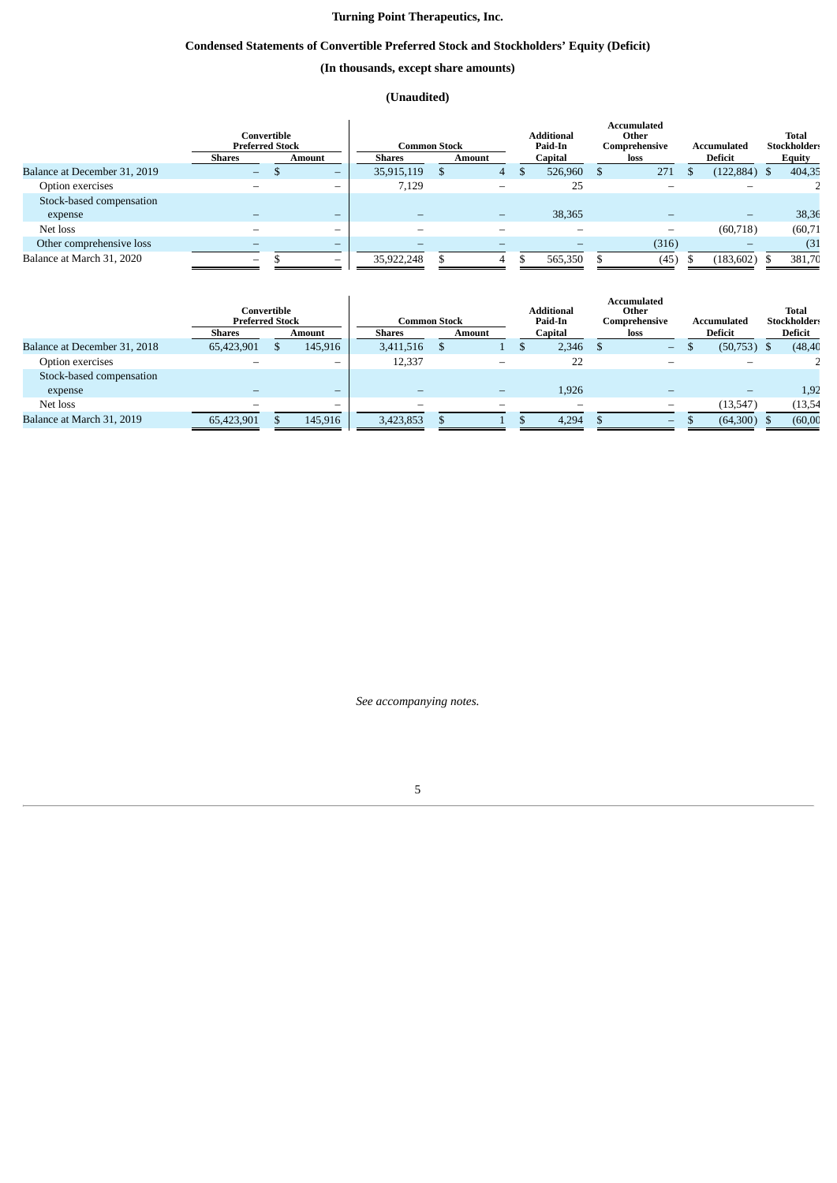# **Turning Point Therapeutics, Inc.**

# **Condensed Statements of Convertible Preferred Stock and Stockholders' Equity (Deficit)**

# **(In thousands, except share amounts)**

# **(Unaudited)**

<span id="page-4-0"></span>

|                              |                          | Convertible |                              |                     |   |                          | <b>Additional</b> |               | <b>Accumulated</b><br>Other |                |                 |                     | Total    |
|------------------------------|--------------------------|-------------|------------------------------|---------------------|---|--------------------------|-------------------|---------------|-----------------------------|----------------|-----------------|---------------------|----------|
|                              | <b>Preferred Stock</b>   |             |                              | <b>Common Stock</b> |   |                          | Paid-In           | Comprehensive |                             | Accumulated    |                 | <b>Stockholders</b> |          |
|                              | <b>Shares</b>            | Amount      |                              | Shares              |   | Amount                   | Capital           |               | loss                        | <b>Deficit</b> |                 | <b>Equity</b>       |          |
| Balance at December 31, 2019 | $\overline{\phantom{0}}$ |             | $\qquad \qquad \blacksquare$ | 35,915,119          | Ъ | 4                        | 526,960           |               | 271                         |                | $(122, 884)$ \$ |                     | 404,35   |
| Option exercises             |                          |             | $\overline{\phantom{a}}$     | 7,129               |   |                          | 25                |               |                             |                |                 |                     |          |
| Stock-based compensation     |                          |             |                              |                     |   |                          |                   |               |                             |                |                 |                     |          |
| expense                      |                          |             | $\overline{\phantom{0}}$     |                     |   | $\overline{\phantom{0}}$ | 38,365            |               |                             |                |                 |                     | 38,36    |
| Net loss                     |                          |             | $\overline{\phantom{a}}$     | -                   |   |                          |                   |               | $\overline{\phantom{a}}$    |                | (60, 718)       |                     | (60, 71) |
| Other comprehensive loss     |                          |             | $\overline{\phantom{0}}$     |                     |   |                          |                   |               | (316)                       |                |                 |                     | (31)     |
| Balance at March 31, 2020    | -                        |             | $\overline{\phantom{a}}$     | 35,922,248          |   | 4                        | 565,350           |               | (45)                        |                | $(183,602)$ \$  |                     | 381,70   |

|                              |            | Convertible<br><b>Preferred Stock</b> |               | <b>Common Stock</b> | <b>Additional</b><br>Paid-In | Accumulated<br>Other<br>Comprehensive |                | Accumulated   | Total<br><b>Stockholders</b> |                |
|------------------------------|------------|---------------------------------------|---------------|---------------------|------------------------------|---------------------------------------|----------------|---------------|------------------------------|----------------|
|                              | Shares     | Amount                                | <b>Shares</b> | Amount              | Capital                      | loss                                  | <b>Deficit</b> |               |                              | <b>Deficit</b> |
| Balance at December 31, 2018 | 65,423,901 | 145,916                               | 3,411,516     | Эħ                  | 2,346                        | $\qquad \qquad -$                     | ٠D             | $(50,753)$ \$ |                              | (48, 40)       |
| Option exercises             |            | $\overline{\phantom{a}}$              | 12,337        |                     | 22                           | -                                     |                |               |                              |                |
| Stock-based compensation     |            |                                       |               |                     |                              |                                       |                |               |                              |                |
| expense                      |            |                                       |               |                     | 1,926                        |                                       |                |               |                              | 1,92           |
| Net loss                     |            | $\overline{\phantom{a}}$              |               |                     |                              |                                       |                | (13,547)      |                              | (13, 54)       |
| Balance at March 31, 2019    | 65,423,901 | 145,916                               | 3,423,853     |                     | 4,294                        | $\overline{\phantom{0}}$              |                | $(64,300)$ \$ |                              | (60,00)        |

*See accompanying notes.*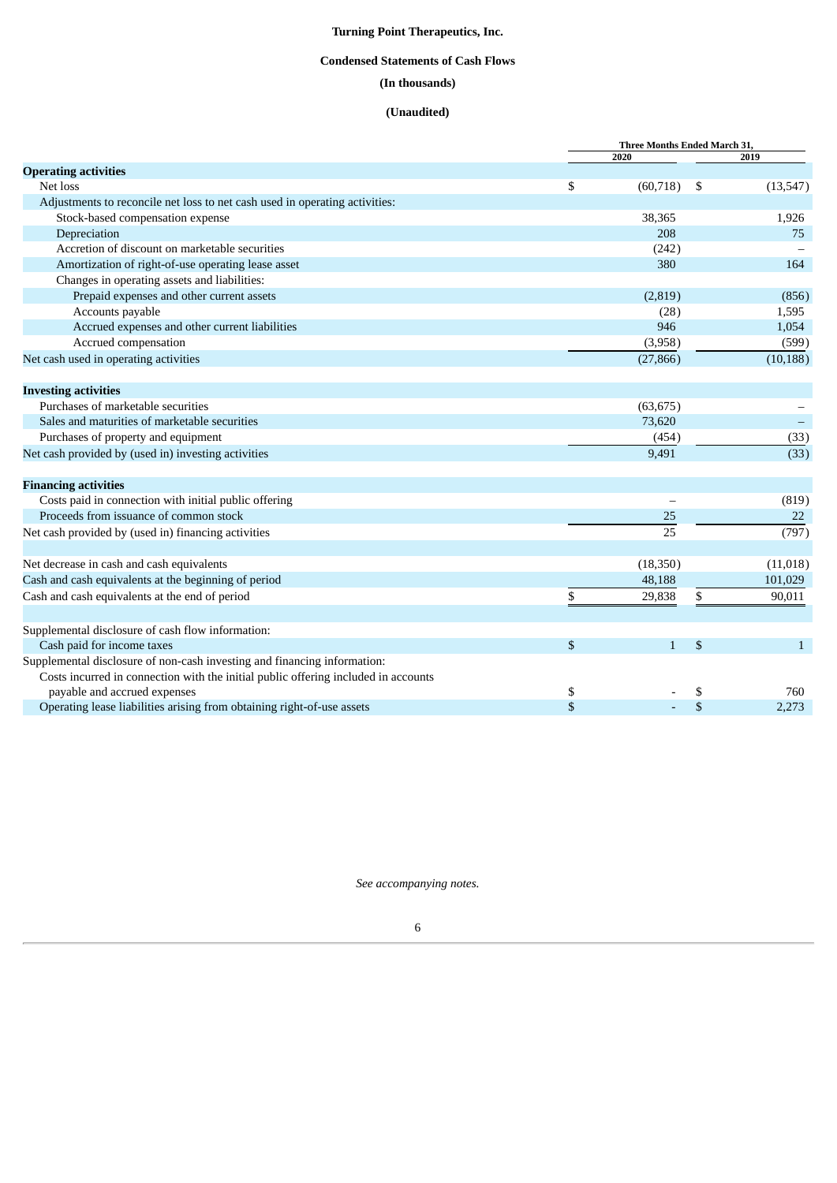# **Turning Point Therapeutics, Inc.**

# **Condensed Statements of Cash Flows**

# **(In thousands)**

# **(Unaudited)**

<span id="page-5-0"></span>

|                                                                                    | Three Months Ended March 31, |     |              |  |  |
|------------------------------------------------------------------------------------|------------------------------|-----|--------------|--|--|
|                                                                                    | 2020                         |     | 2019         |  |  |
| <b>Operating activities</b>                                                        |                              |     |              |  |  |
| Net loss                                                                           | \$<br>(60, 718)              | -\$ | (13, 547)    |  |  |
| Adjustments to reconcile net loss to net cash used in operating activities:        |                              |     |              |  |  |
| Stock-based compensation expense                                                   | 38,365                       |     | 1,926        |  |  |
| Depreciation                                                                       | 208                          |     | 75           |  |  |
| Accretion of discount on marketable securities                                     | (242)                        |     |              |  |  |
| Amortization of right-of-use operating lease asset                                 | 380                          |     | 164          |  |  |
| Changes in operating assets and liabilities:                                       |                              |     |              |  |  |
| Prepaid expenses and other current assets                                          | (2,819)                      |     | (856)        |  |  |
| Accounts payable                                                                   | (28)                         |     | 1,595        |  |  |
| Accrued expenses and other current liabilities                                     | 946                          |     | 1,054        |  |  |
| Accrued compensation                                                               | (3,958)                      |     | (599)        |  |  |
| Net cash used in operating activities                                              | (27, 866)                    |     | (10, 188)    |  |  |
| <b>Investing activities</b>                                                        |                              |     |              |  |  |
| Purchases of marketable securities                                                 | (63, 675)                    |     |              |  |  |
| Sales and maturities of marketable securities                                      | 73,620                       |     |              |  |  |
| Purchases of property and equipment                                                | (454)                        |     | (33)         |  |  |
| Net cash provided by (used in) investing activities                                | 9,491                        |     | (33)         |  |  |
| <b>Financing activities</b>                                                        |                              |     |              |  |  |
| Costs paid in connection with initial public offering                              |                              |     | (819)        |  |  |
| Proceeds from issuance of common stock                                             | 25                           |     | 22           |  |  |
| Net cash provided by (used in) financing activities                                | 25                           |     | (797)        |  |  |
| Net decrease in cash and cash equivalents                                          | (18,350)                     |     | (11,018)     |  |  |
| Cash and cash equivalents at the beginning of period                               | 48,188                       |     | 101,029      |  |  |
| Cash and cash equivalents at the end of period                                     | \$<br>29,838                 | \$  | 90,011       |  |  |
| Supplemental disclosure of cash flow information:                                  |                              |     |              |  |  |
| Cash paid for income taxes                                                         | \$<br>$\mathbf{1}$           | \$  | $\mathbf{1}$ |  |  |
| Supplemental disclosure of non-cash investing and financing information:           |                              |     |              |  |  |
| Costs incurred in connection with the initial public offering included in accounts |                              |     |              |  |  |
| payable and accrued expenses                                                       | \$                           | \$  | 760          |  |  |
| Operating lease liabilities arising from obtaining right-of-use assets             | \$                           | \$  | 2,273        |  |  |
|                                                                                    |                              |     |              |  |  |

*See accompanying notes.*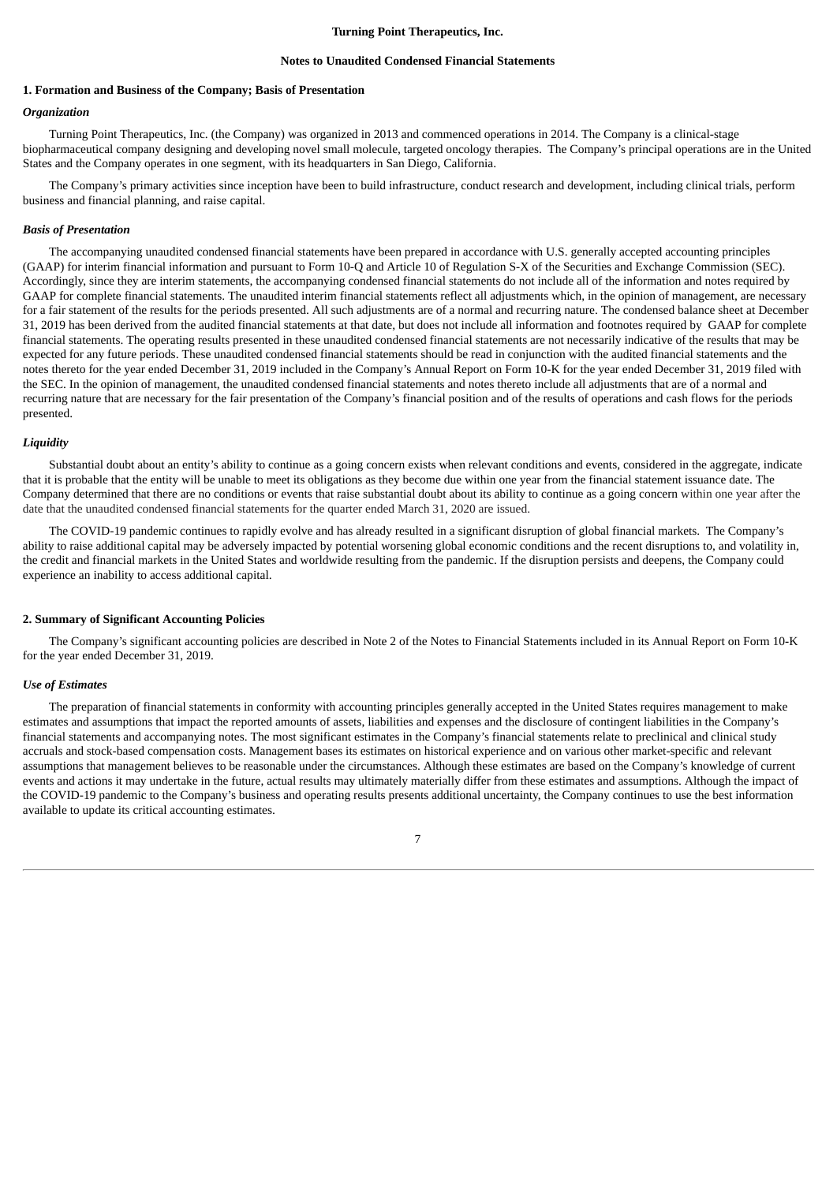#### **Notes to Unaudited Condensed Financial Statements**

## <span id="page-6-0"></span>**1. Formation and Business of the Company; Basis of Presentation**

#### *Organization*

Turning Point Therapeutics, Inc. (the Company) was organized in 2013 and commenced operations in 2014. The Company is a clinical-stage biopharmaceutical company designing and developing novel small molecule, targeted oncology therapies. The Company's principal operations are in the United States and the Company operates in one segment, with its headquarters in San Diego, California.

The Company's primary activities since inception have been to build infrastructure, conduct research and development, including clinical trials, perform business and financial planning, and raise capital.

#### *Basis of Presentation*

The accompanying unaudited condensed financial statements have been prepared in accordance with U.S. generally accepted accounting principles (GAAP) for interim financial information and pursuant to Form 10-Q and Article 10 of Regulation S-X of the Securities and Exchange Commission (SEC). Accordingly, since they are interim statements, the accompanying condensed financial statements do not include all of the information and notes required by GAAP for complete financial statements. The unaudited interim financial statements reflect all adjustments which, in the opinion of management, are necessary for a fair statement of the results for the periods presented. All such adjustments are of a normal and recurring nature. The condensed balance sheet at December 31, 2019 has been derived from the audited financial statements at that date, but does not include all information and footnotes required by GAAP for complete financial statements. The operating results presented in these unaudited condensed financial statements are not necessarily indicative of the results that may be expected for any future periods. These unaudited condensed financial statements should be read in conjunction with the audited financial statements and the notes thereto for the year ended December 31, 2019 included in the Company's Annual Report on Form 10-K for the year ended December 31, 2019 filed with the SEC. In the opinion of management, the unaudited condensed financial statements and notes thereto include all adjustments that are of a normal and recurring nature that are necessary for the fair presentation of the Company's financial position and of the results of operations and cash flows for the periods presented.

#### *Liquidity*

Substantial doubt about an entity's ability to continue as a going concern exists when relevant conditions and events, considered in the aggregate, indicate that it is probable that the entity will be unable to meet its obligations as they become due within one year from the financial statement issuance date. The Company determined that there are no conditions or events that raise substantial doubt about its ability to continue as a going concern within one year after the date that the unaudited condensed financial statements for the quarter ended March 31, 2020 are issued.

The COVID-19 pandemic continues to rapidly evolve and has already resulted in a significant disruption of global financial markets. The Company's ability to raise additional capital may be adversely impacted by potential worsening global economic conditions and the recent disruptions to, and volatility in, the credit and financial markets in the United States and worldwide resulting from the pandemic. If the disruption persists and deepens, the Company could experience an inability to access additional capital.

#### **2. Summary of Significant Accounting Policies**

The Company's significant accounting policies are described in Note 2 of the Notes to Financial Statements included in its Annual Report on Form 10‑K for the year ended December 31, 2019.

#### *Use of Estimates*

The preparation of financial statements in conformity with accounting principles generally accepted in the United States requires management to make estimates and assumptions that impact the reported amounts of assets, liabilities and expenses and the disclosure of contingent liabilities in the Company's financial statements and accompanying notes. The most significant estimates in the Company's financial statements relate to preclinical and clinical study accruals and stock-based compensation costs. Management bases its estimates on historical experience and on various other market-specific and relevant assumptions that management believes to be reasonable under the circumstances. Although these estimates are based on the Company's knowledge of current events and actions it may undertake in the future, actual results may ultimately materially differ from these estimates and assumptions. Although the impact of the COVID-19 pandemic to the Company's business and operating results presents additional uncertainty, the Company continues to use the best information available to update its critical accounting estimates.

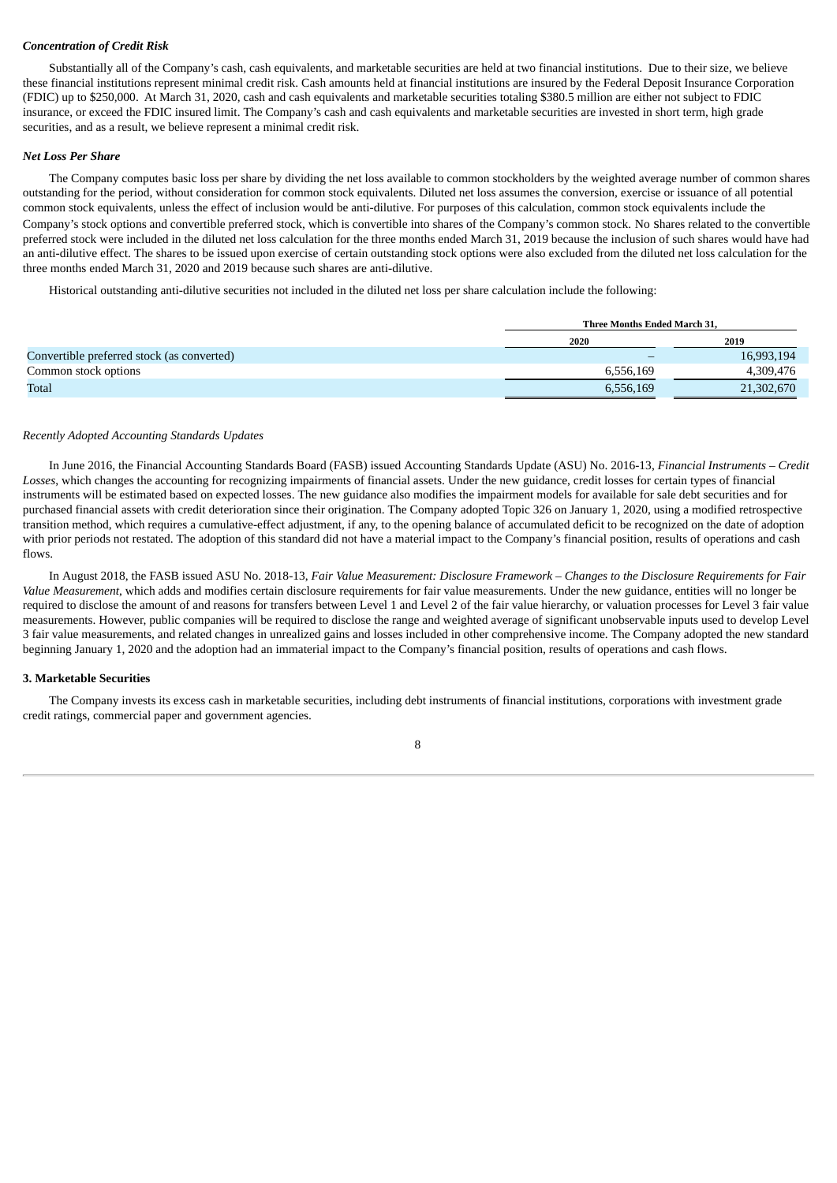## *Concentration of Credit Risk*

Substantially all of the Company's cash, cash equivalents, and marketable securities are held at two financial institutions. Due to their size, we believe these financial institutions represent minimal credit risk. Cash amounts held at financial institutions are insured by the Federal Deposit Insurance Corporation (FDIC) up to \$250,000. At March 31, 2020, cash and cash equivalents and marketable securities totaling \$380.5 million are either not subject to FDIC insurance, or exceed the FDIC insured limit. The Company's cash and cash equivalents and marketable securities are invested in short term, high grade securities, and as a result, we believe represent a minimal credit risk.

## *Net Loss Per Share*

The Company computes basic loss per share by dividing the net loss available to common stockholders by the weighted average number of common shares outstanding for the period, without consideration for common stock equivalents. Diluted net loss assumes the conversion, exercise or issuance of all potential common stock equivalents, unless the effect of inclusion would be anti-dilutive. For purposes of this calculation, common stock equivalents include the Company's stock options and convertible preferred stock, which is convertible into shares of the Company's common stock. No shares related to the convertible preferred stock were included in the diluted net loss calculation for the three months ended March 31, 2019 because the inclusion of such shares would have had an anti-dilutive effect. The shares to be issued upon exercise of certain outstanding stock options were also excluded from the diluted net loss calculation for the three months ended March 31, 2020 and 2019 because such shares are anti-dilutive.

Historical outstanding anti-dilutive securities not included in the diluted net loss per share calculation include the following:

|                                            | Three Months Ended March 31. |            |
|--------------------------------------------|------------------------------|------------|
|                                            | 2020                         | 2019       |
| Convertible preferred stock (as converted) |                              | 16,993,194 |
| Common stock options                       | 6.556.169                    | 4,309,476  |
| Total                                      | 6,556,169                    | 21,302,670 |

#### *Recently Adopted Accounting Standards Updates*

In June 2016, the Financial Accounting Standards Board (FASB) issued Accounting Standards Update (ASU) No. 2016-13, *Financial Instruments – Credit Losses*, which changes the accounting for recognizing impairments of financial assets. Under the new guidance, credit losses for certain types of financial instruments will be estimated based on expected losses. The new guidance also modifies the impairment models for available for sale debt securities and for purchased financial assets with credit deterioration since their origination. The Company adopted Topic 326 on January 1, 2020, using a modified retrospective transition method, which requires a cumulative-effect adjustment, if any, to the opening balance of accumulated deficit to be recognized on the date of adoption with prior periods not restated. The adoption of this standard did not have a material impact to the Company's financial position, results of operations and cash flows.

In August 2018, the FASB issued ASU No. 2018-13, Fair Value Measurement: Disclosure Framework - Changes to the Disclosure Requirements for Fair *Value Measurement*, which adds and modifies certain disclosure requirements for fair value measurements. Under the new guidance, entities will no longer be required to disclose the amount of and reasons for transfers between Level 1 and Level 2 of the fair value hierarchy, or valuation processes for Level 3 fair value measurements. However, public companies will be required to disclose the range and weighted average of significant unobservable inputs used to develop Level 3 fair value measurements, and related changes in unrealized gains and losses included in other comprehensive income. The Company adopted the new standard beginning January 1, 2020 and the adoption had an immaterial impact to the Company's financial position, results of operations and cash flows.

## **3. Marketable Securities**

The Company invests its excess cash in marketable securities, including debt instruments of financial institutions, corporations with investment grade credit ratings, commercial paper and government agencies.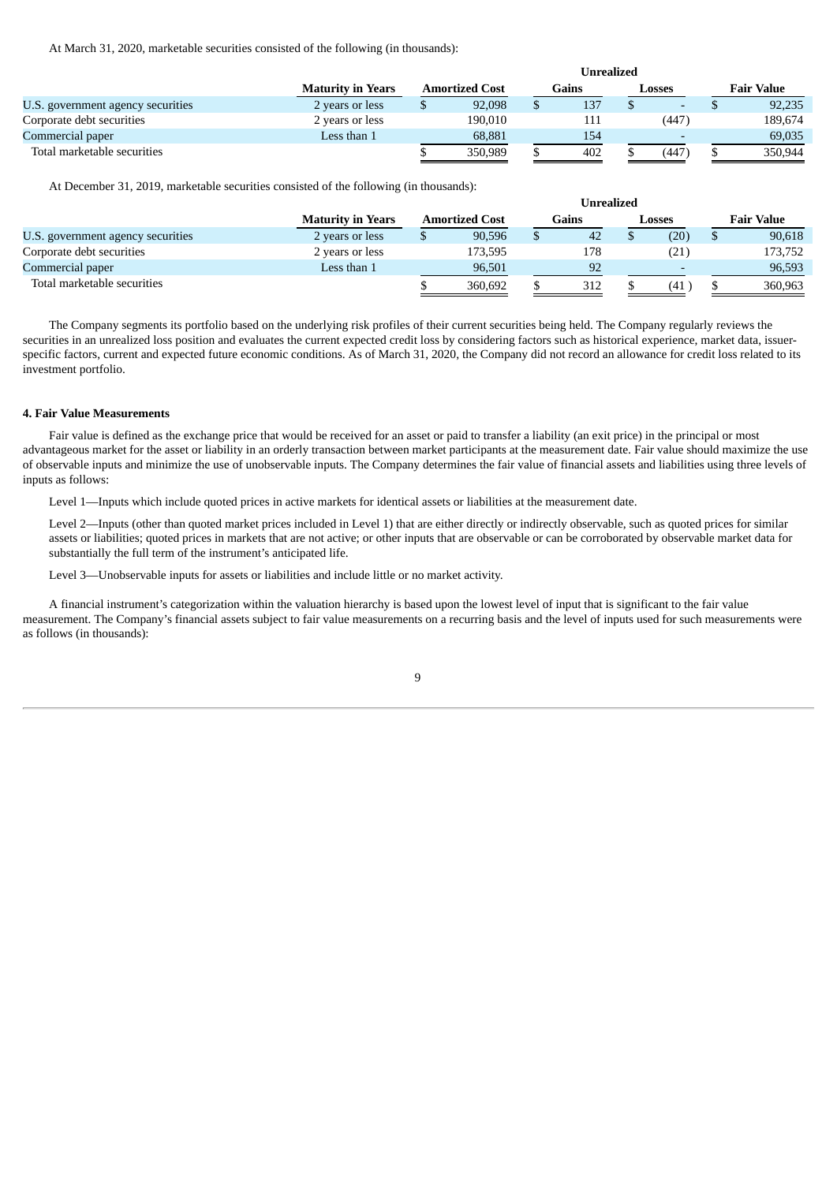#### At March 31, 2020, marketable securities consisted of the following (in thousands):

|                                   |                          | <b>Unrealized</b>     |  |       |  |        |  |            |
|-----------------------------------|--------------------------|-----------------------|--|-------|--|--------|--|------------|
|                                   | <b>Maturity in Years</b> | <b>Amortized Cost</b> |  | Gains |  | Losses |  | Fair Value |
| U.S. government agency securities | 2 years or less          | 92,098                |  | 137   |  |        |  | 92,235     |
| Corporate debt securities         | 2 years or less          | 190,010               |  | 111   |  | (447)  |  | 189,674    |
| Commercial paper                  | Less than 1              | 68.881                |  | 154   |  |        |  | 69,035     |
| Total marketable securities       |                          | 350,989               |  | 402   |  | (447   |  | 350,944    |

At December 31, 2019, marketable securities consisted of the following (in thousands):

|                                   |                          |   |                |  | Unrealized |  |        |  |            |  |
|-----------------------------------|--------------------------|---|----------------|--|------------|--|--------|--|------------|--|
|                                   | <b>Maturity in Years</b> |   | Amortized Cost |  | Gains      |  | Losses |  | Fair Value |  |
| U.S. government agency securities | 2 years or less          | P | 90,596         |  | 42         |  | (20)   |  | 90,618     |  |
| Corporate debt securities         | 2 years or less          |   | 173,595        |  | 178        |  | (21)   |  | 173,752    |  |
| Commercial paper                  | Less than 1              |   | 96.501         |  | 92         |  |        |  | 96,593     |  |
| Total marketable securities       |                          |   | 360,692        |  | 312        |  | (41)   |  | 360,963    |  |

The Company segments its portfolio based on the underlying risk profiles of their current securities being held. The Company regularly reviews the securities in an unrealized loss position and evaluates the current expected credit loss by considering factors such as historical experience, market data, issuerspecific factors, current and expected future economic conditions. As of March 31, 2020, the Company did not record an allowance for credit loss related to its investment portfolio.

#### **4. Fair Value Measurements**

Fair value is defined as the exchange price that would be received for an asset or paid to transfer a liability (an exit price) in the principal or most advantageous market for the asset or liability in an orderly transaction between market participants at the measurement date. Fair value should maximize the use of observable inputs and minimize the use of unobservable inputs. The Company determines the fair value of financial assets and liabilities using three levels of inputs as follows:

Level 1—Inputs which include quoted prices in active markets for identical assets or liabilities at the measurement date.

Level 2—Inputs (other than quoted market prices included in Level 1) that are either directly or indirectly observable, such as quoted prices for similar assets or liabilities; quoted prices in markets that are not active; or other inputs that are observable or can be corroborated by observable market data for substantially the full term of the instrument's anticipated life.

Level 3—Unobservable inputs for assets or liabilities and include little or no market activity.

A financial instrument's categorization within the valuation hierarchy is based upon the lowest level of input that is significant to the fair value measurement. The Company's financial assets subject to fair value measurements on a recurring basis and the level of inputs used for such measurements were as follows (in thousands):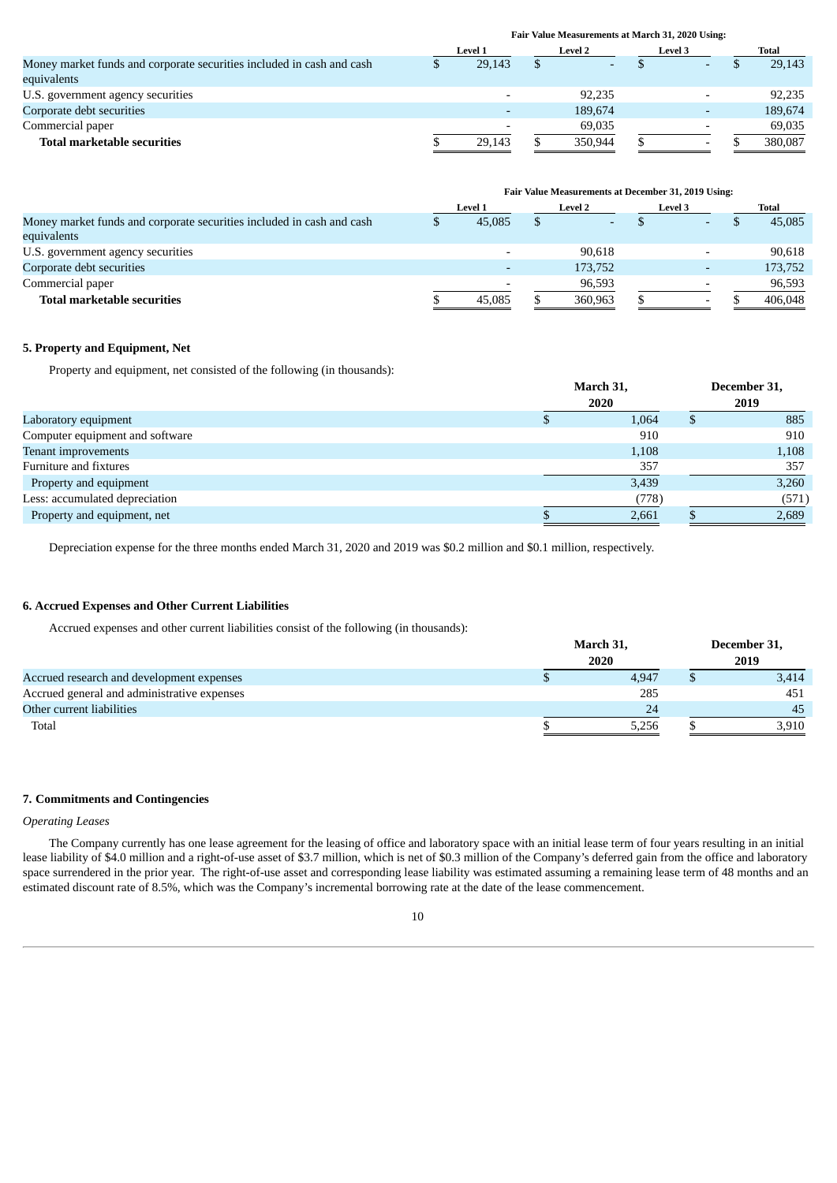|                                                                       | Fair Value Measurements at March 31, 2020 Using: |                          |  |                |  |                          |  |         |  |  |
|-----------------------------------------------------------------------|--------------------------------------------------|--------------------------|--|----------------|--|--------------------------|--|---------|--|--|
|                                                                       |                                                  | <b>Level 1</b>           |  | <b>Level 2</b> |  | <b>Level 3</b>           |  | Total   |  |  |
| Money market funds and corporate securities included in cash and cash |                                                  | 29.143                   |  |                |  |                          |  | 29.143  |  |  |
| equivalents                                                           |                                                  |                          |  |                |  |                          |  |         |  |  |
| U.S. government agency securities                                     |                                                  |                          |  | 92.235         |  |                          |  | 92,235  |  |  |
| Corporate debt securities                                             |                                                  | $\overline{\phantom{a}}$ |  | 189.674        |  |                          |  | 189.674 |  |  |
| Commercial paper                                                      |                                                  | $\overline{\phantom{0}}$ |  | 69.035         |  |                          |  | 69.035  |  |  |
| <b>Total marketable securities</b>                                    |                                                  | 29.143                   |  | 350.944        |  | $\overline{\phantom{0}}$ |  | 380.087 |  |  |

|                                                                       | Fair Value Measurements at December 31, 2019 Using: |                          |  |                          |  |                          |  |         |  |
|-----------------------------------------------------------------------|-----------------------------------------------------|--------------------------|--|--------------------------|--|--------------------------|--|---------|--|
|                                                                       |                                                     | Level 1                  |  | <b>Level 2</b>           |  | Level 3                  |  | Total   |  |
| Money market funds and corporate securities included in cash and cash |                                                     | 45,085                   |  | $\overline{\phantom{0}}$ |  | -                        |  | 45,085  |  |
| equivalents                                                           |                                                     |                          |  |                          |  |                          |  |         |  |
| U.S. government agency securities                                     |                                                     |                          |  | 90.618                   |  |                          |  | 90,618  |  |
| Corporate debt securities                                             |                                                     | $\overline{\phantom{a}}$ |  | 173,752                  |  | $\overline{\phantom{0}}$ |  | 173,752 |  |
| Commercial paper                                                      |                                                     | $\overline{\phantom{0}}$ |  | 96.593                   |  | $\overline{\phantom{0}}$ |  | 96,593  |  |
| <b>Total marketable securities</b>                                    |                                                     | 45,085                   |  | 360.963                  |  | $\overline{\phantom{0}}$ |  | 406.048 |  |

# **5. Property and Equipment, Net**

Property and equipment, net consisted of the following (in thousands):

|                                 | March 31, | December 31, |       |
|---------------------------------|-----------|--------------|-------|
|                                 | 2020      |              | 2019  |
| Laboratory equipment            | 1,064     |              | 885   |
| Computer equipment and software | 910       |              | 910   |
| Tenant improvements             | 1,108     |              | 1,108 |
| Furniture and fixtures          | 357       |              | 357   |
| Property and equipment          | 3,439     |              | 3,260 |
| Less: accumulated depreciation  | (778)     |              | (571) |
| Property and equipment, net     | 2,661     |              | 2,689 |

Depreciation expense for the three months ended March 31, 2020 and 2019 was \$0.2 million and \$0.1 million, respectively.

# **6. Accrued Expenses and Other Current Liabilities**

Accrued expenses and other current liabilities consist of the following (in thousands):

|                                             | March 31, | December 31, |
|---------------------------------------------|-----------|--------------|
|                                             | 2020      | 2019         |
| Accrued research and development expenses   | 4.947     | 3.414        |
| Accrued general and administrative expenses | 285       | 451          |
| Other current liabilities                   | 24        | 45           |
| Total                                       | 5.256     | 3.910        |

# **7. Commitments and Contingencies**

# *Operating Leases*

The Company currently has one lease agreement for the leasing of office and laboratory space with an initial lease term of four years resulting in an initial lease liability of \$4.0 million and a right-of-use asset of \$3.7 million, which is net of \$0.3 million of the Company's deferred gain from the office and laboratory space surrendered in the prior year. The right-of-use asset and corresponding lease liability was estimated assuming a remaining lease term of 48 months and an estimated discount rate of 8.5%, which was the Company's incremental borrowing rate at the date of the lease commencement.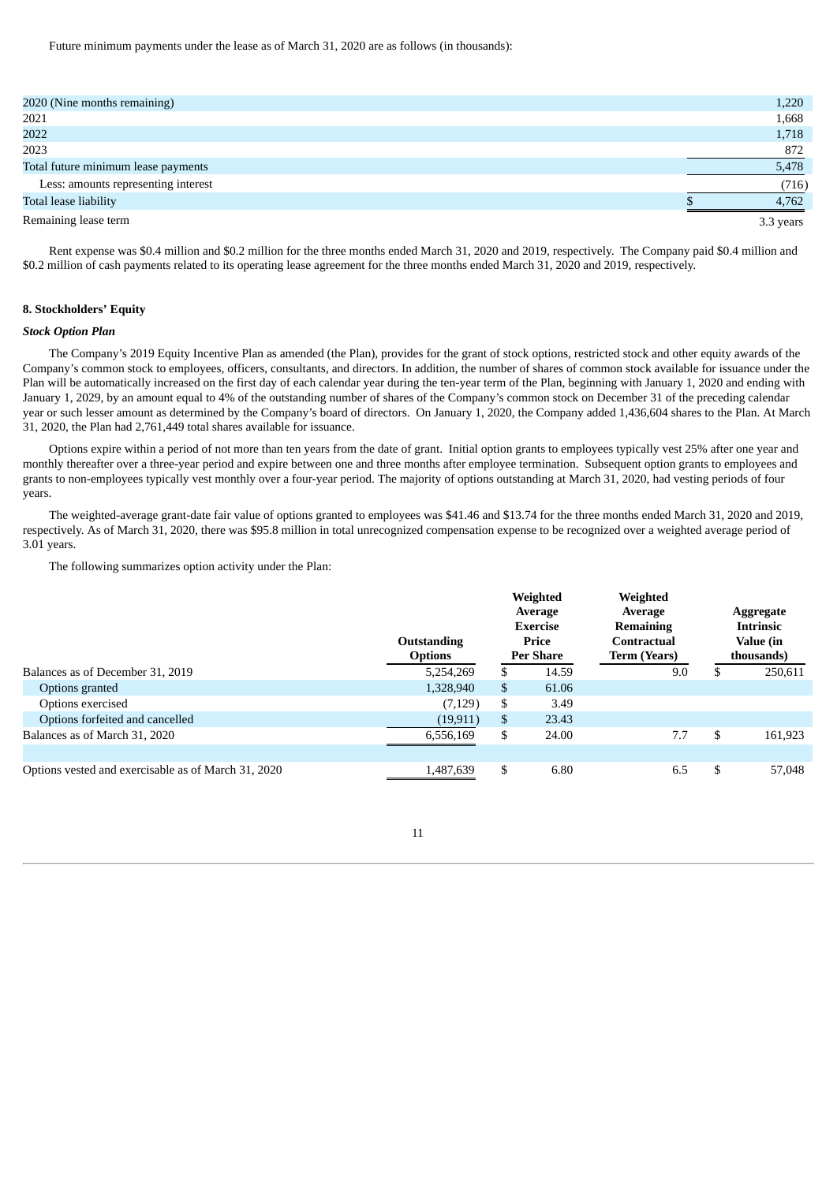Future minimum payments under the lease as of March 31, 2020 are as follows (in thousands):

| 2020 (Nine months remaining)        | 1,220     |
|-------------------------------------|-----------|
| 2021                                | 1,668     |
| 2022                                | 1,718     |
| 2023                                | 872       |
| Total future minimum lease payments | 5,478     |
| Less: amounts representing interest | (716)     |
| Total lease liability               | 4,762     |
| Remaining lease term                | 3.3 years |

Rent expense was \$0.4 million and \$0.2 million for the three months ended March 31, 2020 and 2019, respectively. The Company paid \$0.4 million and \$0.2 million of cash payments related to its operating lease agreement for the three months ended March 31, 2020 and 2019, respectively.

### **8. Stockholders' Equity**

## *Stock Option Plan*

The Company's 2019 Equity Incentive Plan as amended (the Plan), provides for the grant of stock options, restricted stock and other equity awards of the Company's common stock to employees, officers, consultants, and directors. In addition, the number of shares of common stock available for issuance under the Plan will be automatically increased on the first day of each calendar year during the ten-year term of the Plan, beginning with January 1, 2020 and ending with January 1, 2029, by an amount equal to 4% of the outstanding number of shares of the Company's common stock on December 31 of the preceding calendar year or such lesser amount as determined by the Company's board of directors. On January 1, 2020, the Company added 1,436,604 shares to the Plan. At March 31, 2020, the Plan had 2,761,449 total shares available for issuance.

Options expire within a period of not more than ten years from the date of grant. Initial option grants to employees typically vest 25% after one year and monthly thereafter over a three-year period and expire between one and three months after employee termination. Subsequent option grants to employees and grants to non-employees typically vest monthly over a four-year period. The majority of options outstanding at March 31, 2020, had vesting periods of four years.

The weighted-average grant-date fair value of options granted to employees was \$41.46 and \$13.74 for the three months ended March 31, 2020 and 2019, respectively. As of March 31, 2020, there was \$95.8 million in total unrecognized compensation expense to be recognized over a weighted average period of 3.01 years.

The following summarizes option activity under the Plan:

|                                                     | <b>Outstanding</b><br><b>Options</b> |    | Weighted<br>Average<br><b>Exercise</b><br>Price<br>Per Share | Weighted<br>Average<br><b>Remaining</b><br>Contractual<br>Term (Years) |    | Aggregate<br><b>Intrinsic</b><br>Value (in<br>thousands) |
|-----------------------------------------------------|--------------------------------------|----|--------------------------------------------------------------|------------------------------------------------------------------------|----|----------------------------------------------------------|
| Balances as of December 31, 2019                    | 5,254,269                            | S  | 14.59                                                        | 9.0                                                                    | S  | 250,611                                                  |
| Options granted                                     | 1,328,940                            | \$ | 61.06                                                        |                                                                        |    |                                                          |
| Options exercised                                   | (7, 129)                             | \$ | 3.49                                                         |                                                                        |    |                                                          |
| Options forfeited and cancelled                     | (19, 911)                            | \$ | 23.43                                                        |                                                                        |    |                                                          |
| Balances as of March 31, 2020                       | 6,556,169                            | \$ | 24.00                                                        | 7.7                                                                    | \$ | 161,923                                                  |
|                                                     |                                      |    |                                                              |                                                                        |    |                                                          |
| Options vested and exercisable as of March 31, 2020 | 1,487,639                            | \$ | 6.80                                                         | 6.5                                                                    | \$ | 57,048                                                   |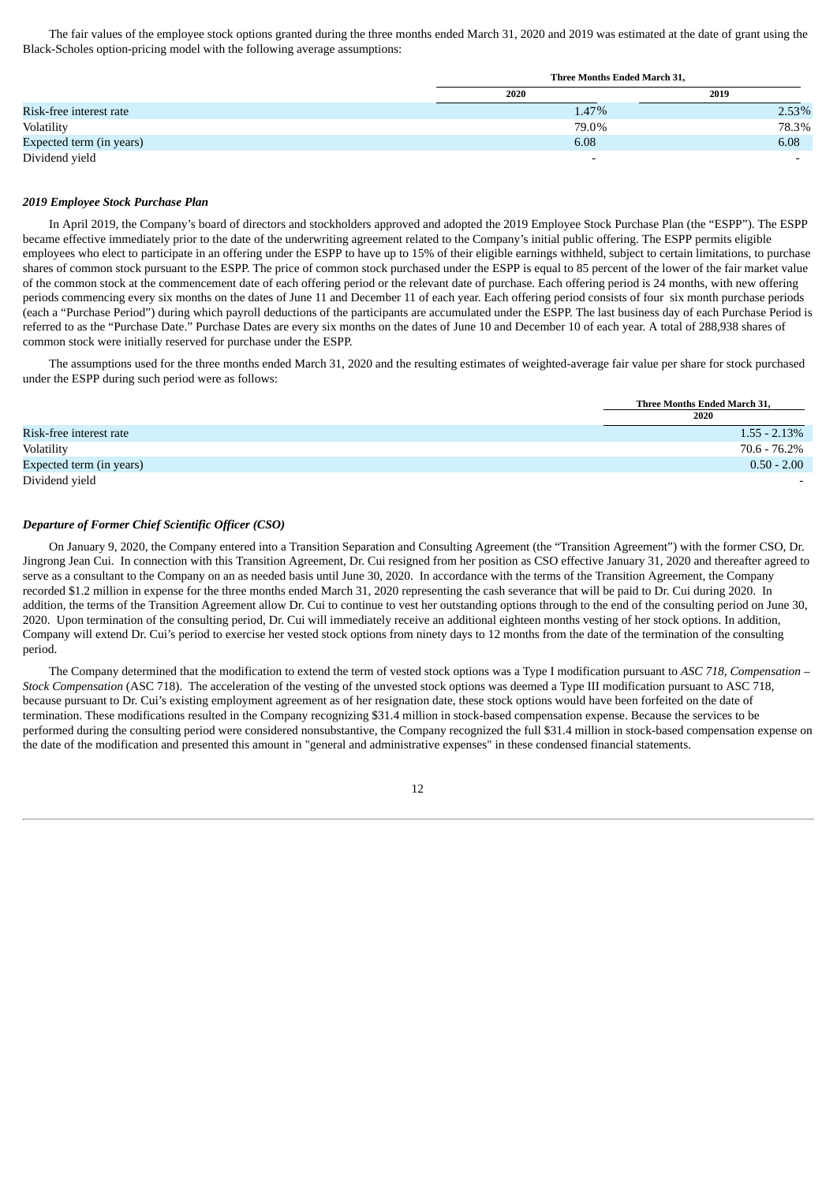The fair values of the employee stock options granted during the three months ended March 31, 2020 and 2019 was estimated at the date of grant using the Black-Scholes option-pricing model with the following average assumptions:

|                          |                          | Three Months Ended March 31, |  |  |  |
|--------------------------|--------------------------|------------------------------|--|--|--|
|                          | 2020                     | 2019                         |  |  |  |
| Risk-free interest rate  | $1.47\%$                 | 2.53%                        |  |  |  |
| Volatility               | 79.0%                    | 78.3%                        |  |  |  |
| Expected term (in years) | 6.08                     | 6.08                         |  |  |  |
| Dividend yield           | $\overline{\phantom{0}}$ |                              |  |  |  |

#### *2019 Employee Stock Purchase Plan*

In April 2019, the Company's board of directors and stockholders approved and adopted the 2019 Employee Stock Purchase Plan (the "ESPP"). The ESPP became effective immediately prior to the date of the underwriting agreement related to the Company's initial public offering. The ESPP permits eligible employees who elect to participate in an offering under the ESPP to have up to 15% of their eligible earnings withheld, subject to certain limitations, to purchase shares of common stock pursuant to the ESPP. The price of common stock purchased under the ESPP is equal to 85 percent of the lower of the fair market value of the common stock at the commencement date of each offering period or the relevant date of purchase. Each offering period is 24 months, with new offering periods commencing every six months on the dates of June 11 and December 11 of each year. Each offering period consists of four six month purchase periods (each a "Purchase Period") during which payroll deductions of the participants are accumulated under the ESPP. The last business day of each Purchase Period is referred to as the "Purchase Date." Purchase Dates are every six months on the dates of June 10 and December 10 of each year. A total of 288,938 shares of common stock were initially reserved for purchase under the ESPP.

The assumptions used for the three months ended March 31, 2020 and the resulting estimates of weighted-average fair value per share for stock purchased under the ESPP during such period were as follows:

|                          | Three Months Ended March 31. |
|--------------------------|------------------------------|
|                          | 2020                         |
| Risk-free interest rate  | $1.55 - 2.13\%$              |
| Volatility               | 70.6 - 76.2%                 |
| Expected term (in years) | $0.50 - 2.00$                |
| Dividend yield           | $\overline{\phantom{0}}$     |

#### *Departure of Former Chief Scientific Officer (CSO)*

On January 9, 2020, the Company entered into a Transition Separation and Consulting Agreement (the "Transition Agreement") with the former CSO, Dr. Jingrong Jean Cui. In connection with this Transition Agreement, Dr. Cui resigned from her position as CSO effective January 31, 2020 and thereafter agreed to serve as a consultant to the Company on an as needed basis until June 30, 2020. In accordance with the terms of the Transition Agreement, the Company recorded \$1.2 million in expense for the three months ended March 31, 2020 representing the cash severance that will be paid to Dr. Cui during 2020. In addition, the terms of the Transition Agreement allow Dr. Cui to continue to vest her outstanding options through to the end of the consulting period on June 30, 2020. Upon termination of the consulting period, Dr. Cui will immediately receive an additional eighteen months vesting of her stock options. In addition, Company will extend Dr. Cui's period to exercise her vested stock options from ninety days to 12 months from the date of the termination of the consulting period.

The Company determined that the modification to extend the term of vested stock options was a Type I modification pursuant to *ASC 718, Compensation – Stock Compensation* (ASC 718). The acceleration of the vesting of the unvested stock options was deemed a Type III modification pursuant to ASC 718, because pursuant to Dr. Cui's existing employment agreement as of her resignation date, these stock options would have been forfeited on the date of termination. These modifications resulted in the Company recognizing \$31.4 million in stock-based compensation expense. Because the services to be performed during the consulting period were considered nonsubstantive, the Company recognized the full \$31.4 million in stock-based compensation expense on the date of the modification and presented this amount in "general and administrative expenses" in these condensed financial statements.

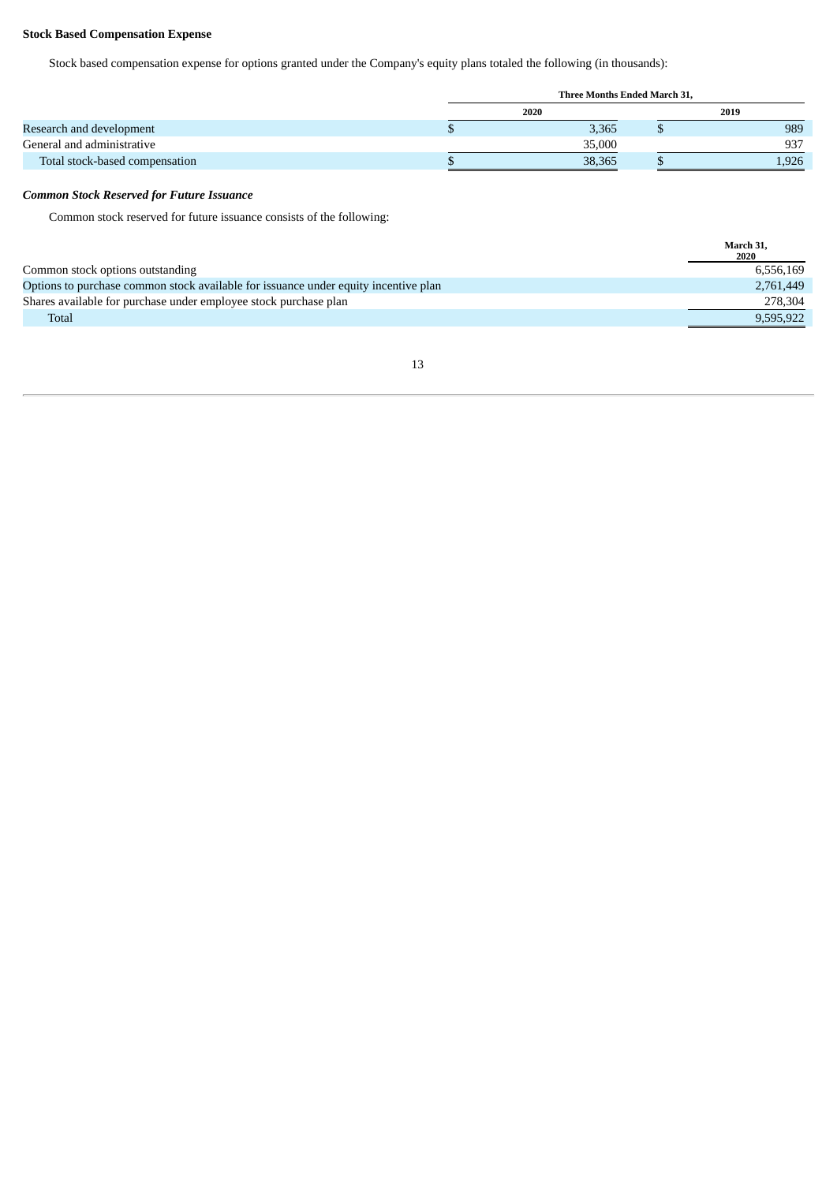# **Stock Based Compensation Expense**

Stock based compensation expense for options granted under the Company's equity plans totaled the following (in thousands):

|                                |   | <b>Three Months Ended March 31.</b> |  |       |  |  |
|--------------------------------|---|-------------------------------------|--|-------|--|--|
|                                |   | 2020                                |  | 2019  |  |  |
| Research and development       | Ψ | 3,365                               |  | 989   |  |  |
| General and administrative     |   | 35,000                              |  | 937   |  |  |
| Total stock-based compensation |   | 38,365                              |  | 1,926 |  |  |

# *Common Stock Reserved for Future Issuance*

Common stock reserved for future issuance consists of the following:

|                                                                                     | March 31.<br>2020 |
|-------------------------------------------------------------------------------------|-------------------|
| Common stock options outstanding                                                    | 6,556,169         |
| Options to purchase common stock available for issuance under equity incentive plan | 2,761,449         |
| Shares available for purchase under employee stock purchase plan                    | 278.304           |
| Total                                                                               | 9.595.922         |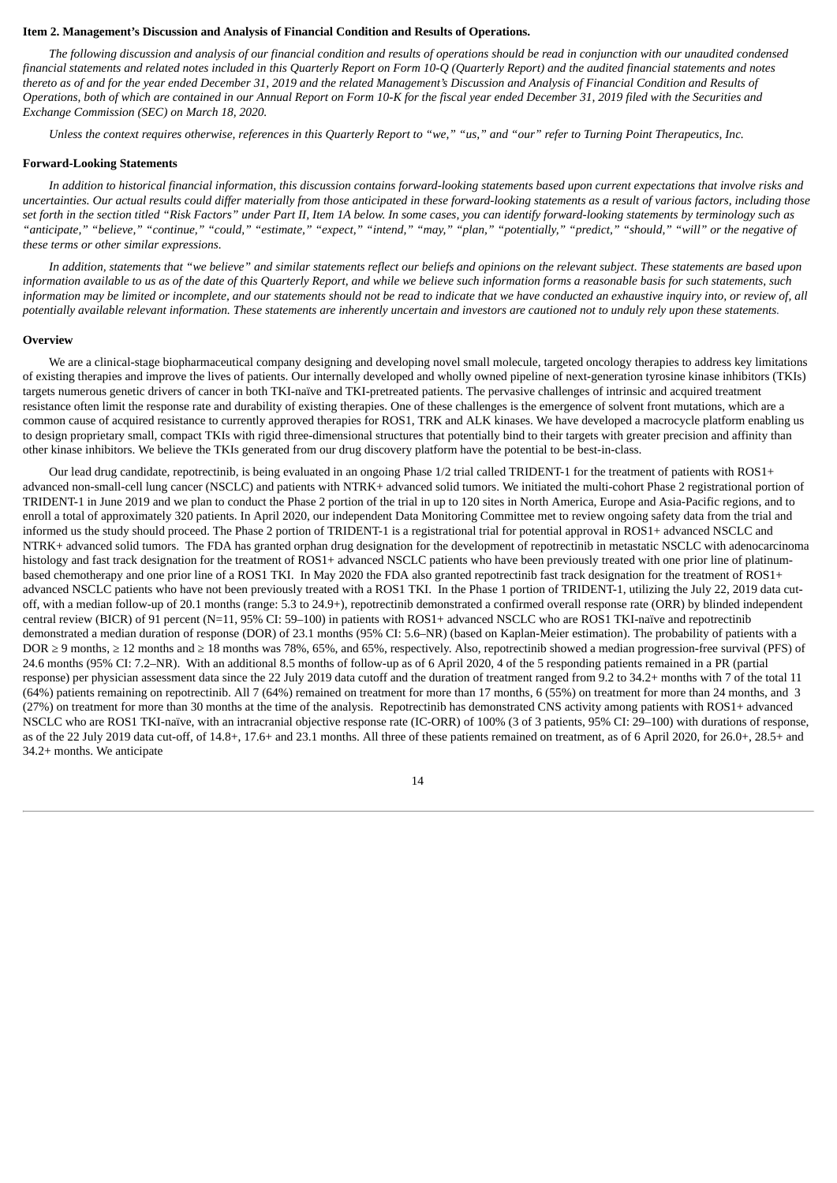#### <span id="page-13-0"></span>**Item 2. Management's Discussion and Analysis of Financial Condition and Results of Operations.**

The following discussion and analysis of our financial condition and results of operations should be read in conjunction with our unaudited condensed financial statements and related notes included in this Quarterly Report on Form 10-Q (Quarterly Report) and the audited financial statements and notes thereto as of and for the year ended December 31, 2019 and the related Management's Discussion and Analysis of Financial Condition and Results of Operations, both of which are contained in our Annual Report on Form 10-K for the fiscal year ended December 31, 2019 filed with the Securities and *Exchange Commission (SEC) on March 18, 2020.*

Unless the context requires otherwise, references in this Quarterly Report to "we," "us," and "our" refer to Turning Point Therapeutics, Inc.

# **Forward-Looking Statements**

In addition to historical financial information, this discussion contains forward-looking statements based upon current expectations that involve risks and uncertainties. Our actual results could differ materially from those anticipated in these forward-looking statements as a result of various factors, including those set forth in the section titled "Risk Factors" under Part II, Item 1A below. In some cases, you can identify forward-looking statements by terminology such as "anticipate," "believe," "continue," "could," "estimate," "expect," "intend," "may," "plan," "potentially," "predict," "should," "will" or the negative of *these terms or other similar expressions.*

In addition, statements that "we believe" and similar statements reflect our beliefs and opinions on the relevant subject. These statements are based upon information available to us as of the date of this Quarterly Report, and while we believe such information forms a reasonable basis for such statements, such information may be limited or incomplete, and our statements should not be read to indicate that we have conducted an exhaustive inquiry into, or review of, all potentially available relevant information. These statements are inherently uncertain and investors are cautioned not to unduly rely upon these statements.

#### **Overview**

We are a clinical-stage biopharmaceutical company designing and developing novel small molecule, targeted oncology therapies to address key limitations of existing therapies and improve the lives of patients. Our internally developed and wholly owned pipeline of next-generation tyrosine kinase inhibitors (TKIs) targets numerous genetic drivers of cancer in both TKI-naïve and TKI-pretreated patients. The pervasive challenges of intrinsic and acquired treatment resistance often limit the response rate and durability of existing therapies. One of these challenges is the emergence of solvent front mutations, which are a common cause of acquired resistance to currently approved therapies for ROS1, TRK and ALK kinases. We have developed a macrocycle platform enabling us to design proprietary small, compact TKIs with rigid three-dimensional structures that potentially bind to their targets with greater precision and affinity than other kinase inhibitors. We believe the TKIs generated from our drug discovery platform have the potential to be best-in-class.

Our lead drug candidate, repotrectinib, is being evaluated in an ongoing Phase 1/2 trial called TRIDENT-1 for the treatment of patients with ROS1+ advanced non-small-cell lung cancer (NSCLC) and patients with NTRK+ advanced solid tumors. We initiated the multi-cohort Phase 2 registrational portion of TRIDENT-1 in June 2019 and we plan to conduct the Phase 2 portion of the trial in up to 120 sites in North America, Europe and Asia-Pacific regions, and to enroll a total of approximately 320 patients. In April 2020, our independent Data Monitoring Committee met to review ongoing safety data from the trial and informed us the study should proceed. The Phase 2 portion of TRIDENT-1 is a registrational trial for potential approval in ROS1+ advanced NSCLC and NTRK+ advanced solid tumors. The FDA has granted orphan drug designation for the development of repotrectinib in metastatic NSCLC with adenocarcinoma histology and fast track designation for the treatment of ROS1+ advanced NSCLC patients who have been previously treated with one prior line of platinumbased chemotherapy and one prior line of a ROS1 TKI. In May 2020 the FDA also granted repotrectinib fast track designation for the treatment of ROS1+ advanced NSCLC patients who have not been previously treated with a ROS1 TKI. In the Phase 1 portion of TRIDENT-1, utilizing the July 22, 2019 data cutoff, with a median follow-up of 20.1 months (range: 5.3 to 24.9+), repotrectinib demonstrated a confirmed overall response rate (ORR) by blinded independent central review (BICR) of 91 percent (N=11, 95% CI: 59–100) in patients with ROS1+ advanced NSCLC who are ROS1 TKI-naïve and repotrectinib demonstrated a median duration of response (DOR) of 23.1 months (95% CI: 5.6–NR) (based on Kaplan-Meier estimation). The probability of patients with a DOR ≥ 9 months, ≥ 12 months and ≥ 18 months was 78%, 65%, and 65%, respectively. Also, repotrectinib showed a median progression-free survival (PFS) of 24.6 months (95% CI: 7.2–NR). With an additional 8.5 months of follow-up as of 6 April 2020, 4 of the 5 responding patients remained in a PR (partial response) per physician assessment data since the 22 July 2019 data cutoff and the duration of treatment ranged from 9.2 to 34.2+ months with 7 of the total 11 (64%) patients remaining on repotrectinib. All 7 (64%) remained on treatment for more than 17 months, 6 (55%) on treatment for more than 24 months, and 3 (27%) on treatment for more than 30 months at the time of the analysis. Repotrectinib has demonstrated CNS activity among patients with ROS1+ advanced NSCLC who are ROS1 TKI-naïve, with an intracranial objective response rate (IC-ORR) of 100% (3 of 3 patients, 95% CI: 29–100) with durations of response, as of the 22 July 2019 data cut-off, of 14.8+, 17.6+ and 23.1 months. All three of these patients remained on treatment, as of 6 April 2020, for 26.0+, 28.5+ and 34.2+ months. We anticipate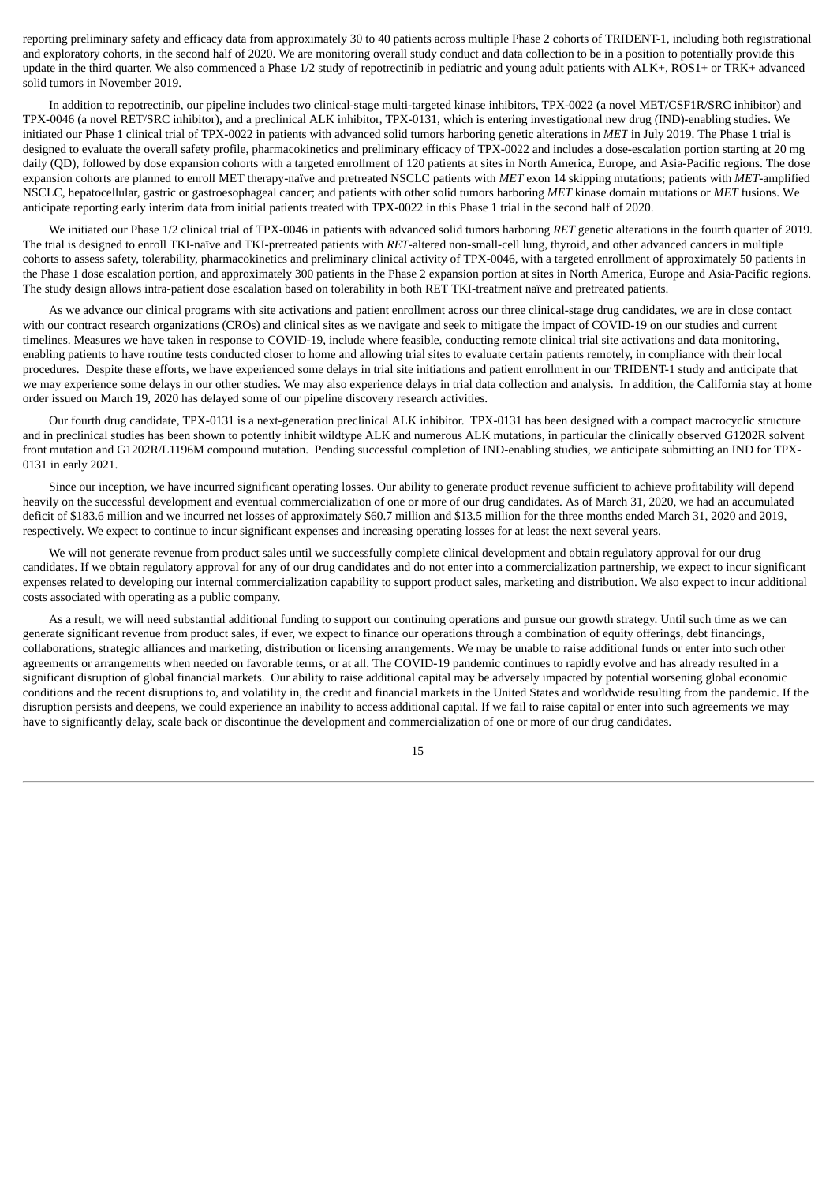reporting preliminary safety and efficacy data from approximately 30 to 40 patients across multiple Phase 2 cohorts of TRIDENT-1, including both registrational and exploratory cohorts, in the second half of 2020. We are monitoring overall study conduct and data collection to be in a position to potentially provide this update in the third quarter. We also commenced a Phase 1/2 study of repotrectinib in pediatric and young adult patients with ALK+, ROS1+ or TRK+ advanced solid tumors in November 2019.

In addition to repotrectinib, our pipeline includes two clinical-stage multi-targeted kinase inhibitors, TPX-0022 (a novel MET/CSF1R/SRC inhibitor) and TPX-0046 (a novel RET/SRC inhibitor), and a preclinical ALK inhibitor, TPX-0131, which is entering investigational new drug (IND)-enabling studies. We initiated our Phase 1 clinical trial of TPX-0022 in patients with advanced solid tumors harboring genetic alterations in *MET* in July 2019. The Phase 1 trial is designed to evaluate the overall safety profile, pharmacokinetics and preliminary efficacy of TPX-0022 and includes a dose-escalation portion starting at 20 mg daily (QD), followed by dose expansion cohorts with a targeted enrollment of 120 patients at sites in North America, Europe, and Asia-Pacific regions. The dose expansion cohorts are planned to enroll MET therapy-naïve and pretreated NSCLC patients with *MET* exon 14 skipping mutations; patients with *MET*-amplified NSCLC, hepatocellular, gastric or gastroesophageal cancer; and patients with other solid tumors harboring *MET* kinase domain mutations or *MET* fusions. We anticipate reporting early interim data from initial patients treated with TPX-0022 in this Phase 1 trial in the second half of 2020.

We initiated our Phase 1/2 clinical trial of TPX-0046 in patients with advanced solid tumors harboring *RET* genetic alterations in the fourth quarter of 2019. The trial is designed to enroll TKI-naïve and TKI-pretreated patients with *RET*-altered non-small-cell lung, thyroid, and other advanced cancers in multiple cohorts to assess safety, tolerability, pharmacokinetics and preliminary clinical activity of TPX-0046, with a targeted enrollment of approximately 50 patients in the Phase 1 dose escalation portion, and approximately 300 patients in the Phase 2 expansion portion at sites in North America, Europe and Asia-Pacific regions. The study design allows intra-patient dose escalation based on tolerability in both RET TKI-treatment naïve and pretreated patients.

As we advance our clinical programs with site activations and patient enrollment across our three clinical-stage drug candidates, we are in close contact with our contract research organizations (CROs) and clinical sites as we navigate and seek to mitigate the impact of COVID-19 on our studies and current timelines. Measures we have taken in response to COVID-19, include where feasible, conducting remote clinical trial site activations and data monitoring, enabling patients to have routine tests conducted closer to home and allowing trial sites to evaluate certain patients remotely, in compliance with their local procedures. Despite these efforts, we have experienced some delays in trial site initiations and patient enrollment in our TRIDENT-1 study and anticipate that we may experience some delays in our other studies. We may also experience delays in trial data collection and analysis. In addition, the California stay at home order issued on March 19, 2020 has delayed some of our pipeline discovery research activities.

Our fourth drug candidate, TPX-0131 is a next-generation preclinical ALK inhibitor. TPX-0131 has been designed with a compact macrocyclic structure and in preclinical studies has been shown to potently inhibit wildtype ALK and numerous ALK mutations, in particular the clinically observed G1202R solvent front mutation and G1202R/L1196M compound mutation. Pending successful completion of IND-enabling studies, we anticipate submitting an IND for TPX-0131 in early 2021.

Since our inception, we have incurred significant operating losses. Our ability to generate product revenue sufficient to achieve profitability will depend heavily on the successful development and eventual commercialization of one or more of our drug candidates. As of March 31, 2020, we had an accumulated deficit of \$183.6 million and we incurred net losses of approximately \$60.7 million and \$13.5 million for the three months ended March 31, 2020 and 2019, respectively. We expect to continue to incur significant expenses and increasing operating losses for at least the next several years.

We will not generate revenue from product sales until we successfully complete clinical development and obtain regulatory approval for our drug candidates. If we obtain regulatory approval for any of our drug candidates and do not enter into a commercialization partnership, we expect to incur significant expenses related to developing our internal commercialization capability to support product sales, marketing and distribution. We also expect to incur additional costs associated with operating as a public company.

As a result, we will need substantial additional funding to support our continuing operations and pursue our growth strategy. Until such time as we can generate significant revenue from product sales, if ever, we expect to finance our operations through a combination of equity offerings, debt financings, collaborations, strategic alliances and marketing, distribution or licensing arrangements. We may be unable to raise additional funds or enter into such other agreements or arrangements when needed on favorable terms, or at all. The COVID-19 pandemic continues to rapidly evolve and has already resulted in a significant disruption of global financial markets. Our ability to raise additional capital may be adversely impacted by potential worsening global economic conditions and the recent disruptions to, and volatility in, the credit and financial markets in the United States and worldwide resulting from the pandemic. If the disruption persists and deepens, we could experience an inability to access additional capital. If we fail to raise capital or enter into such agreements we may have to significantly delay, scale back or discontinue the development and commercialization of one or more of our drug candidates.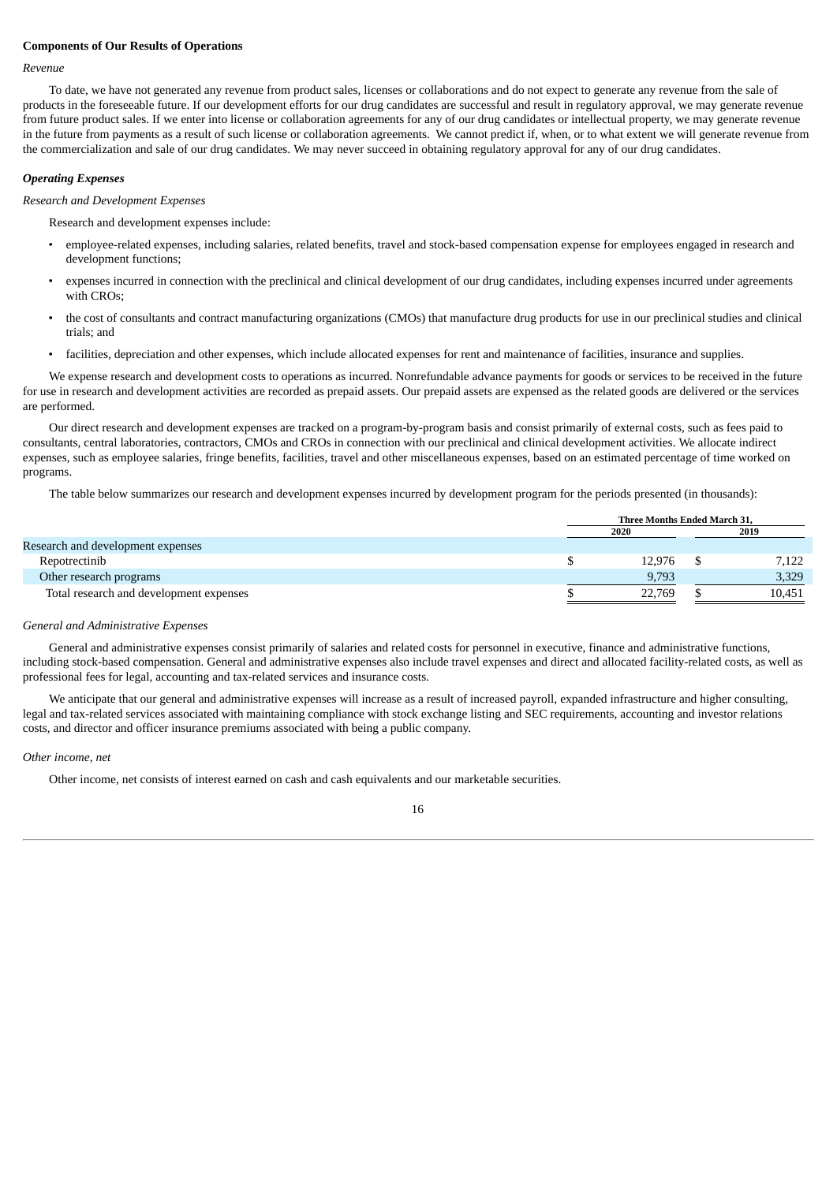# **Components of Our Results of Operations**

#### *Revenue*

To date, we have not generated any revenue from product sales, licenses or collaborations and do not expect to generate any revenue from the sale of products in the foreseeable future. If our development efforts for our drug candidates are successful and result in regulatory approval, we may generate revenue from future product sales. If we enter into license or collaboration agreements for any of our drug candidates or intellectual property, we may generate revenue in the future from payments as a result of such license or collaboration agreements. We cannot predict if, when, or to what extent we will generate revenue from the commercialization and sale of our drug candidates. We may never succeed in obtaining regulatory approval for any of our drug candidates.

# *Operating Expenses*

#### *Research and Development Expenses*

Research and development expenses include:

- employee-related expenses, including salaries, related benefits, travel and stock-based compensation expense for employees engaged in research and development functions;
- expenses incurred in connection with the preclinical and clinical development of our drug candidates, including expenses incurred under agreements with CROs;
- the cost of consultants and contract manufacturing organizations (CMOs) that manufacture drug products for use in our preclinical studies and clinical trials; and
- facilities, depreciation and other expenses, which include allocated expenses for rent and maintenance of facilities, insurance and supplies.

We expense research and development costs to operations as incurred. Nonrefundable advance payments for goods or services to be received in the future for use in research and development activities are recorded as prepaid assets. Our prepaid assets are expensed as the related goods are delivered or the services are performed.

Our direct research and development expenses are tracked on a program-by-program basis and consist primarily of external costs, such as fees paid to consultants, central laboratories, contractors, CMOs and CROs in connection with our preclinical and clinical development activities. We allocate indirect expenses, such as employee salaries, fringe benefits, facilities, travel and other miscellaneous expenses, based on an estimated percentage of time worked on programs.

The table below summarizes our research and development expenses incurred by development program for the periods presented (in thousands):

|                                         | <b>Three Months Ended March 31.</b> |  |        |  |
|-----------------------------------------|-------------------------------------|--|--------|--|
|                                         | 2020                                |  |        |  |
| Research and development expenses       |                                     |  |        |  |
| Repotrectinib                           | 12.976                              |  | 7.122  |  |
| Other research programs                 | 9.793                               |  | 3,329  |  |
| Total research and development expenses | 22,769                              |  | 10,451 |  |

#### *General and Administrative Expenses*

General and administrative expenses consist primarily of salaries and related costs for personnel in executive, finance and administrative functions, including stock-based compensation. General and administrative expenses also include travel expenses and direct and allocated facility-related costs, as well as professional fees for legal, accounting and tax-related services and insurance costs.

We anticipate that our general and administrative expenses will increase as a result of increased payroll, expanded infrastructure and higher consulting, legal and tax-related services associated with maintaining compliance with stock exchange listing and SEC requirements, accounting and investor relations costs, and director and officer insurance premiums associated with being a public company.

#### *Other income, net*

Other income, net consists of interest earned on cash and cash equivalents and our marketable securities.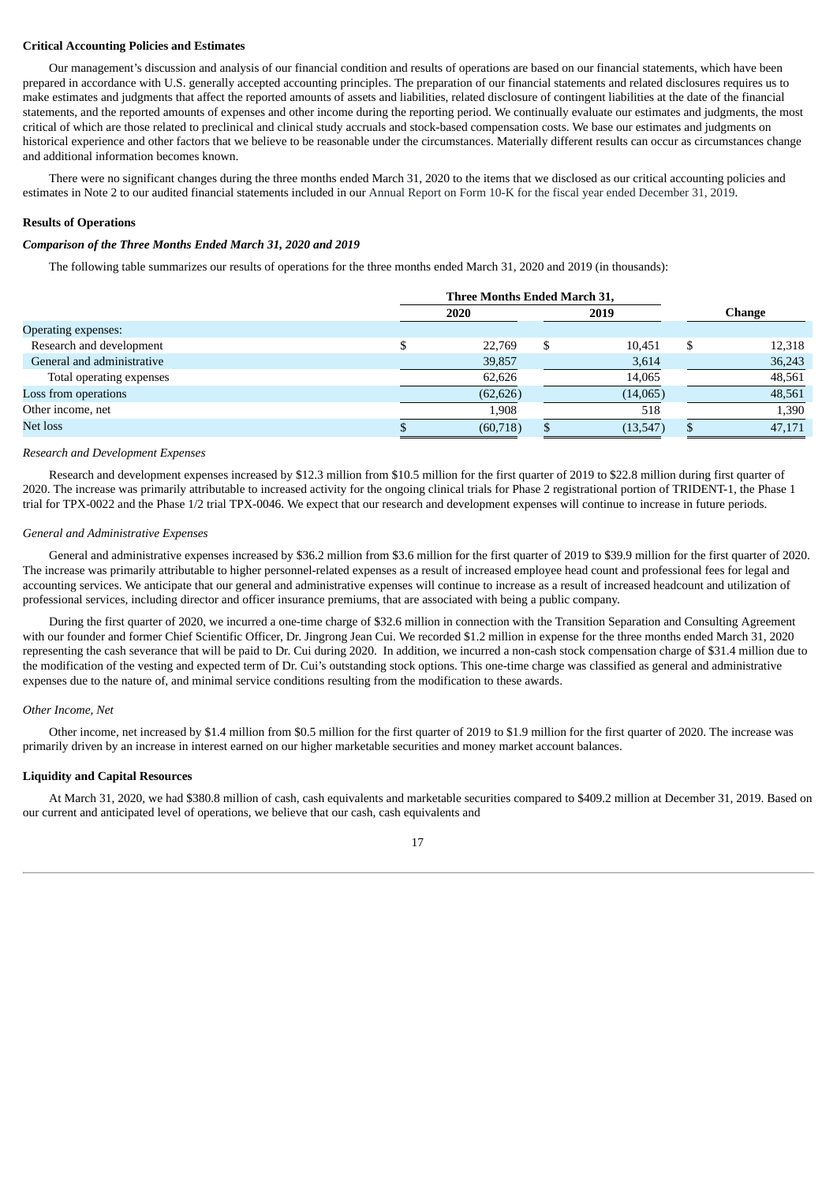## **Critical Accounting Policies and Estimates**

Our management's discussion and analysis of our financial condition and results of operations are based on our financial statements, which have been prepared in accordance with U.S. generally accepted accounting principles. The preparation of our financial statements and related disclosures requires us to make estimates and judgments that affect the reported amounts of assets and liabilities, related disclosure of contingent liabilities at the date of the financial statements, and the reported amounts of expenses and other income during the reporting period. We continually evaluate our estimates and judgments, the most critical of which are those related to preclinical and clinical study accruals and stock-based compensation costs. We base our estimates and judgments on historical experience and other factors that we believe to be reasonable under the circumstances. Materially different results can occur as circumstances change and additional information becomes known.

There were no significant changes during the three months ended March 31, 2020 to the items that we disclosed as our critical accounting policies and estimates in Note 2 to our audited financial statements included in our Annual Report on Form 10-K for the fiscal year ended December 31, 2019.

### **Results of Operations**

## *Comparison of the Three Months Ended March 31, 2020 and 2019*

The following table summarizes our results of operations for the three months ended March 31, 2020 and 2019 (in thousands):

|                            | Three Months Ended March 31, |           |      |           |  |        |
|----------------------------|------------------------------|-----------|------|-----------|--|--------|
|                            | 2020                         |           | 2019 |           |  | Change |
| Operating expenses:        |                              |           |      |           |  |        |
| Research and development   |                              | 22,769    |      | 10,451    |  | 12,318 |
| General and administrative |                              | 39,857    |      | 3,614     |  | 36,243 |
| Total operating expenses   |                              | 62,626    |      | 14,065    |  | 48,561 |
| Loss from operations       |                              | (62, 626) |      | (14,065)  |  | 48,561 |
| Other income, net          |                              | 1,908     |      | 518       |  | 1,390  |
| Net loss                   |                              | (60, 718) |      | (13, 547) |  | 47,171 |

#### *Research and Development Expenses*

Research and development expenses increased by \$12.3 million from \$10.5 million for the first quarter of 2019 to \$22.8 million during first quarter of 2020. The increase was primarily attributable to increased activity for the ongoing clinical trials for Phase 2 registrational portion of TRIDENT-1, the Phase 1 trial for TPX-0022 and the Phase 1/2 trial TPX-0046. We expect that our research and development expenses will continue to increase in future periods.

#### *General and Administrative Expenses*

General and administrative expenses increased by \$36.2 million from \$3.6 million for the first quarter of 2019 to \$39.9 million for the first quarter of 2020. The increase was primarily attributable to higher personnel-related expenses as a result of increased employee head count and professional fees for legal and accounting services. We anticipate that our general and administrative expenses will continue to increase as a result of increased headcount and utilization of professional services, including director and officer insurance premiums, that are associated with being a public company.

During the first quarter of 2020, we incurred a one-time charge of \$32.6 million in connection with the Transition Separation and Consulting Agreement with our founder and former Chief Scientific Officer, Dr. Jingrong Jean Cui. We recorded \$1.2 million in expense for the three months ended March 31, 2020 representing the cash severance that will be paid to Dr. Cui during 2020. In addition, we incurred a non-cash stock compensation charge of \$31.4 million due to the modification of the vesting and expected term of Dr. Cui's outstanding stock options. This one-time charge was classified as general and administrative expenses due to the nature of, and minimal service conditions resulting from the modification to these awards.

#### *Other Income, Net*

Other income, net increased by \$1.4 million from \$0.5 million for the first quarter of 2019 to \$1.9 million for the first quarter of 2020. The increase was primarily driven by an increase in interest earned on our higher marketable securities and money market account balances.

#### **Liquidity and Capital Resources**

At March 31, 2020, we had \$380.8 million of cash, cash equivalents and marketable securities compared to \$409.2 million at December 31, 2019. Based on our current and anticipated level of operations, we believe that our cash, cash equivalents and

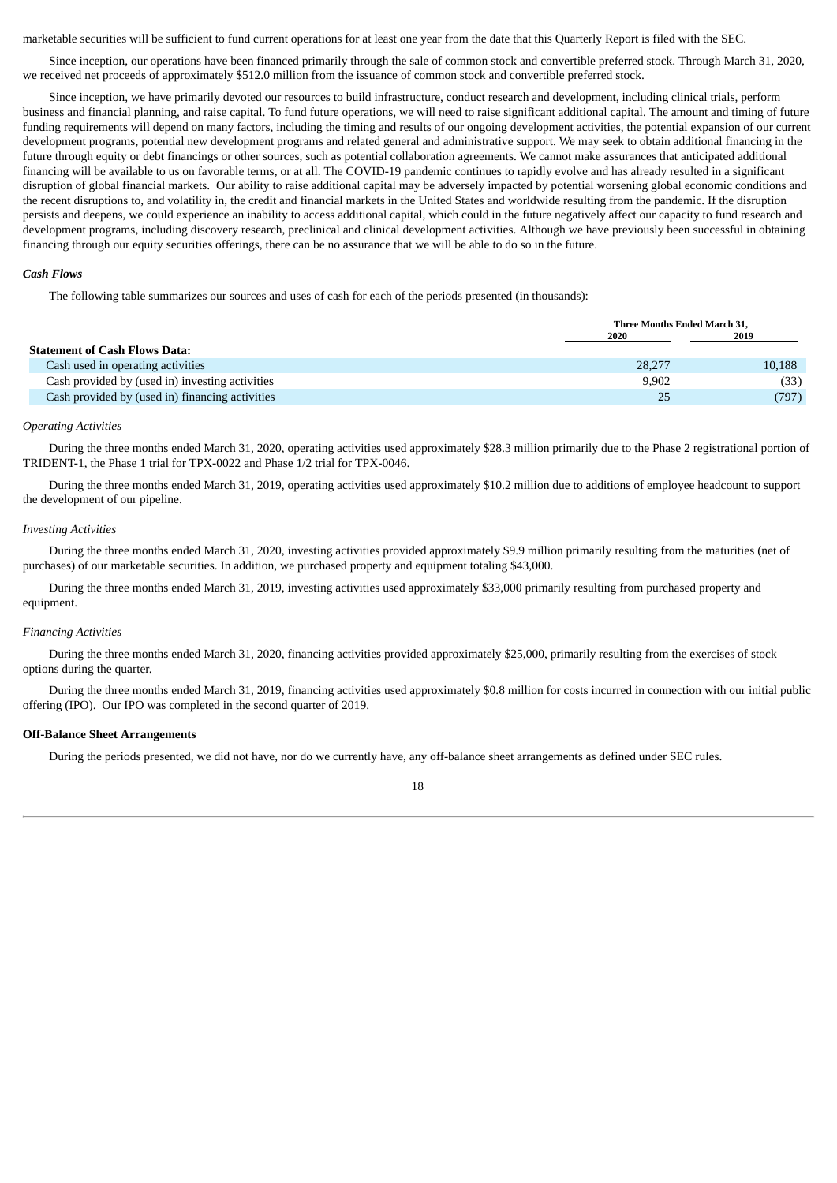marketable securities will be sufficient to fund current operations for at least one year from the date that this Quarterly Report is filed with the SEC.

Since inception, our operations have been financed primarily through the sale of common stock and convertible preferred stock. Through March 31, 2020, we received net proceeds of approximately \$512.0 million from the issuance of common stock and convertible preferred stock.

Since inception, we have primarily devoted our resources to build infrastructure, conduct research and development, including clinical trials, perform business and financial planning, and raise capital. To fund future operations, we will need to raise significant additional capital. The amount and timing of future funding requirements will depend on many factors, including the timing and results of our ongoing development activities, the potential expansion of our current development programs, potential new development programs and related general and administrative support. We may seek to obtain additional financing in the future through equity or debt financings or other sources, such as potential collaboration agreements. We cannot make assurances that anticipated additional financing will be available to us on favorable terms, or at all. The COVID-19 pandemic continues to rapidly evolve and has already resulted in a significant disruption of global financial markets. Our ability to raise additional capital may be adversely impacted by potential worsening global economic conditions and the recent disruptions to, and volatility in, the credit and financial markets in the United States and worldwide resulting from the pandemic. If the disruption persists and deepens, we could experience an inability to access additional capital, which could in the future negatively affect our capacity to fund research and development programs, including discovery research, preclinical and clinical development activities. Although we have previously been successful in obtaining financing through our equity securities offerings, there can be no assurance that we will be able to do so in the future.

#### *Cash Flows*

The following table summarizes our sources and uses of cash for each of the periods presented (in thousands):

|                                                 | Three Months Ended March 31, |        |  |
|-------------------------------------------------|------------------------------|--------|--|
|                                                 | 2020                         | 2019   |  |
| <b>Statement of Cash Flows Data:</b>            |                              |        |  |
| Cash used in operating activities               | 28,277                       | 10,188 |  |
| Cash provided by (used in) investing activities | 9.902                        | (33)   |  |
| Cash provided by (used in) financing activities | 25                           | (797)  |  |

#### *Operating Activities*

During the three months ended March 31, 2020, operating activities used approximately \$28.3 million primarily due to the Phase 2 registrational portion of TRIDENT-1, the Phase 1 trial for TPX-0022 and Phase 1/2 trial for TPX-0046.

During the three months ended March 31, 2019, operating activities used approximately \$10.2 million due to additions of employee headcount to support the development of our pipeline.

## *Investing Activities*

During the three months ended March 31, 2020, investing activities provided approximately \$9.9 million primarily resulting from the maturities (net of purchases) of our marketable securities. In addition, we purchased property and equipment totaling \$43,000.

During the three months ended March 31, 2019, investing activities used approximately \$33,000 primarily resulting from purchased property and equipment.

#### *Financing Activities*

During the three months ended March 31, 2020, financing activities provided approximately \$25,000, primarily resulting from the exercises of stock options during the quarter.

During the three months ended March 31, 2019, financing activities used approximately \$0.8 million for costs incurred in connection with our initial public offering (IPO). Our IPO was completed in the second quarter of 2019.

### **Off-Balance Sheet Arrangements**

During the periods presented, we did not have, nor do we currently have, any off-balance sheet arrangements as defined under SEC rules.

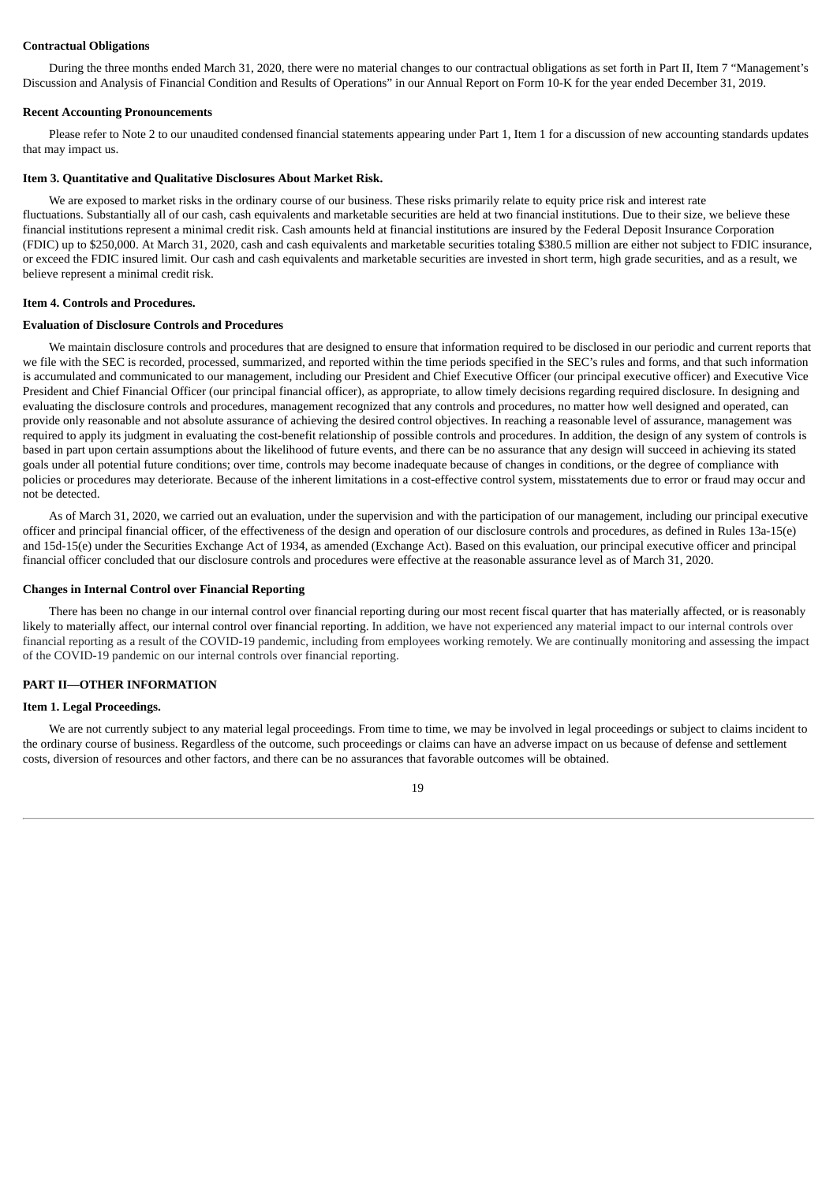#### **Contractual Obligations**

During the three months ended March 31, 2020, there were no material changes to our contractual obligations as set forth in Part II, Item 7 "Management's Discussion and Analysis of Financial Condition and Results of Operations" in our Annual Report on Form 10-K for the year ended December 31, 2019.

#### **Recent Accounting Pronouncements**

Please refer to Note 2 to our unaudited condensed financial statements appearing under Part 1, Item 1 for a discussion of new accounting standards updates that may impact us.

#### <span id="page-18-0"></span>**Item 3. Quantitative and Qualitative Disclosures About Market Risk.**

We are exposed to market risks in the ordinary course of our business. These risks primarily relate to equity price risk and interest rate fluctuations. Substantially all of our cash, cash equivalents and marketable securities are held at two financial institutions. Due to their size, we believe these financial institutions represent a minimal credit risk. Cash amounts held at financial institutions are insured by the Federal Deposit Insurance Corporation (FDIC) up to \$250,000. At March 31, 2020, cash and cash equivalents and marketable securities totaling \$380.5 million are either not subject to FDIC insurance, or exceed the FDIC insured limit. Our cash and cash equivalents and marketable securities are invested in short term, high grade securities, and as a result, we believe represent a minimal credit risk.

#### <span id="page-18-1"></span>**Item 4. Controls and Procedures.**

#### **Evaluation of Disclosure Controls and Procedures**

We maintain disclosure controls and procedures that are designed to ensure that information required to be disclosed in our periodic and current reports that we file with the SEC is recorded, processed, summarized, and reported within the time periods specified in the SEC's rules and forms, and that such information is accumulated and communicated to our management, including our President and Chief Executive Officer (our principal executive officer) and Executive Vice President and Chief Financial Officer (our principal financial officer), as appropriate, to allow timely decisions regarding required disclosure. In designing and evaluating the disclosure controls and procedures, management recognized that any controls and procedures, no matter how well designed and operated, can provide only reasonable and not absolute assurance of achieving the desired control objectives. In reaching a reasonable level of assurance, management was required to apply its judgment in evaluating the cost-benefit relationship of possible controls and procedures. In addition, the design of any system of controls is based in part upon certain assumptions about the likelihood of future events, and there can be no assurance that any design will succeed in achieving its stated goals under all potential future conditions; over time, controls may become inadequate because of changes in conditions, or the degree of compliance with policies or procedures may deteriorate. Because of the inherent limitations in a cost-effective control system, misstatements due to error or fraud may occur and not be detected.

As of March 31, 2020, we carried out an evaluation, under the supervision and with the participation of our management, including our principal executive officer and principal financial officer, of the effectiveness of the design and operation of our disclosure controls and procedures, as defined in Rules 13a-15(e) and 15d-15(e) under the Securities Exchange Act of 1934, as amended (Exchange Act). Based on this evaluation, our principal executive officer and principal financial officer concluded that our disclosure controls and procedures were effective at the reasonable assurance level as of March 31, 2020.

#### **Changes in Internal Control over Financial Reporting**

There has been no change in our internal control over financial reporting during our most recent fiscal quarter that has materially affected, or is reasonably likely to materially affect, our internal control over financial reporting. In addition, we have not experienced any material impact to our internal controls over financial reporting as a result of the COVID-19 pandemic, including from employees working remotely. We are continually monitoring and assessing the impact of the COVID-19 pandemic on our internal controls over financial reporting.

## <span id="page-18-2"></span>**PART II—OTHER INFORMATION**

## <span id="page-18-3"></span>**Item 1. Legal Proceedings.**

We are not currently subject to any material legal proceedings. From time to time, we may be involved in legal proceedings or subject to claims incident to the ordinary course of business. Regardless of the outcome, such proceedings or claims can have an adverse impact on us because of defense and settlement costs, diversion of resources and other factors, and there can be no assurances that favorable outcomes will be obtained.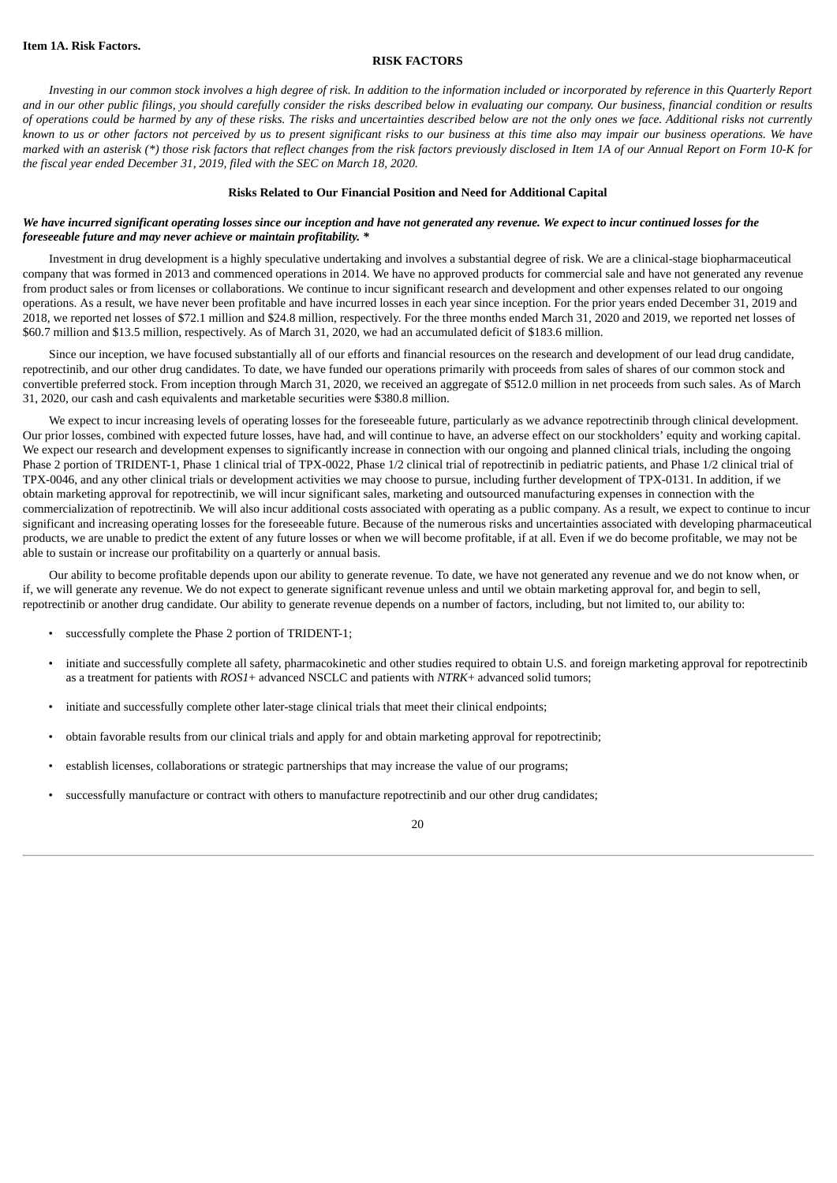### **RISK FACTORS**

<span id="page-19-0"></span>Investing in our common stock involves a high degree of risk. In addition to the information included or incorporated by reference in this Quarterly Report and in our other public filings, you should carefully consider the risks described below in evaluating our company. Our business, financial condition or results of operations could be harmed by any of these risks. The risks and uncertainties described below are not the only ones we face. Additional risks not currently known to us or other factors not perceived by us to present significant risks to our business at this time also may impair our business operations. We have marked with an asterisk (\*) those risk factors that reflect changes from the risk factors previously disclosed in Item 1A of our Annual Report on Form 10-K for *the fiscal year ended December 31, 2019, filed with the SEC on March 18, 2020.*

## **Risks Related to Our Financial Position and Need for Additional Capital**

# We have incurred significant operating losses since our inception and have not generated any revenue. We expect to incur continued losses for the *foreseeable future and may never achieve or maintain profitability. \**

Investment in drug development is a highly speculative undertaking and involves a substantial degree of risk. We are a clinical-stage biopharmaceutical company that was formed in 2013 and commenced operations in 2014. We have no approved products for commercial sale and have not generated any revenue from product sales or from licenses or collaborations. We continue to incur significant research and development and other expenses related to our ongoing operations. As a result, we have never been profitable and have incurred losses in each year since inception. For the prior years ended December 31, 2019 and 2018, we reported net losses of \$72.1 million and \$24.8 million, respectively. For the three months ended March 31, 2020 and 2019, we reported net losses of \$60.7 million and \$13.5 million, respectively. As of March 31, 2020, we had an accumulated deficit of \$183.6 million.

Since our inception, we have focused substantially all of our efforts and financial resources on the research and development of our lead drug candidate, repotrectinib, and our other drug candidates. To date, we have funded our operations primarily with proceeds from sales of shares of our common stock and convertible preferred stock. From inception through March 31, 2020, we received an aggregate of \$512.0 million in net proceeds from such sales. As of March 31, 2020, our cash and cash equivalents and marketable securities were \$380.8 million.

We expect to incur increasing levels of operating losses for the foreseeable future, particularly as we advance repotrectinib through clinical development. Our prior losses, combined with expected future losses, have had, and will continue to have, an adverse effect on our stockholders' equity and working capital. We expect our research and development expenses to significantly increase in connection with our ongoing and planned clinical trials, including the ongoing Phase 2 portion of TRIDENT-1, Phase 1 clinical trial of TPX-0022, Phase 1/2 clinical trial of repotrectinib in pediatric patients, and Phase 1/2 clinical trial of TPX-0046, and any other clinical trials or development activities we may choose to pursue, including further development of TPX-0131. In addition, if we obtain marketing approval for repotrectinib, we will incur significant sales, marketing and outsourced manufacturing expenses in connection with the commercialization of repotrectinib. We will also incur additional costs associated with operating as a public company. As a result, we expect to continue to incur significant and increasing operating losses for the foreseeable future. Because of the numerous risks and uncertainties associated with developing pharmaceutical products, we are unable to predict the extent of any future losses or when we will become profitable, if at all. Even if we do become profitable, we may not be able to sustain or increase our profitability on a quarterly or annual basis.

Our ability to become profitable depends upon our ability to generate revenue. To date, we have not generated any revenue and we do not know when, or if, we will generate any revenue. We do not expect to generate significant revenue unless and until we obtain marketing approval for, and begin to sell, repotrectinib or another drug candidate. Our ability to generate revenue depends on a number of factors, including, but not limited to, our ability to:

- successfully complete the Phase 2 portion of TRIDENT-1;
- initiate and successfully complete all safety, pharmacokinetic and other studies required to obtain U.S. and foreign marketing approval for repotrectinib as a treatment for patients with *ROS1*+ advanced NSCLC and patients with *NTRK*+ advanced solid tumors;
- initiate and successfully complete other later-stage clinical trials that meet their clinical endpoints;
- obtain favorable results from our clinical trials and apply for and obtain marketing approval for repotrectinib;
- establish licenses, collaborations or strategic partnerships that may increase the value of our programs;
- successfully manufacture or contract with others to manufacture repotrectinib and our other drug candidates;

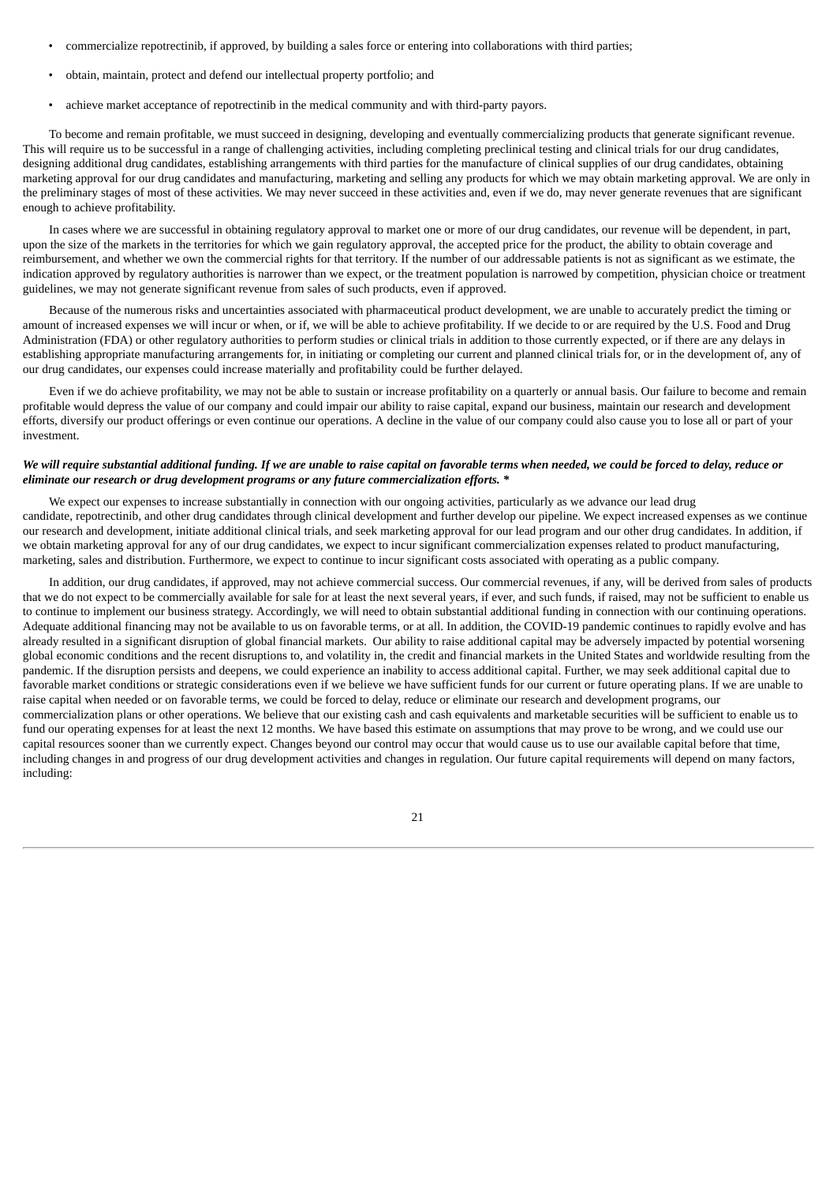- commercialize repotrectinib, if approved, by building a sales force or entering into collaborations with third parties;
- obtain, maintain, protect and defend our intellectual property portfolio; and
- achieve market acceptance of repotrectinib in the medical community and with third-party payors.

To become and remain profitable, we must succeed in designing, developing and eventually commercializing products that generate significant revenue. This will require us to be successful in a range of challenging activities, including completing preclinical testing and clinical trials for our drug candidates, designing additional drug candidates, establishing arrangements with third parties for the manufacture of clinical supplies of our drug candidates, obtaining marketing approval for our drug candidates and manufacturing, marketing and selling any products for which we may obtain marketing approval. We are only in the preliminary stages of most of these activities. We may never succeed in these activities and, even if we do, may never generate revenues that are significant enough to achieve profitability.

In cases where we are successful in obtaining regulatory approval to market one or more of our drug candidates, our revenue will be dependent, in part, upon the size of the markets in the territories for which we gain regulatory approval, the accepted price for the product, the ability to obtain coverage and reimbursement, and whether we own the commercial rights for that territory. If the number of our addressable patients is not as significant as we estimate, the indication approved by regulatory authorities is narrower than we expect, or the treatment population is narrowed by competition, physician choice or treatment guidelines, we may not generate significant revenue from sales of such products, even if approved.

Because of the numerous risks and uncertainties associated with pharmaceutical product development, we are unable to accurately predict the timing or amount of increased expenses we will incur or when, or if, we will be able to achieve profitability. If we decide to or are required by the U.S. Food and Drug Administration (FDA) or other regulatory authorities to perform studies or clinical trials in addition to those currently expected, or if there are any delays in establishing appropriate manufacturing arrangements for, in initiating or completing our current and planned clinical trials for, or in the development of, any of our drug candidates, our expenses could increase materially and profitability could be further delayed.

Even if we do achieve profitability, we may not be able to sustain or increase profitability on a quarterly or annual basis. Our failure to become and remain profitable would depress the value of our company and could impair our ability to raise capital, expand our business, maintain our research and development efforts, diversify our product offerings or even continue our operations. A decline in the value of our company could also cause you to lose all or part of your investment.

## We will require substantial additional funding. If we are unable to raise capital on favorable terms when needed, we could be forced to delay, reduce or *eliminate our research or drug development programs or any future commercialization efforts. \**

We expect our expenses to increase substantially in connection with our ongoing activities, particularly as we advance our lead drug candidate, repotrectinib, and other drug candidates through clinical development and further develop our pipeline. We expect increased expenses as we continue our research and development, initiate additional clinical trials, and seek marketing approval for our lead program and our other drug candidates. In addition, if we obtain marketing approval for any of our drug candidates, we expect to incur significant commercialization expenses related to product manufacturing, marketing, sales and distribution. Furthermore, we expect to continue to incur significant costs associated with operating as a public company.

In addition, our drug candidates, if approved, may not achieve commercial success. Our commercial revenues, if any, will be derived from sales of products that we do not expect to be commercially available for sale for at least the next several years, if ever, and such funds, if raised, may not be sufficient to enable us to continue to implement our business strategy. Accordingly, we will need to obtain substantial additional funding in connection with our continuing operations. Adequate additional financing may not be available to us on favorable terms, or at all. In addition, the COVID-19 pandemic continues to rapidly evolve and has already resulted in a significant disruption of global financial markets. Our ability to raise additional capital may be adversely impacted by potential worsening global economic conditions and the recent disruptions to, and volatility in, the credit and financial markets in the United States and worldwide resulting from the pandemic. If the disruption persists and deepens, we could experience an inability to access additional capital. Further, we may seek additional capital due to favorable market conditions or strategic considerations even if we believe we have sufficient funds for our current or future operating plans. If we are unable to raise capital when needed or on favorable terms, we could be forced to delay, reduce or eliminate our research and development programs, our commercialization plans or other operations. We believe that our existing cash and cash equivalents and marketable securities will be sufficient to enable us to fund our operating expenses for at least the next 12 months. We have based this estimate on assumptions that may prove to be wrong, and we could use our capital resources sooner than we currently expect. Changes beyond our control may occur that would cause us to use our available capital before that time, including changes in and progress of our drug development activities and changes in regulation. Our future capital requirements will depend on many factors, including:

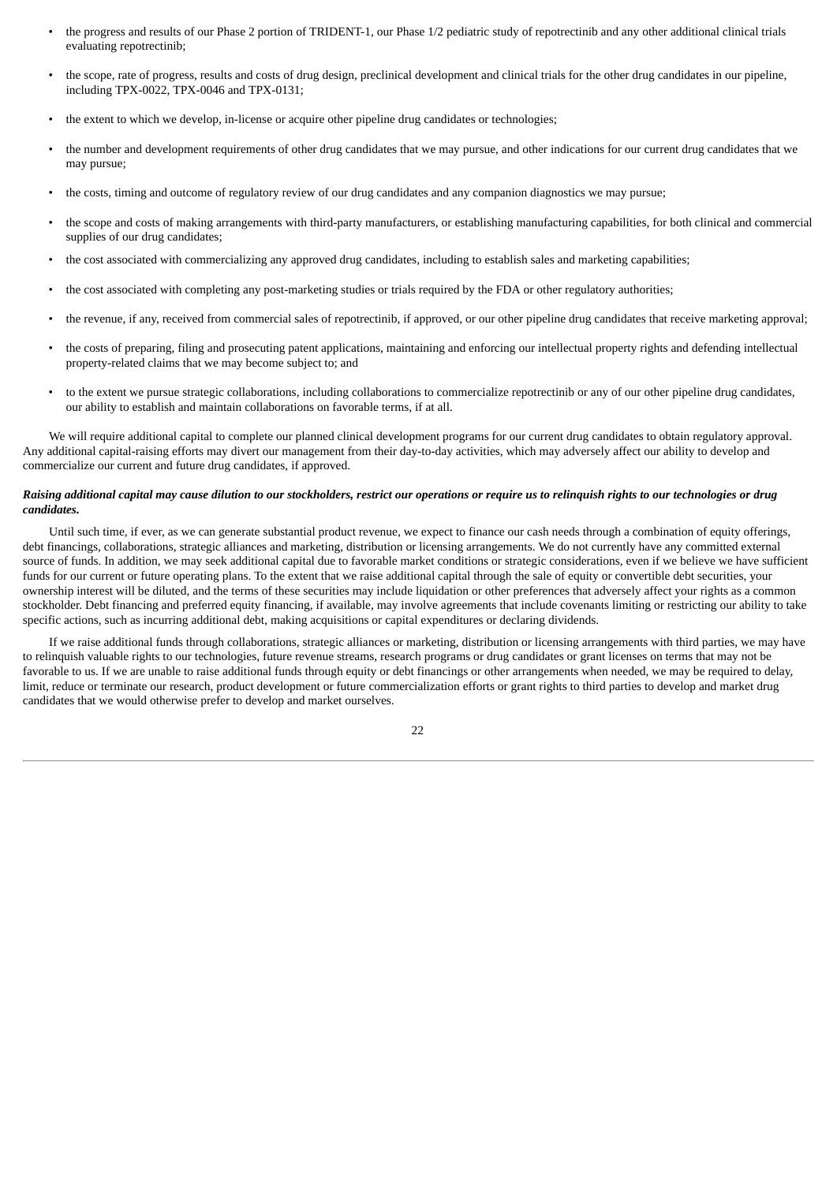- the progress and results of our Phase 2 portion of TRIDENT-1, our Phase 1/2 pediatric study of repotrectinib and any other additional clinical trials evaluating repotrectinib;
- the scope, rate of progress, results and costs of drug design, preclinical development and clinical trials for the other drug candidates in our pipeline, including TPX-0022, TPX-0046 and TPX-0131;
- the extent to which we develop, in-license or acquire other pipeline drug candidates or technologies;
- the number and development requirements of other drug candidates that we may pursue, and other indications for our current drug candidates that we may pursue;
- the costs, timing and outcome of regulatory review of our drug candidates and any companion diagnostics we may pursue;
- the scope and costs of making arrangements with third-party manufacturers, or establishing manufacturing capabilities, for both clinical and commercial supplies of our drug candidates;
- the cost associated with commercializing any approved drug candidates, including to establish sales and marketing capabilities;
- the cost associated with completing any post-marketing studies or trials required by the FDA or other regulatory authorities;
- the revenue, if any, received from commercial sales of repotrectinib, if approved, or our other pipeline drug candidates that receive marketing approval;
- the costs of preparing, filing and prosecuting patent applications, maintaining and enforcing our intellectual property rights and defending intellectual property-related claims that we may become subject to; and
- to the extent we pursue strategic collaborations, including collaborations to commercialize repotrectinib or any of our other pipeline drug candidates, our ability to establish and maintain collaborations on favorable terms, if at all.

We will require additional capital to complete our planned clinical development programs for our current drug candidates to obtain regulatory approval. Any additional capital-raising efforts may divert our management from their day-to-day activities, which may adversely affect our ability to develop and commercialize our current and future drug candidates, if approved.

## Raising additional capital may cause dilution to our stockholders, restrict our operations or require us to relinquish rights to our technologies or drug *candidates.*

Until such time, if ever, as we can generate substantial product revenue, we expect to finance our cash needs through a combination of equity offerings, debt financings, collaborations, strategic alliances and marketing, distribution or licensing arrangements. We do not currently have any committed external source of funds. In addition, we may seek additional capital due to favorable market conditions or strategic considerations, even if we believe we have sufficient funds for our current or future operating plans. To the extent that we raise additional capital through the sale of equity or convertible debt securities, your ownership interest will be diluted, and the terms of these securities may include liquidation or other preferences that adversely affect your rights as a common stockholder. Debt financing and preferred equity financing, if available, may involve agreements that include covenants limiting or restricting our ability to take specific actions, such as incurring additional debt, making acquisitions or capital expenditures or declaring dividends.

If we raise additional funds through collaborations, strategic alliances or marketing, distribution or licensing arrangements with third parties, we may have to relinquish valuable rights to our technologies, future revenue streams, research programs or drug candidates or grant licenses on terms that may not be favorable to us. If we are unable to raise additional funds through equity or debt financings or other arrangements when needed, we may be required to delay, limit, reduce or terminate our research, product development or future commercialization efforts or grant rights to third parties to develop and market drug candidates that we would otherwise prefer to develop and market ourselves.

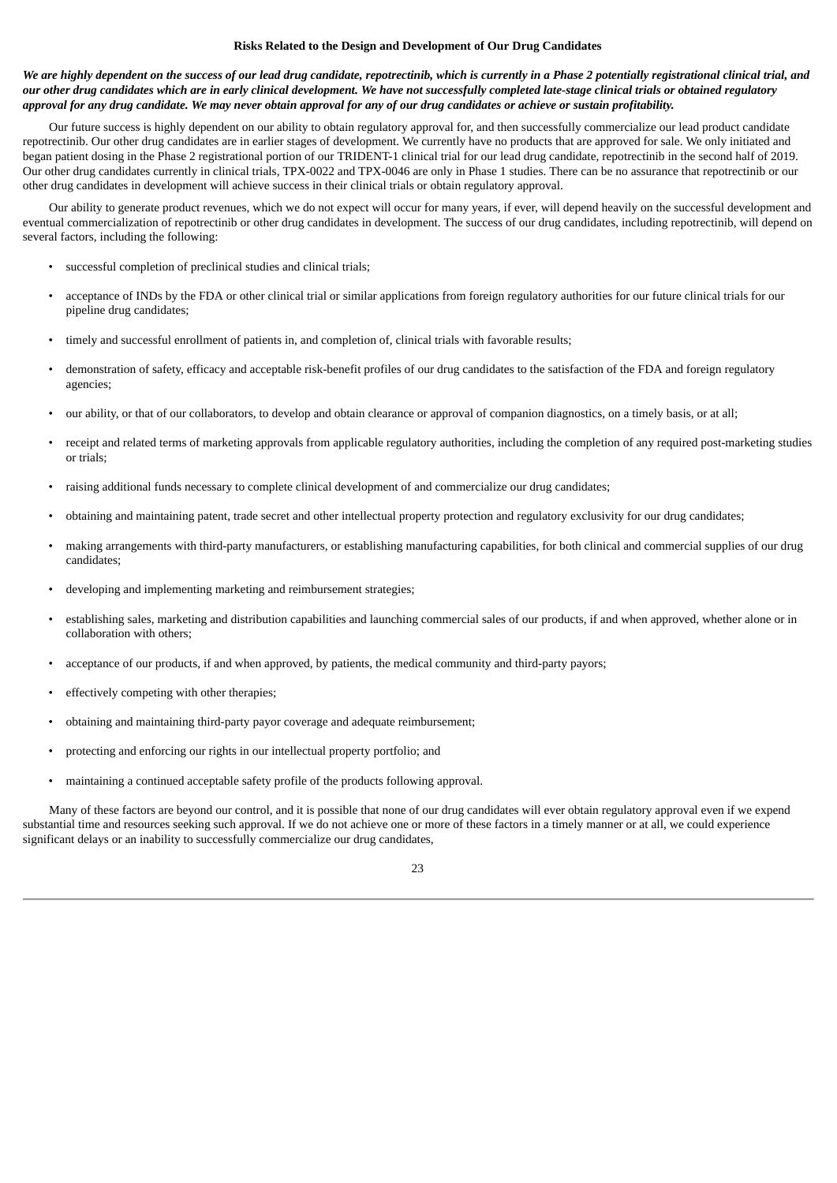#### **Risks Related to the Design and Development of Our Drug Candidates**

## We are highly dependent on the success of our lead drug candidate, repotrectinib, which is currently in a Phase 2 potentially registrational clinical trial, and our other drug candidates which are in early clinical development. We have not successfully completed late-stage clinical trials or obtained regulatory approval for any drug candidate. We may never obtain approval for any of our drug candidates or achieve or sustain profitability.

Our future success is highly dependent on our ability to obtain regulatory approval for, and then successfully commercialize our lead product candidate repotrectinib. Our other drug candidates are in earlier stages of development. We currently have no products that are approved for sale. We only initiated and began patient dosing in the Phase 2 registrational portion of our TRIDENT-1 clinical trial for our lead drug candidate, repotrectinib in the second half of 2019. Our other drug candidates currently in clinical trials, TPX-0022 and TPX-0046 are only in Phase 1 studies. There can be no assurance that repotrectinib or our other drug candidates in development will achieve success in their clinical trials or obtain regulatory approval.

Our ability to generate product revenues, which we do not expect will occur for many years, if ever, will depend heavily on the successful development and eventual commercialization of repotrectinib or other drug candidates in development. The success of our drug candidates, including repotrectinib, will depend on several factors, including the following:

- successful completion of preclinical studies and clinical trials;
- acceptance of INDs by the FDA or other clinical trial or similar applications from foreign regulatory authorities for our future clinical trials for our pipeline drug candidates;
- timely and successful enrollment of patients in, and completion of, clinical trials with favorable results;
- demonstration of safety, efficacy and acceptable risk-benefit profiles of our drug candidates to the satisfaction of the FDA and foreign regulatory agencies;
- our ability, or that of our collaborators, to develop and obtain clearance or approval of companion diagnostics, on a timely basis, or at all;
- receipt and related terms of marketing approvals from applicable regulatory authorities, including the completion of any required post-marketing studies or trials;
- raising additional funds necessary to complete clinical development of and commercialize our drug candidates;
- obtaining and maintaining patent, trade secret and other intellectual property protection and regulatory exclusivity for our drug candidates;
- making arrangements with third-party manufacturers, or establishing manufacturing capabilities, for both clinical and commercial supplies of our drug candidates;
- developing and implementing marketing and reimbursement strategies;
- establishing sales, marketing and distribution capabilities and launching commercial sales of our products, if and when approved, whether alone or in collaboration with others;
- acceptance of our products, if and when approved, by patients, the medical community and third-party payors;
- effectively competing with other therapies;
- obtaining and maintaining third-party payor coverage and adequate reimbursement;
- protecting and enforcing our rights in our intellectual property portfolio; and
- maintaining a continued acceptable safety profile of the products following approval.

Many of these factors are beyond our control, and it is possible that none of our drug candidates will ever obtain regulatory approval even if we expend substantial time and resources seeking such approval. If we do not achieve one or more of these factors in a timely manner or at all, we could experience significant delays or an inability to successfully commercialize our drug candidates,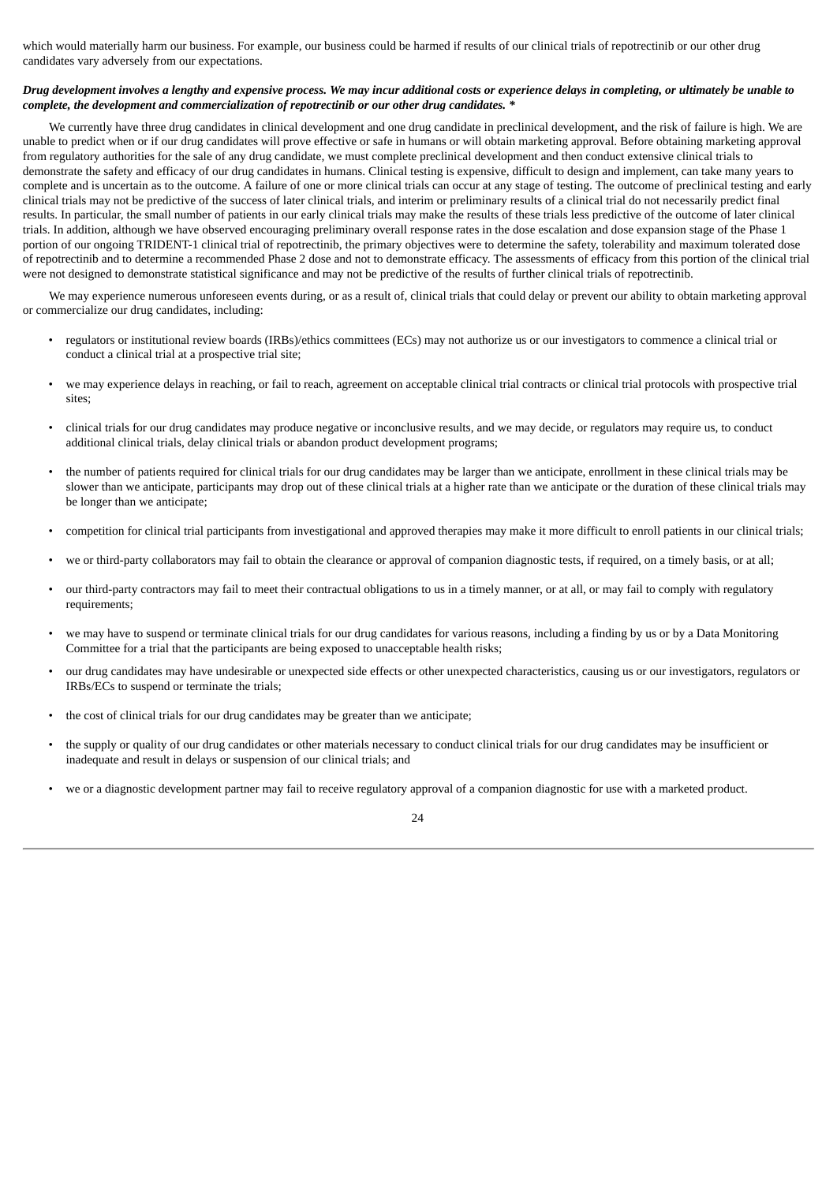which would materially harm our business. For example, our business could be harmed if results of our clinical trials of repotrectinib or our other drug candidates vary adversely from our expectations.

## Drug development involves a lengthy and expensive process. We may incur additional costs or experience delays in completing, or ultimately be unable to *complete, the development and commercialization of repotrectinib or our other drug candidates. \**

We currently have three drug candidates in clinical development and one drug candidate in preclinical development, and the risk of failure is high. We are unable to predict when or if our drug candidates will prove effective or safe in humans or will obtain marketing approval. Before obtaining marketing approval from regulatory authorities for the sale of any drug candidate, we must complete preclinical development and then conduct extensive clinical trials to demonstrate the safety and efficacy of our drug candidates in humans. Clinical testing is expensive, difficult to design and implement, can take many years to complete and is uncertain as to the outcome. A failure of one or more clinical trials can occur at any stage of testing. The outcome of preclinical testing and early clinical trials may not be predictive of the success of later clinical trials, and interim or preliminary results of a clinical trial do not necessarily predict final results. In particular, the small number of patients in our early clinical trials may make the results of these trials less predictive of the outcome of later clinical trials. In addition, although we have observed encouraging preliminary overall response rates in the dose escalation and dose expansion stage of the Phase 1 portion of our ongoing TRIDENT-1 clinical trial of repotrectinib, the primary objectives were to determine the safety, tolerability and maximum tolerated dose of repotrectinib and to determine a recommended Phase 2 dose and not to demonstrate efficacy. The assessments of efficacy from this portion of the clinical trial were not designed to demonstrate statistical significance and may not be predictive of the results of further clinical trials of repotrectinib.

We may experience numerous unforeseen events during, or as a result of, clinical trials that could delay or prevent our ability to obtain marketing approval or commercialize our drug candidates, including:

- regulators or institutional review boards (IRBs)/ethics committees (ECs) may not authorize us or our investigators to commence a clinical trial or conduct a clinical trial at a prospective trial site;
- we may experience delays in reaching, or fail to reach, agreement on acceptable clinical trial contracts or clinical trial protocols with prospective trial sites:
- clinical trials for our drug candidates may produce negative or inconclusive results, and we may decide, or regulators may require us, to conduct additional clinical trials, delay clinical trials or abandon product development programs;
- the number of patients required for clinical trials for our drug candidates may be larger than we anticipate, enrollment in these clinical trials may be slower than we anticipate, participants may drop out of these clinical trials at a higher rate than we anticipate or the duration of these clinical trials may be longer than we anticipate;
- competition for clinical trial participants from investigational and approved therapies may make it more difficult to enroll patients in our clinical trials;
- we or third-party collaborators may fail to obtain the clearance or approval of companion diagnostic tests, if required, on a timely basis, or at all;
- our third-party contractors may fail to meet their contractual obligations to us in a timely manner, or at all, or may fail to comply with regulatory requirements;
- we may have to suspend or terminate clinical trials for our drug candidates for various reasons, including a finding by us or by a Data Monitoring Committee for a trial that the participants are being exposed to unacceptable health risks;
- our drug candidates may have undesirable or unexpected side effects or other unexpected characteristics, causing us or our investigators, regulators or IRBs/ECs to suspend or terminate the trials;
- the cost of clinical trials for our drug candidates may be greater than we anticipate;
- the supply or quality of our drug candidates or other materials necessary to conduct clinical trials for our drug candidates may be insufficient or inadequate and result in delays or suspension of our clinical trials; and
- we or a diagnostic development partner may fail to receive regulatory approval of a companion diagnostic for use with a marketed product.

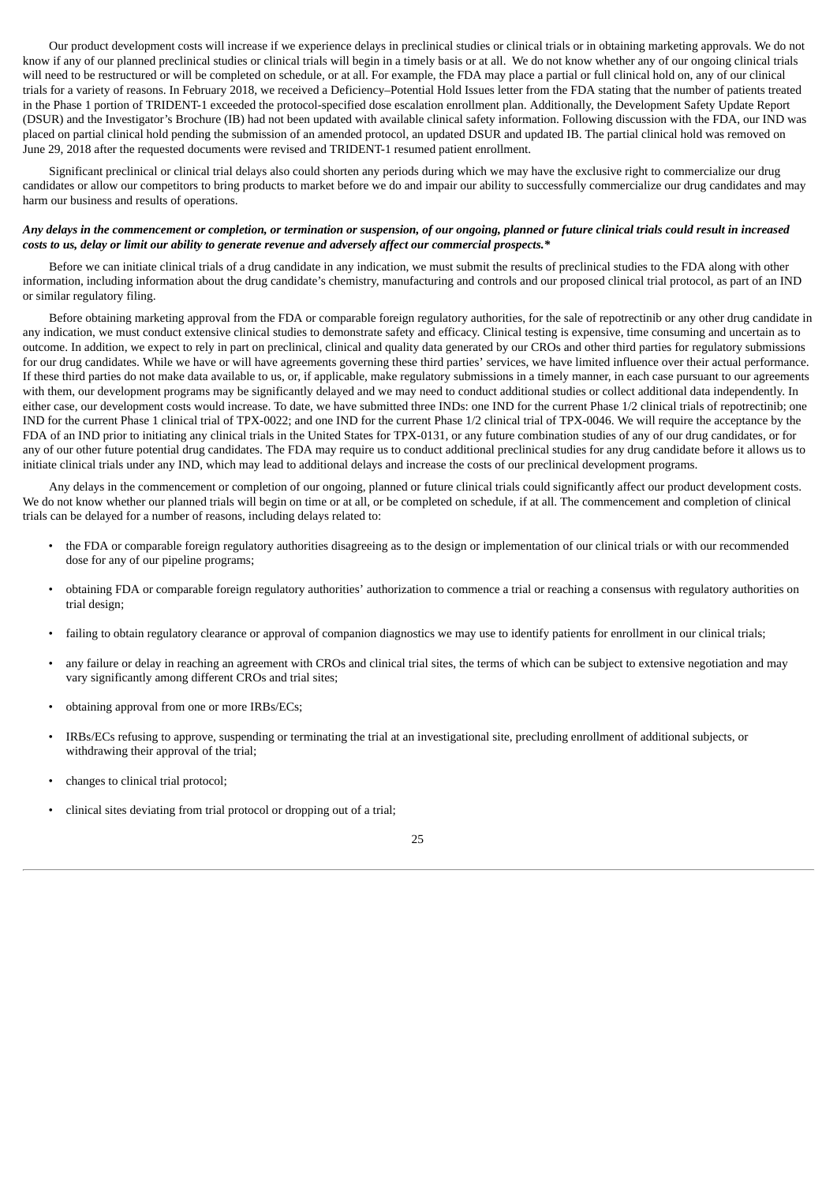Our product development costs will increase if we experience delays in preclinical studies or clinical trials or in obtaining marketing approvals. We do not know if any of our planned preclinical studies or clinical trials will begin in a timely basis or at all. We do not know whether any of our ongoing clinical trials will need to be restructured or will be completed on schedule, or at all. For example, the FDA may place a partial or full clinical hold on, any of our clinical trials for a variety of reasons. In February 2018, we received a Deficiency–Potential Hold Issues letter from the FDA stating that the number of patients treated in the Phase 1 portion of TRIDENT-1 exceeded the protocol-specified dose escalation enrollment plan. Additionally, the Development Safety Update Report (DSUR) and the Investigator's Brochure (IB) had not been updated with available clinical safety information. Following discussion with the FDA, our IND was placed on partial clinical hold pending the submission of an amended protocol, an updated DSUR and updated IB. The partial clinical hold was removed on June 29, 2018 after the requested documents were revised and TRIDENT-1 resumed patient enrollment.

Significant preclinical or clinical trial delays also could shorten any periods during which we may have the exclusive right to commercialize our drug candidates or allow our competitors to bring products to market before we do and impair our ability to successfully commercialize our drug candidates and may harm our business and results of operations.

## Any delays in the commencement or completion, or termination or suspension, of our ongoing, planned or future clinical trials could result in increased costs to us, delay or limit our ability to generate revenue and adversely affect our commercial prospects.\*

Before we can initiate clinical trials of a drug candidate in any indication, we must submit the results of preclinical studies to the FDA along with other information, including information about the drug candidate's chemistry, manufacturing and controls and our proposed clinical trial protocol, as part of an IND or similar regulatory filing.

Before obtaining marketing approval from the FDA or comparable foreign regulatory authorities, for the sale of repotrectinib or any other drug candidate in any indication, we must conduct extensive clinical studies to demonstrate safety and efficacy. Clinical testing is expensive, time consuming and uncertain as to outcome. In addition, we expect to rely in part on preclinical, clinical and quality data generated by our CROs and other third parties for regulatory submissions for our drug candidates. While we have or will have agreements governing these third parties' services, we have limited influence over their actual performance. If these third parties do not make data available to us, or, if applicable, make regulatory submissions in a timely manner, in each case pursuant to our agreements with them, our development programs may be significantly delayed and we may need to conduct additional studies or collect additional data independently. In either case, our development costs would increase. To date, we have submitted three INDs: one IND for the current Phase 1/2 clinical trials of repotrectinib; one IND for the current Phase 1 clinical trial of TPX-0022; and one IND for the current Phase 1/2 clinical trial of TPX-0046. We will require the acceptance by the FDA of an IND prior to initiating any clinical trials in the United States for TPX-0131, or any future combination studies of any of our drug candidates, or for any of our other future potential drug candidates. The FDA may require us to conduct additional preclinical studies for any drug candidate before it allows us to initiate clinical trials under any IND, which may lead to additional delays and increase the costs of our preclinical development programs.

Any delays in the commencement or completion of our ongoing, planned or future clinical trials could significantly affect our product development costs. We do not know whether our planned trials will begin on time or at all, or be completed on schedule, if at all. The commencement and completion of clinical trials can be delayed for a number of reasons, including delays related to:

- the FDA or comparable foreign regulatory authorities disagreeing as to the design or implementation of our clinical trials or with our recommended dose for any of our pipeline programs;
- obtaining FDA or comparable foreign regulatory authorities' authorization to commence a trial or reaching a consensus with regulatory authorities on trial design;
- failing to obtain regulatory clearance or approval of companion diagnostics we may use to identify patients for enrollment in our clinical trials;
- any failure or delay in reaching an agreement with CROs and clinical trial sites, the terms of which can be subject to extensive negotiation and may vary significantly among different CROs and trial sites;
- obtaining approval from one or more IRBs/ECs;
- IRBs/ECs refusing to approve, suspending or terminating the trial at an investigational site, precluding enrollment of additional subjects, or withdrawing their approval of the trial;
- changes to clinical trial protocol;
- clinical sites deviating from trial protocol or dropping out of a trial;

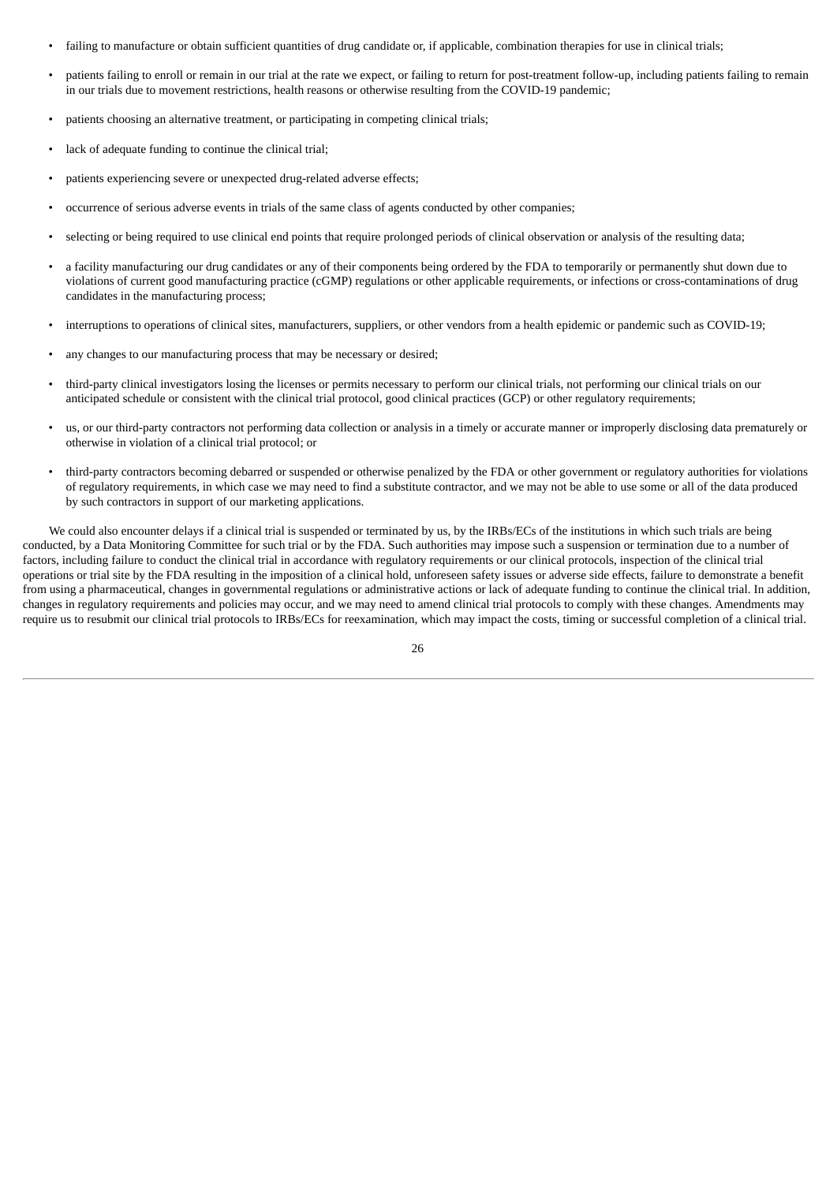- failing to manufacture or obtain sufficient quantities of drug candidate or, if applicable, combination therapies for use in clinical trials;
- patients failing to enroll or remain in our trial at the rate we expect, or failing to return for post-treatment follow-up, including patients failing to remain in our trials due to movement restrictions, health reasons or otherwise resulting from the COVID-19 pandemic;
- patients choosing an alternative treatment, or participating in competing clinical trials;
- lack of adequate funding to continue the clinical trial:
- patients experiencing severe or unexpected drug-related adverse effects;
- occurrence of serious adverse events in trials of the same class of agents conducted by other companies;
- selecting or being required to use clinical end points that require prolonged periods of clinical observation or analysis of the resulting data;
- a facility manufacturing our drug candidates or any of their components being ordered by the FDA to temporarily or permanently shut down due to violations of current good manufacturing practice (cGMP) regulations or other applicable requirements, or infections or cross-contaminations of drug candidates in the manufacturing process;
- interruptions to operations of clinical sites, manufacturers, suppliers, or other vendors from a health epidemic or pandemic such as COVID-19;
- any changes to our manufacturing process that may be necessary or desired;
- third-party clinical investigators losing the licenses or permits necessary to perform our clinical trials, not performing our clinical trials on our anticipated schedule or consistent with the clinical trial protocol, good clinical practices (GCP) or other regulatory requirements;
- us, or our third-party contractors not performing data collection or analysis in a timely or accurate manner or improperly disclosing data prematurely or otherwise in violation of a clinical trial protocol; or
- third-party contractors becoming debarred or suspended or otherwise penalized by the FDA or other government or regulatory authorities for violations of regulatory requirements, in which case we may need to find a substitute contractor, and we may not be able to use some or all of the data produced by such contractors in support of our marketing applications.

We could also encounter delays if a clinical trial is suspended or terminated by us, by the IRBs/ECs of the institutions in which such trials are being conducted, by a Data Monitoring Committee for such trial or by the FDA. Such authorities may impose such a suspension or termination due to a number of factors, including failure to conduct the clinical trial in accordance with regulatory requirements or our clinical protocols, inspection of the clinical trial operations or trial site by the FDA resulting in the imposition of a clinical hold, unforeseen safety issues or adverse side effects, failure to demonstrate a benefit from using a pharmaceutical, changes in governmental regulations or administrative actions or lack of adequate funding to continue the clinical trial. In addition, changes in regulatory requirements and policies may occur, and we may need to amend clinical trial protocols to comply with these changes. Amendments may require us to resubmit our clinical trial protocols to IRBs/ECs for reexamination, which may impact the costs, timing or successful completion of a clinical trial.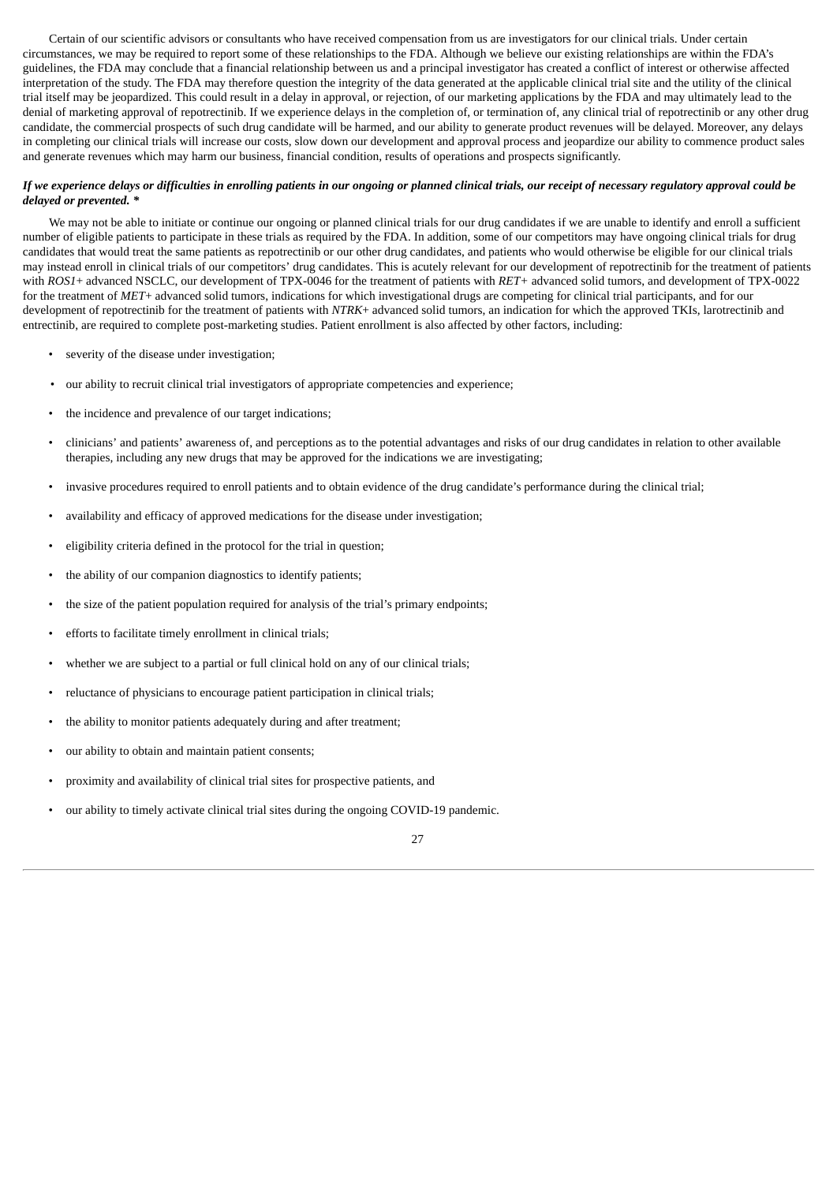Certain of our scientific advisors or consultants who have received compensation from us are investigators for our clinical trials. Under certain circumstances, we may be required to report some of these relationships to the FDA. Although we believe our existing relationships are within the FDA's guidelines, the FDA may conclude that a financial relationship between us and a principal investigator has created a conflict of interest or otherwise affected interpretation of the study. The FDA may therefore question the integrity of the data generated at the applicable clinical trial site and the utility of the clinical trial itself may be jeopardized. This could result in a delay in approval, or rejection, of our marketing applications by the FDA and may ultimately lead to the denial of marketing approval of repotrectinib. If we experience delays in the completion of, or termination of, any clinical trial of repotrectinib or any other drug candidate, the commercial prospects of such drug candidate will be harmed, and our ability to generate product revenues will be delayed. Moreover, any delays in completing our clinical trials will increase our costs, slow down our development and approval process and jeopardize our ability to commence product sales and generate revenues which may harm our business, financial condition, results of operations and prospects significantly.

## If we experience delays or difficulties in enrolling patients in our ongoing or planned clinical trials, our receipt of necessary regulatory approval could be *delayed or prevented. \**

We may not be able to initiate or continue our ongoing or planned clinical trials for our drug candidates if we are unable to identify and enroll a sufficient number of eligible patients to participate in these trials as required by the FDA. In addition, some of our competitors may have ongoing clinical trials for drug candidates that would treat the same patients as repotrectinib or our other drug candidates, and patients who would otherwise be eligible for our clinical trials may instead enroll in clinical trials of our competitors' drug candidates. This is acutely relevant for our development of repotrectinib for the treatment of patients with *ROS1*+ advanced NSCLC, our development of TPX-0046 for the treatment of patients with *RET+* advanced solid tumors, and development of TPX-0022 for the treatment of *MET*+ advanced solid tumors, indications for which investigational drugs are competing for clinical trial participants, and for our development of repotrectinib for the treatment of patients with *NTRK*+ advanced solid tumors, an indication for which the approved TKIs, larotrectinib and entrectinib, are required to complete post-marketing studies. Patient enrollment is also affected by other factors, including:

- severity of the disease under investigation;
- our ability to recruit clinical trial investigators of appropriate competencies and experience;
- the incidence and prevalence of our target indications;
- clinicians' and patients' awareness of, and perceptions as to the potential advantages and risks of our drug candidates in relation to other available therapies, including any new drugs that may be approved for the indications we are investigating;
- invasive procedures required to enroll patients and to obtain evidence of the drug candidate's performance during the clinical trial;
- availability and efficacy of approved medications for the disease under investigation;
- eligibility criteria defined in the protocol for the trial in question;
- the ability of our companion diagnostics to identify patients;
- the size of the patient population required for analysis of the trial's primary endpoints;
- efforts to facilitate timely enrollment in clinical trials;
- whether we are subject to a partial or full clinical hold on any of our clinical trials;
- reluctance of physicians to encourage patient participation in clinical trials;
- the ability to monitor patients adequately during and after treatment;
- our ability to obtain and maintain patient consents;
- proximity and availability of clinical trial sites for prospective patients, and
- our ability to timely activate clinical trial sites during the ongoing COVID-19 pandemic.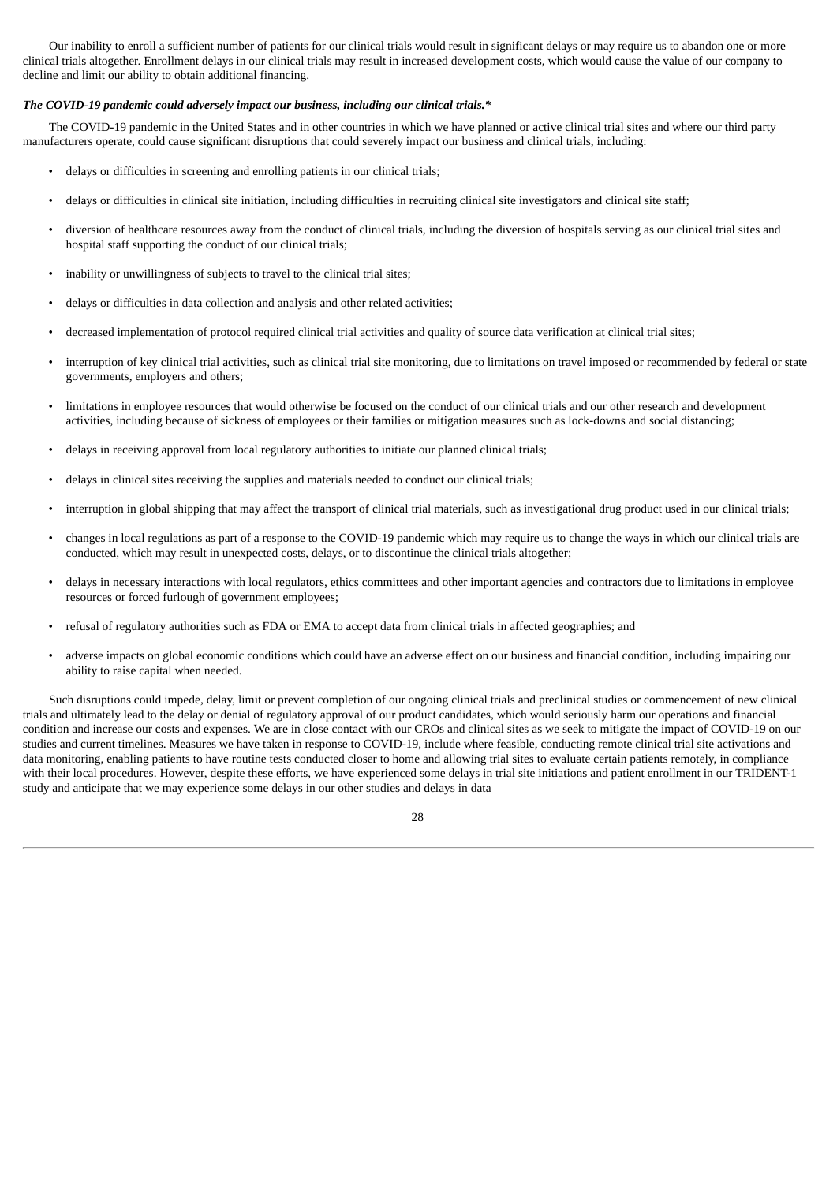Our inability to enroll a sufficient number of patients for our clinical trials would result in significant delays or may require us to abandon one or more clinical trials altogether. Enrollment delays in our clinical trials may result in increased development costs, which would cause the value of our company to decline and limit our ability to obtain additional financing.

#### *The COVID-19 pandemic could adversely impact our business, including our clinical trials.\**

The COVID-19 pandemic in the United States and in other countries in which we have planned or active clinical trial sites and where our third party manufacturers operate, could cause significant disruptions that could severely impact our business and clinical trials, including:

- delays or difficulties in screening and enrolling patients in our clinical trials;
- delays or difficulties in clinical site initiation, including difficulties in recruiting clinical site investigators and clinical site staff;
- diversion of healthcare resources away from the conduct of clinical trials, including the diversion of hospitals serving as our clinical trial sites and hospital staff supporting the conduct of our clinical trials;
- inability or unwillingness of subjects to travel to the clinical trial sites;
- delays or difficulties in data collection and analysis and other related activities;
- decreased implementation of protocol required clinical trial activities and quality of source data verification at clinical trial sites;
- interruption of key clinical trial activities, such as clinical trial site monitoring, due to limitations on travel imposed or recommended by federal or state governments, employers and others;
- limitations in employee resources that would otherwise be focused on the conduct of our clinical trials and our other research and development activities, including because of sickness of employees or their families or mitigation measures such as lock-downs and social distancing;
- delays in receiving approval from local regulatory authorities to initiate our planned clinical trials;
- delays in clinical sites receiving the supplies and materials needed to conduct our clinical trials;
- interruption in global shipping that may affect the transport of clinical trial materials, such as investigational drug product used in our clinical trials;
- changes in local regulations as part of a response to the COVID-19 pandemic which may require us to change the ways in which our clinical trials are conducted, which may result in unexpected costs, delays, or to discontinue the clinical trials altogether;
- delays in necessary interactions with local regulators, ethics committees and other important agencies and contractors due to limitations in employee resources or forced furlough of government employees;
- refusal of regulatory authorities such as FDA or EMA to accept data from clinical trials in affected geographies; and
- adverse impacts on global economic conditions which could have an adverse effect on our business and financial condition, including impairing our ability to raise capital when needed.

Such disruptions could impede, delay, limit or prevent completion of our ongoing clinical trials and preclinical studies or commencement of new clinical trials and ultimately lead to the delay or denial of regulatory approval of our product candidates, which would seriously harm our operations and financial condition and increase our costs and expenses. We are in close contact with our CROs and clinical sites as we seek to mitigate the impact of COVID-19 on our studies and current timelines. Measures we have taken in response to COVID-19, include where feasible, conducting remote clinical trial site activations and data monitoring, enabling patients to have routine tests conducted closer to home and allowing trial sites to evaluate certain patients remotely, in compliance with their local procedures. However, despite these efforts, we have experienced some delays in trial site initiations and patient enrollment in our TRIDENT-1 study and anticipate that we may experience some delays in our other studies and delays in data

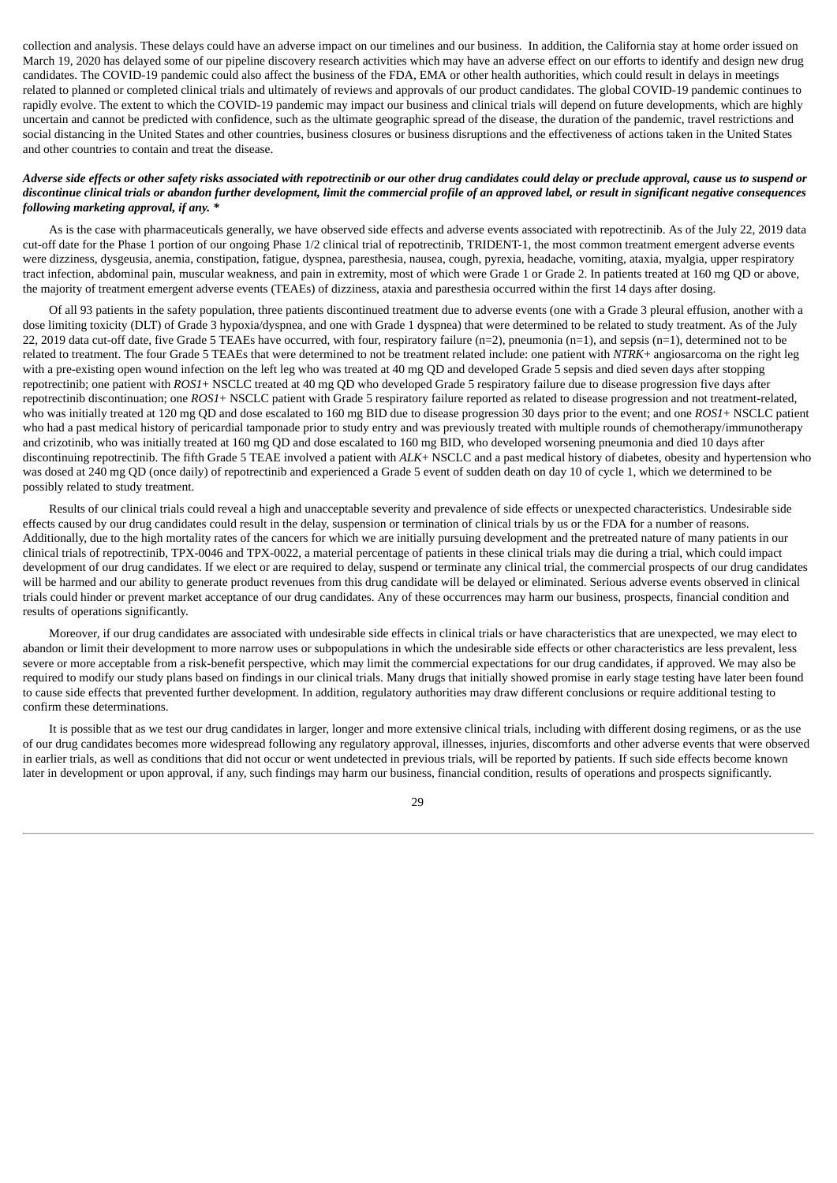collection and analysis. These delays could have an adverse impact on our timelines and our business. In addition, the California stay at home order issued on March 19, 2020 has delayed some of our pipeline discovery research activities which may have an adverse effect on our efforts to identify and design new drug candidates. The COVID-19 pandemic could also affect the business of the FDA, EMA or other health authorities, which could result in delays in meetings related to planned or completed clinical trials and ultimately of reviews and approvals of our product candidates. The global COVID-19 pandemic continues to rapidly evolve. The extent to which the COVID-19 pandemic may impact our business and clinical trials will depend on future developments, which are highly uncertain and cannot be predicted with confidence, such as the ultimate geographic spread of the disease, the duration of the pandemic, travel restrictions and social distancing in the United States and other countries, business closures or business disruptions and the effectiveness of actions taken in the United States and other countries to contain and treat the disease.

# Adverse side effects or other safety risks associated with repotrectinib or our other drug candidates could delay or preclude approval, cause us to suspend or discontinue clinical trials or abandon further development, limit the commercial profile of an approved label, or result in significant negative consequences *following marketing approval, if any. \**

As is the case with pharmaceuticals generally, we have observed side effects and adverse events associated with repotrectinib. As of the July 22, 2019 data cut-off date for the Phase 1 portion of our ongoing Phase 1/2 clinical trial of repotrectinib, TRIDENT-1, the most common treatment emergent adverse events were dizziness, dysgeusia, anemia, constipation, fatigue, dyspnea, paresthesia, nausea, cough, pyrexia, headache, vomiting, ataxia, myalgia, upper respiratory tract infection, abdominal pain, muscular weakness, and pain in extremity, most of which were Grade 1 or Grade 2. In patients treated at 160 mg QD or above, the majority of treatment emergent adverse events (TEAEs) of dizziness, ataxia and paresthesia occurred within the first 14 days after dosing.

Of all 93 patients in the safety population, three patients discontinued treatment due to adverse events (one with a Grade 3 pleural effusion, another with a dose limiting toxicity (DLT) of Grade 3 hypoxia/dyspnea, and one with Grade 1 dyspnea) that were determined to be related to study treatment. As of the July 22, 2019 data cut-off date, five Grade 5 TEAEs have occurred, with four, respiratory failure (n=2), pneumonia (n=1), and sepsis (n=1), determined not to be related to treatment. The four Grade 5 TEAEs that were determined to not be treatment related include: one patient with *NTRK*+ angiosarcoma on the right leg with a pre-existing open wound infection on the left leg who was treated at 40 mg QD and developed Grade 5 sepsis and died seven days after stopping repotrectinib; one patient with *ROS1*+ NSCLC treated at 40 mg QD who developed Grade 5 respiratory failure due to disease progression five days after repotrectinib discontinuation; one *ROS1*+ NSCLC patient with Grade 5 respiratory failure reported as related to disease progression and not treatment-related, who was initially treated at 120 mg QD and dose escalated to 160 mg BID due to disease progression 30 days prior to the event; and one *ROS1*+ NSCLC patient who had a past medical history of pericardial tamponade prior to study entry and was previously treated with multiple rounds of chemotherapy/immunotherapy and crizotinib, who was initially treated at 160 mg QD and dose escalated to 160 mg BID, who developed worsening pneumonia and died 10 days after discontinuing repotrectinib. The fifth Grade 5 TEAE involved a patient with *ALK*+ NSCLC and a past medical history of diabetes, obesity and hypertension who was dosed at 240 mg QD (once daily) of repotrectinib and experienced a Grade 5 event of sudden death on day 10 of cycle 1, which we determined to be possibly related to study treatment.

Results of our clinical trials could reveal a high and unacceptable severity and prevalence of side effects or unexpected characteristics. Undesirable side effects caused by our drug candidates could result in the delay, suspension or termination of clinical trials by us or the FDA for a number of reasons. Additionally, due to the high mortality rates of the cancers for which we are initially pursuing development and the pretreated nature of many patients in our clinical trials of repotrectinib, TPX-0046 and TPX-0022, a material percentage of patients in these clinical trials may die during a trial, which could impact development of our drug candidates. If we elect or are required to delay, suspend or terminate any clinical trial, the commercial prospects of our drug candidates will be harmed and our ability to generate product revenues from this drug candidate will be delayed or eliminated. Serious adverse events observed in clinical trials could hinder or prevent market acceptance of our drug candidates. Any of these occurrences may harm our business, prospects, financial condition and results of operations significantly.

Moreover, if our drug candidates are associated with undesirable side effects in clinical trials or have characteristics that are unexpected, we may elect to abandon or limit their development to more narrow uses or subpopulations in which the undesirable side effects or other characteristics are less prevalent, less severe or more acceptable from a risk-benefit perspective, which may limit the commercial expectations for our drug candidates, if approved. We may also be required to modify our study plans based on findings in our clinical trials. Many drugs that initially showed promise in early stage testing have later been found to cause side effects that prevented further development. In addition, regulatory authorities may draw different conclusions or require additional testing to confirm these determinations.

It is possible that as we test our drug candidates in larger, longer and more extensive clinical trials, including with different dosing regimens, or as the use of our drug candidates becomes more widespread following any regulatory approval, illnesses, injuries, discomforts and other adverse events that were observed in earlier trials, as well as conditions that did not occur or went undetected in previous trials, will be reported by patients. If such side effects become known later in development or upon approval, if any, such findings may harm our business, financial condition, results of operations and prospects significantly.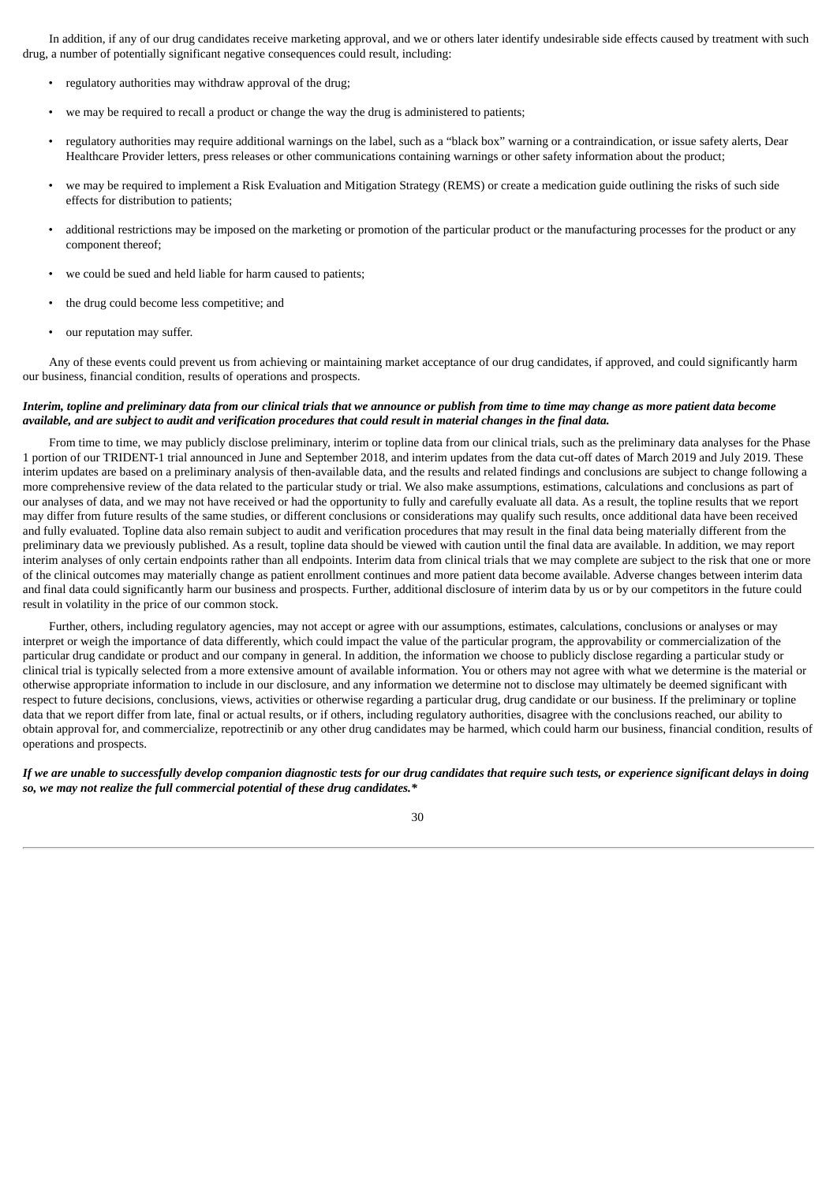In addition, if any of our drug candidates receive marketing approval, and we or others later identify undesirable side effects caused by treatment with such drug, a number of potentially significant negative consequences could result, including:

- regulatory authorities may withdraw approval of the drug;
- we may be required to recall a product or change the way the drug is administered to patients;
- regulatory authorities may require additional warnings on the label, such as a "black box" warning or a contraindication, or issue safety alerts, Dear Healthcare Provider letters, press releases or other communications containing warnings or other safety information about the product;
- we may be required to implement a Risk Evaluation and Mitigation Strategy (REMS) or create a medication guide outlining the risks of such side effects for distribution to patients;
- additional restrictions may be imposed on the marketing or promotion of the particular product or the manufacturing processes for the product or any component thereof;
- we could be sued and held liable for harm caused to patients;
- the drug could become less competitive; and
- our reputation may suffer.

Any of these events could prevent us from achieving or maintaining market acceptance of our drug candidates, if approved, and could significantly harm our business, financial condition, results of operations and prospects.

# Interim, topline and preliminary data from our clinical trials that we announce or publish from time to time may change as more patient data become available, and are subject to audit and verification procedures that could result in material changes in the final data.

From time to time, we may publicly disclose preliminary, interim or topline data from our clinical trials, such as the preliminary data analyses for the Phase 1 portion of our TRIDENT-1 trial announced in June and September 2018, and interim updates from the data cut-off dates of March 2019 and July 2019. These interim updates are based on a preliminary analysis of then-available data, and the results and related findings and conclusions are subject to change following a more comprehensive review of the data related to the particular study or trial. We also make assumptions, estimations, calculations and conclusions as part of our analyses of data, and we may not have received or had the opportunity to fully and carefully evaluate all data. As a result, the topline results that we report may differ from future results of the same studies, or different conclusions or considerations may qualify such results, once additional data have been received and fully evaluated. Topline data also remain subject to audit and verification procedures that may result in the final data being materially different from the preliminary data we previously published. As a result, topline data should be viewed with caution until the final data are available. In addition, we may report interim analyses of only certain endpoints rather than all endpoints. Interim data from clinical trials that we may complete are subject to the risk that one or more of the clinical outcomes may materially change as patient enrollment continues and more patient data become available. Adverse changes between interim data and final data could significantly harm our business and prospects. Further, additional disclosure of interim data by us or by our competitors in the future could result in volatility in the price of our common stock.

Further, others, including regulatory agencies, may not accept or agree with our assumptions, estimates, calculations, conclusions or analyses or may interpret or weigh the importance of data differently, which could impact the value of the particular program, the approvability or commercialization of the particular drug candidate or product and our company in general. In addition, the information we choose to publicly disclose regarding a particular study or clinical trial is typically selected from a more extensive amount of available information. You or others may not agree with what we determine is the material or otherwise appropriate information to include in our disclosure, and any information we determine not to disclose may ultimately be deemed significant with respect to future decisions, conclusions, views, activities or otherwise regarding a particular drug, drug candidate or our business. If the preliminary or topline data that we report differ from late, final or actual results, or if others, including regulatory authorities, disagree with the conclusions reached, our ability to obtain approval for, and commercialize, repotrectinib or any other drug candidates may be harmed, which could harm our business, financial condition, results of operations and prospects.

If we are unable to successfully develop companion diagnostic tests for our drug candidates that require such tests, or experience significant delays in doing *so, we may not realize the full commercial potential of these drug candidates.\**

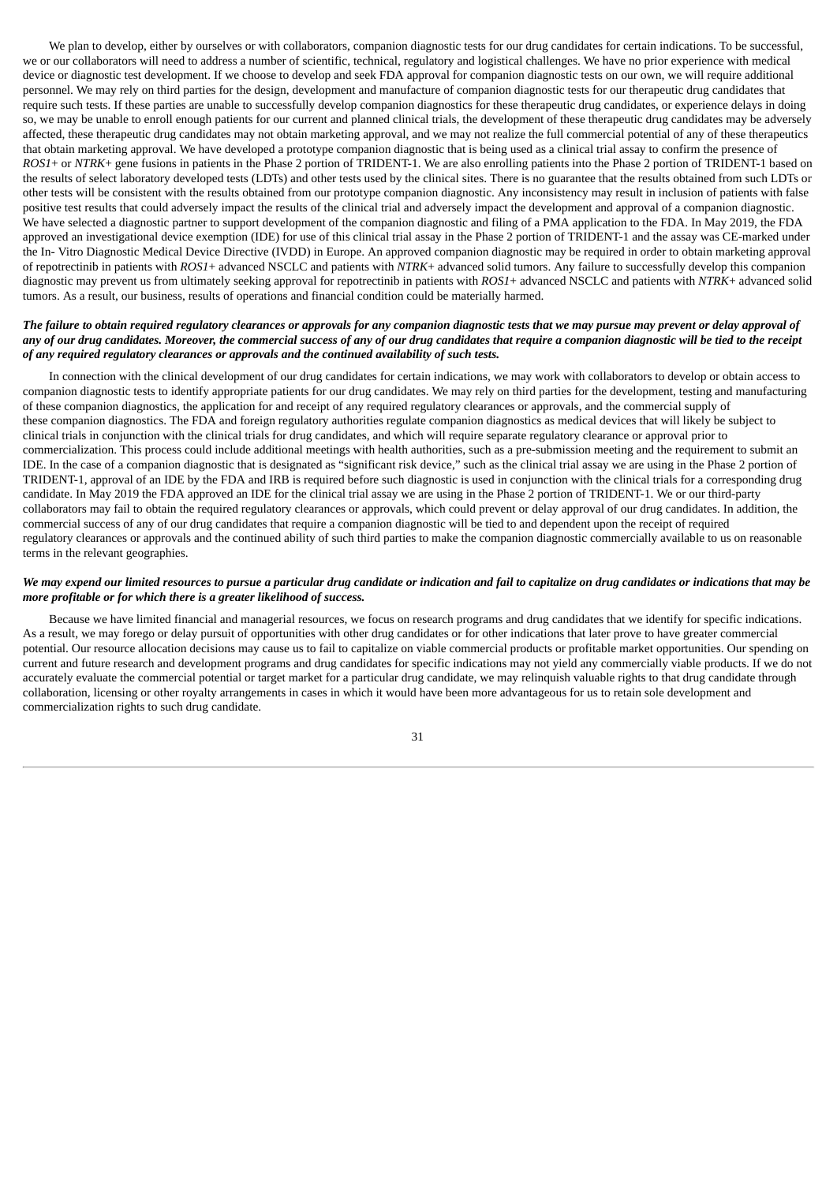We plan to develop, either by ourselves or with collaborators, companion diagnostic tests for our drug candidates for certain indications. To be successful, we or our collaborators will need to address a number of scientific, technical, regulatory and logistical challenges. We have no prior experience with medical device or diagnostic test development. If we choose to develop and seek FDA approval for companion diagnostic tests on our own, we will require additional personnel. We may rely on third parties for the design, development and manufacture of companion diagnostic tests for our therapeutic drug candidates that require such tests. If these parties are unable to successfully develop companion diagnostics for these therapeutic drug candidates, or experience delays in doing so, we may be unable to enroll enough patients for our current and planned clinical trials, the development of these therapeutic drug candidates may be adversely affected, these therapeutic drug candidates may not obtain marketing approval, and we may not realize the full commercial potential of any of these therapeutics that obtain marketing approval. We have developed a prototype companion diagnostic that is being used as a clinical trial assay to confirm the presence of *ROS1*+ or *NTRK*+ gene fusions in patients in the Phase 2 portion of TRIDENT-1. We are also enrolling patients into the Phase 2 portion of TRIDENT-1 based on the results of select laboratory developed tests (LDTs) and other tests used by the clinical sites. There is no guarantee that the results obtained from such LDTs or other tests will be consistent with the results obtained from our prototype companion diagnostic. Any inconsistency may result in inclusion of patients with false positive test results that could adversely impact the results of the clinical trial and adversely impact the development and approval of a companion diagnostic. We have selected a diagnostic partner to support development of the companion diagnostic and filing of a PMA application to the FDA. In May 2019, the FDA approved an investigational device exemption (IDE) for use of this clinical trial assay in the Phase 2 portion of TRIDENT-1 and the assay was CE-marked under the In- Vitro Diagnostic Medical Device Directive (IVDD) in Europe. An approved companion diagnostic may be required in order to obtain marketing approval of repotrectinib in patients with *ROS1*+ advanced NSCLC and patients with *NTRK*+ advanced solid tumors. Any failure to successfully develop this companion diagnostic may prevent us from ultimately seeking approval for repotrectinib in patients with *ROS1*+ advanced NSCLC and patients with *NTRK*+ advanced solid tumors. As a result, our business, results of operations and financial condition could be materially harmed.

## The failure to obtain required regulatory clearances or approvals for any companion diagnostic tests that we may pursue may prevent or delay approval of any of our drug candidates. Moreover, the commercial success of any of our drug candidates that require a companion diagnostic will be tied to the receipt *of any required regulatory clearances or approvals and the continued availability of such tests.*

In connection with the clinical development of our drug candidates for certain indications, we may work with collaborators to develop or obtain access to companion diagnostic tests to identify appropriate patients for our drug candidates. We may rely on third parties for the development, testing and manufacturing of these companion diagnostics, the application for and receipt of any required regulatory clearances or approvals, and the commercial supply of these companion diagnostics. The FDA and foreign regulatory authorities regulate companion diagnostics as medical devices that will likely be subject to clinical trials in conjunction with the clinical trials for drug candidates, and which will require separate regulatory clearance or approval prior to commercialization. This process could include additional meetings with health authorities, such as a pre-submission meeting and the requirement to submit an IDE. In the case of a companion diagnostic that is designated as "significant risk device," such as the clinical trial assay we are using in the Phase 2 portion of TRIDENT-1, approval of an IDE by the FDA and IRB is required before such diagnostic is used in conjunction with the clinical trials for a corresponding drug candidate. In May 2019 the FDA approved an IDE for the clinical trial assay we are using in the Phase 2 portion of TRIDENT-1. We or our third-party collaborators may fail to obtain the required regulatory clearances or approvals, which could prevent or delay approval of our drug candidates. In addition, the commercial success of any of our drug candidates that require a companion diagnostic will be tied to and dependent upon the receipt of required regulatory clearances or approvals and the continued ability of such third parties to make the companion diagnostic commercially available to us on reasonable terms in the relevant geographies.

## We may expend our limited resources to pursue a particular drug candidate or indication and fail to capitalize on drug candidates or indications that may be *more profitable or for which there is a greater likelihood of success.*

Because we have limited financial and managerial resources, we focus on research programs and drug candidates that we identify for specific indications. As a result, we may forego or delay pursuit of opportunities with other drug candidates or for other indications that later prove to have greater commercial potential. Our resource allocation decisions may cause us to fail to capitalize on viable commercial products or profitable market opportunities. Our spending on current and future research and development programs and drug candidates for specific indications may not yield any commercially viable products. If we do not accurately evaluate the commercial potential or target market for a particular drug candidate, we may relinquish valuable rights to that drug candidate through collaboration, licensing or other royalty arrangements in cases in which it would have been more advantageous for us to retain sole development and commercialization rights to such drug candidate.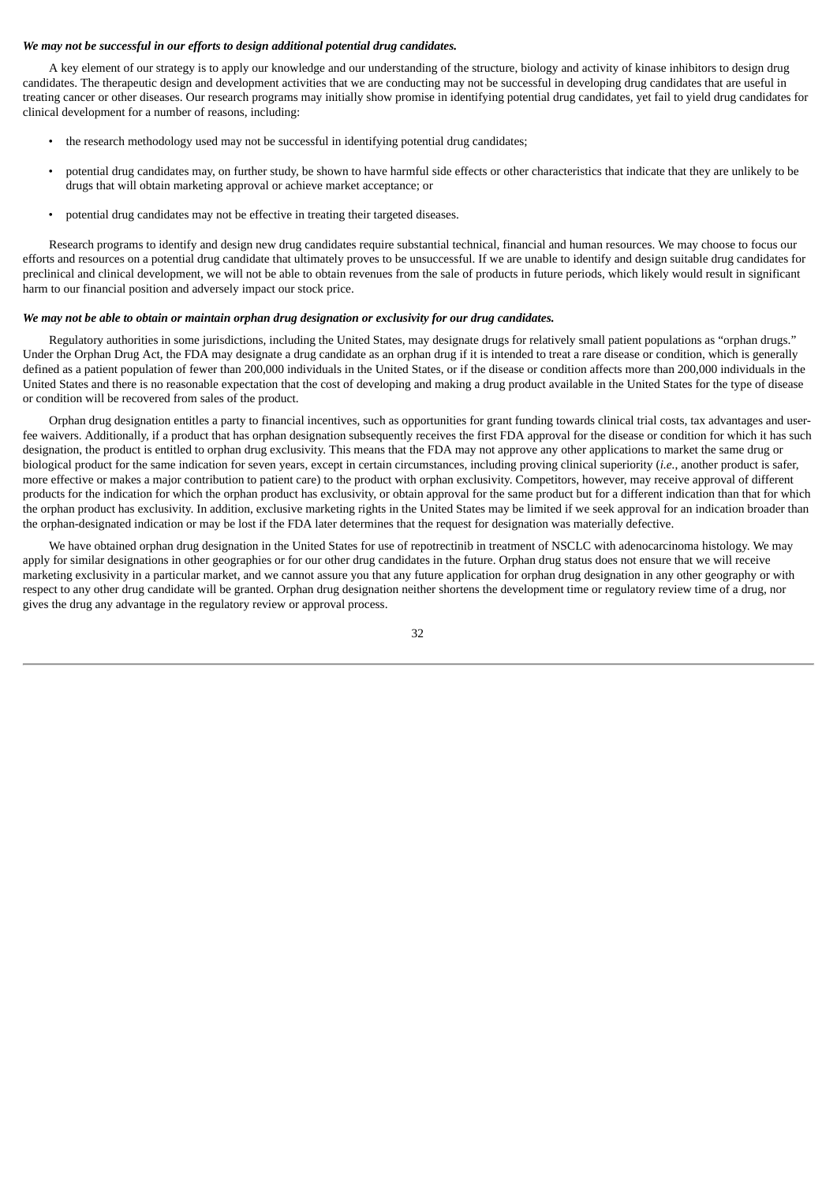#### *We may not be successful in our efforts to design additional potential drug candidates.*

A key element of our strategy is to apply our knowledge and our understanding of the structure, biology and activity of kinase inhibitors to design drug candidates. The therapeutic design and development activities that we are conducting may not be successful in developing drug candidates that are useful in treating cancer or other diseases. Our research programs may initially show promise in identifying potential drug candidates, yet fail to yield drug candidates for clinical development for a number of reasons, including:

- the research methodology used may not be successful in identifying potential drug candidates;
- potential drug candidates may, on further study, be shown to have harmful side effects or other characteristics that indicate that they are unlikely to be drugs that will obtain marketing approval or achieve market acceptance; or
- potential drug candidates may not be effective in treating their targeted diseases.

Research programs to identify and design new drug candidates require substantial technical, financial and human resources. We may choose to focus our efforts and resources on a potential drug candidate that ultimately proves to be unsuccessful. If we are unable to identify and design suitable drug candidates for preclinical and clinical development, we will not be able to obtain revenues from the sale of products in future periods, which likely would result in significant harm to our financial position and adversely impact our stock price.

#### We may not be able to obtain or maintain orphan drug designation or exclusivity for our drug candidates.

Regulatory authorities in some jurisdictions, including the United States, may designate drugs for relatively small patient populations as "orphan drugs." Under the Orphan Drug Act, the FDA may designate a drug candidate as an orphan drug if it is intended to treat a rare disease or condition, which is generally defined as a patient population of fewer than 200,000 individuals in the United States, or if the disease or condition affects more than 200,000 individuals in the United States and there is no reasonable expectation that the cost of developing and making a drug product available in the United States for the type of disease or condition will be recovered from sales of the product.

Orphan drug designation entitles a party to financial incentives, such as opportunities for grant funding towards clinical trial costs, tax advantages and userfee waivers. Additionally, if a product that has orphan designation subsequently receives the first FDA approval for the disease or condition for which it has such designation, the product is entitled to orphan drug exclusivity. This means that the FDA may not approve any other applications to market the same drug or biological product for the same indication for seven years, except in certain circumstances, including proving clinical superiority (*i.e.*, another product is safer, more effective or makes a major contribution to patient care) to the product with orphan exclusivity. Competitors, however, may receive approval of different products for the indication for which the orphan product has exclusivity, or obtain approval for the same product but for a different indication than that for which the orphan product has exclusivity. In addition, exclusive marketing rights in the United States may be limited if we seek approval for an indication broader than the orphan-designated indication or may be lost if the FDA later determines that the request for designation was materially defective.

We have obtained orphan drug designation in the United States for use of repotrectinib in treatment of NSCLC with adenocarcinoma histology. We may apply for similar designations in other geographies or for our other drug candidates in the future. Orphan drug status does not ensure that we will receive marketing exclusivity in a particular market, and we cannot assure you that any future application for orphan drug designation in any other geography or with respect to any other drug candidate will be granted. Orphan drug designation neither shortens the development time or regulatory review time of a drug, nor gives the drug any advantage in the regulatory review or approval process.

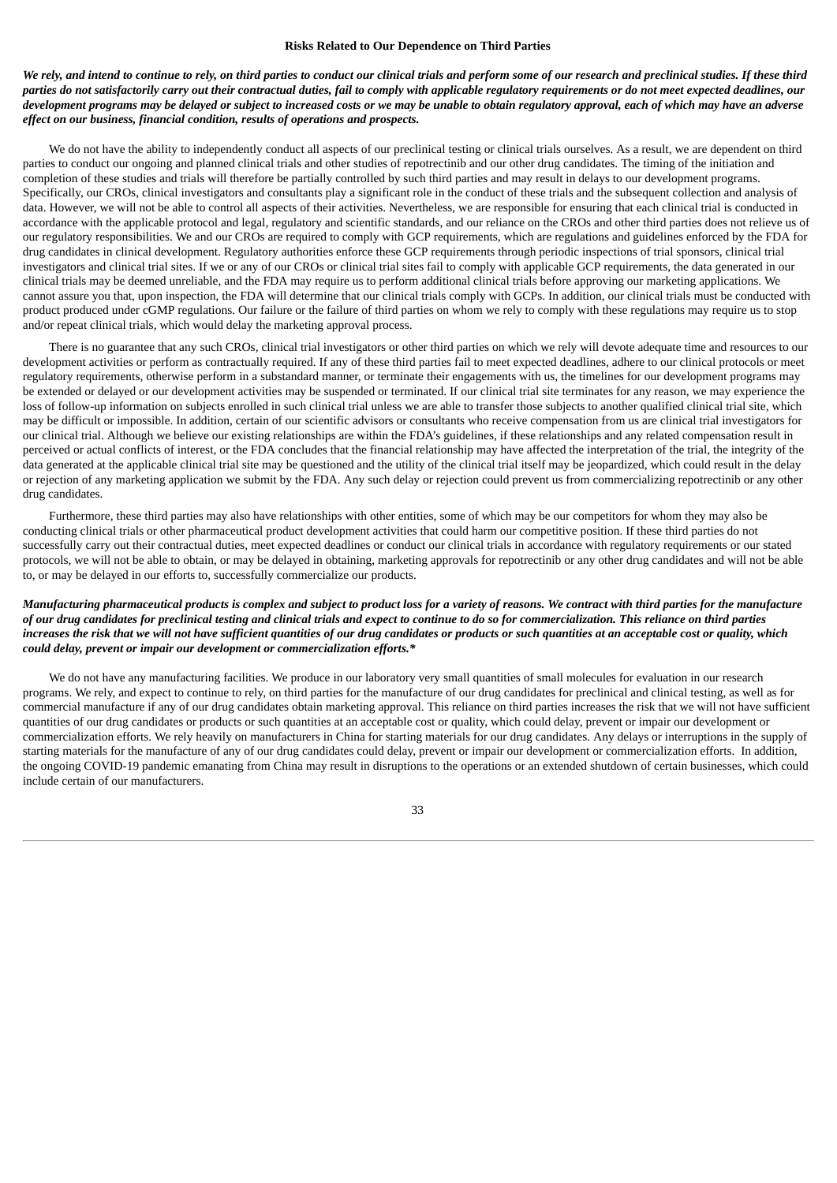#### **Risks Related to Our Dependence on Third Parties**

We rely, and intend to continue to rely, on third parties to conduct our clinical trials and perform some of our research and preclinical studies. If these third parties do not satisfactorily carry out their contractual duties, fail to comply with applicable regulatory requirements or do not meet expected deadlines, our development programs may be delayed or subject to increased costs or we may be unable to obtain regulatory approval, each of which may have an adverse *effect on our business, financial condition, results of operations and prospects.*

We do not have the ability to independently conduct all aspects of our preclinical testing or clinical trials ourselves. As a result, we are dependent on third parties to conduct our ongoing and planned clinical trials and other studies of repotrectinib and our other drug candidates. The timing of the initiation and completion of these studies and trials will therefore be partially controlled by such third parties and may result in delays to our development programs. Specifically, our CROs, clinical investigators and consultants play a significant role in the conduct of these trials and the subsequent collection and analysis of data. However, we will not be able to control all aspects of their activities. Nevertheless, we are responsible for ensuring that each clinical trial is conducted in accordance with the applicable protocol and legal, regulatory and scientific standards, and our reliance on the CROs and other third parties does not relieve us of our regulatory responsibilities. We and our CROs are required to comply with GCP requirements, which are regulations and guidelines enforced by the FDA for drug candidates in clinical development. Regulatory authorities enforce these GCP requirements through periodic inspections of trial sponsors, clinical trial investigators and clinical trial sites. If we or any of our CROs or clinical trial sites fail to comply with applicable GCP requirements, the data generated in our clinical trials may be deemed unreliable, and the FDA may require us to perform additional clinical trials before approving our marketing applications. We cannot assure you that, upon inspection, the FDA will determine that our clinical trials comply with GCPs. In addition, our clinical trials must be conducted with product produced under cGMP regulations. Our failure or the failure of third parties on whom we rely to comply with these regulations may require us to stop and/or repeat clinical trials, which would delay the marketing approval process.

There is no guarantee that any such CROs, clinical trial investigators or other third parties on which we rely will devote adequate time and resources to our development activities or perform as contractually required. If any of these third parties fail to meet expected deadlines, adhere to our clinical protocols or meet regulatory requirements, otherwise perform in a substandard manner, or terminate their engagements with us, the timelines for our development programs may be extended or delayed or our development activities may be suspended or terminated. If our clinical trial site terminates for any reason, we may experience the loss of follow-up information on subjects enrolled in such clinical trial unless we are able to transfer those subjects to another qualified clinical trial site, which may be difficult or impossible. In addition, certain of our scientific advisors or consultants who receive compensation from us are clinical trial investigators for our clinical trial. Although we believe our existing relationships are within the FDA's guidelines, if these relationships and any related compensation result in perceived or actual conflicts of interest, or the FDA concludes that the financial relationship may have affected the interpretation of the trial, the integrity of the data generated at the applicable clinical trial site may be questioned and the utility of the clinical trial itself may be jeopardized, which could result in the delay or rejection of any marketing application we submit by the FDA. Any such delay or rejection could prevent us from commercializing repotrectinib or any other drug candidates.

Furthermore, these third parties may also have relationships with other entities, some of which may be our competitors for whom they may also be conducting clinical trials or other pharmaceutical product development activities that could harm our competitive position. If these third parties do not successfully carry out their contractual duties, meet expected deadlines or conduct our clinical trials in accordance with regulatory requirements or our stated protocols, we will not be able to obtain, or may be delayed in obtaining, marketing approvals for repotrectinib or any other drug candidates and will not be able to, or may be delayed in our efforts to, successfully commercialize our products.

Manufacturing pharmaceutical products is complex and subject to product loss for a variety of reasons. We contract with third parties for the manufacture of our drug candidates for preclinical testing and clinical trials and expect to continue to do so for commercialization. This reliance on third parties increases the risk that we will not have sufficient quantities of our drug candidates or products or such quantities at an acceptable cost or quality, which *could delay, prevent or impair our development or commercialization efforts.\**

We do not have any manufacturing facilities. We produce in our laboratory very small quantities of small molecules for evaluation in our research programs. We rely, and expect to continue to rely, on third parties for the manufacture of our drug candidates for preclinical and clinical testing, as well as for commercial manufacture if any of our drug candidates obtain marketing approval. This reliance on third parties increases the risk that we will not have sufficient quantities of our drug candidates or products or such quantities at an acceptable cost or quality, which could delay, prevent or impair our development or commercialization efforts. We rely heavily on manufacturers in China for starting materials for our drug candidates. Any delays or interruptions in the supply of starting materials for the manufacture of any of our drug candidates could delay, prevent or impair our development or commercialization efforts. In addition, the ongoing COVID-19 pandemic emanating from China may result in disruptions to the operations or an extended shutdown of certain businesses, which could include certain of our manufacturers.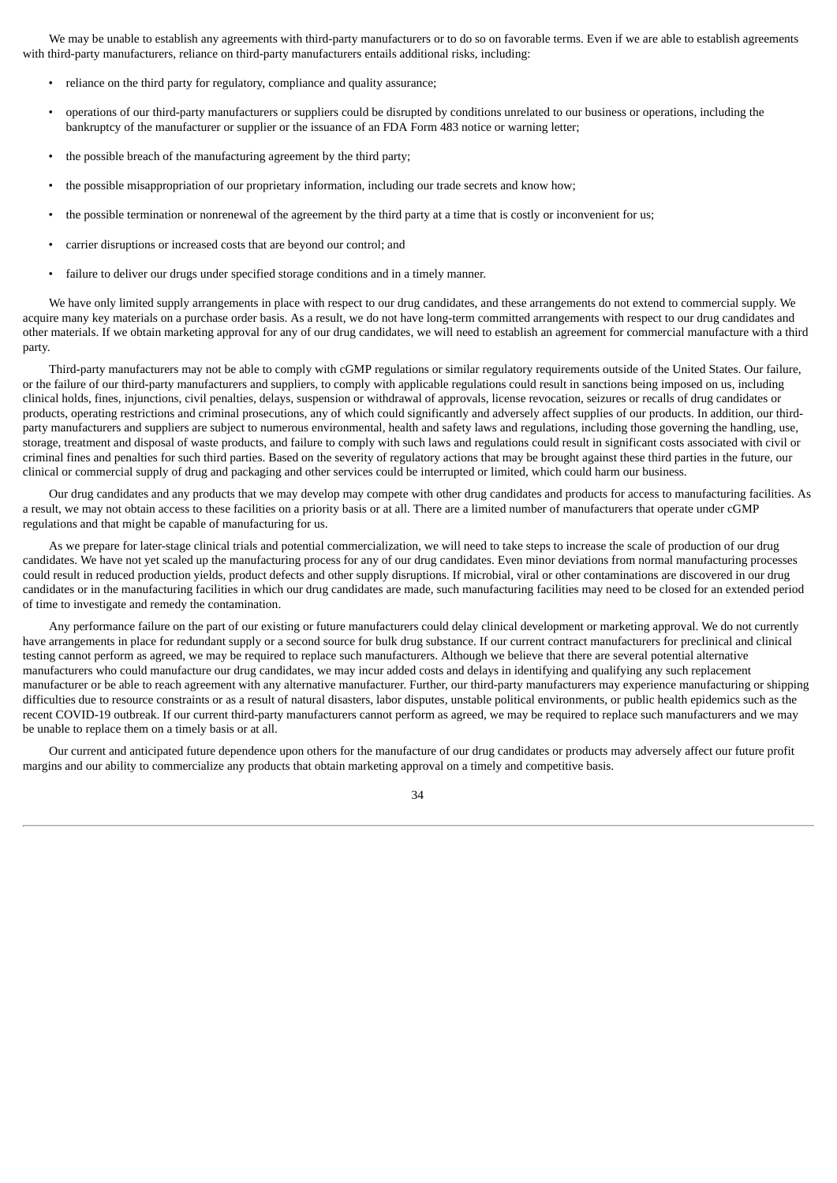We may be unable to establish any agreements with third-party manufacturers or to do so on favorable terms. Even if we are able to establish agreements with third-party manufacturers, reliance on third-party manufacturers entails additional risks, including:

- reliance on the third party for regulatory, compliance and quality assurance;
- operations of our third-party manufacturers or suppliers could be disrupted by conditions unrelated to our business or operations, including the bankruptcy of the manufacturer or supplier or the issuance of an FDA Form 483 notice or warning letter;
- the possible breach of the manufacturing agreement by the third party;
- the possible misappropriation of our proprietary information, including our trade secrets and know how;
- the possible termination or nonrenewal of the agreement by the third party at a time that is costly or inconvenient for us;
- carrier disruptions or increased costs that are beyond our control; and
- failure to deliver our drugs under specified storage conditions and in a timely manner.

We have only limited supply arrangements in place with respect to our drug candidates, and these arrangements do not extend to commercial supply. We acquire many key materials on a purchase order basis. As a result, we do not have long-term committed arrangements with respect to our drug candidates and other materials. If we obtain marketing approval for any of our drug candidates, we will need to establish an agreement for commercial manufacture with a third party.

Third-party manufacturers may not be able to comply with cGMP regulations or similar regulatory requirements outside of the United States. Our failure, or the failure of our third-party manufacturers and suppliers, to comply with applicable regulations could result in sanctions being imposed on us, including clinical holds, fines, injunctions, civil penalties, delays, suspension or withdrawal of approvals, license revocation, seizures or recalls of drug candidates or products, operating restrictions and criminal prosecutions, any of which could significantly and adversely affect supplies of our products. In addition, our thirdparty manufacturers and suppliers are subject to numerous environmental, health and safety laws and regulations, including those governing the handling, use, storage, treatment and disposal of waste products, and failure to comply with such laws and regulations could result in significant costs associated with civil or criminal fines and penalties for such third parties. Based on the severity of regulatory actions that may be brought against these third parties in the future, our clinical or commercial supply of drug and packaging and other services could be interrupted or limited, which could harm our business.

Our drug candidates and any products that we may develop may compete with other drug candidates and products for access to manufacturing facilities. As a result, we may not obtain access to these facilities on a priority basis or at all. There are a limited number of manufacturers that operate under cGMP regulations and that might be capable of manufacturing for us.

As we prepare for later-stage clinical trials and potential commercialization, we will need to take steps to increase the scale of production of our drug candidates. We have not yet scaled up the manufacturing process for any of our drug candidates. Even minor deviations from normal manufacturing processes could result in reduced production yields, product defects and other supply disruptions. If microbial, viral or other contaminations are discovered in our drug candidates or in the manufacturing facilities in which our drug candidates are made, such manufacturing facilities may need to be closed for an extended period of time to investigate and remedy the contamination.

Any performance failure on the part of our existing or future manufacturers could delay clinical development or marketing approval. We do not currently have arrangements in place for redundant supply or a second source for bulk drug substance. If our current contract manufacturers for preclinical and clinical testing cannot perform as agreed, we may be required to replace such manufacturers. Although we believe that there are several potential alternative manufacturers who could manufacture our drug candidates, we may incur added costs and delays in identifying and qualifying any such replacement manufacturer or be able to reach agreement with any alternative manufacturer. Further, our third-party manufacturers may experience manufacturing or shipping difficulties due to resource constraints or as a result of natural disasters, labor disputes, unstable political environments, or public health epidemics such as the recent COVID-19 outbreak. If our current third-party manufacturers cannot perform as agreed, we may be required to replace such manufacturers and we may be unable to replace them on a timely basis or at all.

Our current and anticipated future dependence upon others for the manufacture of our drug candidates or products may adversely affect our future profit margins and our ability to commercialize any products that obtain marketing approval on a timely and competitive basis.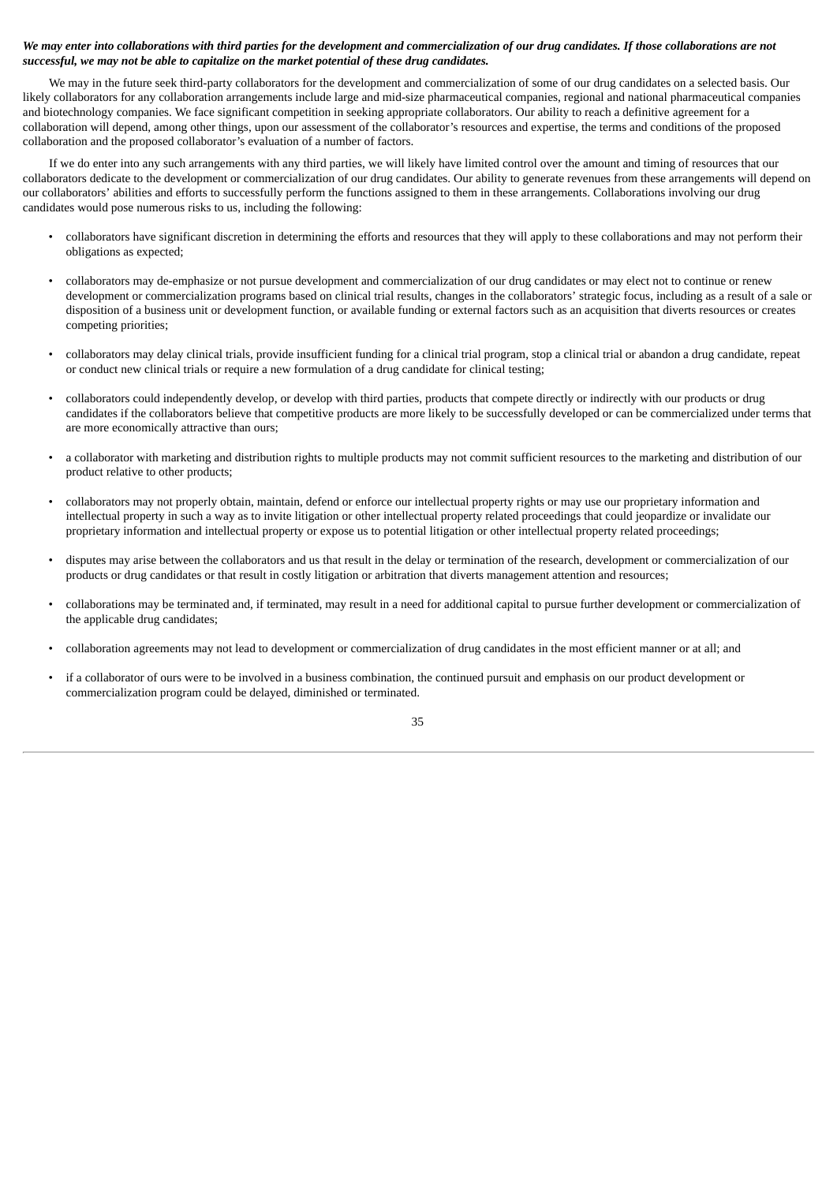# We may enter into collaborations with third parties for the development and commercialization of our drug candidates. If those collaborations are not *successful, we may not be able to capitalize on the market potential of these drug candidates.*

We may in the future seek third-party collaborators for the development and commercialization of some of our drug candidates on a selected basis. Our likely collaborators for any collaboration arrangements include large and mid-size pharmaceutical companies, regional and national pharmaceutical companies and biotechnology companies. We face significant competition in seeking appropriate collaborators. Our ability to reach a definitive agreement for a collaboration will depend, among other things, upon our assessment of the collaborator's resources and expertise, the terms and conditions of the proposed collaboration and the proposed collaborator's evaluation of a number of factors.

If we do enter into any such arrangements with any third parties, we will likely have limited control over the amount and timing of resources that our collaborators dedicate to the development or commercialization of our drug candidates. Our ability to generate revenues from these arrangements will depend on our collaborators' abilities and efforts to successfully perform the functions assigned to them in these arrangements. Collaborations involving our drug candidates would pose numerous risks to us, including the following:

- collaborators have significant discretion in determining the efforts and resources that they will apply to these collaborations and may not perform their obligations as expected;
- collaborators may de-emphasize or not pursue development and commercialization of our drug candidates or may elect not to continue or renew development or commercialization programs based on clinical trial results, changes in the collaborators' strategic focus, including as a result of a sale or disposition of a business unit or development function, or available funding or external factors such as an acquisition that diverts resources or creates competing priorities;
- collaborators may delay clinical trials, provide insufficient funding for a clinical trial program, stop a clinical trial or abandon a drug candidate, repeat or conduct new clinical trials or require a new formulation of a drug candidate for clinical testing;
- collaborators could independently develop, or develop with third parties, products that compete directly or indirectly with our products or drug candidates if the collaborators believe that competitive products are more likely to be successfully developed or can be commercialized under terms that are more economically attractive than ours;
- a collaborator with marketing and distribution rights to multiple products may not commit sufficient resources to the marketing and distribution of our product relative to other products;
- collaborators may not properly obtain, maintain, defend or enforce our intellectual property rights or may use our proprietary information and intellectual property in such a way as to invite litigation or other intellectual property related proceedings that could jeopardize or invalidate our proprietary information and intellectual property or expose us to potential litigation or other intellectual property related proceedings;
- disputes may arise between the collaborators and us that result in the delay or termination of the research, development or commercialization of our products or drug candidates or that result in costly litigation or arbitration that diverts management attention and resources;
- collaborations may be terminated and, if terminated, may result in a need for additional capital to pursue further development or commercialization of the applicable drug candidates;
- collaboration agreements may not lead to development or commercialization of drug candidates in the most efficient manner or at all; and
- if a collaborator of ours were to be involved in a business combination, the continued pursuit and emphasis on our product development or commercialization program could be delayed, diminished or terminated.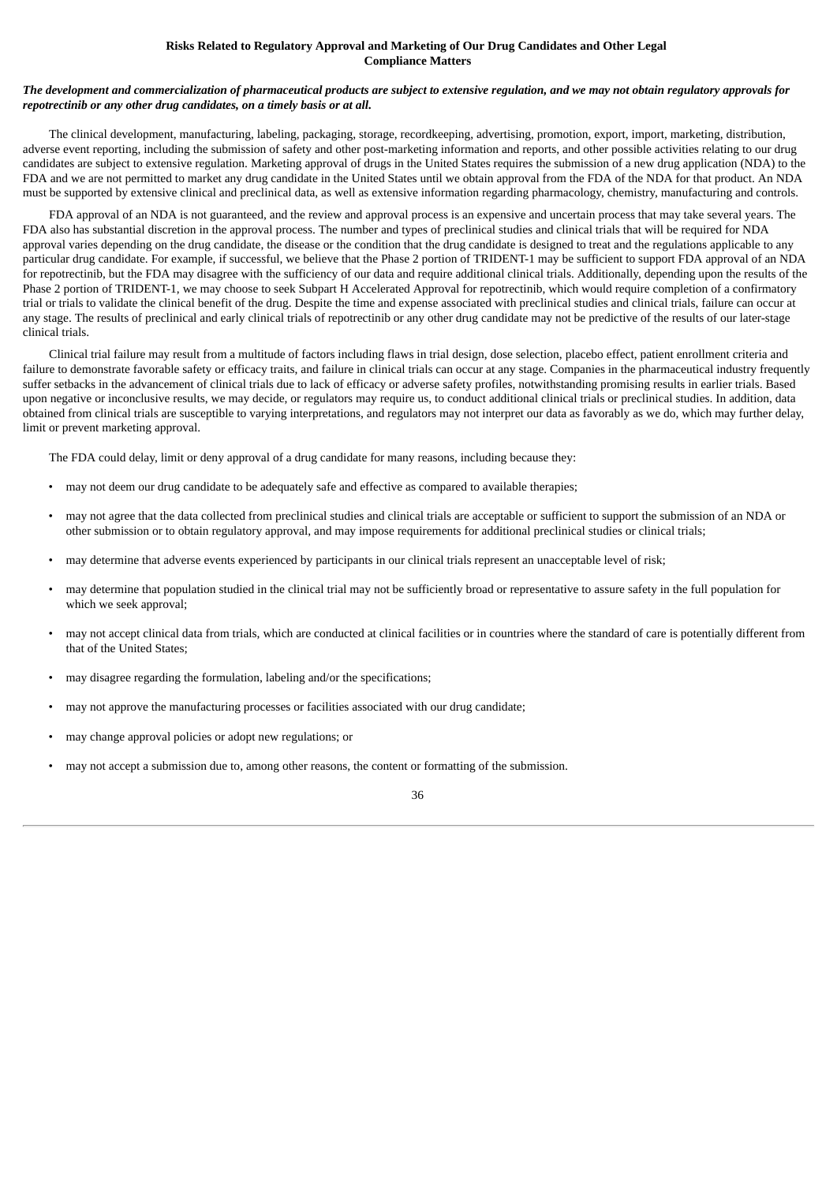# **Risks Related to Regulatory Approval and Marketing of Our Drug Candidates and Other Legal Compliance Matters**

## The development and commercialization of pharmaceutical products are subject to extensive regulation, and we may not obtain regulatory approvals for *repotrectinib or any other drug candidates, on a timely basis or at all.*

The clinical development, manufacturing, labeling, packaging, storage, recordkeeping, advertising, promotion, export, import, marketing, distribution, adverse event reporting, including the submission of safety and other post-marketing information and reports, and other possible activities relating to our drug candidates are subject to extensive regulation. Marketing approval of drugs in the United States requires the submission of a new drug application (NDA) to the FDA and we are not permitted to market any drug candidate in the United States until we obtain approval from the FDA of the NDA for that product. An NDA must be supported by extensive clinical and preclinical data, as well as extensive information regarding pharmacology, chemistry, manufacturing and controls.

FDA approval of an NDA is not guaranteed, and the review and approval process is an expensive and uncertain process that may take several years. The FDA also has substantial discretion in the approval process. The number and types of preclinical studies and clinical trials that will be required for NDA approval varies depending on the drug candidate, the disease or the condition that the drug candidate is designed to treat and the regulations applicable to any particular drug candidate. For example, if successful, we believe that the Phase 2 portion of TRIDENT-1 may be sufficient to support FDA approval of an NDA for repotrectinib, but the FDA may disagree with the sufficiency of our data and require additional clinical trials. Additionally, depending upon the results of the Phase 2 portion of TRIDENT-1, we may choose to seek Subpart H Accelerated Approval for repotrectinib, which would require completion of a confirmatory trial or trials to validate the clinical benefit of the drug. Despite the time and expense associated with preclinical studies and clinical trials, failure can occur at any stage. The results of preclinical and early clinical trials of repotrectinib or any other drug candidate may not be predictive of the results of our later-stage clinical trials.

Clinical trial failure may result from a multitude of factors including flaws in trial design, dose selection, placebo effect, patient enrollment criteria and failure to demonstrate favorable safety or efficacy traits, and failure in clinical trials can occur at any stage. Companies in the pharmaceutical industry frequently suffer setbacks in the advancement of clinical trials due to lack of efficacy or adverse safety profiles, notwithstanding promising results in earlier trials. Based upon negative or inconclusive results, we may decide, or regulators may require us, to conduct additional clinical trials or preclinical studies. In addition, data obtained from clinical trials are susceptible to varying interpretations, and regulators may not interpret our data as favorably as we do, which may further delay, limit or prevent marketing approval.

The FDA could delay, limit or deny approval of a drug candidate for many reasons, including because they:

- may not deem our drug candidate to be adequately safe and effective as compared to available therapies;
- may not agree that the data collected from preclinical studies and clinical trials are acceptable or sufficient to support the submission of an NDA or other submission or to obtain regulatory approval, and may impose requirements for additional preclinical studies or clinical trials;
- may determine that adverse events experienced by participants in our clinical trials represent an unacceptable level of risk;
- may determine that population studied in the clinical trial may not be sufficiently broad or representative to assure safety in the full population for which we seek approval;
- may not accept clinical data from trials, which are conducted at clinical facilities or in countries where the standard of care is potentially different from that of the United States;
- may disagree regarding the formulation, labeling and/or the specifications;
- may not approve the manufacturing processes or facilities associated with our drug candidate;
- may change approval policies or adopt new regulations; or
- may not accept a submission due to, among other reasons, the content or formatting of the submission.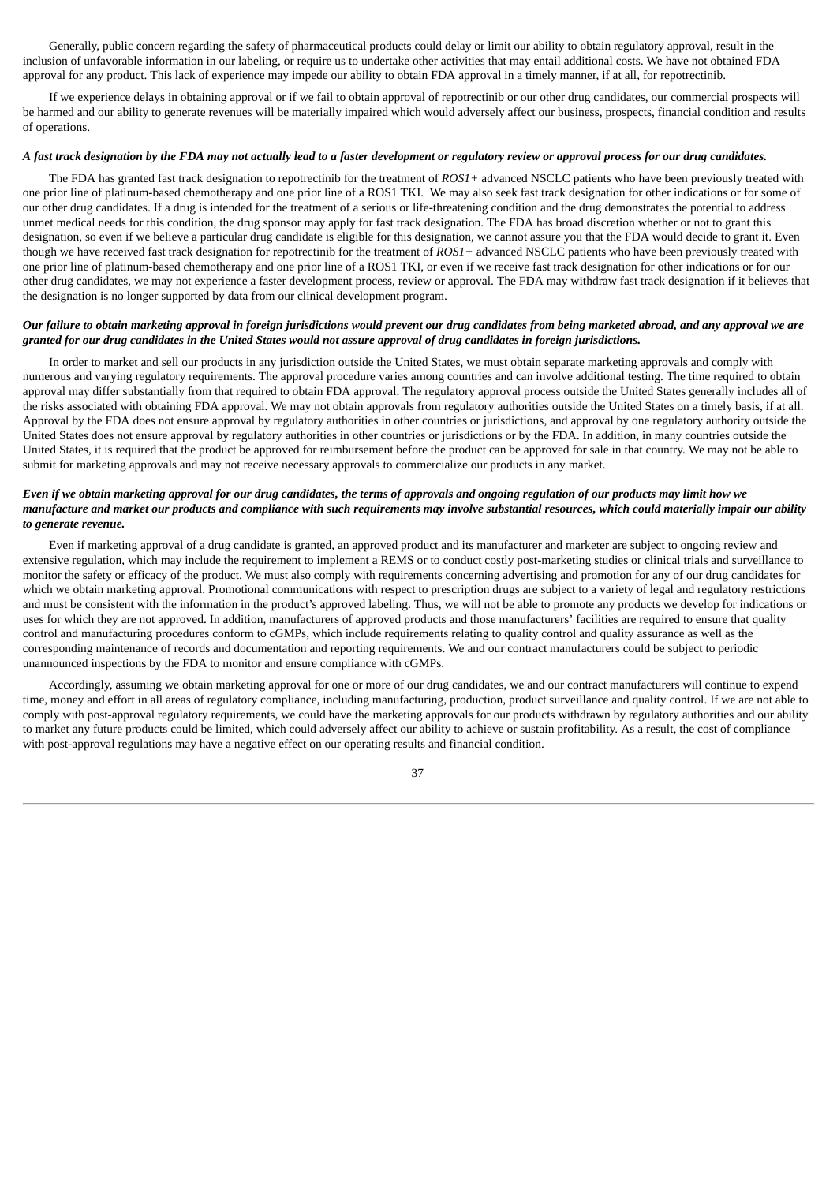Generally, public concern regarding the safety of pharmaceutical products could delay or limit our ability to obtain regulatory approval, result in the inclusion of unfavorable information in our labeling, or require us to undertake other activities that may entail additional costs. We have not obtained FDA approval for any product. This lack of experience may impede our ability to obtain FDA approval in a timely manner, if at all, for repotrectinib.

If we experience delays in obtaining approval or if we fail to obtain approval of repotrectinib or our other drug candidates, our commercial prospects will be harmed and our ability to generate revenues will be materially impaired which would adversely affect our business, prospects, financial condition and results of operations.

#### A fast track designation by the FDA may not actually lead to a faster development or regulatory review or approval process for our drug candidates.

The FDA has granted fast track designation to repotrectinib for the treatment of *ROS1+* advanced NSCLC patients who have been previously treated with one prior line of platinum-based chemotherapy and one prior line of a ROS1 TKI. We may also seek fast track designation for other indications or for some of our other drug candidates. If a drug is intended for the treatment of a serious or life-threatening condition and the drug demonstrates the potential to address unmet medical needs for this condition, the drug sponsor may apply for fast track designation. The FDA has broad discretion whether or not to grant this designation, so even if we believe a particular drug candidate is eligible for this designation, we cannot assure you that the FDA would decide to grant it. Even though we have received fast track designation for repotrectinib for the treatment of *ROS1+* advanced NSCLC patients who have been previously treated with one prior line of platinum-based chemotherapy and one prior line of a ROS1 TKI, or even if we receive fast track designation for other indications or for our other drug candidates, we may not experience a faster development process, review or approval. The FDA may withdraw fast track designation if it believes that the designation is no longer supported by data from our clinical development program.

#### Our failure to obtain marketing approval in foreign jurisdictions would prevent our drug candidates from being marketed abroad, and any approval we are granted for our drug candidates in the United States would not assure approval of drug candidates in foreign jurisdictions.

In order to market and sell our products in any jurisdiction outside the United States, we must obtain separate marketing approvals and comply with numerous and varying regulatory requirements. The approval procedure varies among countries and can involve additional testing. The time required to obtain approval may differ substantially from that required to obtain FDA approval. The regulatory approval process outside the United States generally includes all of the risks associated with obtaining FDA approval. We may not obtain approvals from regulatory authorities outside the United States on a timely basis, if at all. Approval by the FDA does not ensure approval by regulatory authorities in other countries or jurisdictions, and approval by one regulatory authority outside the United States does not ensure approval by regulatory authorities in other countries or jurisdictions or by the FDA. In addition, in many countries outside the United States, it is required that the product be approved for reimbursement before the product can be approved for sale in that country. We may not be able to submit for marketing approvals and may not receive necessary approvals to commercialize our products in any market.

# Even if we obtain marketing approval for our drug candidates, the terms of approvals and ongoing regulation of our products may limit how we manufacture and market our products and compliance with such requirements may involve substantial resources, which could materially impair our ability *to generate revenue.*

Even if marketing approval of a drug candidate is granted, an approved product and its manufacturer and marketer are subject to ongoing review and extensive regulation, which may include the requirement to implement a REMS or to conduct costly post-marketing studies or clinical trials and surveillance to monitor the safety or efficacy of the product. We must also comply with requirements concerning advertising and promotion for any of our drug candidates for which we obtain marketing approval. Promotional communications with respect to prescription drugs are subject to a variety of legal and regulatory restrictions and must be consistent with the information in the product's approved labeling. Thus, we will not be able to promote any products we develop for indications or uses for which they are not approved. In addition, manufacturers of approved products and those manufacturers' facilities are required to ensure that quality control and manufacturing procedures conform to cGMPs, which include requirements relating to quality control and quality assurance as well as the corresponding maintenance of records and documentation and reporting requirements. We and our contract manufacturers could be subject to periodic unannounced inspections by the FDA to monitor and ensure compliance with cGMPs.

Accordingly, assuming we obtain marketing approval for one or more of our drug candidates, we and our contract manufacturers will continue to expend time, money and effort in all areas of regulatory compliance, including manufacturing, production, product surveillance and quality control. If we are not able to comply with post-approval regulatory requirements, we could have the marketing approvals for our products withdrawn by regulatory authorities and our ability to market any future products could be limited, which could adversely affect our ability to achieve or sustain profitability. As a result, the cost of compliance with post-approval regulations may have a negative effect on our operating results and financial condition.

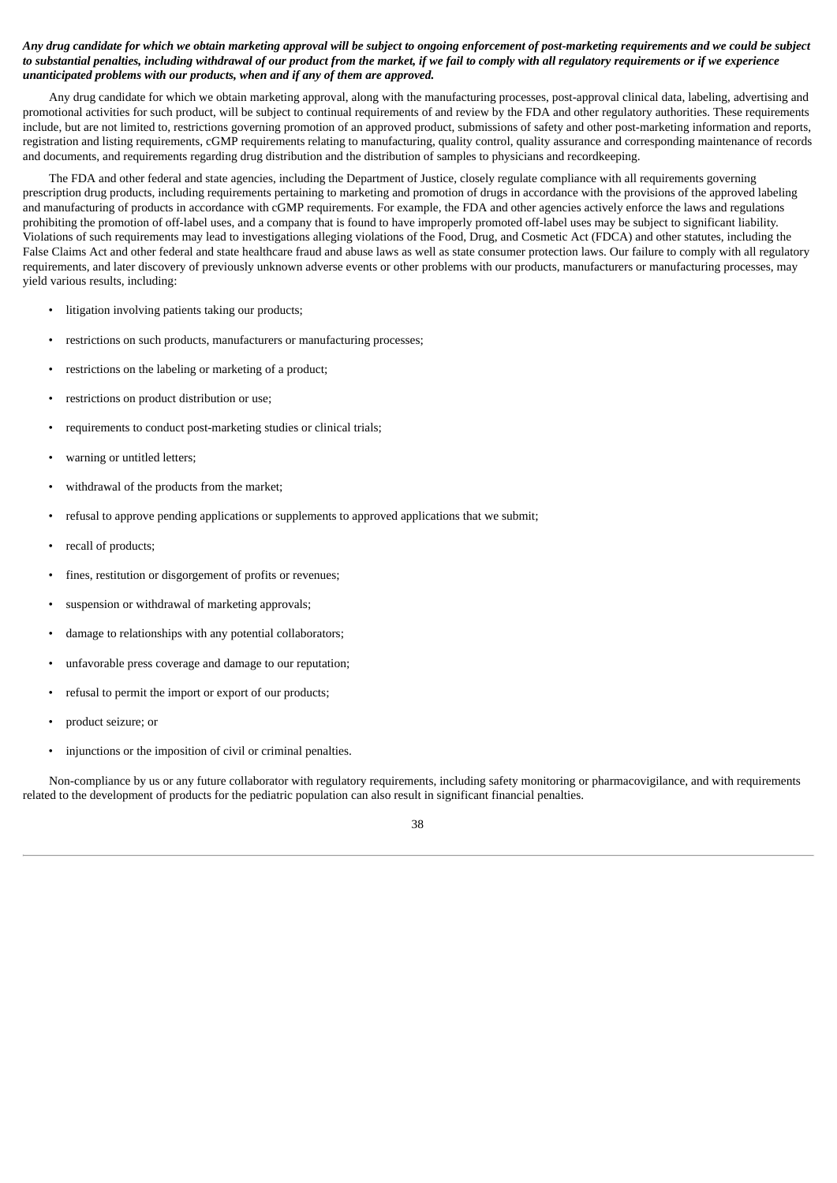# Any drug candidate for which we obtain marketing approval will be subject to ongoing enforcement of post-marketing requirements and we could be subject to substantial penalties, including withdrawal of our product from the market, if we fail to comply with all regulatory requirements or if we experience *unanticipated problems with our products, when and if any of them are approved.*

Any drug candidate for which we obtain marketing approval, along with the manufacturing processes, post-approval clinical data, labeling, advertising and promotional activities for such product, will be subject to continual requirements of and review by the FDA and other regulatory authorities. These requirements include, but are not limited to, restrictions governing promotion of an approved product, submissions of safety and other post-marketing information and reports, registration and listing requirements, cGMP requirements relating to manufacturing, quality control, quality assurance and corresponding maintenance of records and documents, and requirements regarding drug distribution and the distribution of samples to physicians and recordkeeping.

The FDA and other federal and state agencies, including the Department of Justice, closely regulate compliance with all requirements governing prescription drug products, including requirements pertaining to marketing and promotion of drugs in accordance with the provisions of the approved labeling and manufacturing of products in accordance with cGMP requirements. For example, the FDA and other agencies actively enforce the laws and regulations prohibiting the promotion of off-label uses, and a company that is found to have improperly promoted off-label uses may be subject to significant liability. Violations of such requirements may lead to investigations alleging violations of the Food, Drug, and Cosmetic Act (FDCA) and other statutes, including the False Claims Act and other federal and state healthcare fraud and abuse laws as well as state consumer protection laws. Our failure to comply with all regulatory requirements, and later discovery of previously unknown adverse events or other problems with our products, manufacturers or manufacturing processes, may yield various results, including:

- litigation involving patients taking our products;
- restrictions on such products, manufacturers or manufacturing processes;
- restrictions on the labeling or marketing of a product;
- restrictions on product distribution or use;
- requirements to conduct post-marketing studies or clinical trials;
- warning or untitled letters;
- withdrawal of the products from the market;
- refusal to approve pending applications or supplements to approved applications that we submit;
- recall of products;
- fines, restitution or disgorgement of profits or revenues;
- suspension or withdrawal of marketing approvals;
- damage to relationships with any potential collaborators;
- unfavorable press coverage and damage to our reputation;
- refusal to permit the import or export of our products;
- product seizure; or
- injunctions or the imposition of civil or criminal penalties.

Non-compliance by us or any future collaborator with regulatory requirements, including safety monitoring or pharmacovigilance, and with requirements related to the development of products for the pediatric population can also result in significant financial penalties.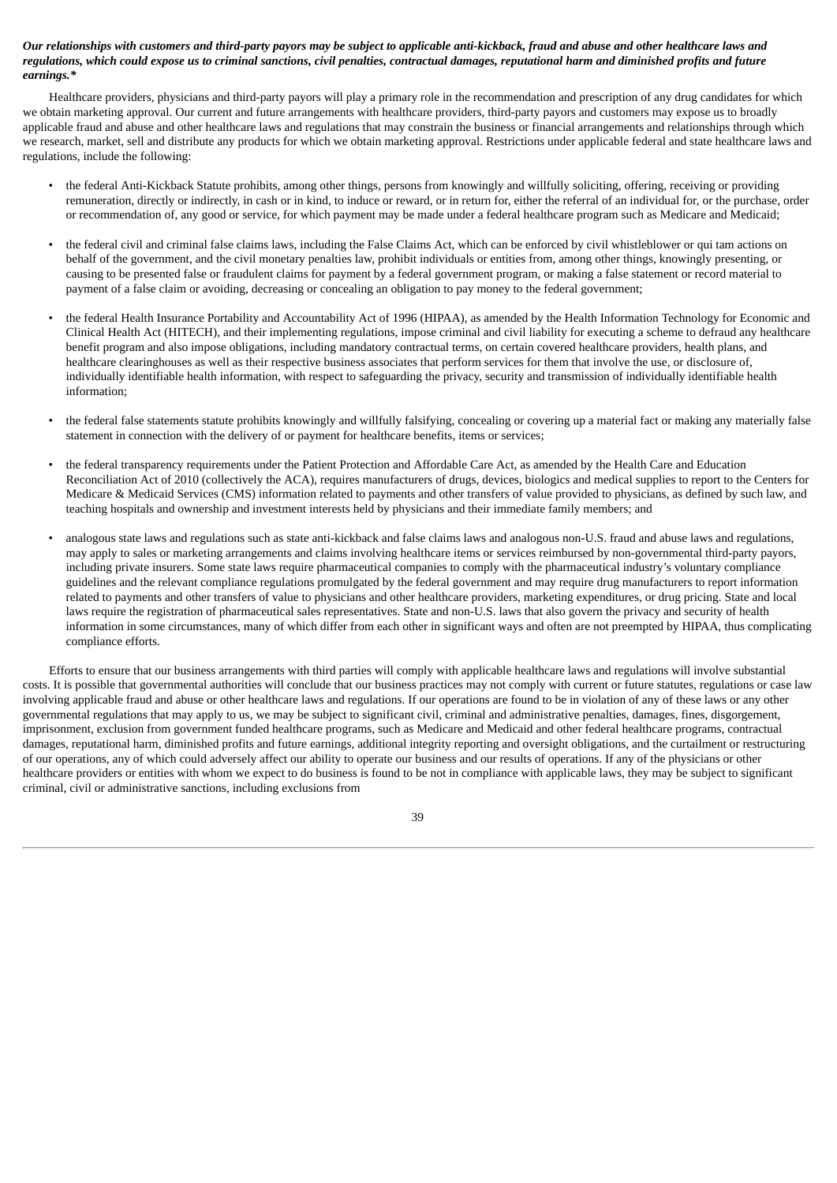# Our relationships with customers and third-party payors may be subject to applicable anti-kickback, fraud and abuse and other healthcare laws and regulations, which could expose us to criminal sanctions, civil penalties, contractual damages, reputational harm and diminished profits and future *earnings.\**

Healthcare providers, physicians and third-party payors will play a primary role in the recommendation and prescription of any drug candidates for which we obtain marketing approval. Our current and future arrangements with healthcare providers, third-party payors and customers may expose us to broadly applicable fraud and abuse and other healthcare laws and regulations that may constrain the business or financial arrangements and relationships through which we research, market, sell and distribute any products for which we obtain marketing approval. Restrictions under applicable federal and state healthcare laws and regulations, include the following:

- the federal Anti-Kickback Statute prohibits, among other things, persons from knowingly and willfully soliciting, offering, receiving or providing remuneration, directly or indirectly, in cash or in kind, to induce or reward, or in return for, either the referral of an individual for, or the purchase, order or recommendation of, any good or service, for which payment may be made under a federal healthcare program such as Medicare and Medicaid;
- the federal civil and criminal false claims laws, including the False Claims Act, which can be enforced by civil whistleblower or qui tam actions on behalf of the government, and the civil monetary penalties law, prohibit individuals or entities from, among other things, knowingly presenting, or causing to be presented false or fraudulent claims for payment by a federal government program, or making a false statement or record material to payment of a false claim or avoiding, decreasing or concealing an obligation to pay money to the federal government;
- the federal Health Insurance Portability and Accountability Act of 1996 (HIPAA), as amended by the Health Information Technology for Economic and Clinical Health Act (HITECH), and their implementing regulations, impose criminal and civil liability for executing a scheme to defraud any healthcare benefit program and also impose obligations, including mandatory contractual terms, on certain covered healthcare providers, health plans, and healthcare clearinghouses as well as their respective business associates that perform services for them that involve the use, or disclosure of, individually identifiable health information, with respect to safeguarding the privacy, security and transmission of individually identifiable health information;
- the federal false statements statute prohibits knowingly and willfully falsifying, concealing or covering up a material fact or making any materially false statement in connection with the delivery of or payment for healthcare benefits, items or services;
- the federal transparency requirements under the Patient Protection and Affordable Care Act, as amended by the Health Care and Education Reconciliation Act of 2010 (collectively the ACA), requires manufacturers of drugs, devices, biologics and medical supplies to report to the Centers for Medicare & Medicaid Services (CMS) information related to payments and other transfers of value provided to physicians, as defined by such law, and teaching hospitals and ownership and investment interests held by physicians and their immediate family members; and
- analogous state laws and regulations such as state anti-kickback and false claims laws and analogous non-U.S. fraud and abuse laws and regulations, may apply to sales or marketing arrangements and claims involving healthcare items or services reimbursed by non-governmental third-party payors, including private insurers. Some state laws require pharmaceutical companies to comply with the pharmaceutical industry's voluntary compliance guidelines and the relevant compliance regulations promulgated by the federal government and may require drug manufacturers to report information related to payments and other transfers of value to physicians and other healthcare providers, marketing expenditures, or drug pricing. State and local laws require the registration of pharmaceutical sales representatives. State and non-U.S. laws that also govern the privacy and security of health information in some circumstances, many of which differ from each other in significant ways and often are not preempted by HIPAA, thus complicating compliance efforts.

Efforts to ensure that our business arrangements with third parties will comply with applicable healthcare laws and regulations will involve substantial costs. It is possible that governmental authorities will conclude that our business practices may not comply with current or future statutes, regulations or case law involving applicable fraud and abuse or other healthcare laws and regulations. If our operations are found to be in violation of any of these laws or any other governmental regulations that may apply to us, we may be subject to significant civil, criminal and administrative penalties, damages, fines, disgorgement, imprisonment, exclusion from government funded healthcare programs, such as Medicare and Medicaid and other federal healthcare programs, contractual damages, reputational harm, diminished profits and future earnings, additional integrity reporting and oversight obligations, and the curtailment or restructuring of our operations, any of which could adversely affect our ability to operate our business and our results of operations. If any of the physicians or other healthcare providers or entities with whom we expect to do business is found to be not in compliance with applicable laws, they may be subject to significant criminal, civil or administrative sanctions, including exclusions from

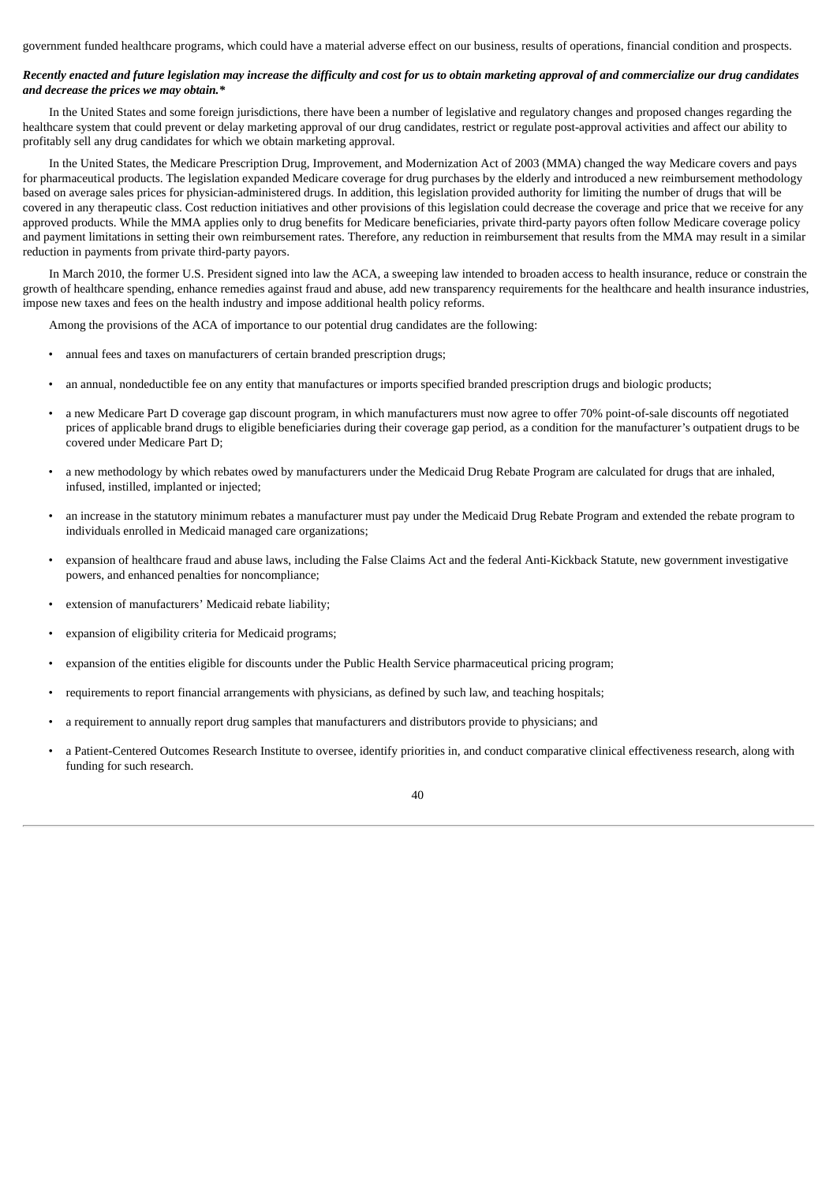government funded healthcare programs, which could have a material adverse effect on our business, results of operations, financial condition and prospects.

# Recently enacted and future legislation may increase the difficulty and cost for us to obtain marketing approval of and commercialize our drug candidates *and decrease the prices we may obtain.\**

In the United States and some foreign jurisdictions, there have been a number of legislative and regulatory changes and proposed changes regarding the healthcare system that could prevent or delay marketing approval of our drug candidates, restrict or regulate post-approval activities and affect our ability to profitably sell any drug candidates for which we obtain marketing approval.

In the United States, the Medicare Prescription Drug, Improvement, and Modernization Act of 2003 (MMA) changed the way Medicare covers and pays for pharmaceutical products. The legislation expanded Medicare coverage for drug purchases by the elderly and introduced a new reimbursement methodology based on average sales prices for physician-administered drugs. In addition, this legislation provided authority for limiting the number of drugs that will be covered in any therapeutic class. Cost reduction initiatives and other provisions of this legislation could decrease the coverage and price that we receive for any approved products. While the MMA applies only to drug benefits for Medicare beneficiaries, private third-party payors often follow Medicare coverage policy and payment limitations in setting their own reimbursement rates. Therefore, any reduction in reimbursement that results from the MMA may result in a similar reduction in payments from private third-party payors.

In March 2010, the former U.S. President signed into law the ACA, a sweeping law intended to broaden access to health insurance, reduce or constrain the growth of healthcare spending, enhance remedies against fraud and abuse, add new transparency requirements for the healthcare and health insurance industries, impose new taxes and fees on the health industry and impose additional health policy reforms.

Among the provisions of the ACA of importance to our potential drug candidates are the following:

- annual fees and taxes on manufacturers of certain branded prescription drugs;
- an annual, nondeductible fee on any entity that manufactures or imports specified branded prescription drugs and biologic products;
- a new Medicare Part D coverage gap discount program, in which manufacturers must now agree to offer 70% point-of-sale discounts off negotiated prices of applicable brand drugs to eligible beneficiaries during their coverage gap period, as a condition for the manufacturer's outpatient drugs to be covered under Medicare Part D;
- a new methodology by which rebates owed by manufacturers under the Medicaid Drug Rebate Program are calculated for drugs that are inhaled, infused, instilled, implanted or injected;
- an increase in the statutory minimum rebates a manufacturer must pay under the Medicaid Drug Rebate Program and extended the rebate program to individuals enrolled in Medicaid managed care organizations;
- expansion of healthcare fraud and abuse laws, including the False Claims Act and the federal Anti-Kickback Statute, new government investigative powers, and enhanced penalties for noncompliance;
- extension of manufacturers' Medicaid rebate liability;
- expansion of eligibility criteria for Medicaid programs;
- expansion of the entities eligible for discounts under the Public Health Service pharmaceutical pricing program;
- requirements to report financial arrangements with physicians, as defined by such law, and teaching hospitals;
- a requirement to annually report drug samples that manufacturers and distributors provide to physicians; and
- a Patient-Centered Outcomes Research Institute to oversee, identify priorities in, and conduct comparative clinical effectiveness research, along with funding for such research.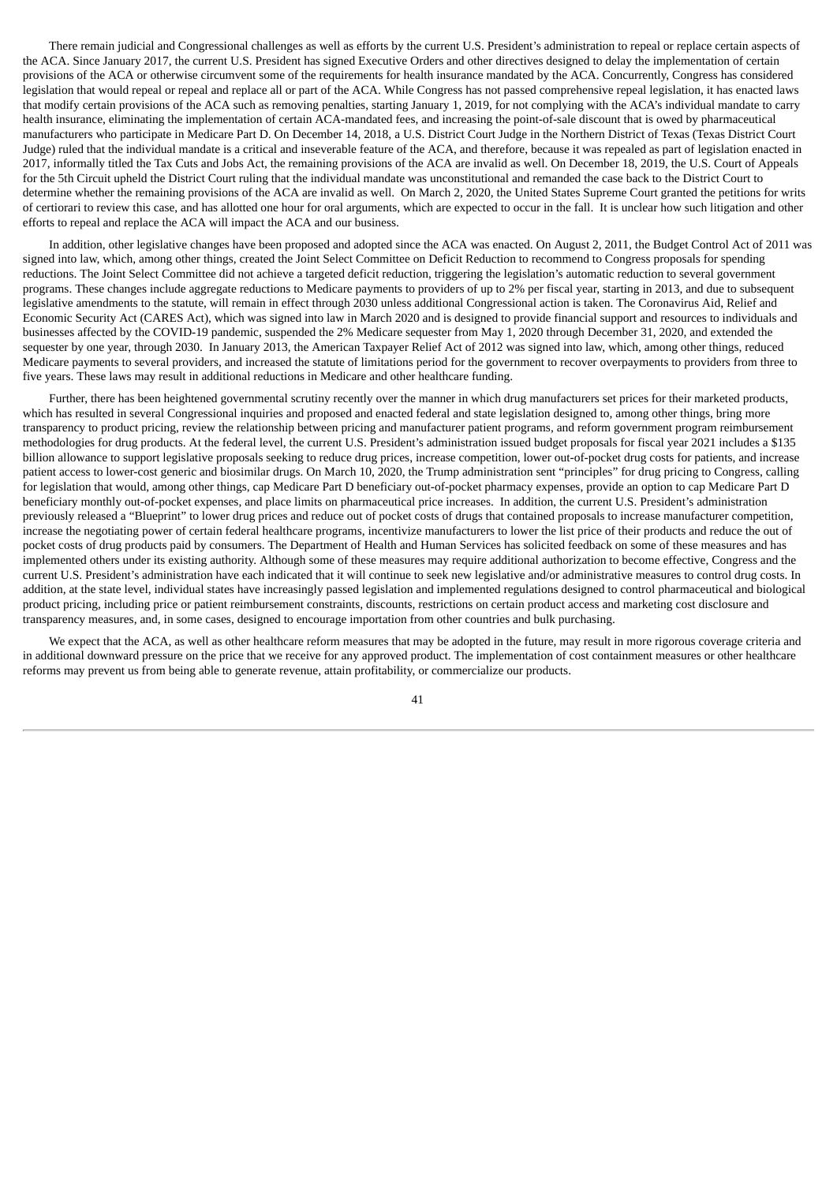There remain judicial and Congressional challenges as well as efforts by the current U.S. President's administration to repeal or replace certain aspects of the ACA. Since January 2017, the current U.S. President has signed Executive Orders and other directives designed to delay the implementation of certain provisions of the ACA or otherwise circumvent some of the requirements for health insurance mandated by the ACA. Concurrently, Congress has considered legislation that would repeal or repeal and replace all or part of the ACA. While Congress has not passed comprehensive repeal legislation, it has enacted laws that modify certain provisions of the ACA such as removing penalties, starting January 1, 2019, for not complying with the ACA's individual mandate to carry health insurance, eliminating the implementation of certain ACA-mandated fees, and increasing the point-of-sale discount that is owed by pharmaceutical manufacturers who participate in Medicare Part D. On December 14, 2018, a U.S. District Court Judge in the Northern District of Texas (Texas District Court Judge) ruled that the individual mandate is a critical and inseverable feature of the ACA, and therefore, because it was repealed as part of legislation enacted in 2017, informally titled the Tax Cuts and Jobs Act, the remaining provisions of the ACA are invalid as well. On December 18, 2019, the U.S. Court of Appeals for the 5th Circuit upheld the District Court ruling that the individual mandate was unconstitutional and remanded the case back to the District Court to determine whether the remaining provisions of the ACA are invalid as well. On March 2, 2020, the United States Supreme Court granted the petitions for writs of certiorari to review this case, and has allotted one hour for oral arguments, which are expected to occur in the fall. It is unclear how such litigation and other efforts to repeal and replace the ACA will impact the ACA and our business.

In addition, other legislative changes have been proposed and adopted since the ACA was enacted. On August 2, 2011, the Budget Control Act of 2011 was signed into law, which, among other things, created the Joint Select Committee on Deficit Reduction to recommend to Congress proposals for spending reductions. The Joint Select Committee did not achieve a targeted deficit reduction, triggering the legislation's automatic reduction to several government programs. These changes include aggregate reductions to Medicare payments to providers of up to 2% per fiscal year, starting in 2013, and due to subsequent legislative amendments to the statute, will remain in effect through 2030 unless additional Congressional action is taken. The Coronavirus Aid, Relief and Economic Security Act (CARES Act), which was signed into law in March 2020 and is designed to provide financial support and resources to individuals and businesses affected by the COVID-19 pandemic, suspended the 2% Medicare sequester from May 1, 2020 through December 31, 2020, and extended the sequester by one year, through 2030. In January 2013, the American Taxpayer Relief Act of 2012 was signed into law, which, among other things, reduced Medicare payments to several providers, and increased the statute of limitations period for the government to recover overpayments to providers from three to five years. These laws may result in additional reductions in Medicare and other healthcare funding.

Further, there has been heightened governmental scrutiny recently over the manner in which drug manufacturers set prices for their marketed products, which has resulted in several Congressional inquiries and proposed and enacted federal and state legislation designed to, among other things, bring more transparency to product pricing, review the relationship between pricing and manufacturer patient programs, and reform government program reimbursement methodologies for drug products. At the federal level, the current U.S. President's administration issued budget proposals for fiscal year 2021 includes a \$135 billion allowance to support legislative proposals seeking to reduce drug prices, increase competition, lower out-of-pocket drug costs for patients, and increase patient access to lower-cost generic and biosimilar drugs. On March 10, 2020, the Trump administration sent "principles" for drug pricing to Congress, calling for legislation that would, among other things, cap Medicare Part D beneficiary out-of-pocket pharmacy expenses, provide an option to cap Medicare Part D beneficiary monthly out-of-pocket expenses, and place limits on pharmaceutical price increases. In addition, the current U.S. President's administration previously released a "Blueprint" to lower drug prices and reduce out of pocket costs of drugs that contained proposals to increase manufacturer competition, increase the negotiating power of certain federal healthcare programs, incentivize manufacturers to lower the list price of their products and reduce the out of pocket costs of drug products paid by consumers. The Department of Health and Human Services has solicited feedback on some of these measures and has implemented others under its existing authority. Although some of these measures may require additional authorization to become effective, Congress and the current U.S. President's administration have each indicated that it will continue to seek new legislative and/or administrative measures to control drug costs. In addition, at the state level, individual states have increasingly passed legislation and implemented regulations designed to control pharmaceutical and biological product pricing, including price or patient reimbursement constraints, discounts, restrictions on certain product access and marketing cost disclosure and transparency measures, and, in some cases, designed to encourage importation from other countries and bulk purchasing.

We expect that the ACA, as well as other healthcare reform measures that may be adopted in the future, may result in more rigorous coverage criteria and in additional downward pressure on the price that we receive for any approved product. The implementation of cost containment measures or other healthcare reforms may prevent us from being able to generate revenue, attain profitability, or commercialize our products.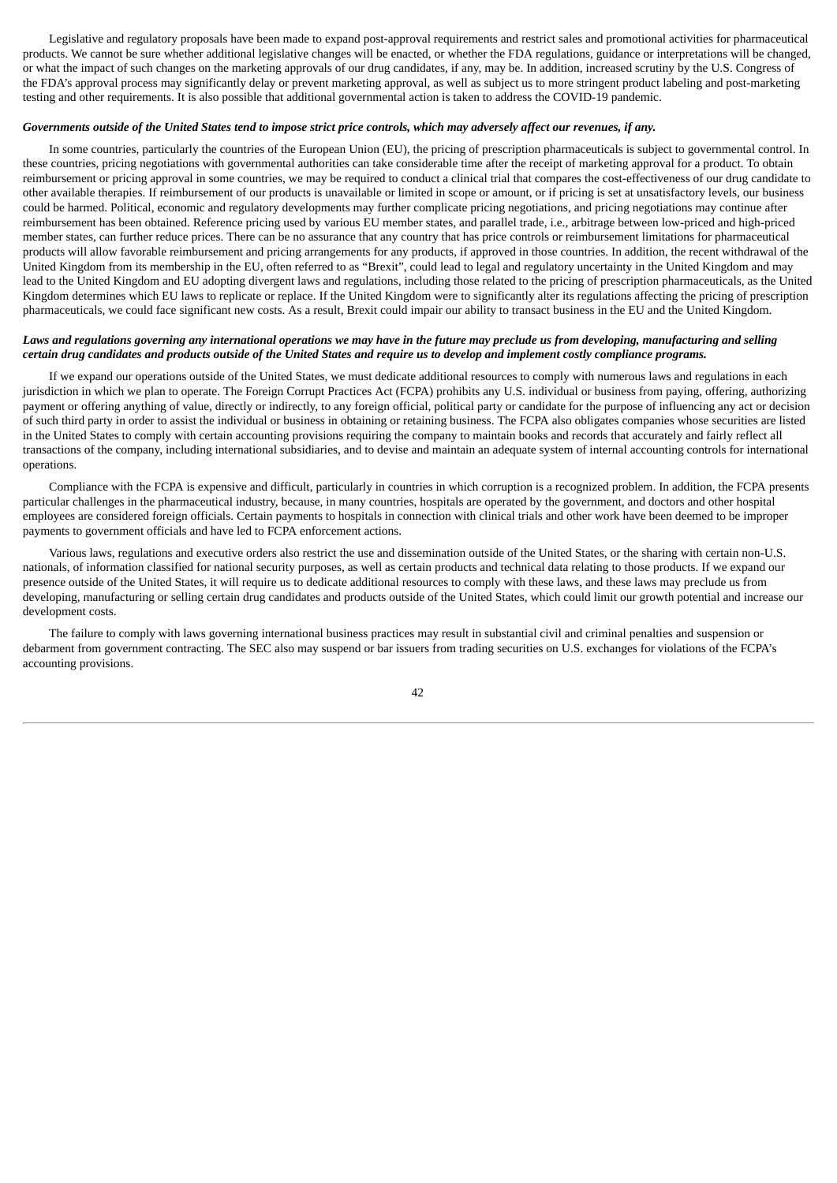Legislative and regulatory proposals have been made to expand post-approval requirements and restrict sales and promotional activities for pharmaceutical products. We cannot be sure whether additional legislative changes will be enacted, or whether the FDA regulations, guidance or interpretations will be changed, or what the impact of such changes on the marketing approvals of our drug candidates, if any, may be. In addition, increased scrutiny by the U.S. Congress of the FDA's approval process may significantly delay or prevent marketing approval, as well as subject us to more stringent product labeling and post-marketing testing and other requirements. It is also possible that additional governmental action is taken to address the COVID-19 pandemic.

# Governments outside of the United States tend to impose strict price controls, which may adversely affect our revenues, if any.

In some countries, particularly the countries of the European Union (EU), the pricing of prescription pharmaceuticals is subject to governmental control. In these countries, pricing negotiations with governmental authorities can take considerable time after the receipt of marketing approval for a product. To obtain reimbursement or pricing approval in some countries, we may be required to conduct a clinical trial that compares the cost-effectiveness of our drug candidate to other available therapies. If reimbursement of our products is unavailable or limited in scope or amount, or if pricing is set at unsatisfactory levels, our business could be harmed. Political, economic and regulatory developments may further complicate pricing negotiations, and pricing negotiations may continue after reimbursement has been obtained. Reference pricing used by various EU member states, and parallel trade, i.e., arbitrage between low-priced and high-priced member states, can further reduce prices. There can be no assurance that any country that has price controls or reimbursement limitations for pharmaceutical products will allow favorable reimbursement and pricing arrangements for any products, if approved in those countries. In addition, the recent withdrawal of the United Kingdom from its membership in the EU, often referred to as "Brexit", could lead to legal and regulatory uncertainty in the United Kingdom and may lead to the United Kingdom and EU adopting divergent laws and regulations, including those related to the pricing of prescription pharmaceuticals, as the United Kingdom determines which EU laws to replicate or replace. If the United Kingdom were to significantly alter its regulations affecting the pricing of prescription pharmaceuticals, we could face significant new costs. As a result, Brexit could impair our ability to transact business in the EU and the United Kingdom.

#### Laws and regulations governing any international operations we may have in the future may preclude us from developing, manufacturing and selling certain drug candidates and products outside of the United States and require us to develop and implement costly compliance programs.

If we expand our operations outside of the United States, we must dedicate additional resources to comply with numerous laws and regulations in each jurisdiction in which we plan to operate. The Foreign Corrupt Practices Act (FCPA) prohibits any U.S. individual or business from paying, offering, authorizing payment or offering anything of value, directly or indirectly, to any foreign official, political party or candidate for the purpose of influencing any act or decision of such third party in order to assist the individual or business in obtaining or retaining business. The FCPA also obligates companies whose securities are listed in the United States to comply with certain accounting provisions requiring the company to maintain books and records that accurately and fairly reflect all transactions of the company, including international subsidiaries, and to devise and maintain an adequate system of internal accounting controls for international operations.

Compliance with the FCPA is expensive and difficult, particularly in countries in which corruption is a recognized problem. In addition, the FCPA presents particular challenges in the pharmaceutical industry, because, in many countries, hospitals are operated by the government, and doctors and other hospital employees are considered foreign officials. Certain payments to hospitals in connection with clinical trials and other work have been deemed to be improper payments to government officials and have led to FCPA enforcement actions.

Various laws, regulations and executive orders also restrict the use and dissemination outside of the United States, or the sharing with certain non-U.S. nationals, of information classified for national security purposes, as well as certain products and technical data relating to those products. If we expand our presence outside of the United States, it will require us to dedicate additional resources to comply with these laws, and these laws may preclude us from developing, manufacturing or selling certain drug candidates and products outside of the United States, which could limit our growth potential and increase our development costs.

The failure to comply with laws governing international business practices may result in substantial civil and criminal penalties and suspension or debarment from government contracting. The SEC also may suspend or bar issuers from trading securities on U.S. exchanges for violations of the FCPA's accounting provisions.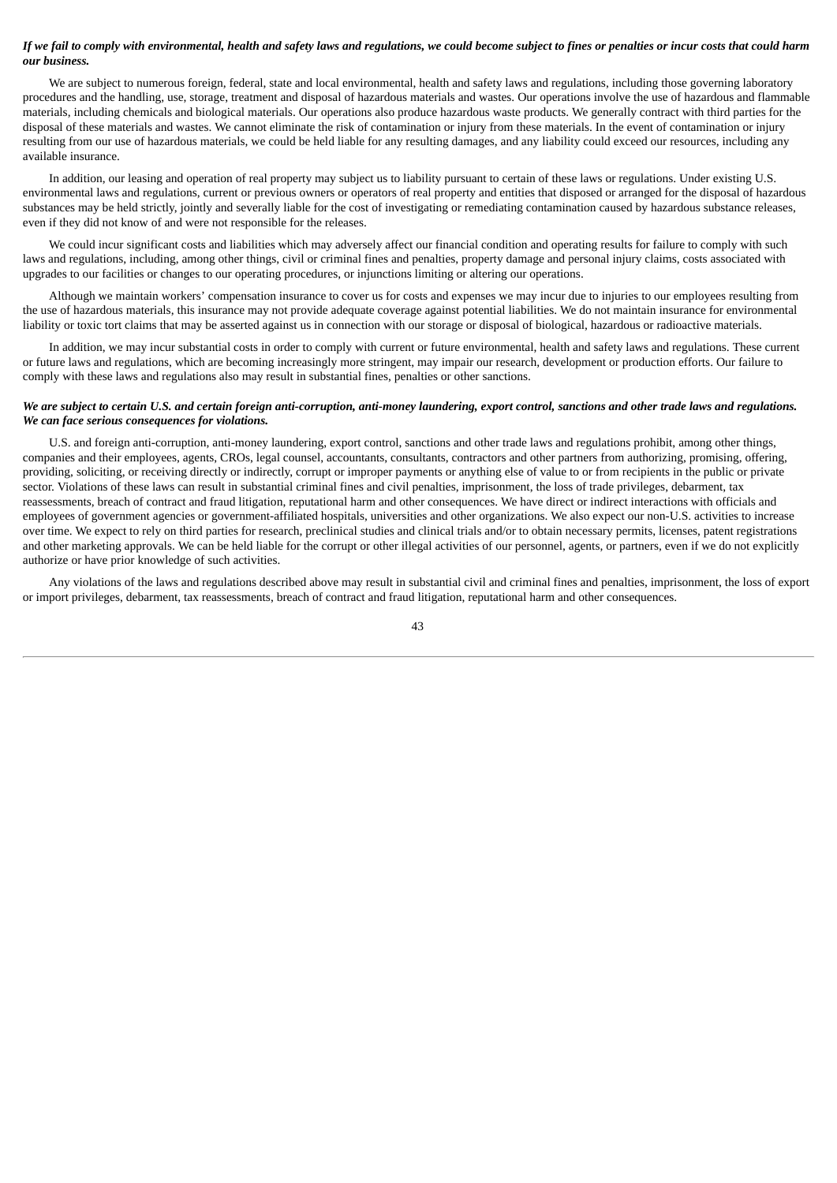# If we fail to comply with environmental, health and safety laws and regulations, we could become subject to fines or penalties or incur costs that could harm *our business.*

We are subject to numerous foreign, federal, state and local environmental, health and safety laws and regulations, including those governing laboratory procedures and the handling, use, storage, treatment and disposal of hazardous materials and wastes. Our operations involve the use of hazardous and flammable materials, including chemicals and biological materials. Our operations also produce hazardous waste products. We generally contract with third parties for the disposal of these materials and wastes. We cannot eliminate the risk of contamination or injury from these materials. In the event of contamination or injury resulting from our use of hazardous materials, we could be held liable for any resulting damages, and any liability could exceed our resources, including any available insurance.

In addition, our leasing and operation of real property may subject us to liability pursuant to certain of these laws or regulations. Under existing U.S. environmental laws and regulations, current or previous owners or operators of real property and entities that disposed or arranged for the disposal of hazardous substances may be held strictly, jointly and severally liable for the cost of investigating or remediating contamination caused by hazardous substance releases, even if they did not know of and were not responsible for the releases.

We could incur significant costs and liabilities which may adversely affect our financial condition and operating results for failure to comply with such laws and regulations, including, among other things, civil or criminal fines and penalties, property damage and personal injury claims, costs associated with upgrades to our facilities or changes to our operating procedures, or injunctions limiting or altering our operations.

Although we maintain workers' compensation insurance to cover us for costs and expenses we may incur due to injuries to our employees resulting from the use of hazardous materials, this insurance may not provide adequate coverage against potential liabilities. We do not maintain insurance for environmental liability or toxic tort claims that may be asserted against us in connection with our storage or disposal of biological, hazardous or radioactive materials.

In addition, we may incur substantial costs in order to comply with current or future environmental, health and safety laws and regulations. These current or future laws and regulations, which are becoming increasingly more stringent, may impair our research, development or production efforts. Our failure to comply with these laws and regulations also may result in substantial fines, penalties or other sanctions.

# We are subject to certain U.S. and certain foreign anti-corruption, anti-money laundering, export control, sanctions and other trade laws and regulations. *We can face serious consequences for violations.*

U.S. and foreign anti-corruption, anti-money laundering, export control, sanctions and other trade laws and regulations prohibit, among other things, companies and their employees, agents, CROs, legal counsel, accountants, consultants, contractors and other partners from authorizing, promising, offering, providing, soliciting, or receiving directly or indirectly, corrupt or improper payments or anything else of value to or from recipients in the public or private sector. Violations of these laws can result in substantial criminal fines and civil penalties, imprisonment, the loss of trade privileges, debarment, tax reassessments, breach of contract and fraud litigation, reputational harm and other consequences. We have direct or indirect interactions with officials and employees of government agencies or government-affiliated hospitals, universities and other organizations. We also expect our non-U.S. activities to increase over time. We expect to rely on third parties for research, preclinical studies and clinical trials and/or to obtain necessary permits, licenses, patent registrations and other marketing approvals. We can be held liable for the corrupt or other illegal activities of our personnel, agents, or partners, even if we do not explicitly authorize or have prior knowledge of such activities.

Any violations of the laws and regulations described above may result in substantial civil and criminal fines and penalties, imprisonment, the loss of export or import privileges, debarment, tax reassessments, breach of contract and fraud litigation, reputational harm and other consequences.

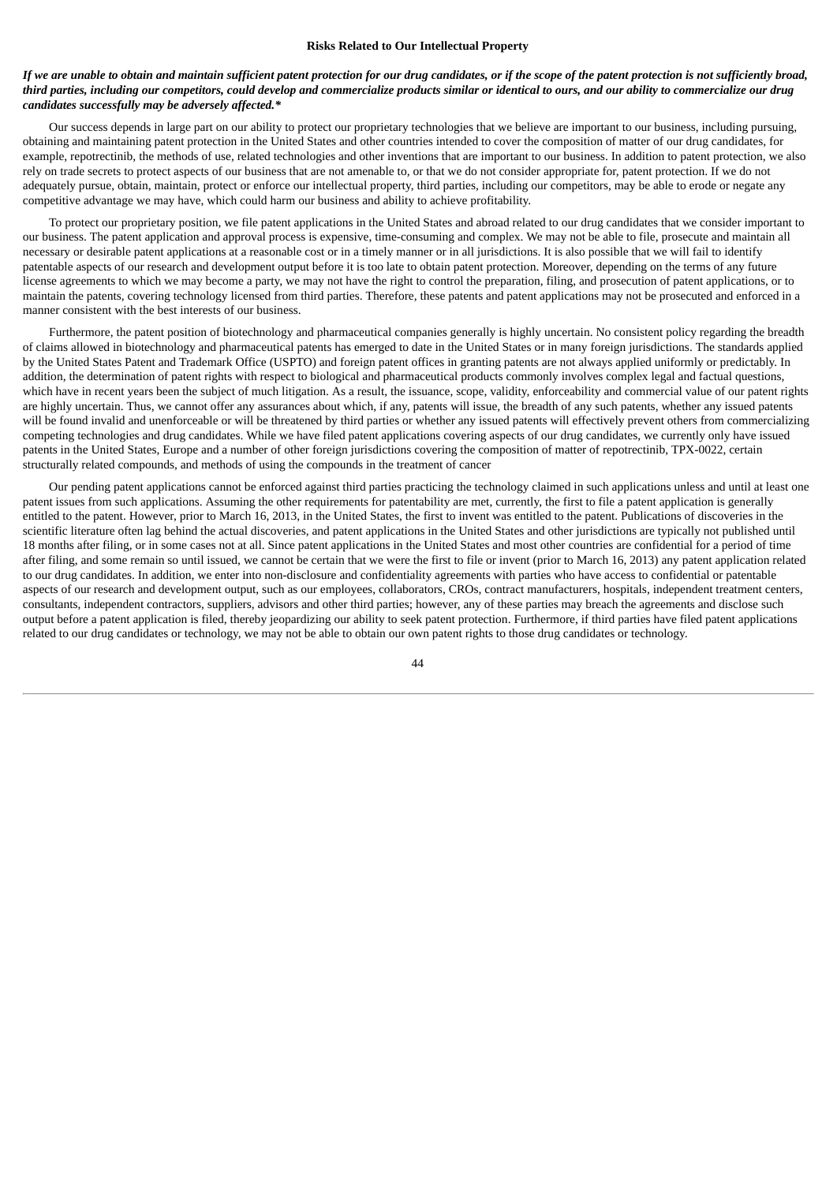## If we are unable to obtain and maintain sufficient patent protection for our drug candidates, or if the scope of the patent protection is not sufficiently broad, third parties, including our competitors, could develop and commercialize products similar or identical to ours, and our ability to commercialize our drug *candidates successfully may be adversely affected.\**

Our success depends in large part on our ability to protect our proprietary technologies that we believe are important to our business, including pursuing, obtaining and maintaining patent protection in the United States and other countries intended to cover the composition of matter of our drug candidates, for example, repotrectinib, the methods of use, related technologies and other inventions that are important to our business. In addition to patent protection, we also rely on trade secrets to protect aspects of our business that are not amenable to, or that we do not consider appropriate for, patent protection. If we do not adequately pursue, obtain, maintain, protect or enforce our intellectual property, third parties, including our competitors, may be able to erode or negate any competitive advantage we may have, which could harm our business and ability to achieve profitability.

To protect our proprietary position, we file patent applications in the United States and abroad related to our drug candidates that we consider important to our business. The patent application and approval process is expensive, time-consuming and complex. We may not be able to file, prosecute and maintain all necessary or desirable patent applications at a reasonable cost or in a timely manner or in all jurisdictions. It is also possible that we will fail to identify patentable aspects of our research and development output before it is too late to obtain patent protection. Moreover, depending on the terms of any future license agreements to which we may become a party, we may not have the right to control the preparation, filing, and prosecution of patent applications, or to maintain the patents, covering technology licensed from third parties. Therefore, these patents and patent applications may not be prosecuted and enforced in a manner consistent with the best interests of our business.

Furthermore, the patent position of biotechnology and pharmaceutical companies generally is highly uncertain. No consistent policy regarding the breadth of claims allowed in biotechnology and pharmaceutical patents has emerged to date in the United States or in many foreign jurisdictions. The standards applied by the United States Patent and Trademark Office (USPTO) and foreign patent offices in granting patents are not always applied uniformly or predictably. In addition, the determination of patent rights with respect to biological and pharmaceutical products commonly involves complex legal and factual questions, which have in recent years been the subject of much litigation. As a result, the issuance, scope, validity, enforceability and commercial value of our patent rights are highly uncertain. Thus, we cannot offer any assurances about which, if any, patents will issue, the breadth of any such patents, whether any issued patents will be found invalid and unenforceable or will be threatened by third parties or whether any issued patents will effectively prevent others from commercializing competing technologies and drug candidates. While we have filed patent applications covering aspects of our drug candidates, we currently only have issued patents in the United States, Europe and a number of other foreign jurisdictions covering the composition of matter of repotrectinib, TPX-0022, certain structurally related compounds, and methods of using the compounds in the treatment of cancer

Our pending patent applications cannot be enforced against third parties practicing the technology claimed in such applications unless and until at least one patent issues from such applications. Assuming the other requirements for patentability are met, currently, the first to file a patent application is generally entitled to the patent. However, prior to March 16, 2013, in the United States, the first to invent was entitled to the patent. Publications of discoveries in the scientific literature often lag behind the actual discoveries, and patent applications in the United States and other jurisdictions are typically not published until 18 months after filing, or in some cases not at all. Since patent applications in the United States and most other countries are confidential for a period of time after filing, and some remain so until issued, we cannot be certain that we were the first to file or invent (prior to March 16, 2013) any patent application related to our drug candidates. In addition, we enter into non-disclosure and confidentiality agreements with parties who have access to confidential or patentable aspects of our research and development output, such as our employees, collaborators, CROs, contract manufacturers, hospitals, independent treatment centers, consultants, independent contractors, suppliers, advisors and other third parties; however, any of these parties may breach the agreements and disclose such output before a patent application is filed, thereby jeopardizing our ability to seek patent protection. Furthermore, if third parties have filed patent applications related to our drug candidates or technology, we may not be able to obtain our own patent rights to those drug candidates or technology.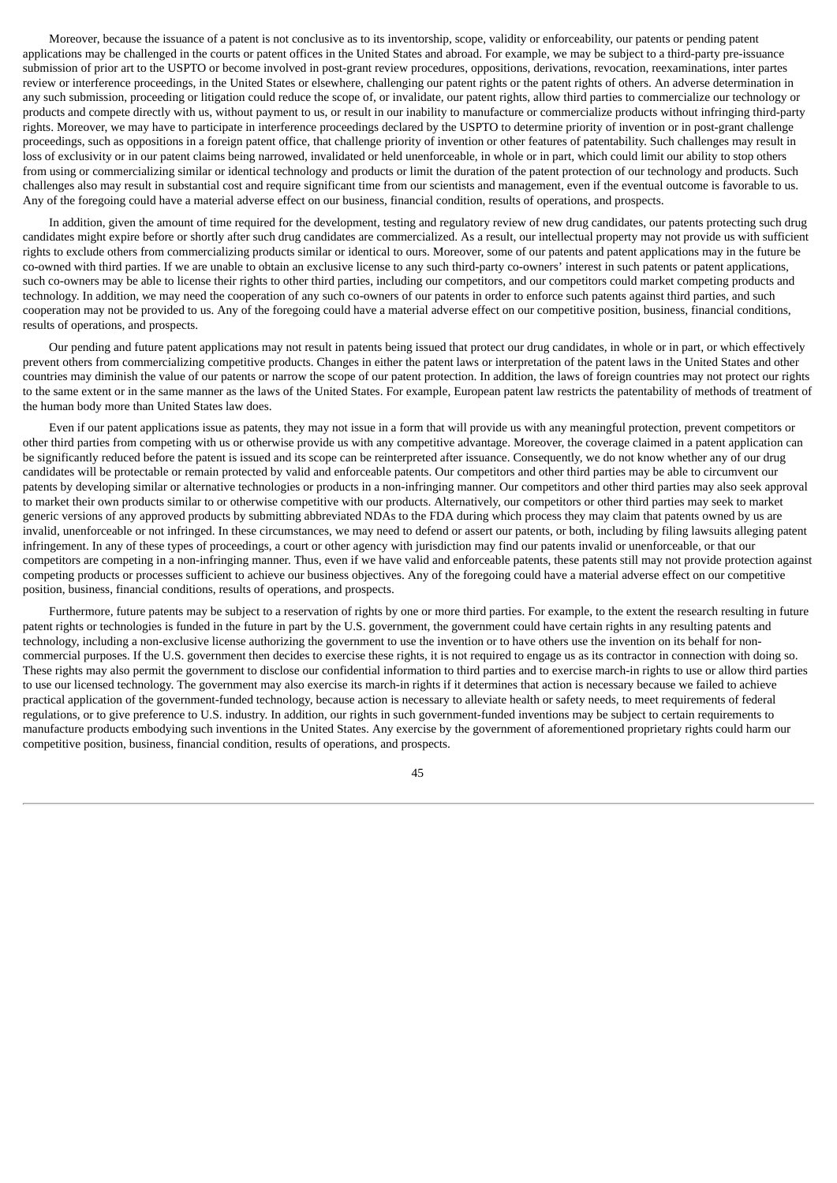Moreover, because the issuance of a patent is not conclusive as to its inventorship, scope, validity or enforceability, our patents or pending patent applications may be challenged in the courts or patent offices in the United States and abroad. For example, we may be subject to a third-party pre-issuance submission of prior art to the USPTO or become involved in post-grant review procedures, oppositions, derivations, revocation, reexaminations, inter partes review or interference proceedings, in the United States or elsewhere, challenging our patent rights or the patent rights of others. An adverse determination in any such submission, proceeding or litigation could reduce the scope of, or invalidate, our patent rights, allow third parties to commercialize our technology or products and compete directly with us, without payment to us, or result in our inability to manufacture or commercialize products without infringing third-party rights. Moreover, we may have to participate in interference proceedings declared by the USPTO to determine priority of invention or in post-grant challenge proceedings, such as oppositions in a foreign patent office, that challenge priority of invention or other features of patentability. Such challenges may result in loss of exclusivity or in our patent claims being narrowed, invalidated or held unenforceable, in whole or in part, which could limit our ability to stop others from using or commercializing similar or identical technology and products or limit the duration of the patent protection of our technology and products. Such challenges also may result in substantial cost and require significant time from our scientists and management, even if the eventual outcome is favorable to us. Any of the foregoing could have a material adverse effect on our business, financial condition, results of operations, and prospects.

In addition, given the amount of time required for the development, testing and regulatory review of new drug candidates, our patents protecting such drug candidates might expire before or shortly after such drug candidates are commercialized. As a result, our intellectual property may not provide us with sufficient rights to exclude others from commercializing products similar or identical to ours. Moreover, some of our patents and patent applications may in the future be co-owned with third parties. If we are unable to obtain an exclusive license to any such third-party co-owners' interest in such patents or patent applications, such co-owners may be able to license their rights to other third parties, including our competitors, and our competitors could market competing products and technology. In addition, we may need the cooperation of any such co-owners of our patents in order to enforce such patents against third parties, and such cooperation may not be provided to us. Any of the foregoing could have a material adverse effect on our competitive position, business, financial conditions, results of operations, and prospects.

Our pending and future patent applications may not result in patents being issued that protect our drug candidates, in whole or in part, or which effectively prevent others from commercializing competitive products. Changes in either the patent laws or interpretation of the patent laws in the United States and other countries may diminish the value of our patents or narrow the scope of our patent protection. In addition, the laws of foreign countries may not protect our rights to the same extent or in the same manner as the laws of the United States. For example, European patent law restricts the patentability of methods of treatment of the human body more than United States law does.

Even if our patent applications issue as patents, they may not issue in a form that will provide us with any meaningful protection, prevent competitors or other third parties from competing with us or otherwise provide us with any competitive advantage. Moreover, the coverage claimed in a patent application can be significantly reduced before the patent is issued and its scope can be reinterpreted after issuance. Consequently, we do not know whether any of our drug candidates will be protectable or remain protected by valid and enforceable patents. Our competitors and other third parties may be able to circumvent our patents by developing similar or alternative technologies or products in a non-infringing manner. Our competitors and other third parties may also seek approval to market their own products similar to or otherwise competitive with our products. Alternatively, our competitors or other third parties may seek to market generic versions of any approved products by submitting abbreviated NDAs to the FDA during which process they may claim that patents owned by us are invalid, unenforceable or not infringed. In these circumstances, we may need to defend or assert our patents, or both, including by filing lawsuits alleging patent infringement. In any of these types of proceedings, a court or other agency with jurisdiction may find our patents invalid or unenforceable, or that our competitors are competing in a non-infringing manner. Thus, even if we have valid and enforceable patents, these patents still may not provide protection against competing products or processes sufficient to achieve our business objectives. Any of the foregoing could have a material adverse effect on our competitive position, business, financial conditions, results of operations, and prospects.

Furthermore, future patents may be subject to a reservation of rights by one or more third parties. For example, to the extent the research resulting in future patent rights or technologies is funded in the future in part by the U.S. government, the government could have certain rights in any resulting patents and technology, including a non-exclusive license authorizing the government to use the invention or to have others use the invention on its behalf for noncommercial purposes. If the U.S. government then decides to exercise these rights, it is not required to engage us as its contractor in connection with doing so. These rights may also permit the government to disclose our confidential information to third parties and to exercise march-in rights to use or allow third parties to use our licensed technology. The government may also exercise its march-in rights if it determines that action is necessary because we failed to achieve practical application of the government-funded technology, because action is necessary to alleviate health or safety needs, to meet requirements of federal regulations, or to give preference to U.S. industry. In addition, our rights in such government-funded inventions may be subject to certain requirements to manufacture products embodying such inventions in the United States. Any exercise by the government of aforementioned proprietary rights could harm our competitive position, business, financial condition, results of operations, and prospects.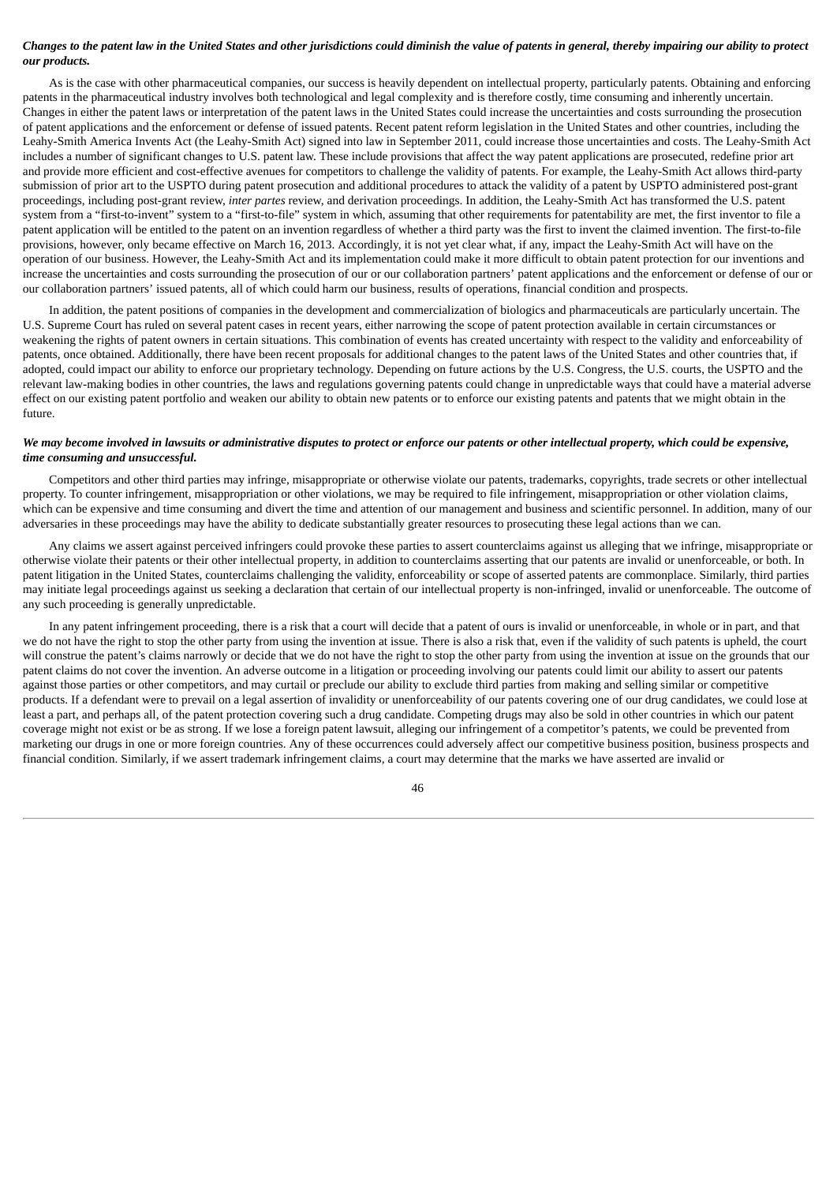## Changes to the patent law in the United States and other jurisdictions could diminish the value of patents in general, thereby impairing our ability to protect *our products.*

As is the case with other pharmaceutical companies, our success is heavily dependent on intellectual property, particularly patents. Obtaining and enforcing patents in the pharmaceutical industry involves both technological and legal complexity and is therefore costly, time consuming and inherently uncertain. Changes in either the patent laws or interpretation of the patent laws in the United States could increase the uncertainties and costs surrounding the prosecution of patent applications and the enforcement or defense of issued patents. Recent patent reform legislation in the United States and other countries, including the Leahy-Smith America Invents Act (the Leahy-Smith Act) signed into law in September 2011, could increase those uncertainties and costs. The Leahy-Smith Act includes a number of significant changes to U.S. patent law. These include provisions that affect the way patent applications are prosecuted, redefine prior art and provide more efficient and cost-effective avenues for competitors to challenge the validity of patents. For example, the Leahy-Smith Act allows third-party submission of prior art to the USPTO during patent prosecution and additional procedures to attack the validity of a patent by USPTO administered post-grant proceedings, including post-grant review, *inter partes* review, and derivation proceedings. In addition, the Leahy-Smith Act has transformed the U.S. patent system from a "first-to-invent" system to a "first-to-file" system in which, assuming that other requirements for patentability are met, the first inventor to file a patent application will be entitled to the patent on an invention regardless of whether a third party was the first to invent the claimed invention. The first-to-file provisions, however, only became effective on March 16, 2013. Accordingly, it is not yet clear what, if any, impact the Leahy-Smith Act will have on the operation of our business. However, the Leahy-Smith Act and its implementation could make it more difficult to obtain patent protection for our inventions and increase the uncertainties and costs surrounding the prosecution of our or our collaboration partners' patent applications and the enforcement or defense of our or our collaboration partners' issued patents, all of which could harm our business, results of operations, financial condition and prospects.

In addition, the patent positions of companies in the development and commercialization of biologics and pharmaceuticals are particularly uncertain. The U.S. Supreme Court has ruled on several patent cases in recent years, either narrowing the scope of patent protection available in certain circumstances or weakening the rights of patent owners in certain situations. This combination of events has created uncertainty with respect to the validity and enforceability of patents, once obtained. Additionally, there have been recent proposals for additional changes to the patent laws of the United States and other countries that, if adopted, could impact our ability to enforce our proprietary technology. Depending on future actions by the U.S. Congress, the U.S. courts, the USPTO and the relevant law-making bodies in other countries, the laws and regulations governing patents could change in unpredictable ways that could have a material adverse effect on our existing patent portfolio and weaken our ability to obtain new patents or to enforce our existing patents and patents that we might obtain in the future.

# We may become involved in lawsuits or administrative disputes to protect or enforce our patents or other intellectual property, which could be expensive, *time consuming and unsuccessful.*

Competitors and other third parties may infringe, misappropriate or otherwise violate our patents, trademarks, copyrights, trade secrets or other intellectual property. To counter infringement, misappropriation or other violations, we may be required to file infringement, misappropriation or other violation claims, which can be expensive and time consuming and divert the time and attention of our management and business and scientific personnel. In addition, many of our adversaries in these proceedings may have the ability to dedicate substantially greater resources to prosecuting these legal actions than we can.

Any claims we assert against perceived infringers could provoke these parties to assert counterclaims against us alleging that we infringe, misappropriate or otherwise violate their patents or their other intellectual property, in addition to counterclaims asserting that our patents are invalid or unenforceable, or both. In patent litigation in the United States, counterclaims challenging the validity, enforceability or scope of asserted patents are commonplace. Similarly, third parties may initiate legal proceedings against us seeking a declaration that certain of our intellectual property is non-infringed, invalid or unenforceable. The outcome of any such proceeding is generally unpredictable.

In any patent infringement proceeding, there is a risk that a court will decide that a patent of ours is invalid or unenforceable, in whole or in part, and that we do not have the right to stop the other party from using the invention at issue. There is also a risk that, even if the validity of such patents is upheld, the court will construe the patent's claims narrowly or decide that we do not have the right to stop the other party from using the invention at issue on the grounds that our patent claims do not cover the invention. An adverse outcome in a litigation or proceeding involving our patents could limit our ability to assert our patents against those parties or other competitors, and may curtail or preclude our ability to exclude third parties from making and selling similar or competitive products. If a defendant were to prevail on a legal assertion of invalidity or unenforceability of our patents covering one of our drug candidates, we could lose at least a part, and perhaps all, of the patent protection covering such a drug candidate. Competing drugs may also be sold in other countries in which our patent coverage might not exist or be as strong. If we lose a foreign patent lawsuit, alleging our infringement of a competitor's patents, we could be prevented from marketing our drugs in one or more foreign countries. Any of these occurrences could adversely affect our competitive business position, business prospects and financial condition. Similarly, if we assert trademark infringement claims, a court may determine that the marks we have asserted are invalid or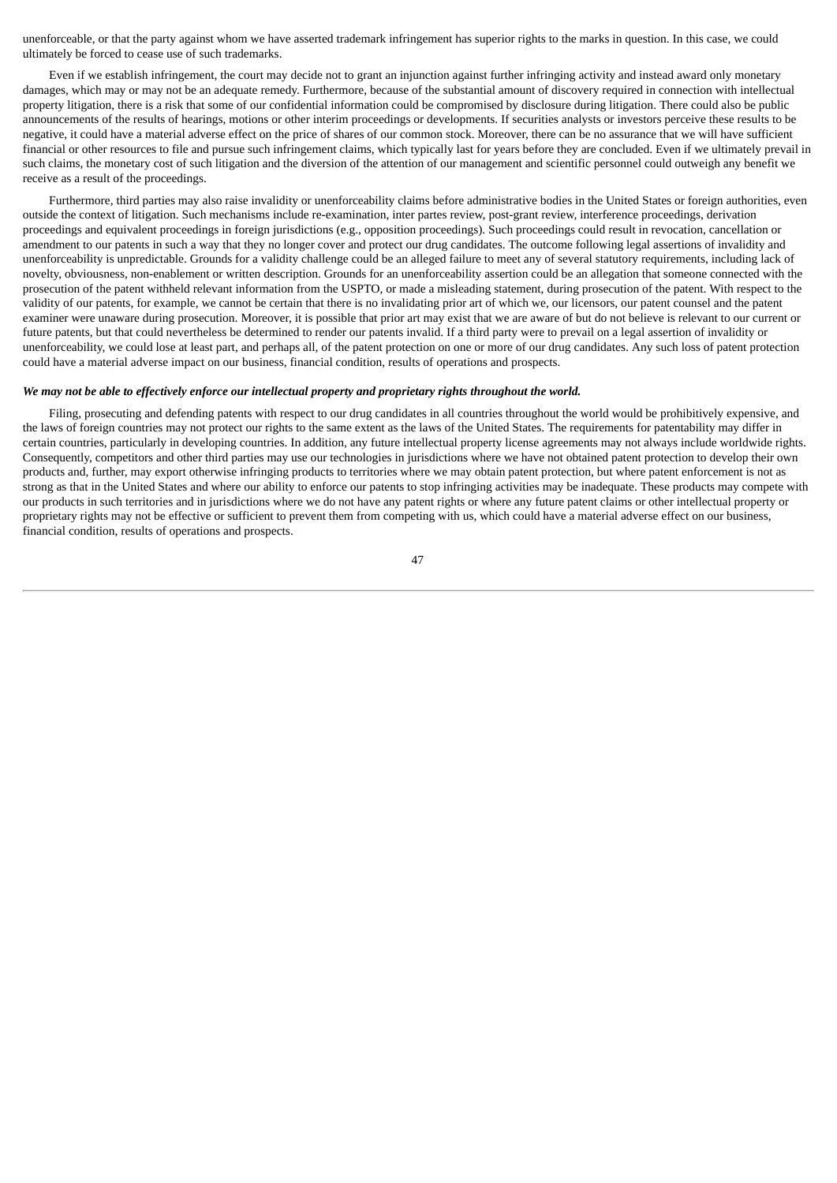unenforceable, or that the party against whom we have asserted trademark infringement has superior rights to the marks in question. In this case, we could ultimately be forced to cease use of such trademarks.

Even if we establish infringement, the court may decide not to grant an injunction against further infringing activity and instead award only monetary damages, which may or may not be an adequate remedy. Furthermore, because of the substantial amount of discovery required in connection with intellectual property litigation, there is a risk that some of our confidential information could be compromised by disclosure during litigation. There could also be public announcements of the results of hearings, motions or other interim proceedings or developments. If securities analysts or investors perceive these results to be negative, it could have a material adverse effect on the price of shares of our common stock. Moreover, there can be no assurance that we will have sufficient financial or other resources to file and pursue such infringement claims, which typically last for years before they are concluded. Even if we ultimately prevail in such claims, the monetary cost of such litigation and the diversion of the attention of our management and scientific personnel could outweigh any benefit we receive as a result of the proceedings.

Furthermore, third parties may also raise invalidity or unenforceability claims before administrative bodies in the United States or foreign authorities, even outside the context of litigation. Such mechanisms include re-examination, inter partes review, post-grant review, interference proceedings, derivation proceedings and equivalent proceedings in foreign jurisdictions (e.g., opposition proceedings). Such proceedings could result in revocation, cancellation or amendment to our patents in such a way that they no longer cover and protect our drug candidates. The outcome following legal assertions of invalidity and unenforceability is unpredictable. Grounds for a validity challenge could be an alleged failure to meet any of several statutory requirements, including lack of novelty, obviousness, non-enablement or written description. Grounds for an unenforceability assertion could be an allegation that someone connected with the prosecution of the patent withheld relevant information from the USPTO, or made a misleading statement, during prosecution of the patent. With respect to the validity of our patents, for example, we cannot be certain that there is no invalidating prior art of which we, our licensors, our patent counsel and the patent examiner were unaware during prosecution. Moreover, it is possible that prior art may exist that we are aware of but do not believe is relevant to our current or future patents, but that could nevertheless be determined to render our patents invalid. If a third party were to prevail on a legal assertion of invalidity or unenforceability, we could lose at least part, and perhaps all, of the patent protection on one or more of our drug candidates. Any such loss of patent protection could have a material adverse impact on our business, financial condition, results of operations and prospects.

#### We may not be able to effectively enforce our intellectual property and proprietary rights throughout the world.

Filing, prosecuting and defending patents with respect to our drug candidates in all countries throughout the world would be prohibitively expensive, and the laws of foreign countries may not protect our rights to the same extent as the laws of the United States. The requirements for patentability may differ in certain countries, particularly in developing countries. In addition, any future intellectual property license agreements may not always include worldwide rights. Consequently, competitors and other third parties may use our technologies in jurisdictions where we have not obtained patent protection to develop their own products and, further, may export otherwise infringing products to territories where we may obtain patent protection, but where patent enforcement is not as strong as that in the United States and where our ability to enforce our patents to stop infringing activities may be inadequate. These products may compete with our products in such territories and in jurisdictions where we do not have any patent rights or where any future patent claims or other intellectual property or proprietary rights may not be effective or sufficient to prevent them from competing with us, which could have a material adverse effect on our business, financial condition, results of operations and prospects.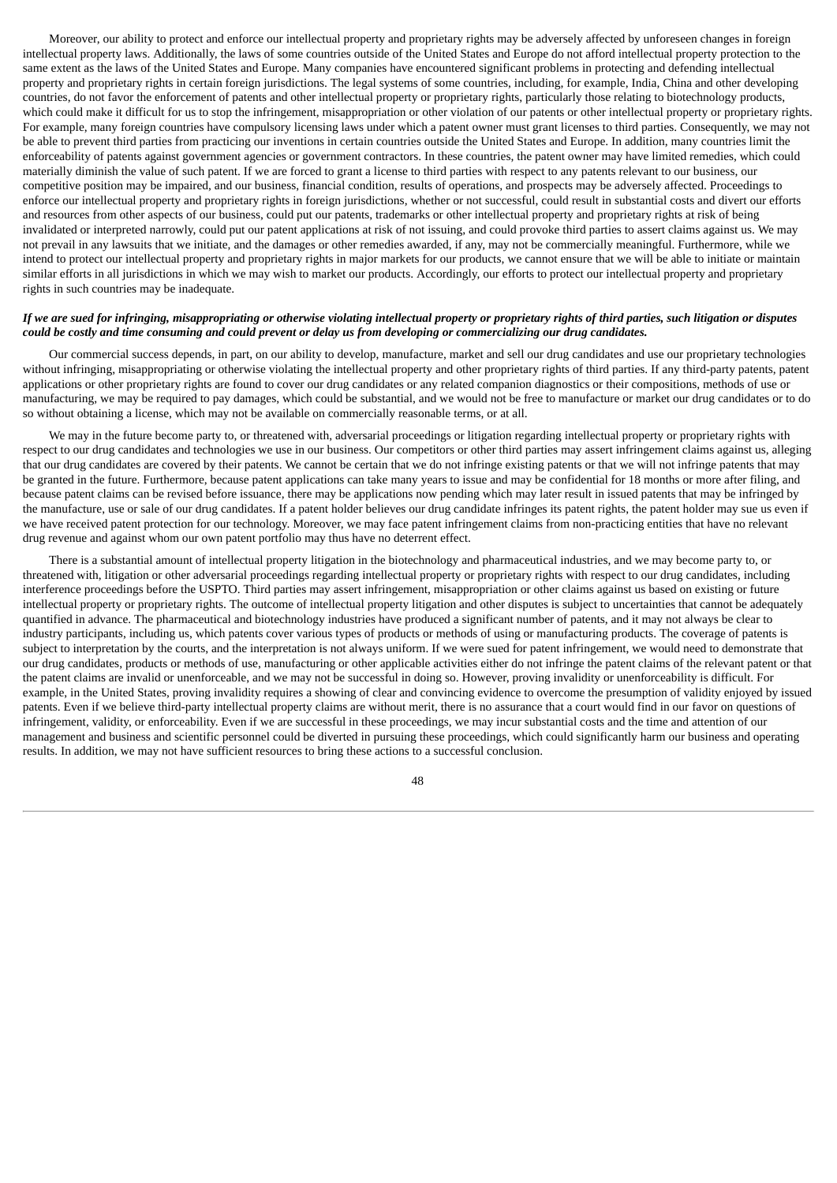Moreover, our ability to protect and enforce our intellectual property and proprietary rights may be adversely affected by unforeseen changes in foreign intellectual property laws. Additionally, the laws of some countries outside of the United States and Europe do not afford intellectual property protection to the same extent as the laws of the United States and Europe. Many companies have encountered significant problems in protecting and defending intellectual property and proprietary rights in certain foreign jurisdictions. The legal systems of some countries, including, for example, India, China and other developing countries, do not favor the enforcement of patents and other intellectual property or proprietary rights, particularly those relating to biotechnology products, which could make it difficult for us to stop the infringement, misappropriation or other violation of our patents or other intellectual property or proprietary rights. For example, many foreign countries have compulsory licensing laws under which a patent owner must grant licenses to third parties. Consequently, we may not be able to prevent third parties from practicing our inventions in certain countries outside the United States and Europe. In addition, many countries limit the enforceability of patents against government agencies or government contractors. In these countries, the patent owner may have limited remedies, which could materially diminish the value of such patent. If we are forced to grant a license to third parties with respect to any patents relevant to our business, our competitive position may be impaired, and our business, financial condition, results of operations, and prospects may be adversely affected. Proceedings to enforce our intellectual property and proprietary rights in foreign jurisdictions, whether or not successful, could result in substantial costs and divert our efforts and resources from other aspects of our business, could put our patents, trademarks or other intellectual property and proprietary rights at risk of being invalidated or interpreted narrowly, could put our patent applications at risk of not issuing, and could provoke third parties to assert claims against us. We may not prevail in any lawsuits that we initiate, and the damages or other remedies awarded, if any, may not be commercially meaningful. Furthermore, while we intend to protect our intellectual property and proprietary rights in major markets for our products, we cannot ensure that we will be able to initiate or maintain similar efforts in all jurisdictions in which we may wish to market our products. Accordingly, our efforts to protect our intellectual property and proprietary rights in such countries may be inadequate.

## If we are sued for infringing, misappropriating or otherwise violating intellectual property or proprietary rights of third parties, such litigation or disputes could be costly and time consuming and could prevent or delay us from developing or commercializing our drug candidates.

Our commercial success depends, in part, on our ability to develop, manufacture, market and sell our drug candidates and use our proprietary technologies without infringing, misappropriating or otherwise violating the intellectual property and other proprietary rights of third parties. If any third-party patents, patent applications or other proprietary rights are found to cover our drug candidates or any related companion diagnostics or their compositions, methods of use or manufacturing, we may be required to pay damages, which could be substantial, and we would not be free to manufacture or market our drug candidates or to do so without obtaining a license, which may not be available on commercially reasonable terms, or at all.

We may in the future become party to, or threatened with, adversarial proceedings or litigation regarding intellectual property or proprietary rights with respect to our drug candidates and technologies we use in our business. Our competitors or other third parties may assert infringement claims against us, alleging that our drug candidates are covered by their patents. We cannot be certain that we do not infringe existing patents or that we will not infringe patents that may be granted in the future. Furthermore, because patent applications can take many years to issue and may be confidential for 18 months or more after filing, and because patent claims can be revised before issuance, there may be applications now pending which may later result in issued patents that may be infringed by the manufacture, use or sale of our drug candidates. If a patent holder believes our drug candidate infringes its patent rights, the patent holder may sue us even if we have received patent protection for our technology. Moreover, we may face patent infringement claims from non-practicing entities that have no relevant drug revenue and against whom our own patent portfolio may thus have no deterrent effect.

There is a substantial amount of intellectual property litigation in the biotechnology and pharmaceutical industries, and we may become party to, or threatened with, litigation or other adversarial proceedings regarding intellectual property or proprietary rights with respect to our drug candidates, including interference proceedings before the USPTO. Third parties may assert infringement, misappropriation or other claims against us based on existing or future intellectual property or proprietary rights. The outcome of intellectual property litigation and other disputes is subject to uncertainties that cannot be adequately quantified in advance. The pharmaceutical and biotechnology industries have produced a significant number of patents, and it may not always be clear to industry participants, including us, which patents cover various types of products or methods of using or manufacturing products. The coverage of patents is subject to interpretation by the courts, and the interpretation is not always uniform. If we were sued for patent infringement, we would need to demonstrate that our drug candidates, products or methods of use, manufacturing or other applicable activities either do not infringe the patent claims of the relevant patent or that the patent claims are invalid or unenforceable, and we may not be successful in doing so. However, proving invalidity or unenforceability is difficult. For example, in the United States, proving invalidity requires a showing of clear and convincing evidence to overcome the presumption of validity enjoyed by issued patents. Even if we believe third-party intellectual property claims are without merit, there is no assurance that a court would find in our favor on questions of infringement, validity, or enforceability. Even if we are successful in these proceedings, we may incur substantial costs and the time and attention of our management and business and scientific personnel could be diverted in pursuing these proceedings, which could significantly harm our business and operating results. In addition, we may not have sufficient resources to bring these actions to a successful conclusion.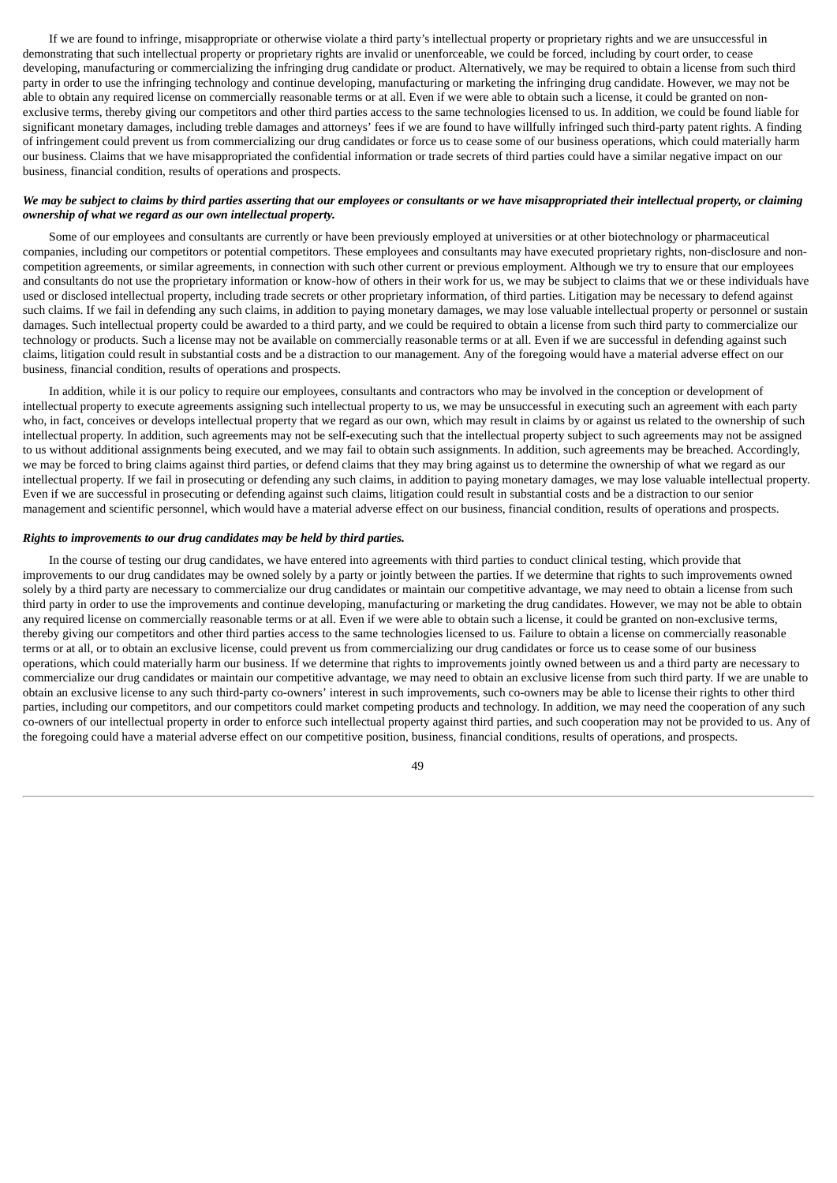If we are found to infringe, misappropriate or otherwise violate a third party's intellectual property or proprietary rights and we are unsuccessful in demonstrating that such intellectual property or proprietary rights are invalid or unenforceable, we could be forced, including by court order, to cease developing, manufacturing or commercializing the infringing drug candidate or product. Alternatively, we may be required to obtain a license from such third party in order to use the infringing technology and continue developing, manufacturing or marketing the infringing drug candidate. However, we may not be able to obtain any required license on commercially reasonable terms or at all. Even if we were able to obtain such a license, it could be granted on nonexclusive terms, thereby giving our competitors and other third parties access to the same technologies licensed to us. In addition, we could be found liable for significant monetary damages, including treble damages and attorneys' fees if we are found to have willfully infringed such third-party patent rights. A finding of infringement could prevent us from commercializing our drug candidates or force us to cease some of our business operations, which could materially harm our business. Claims that we have misappropriated the confidential information or trade secrets of third parties could have a similar negative impact on our business, financial condition, results of operations and prospects.

## We may be subject to claims by third parties asserting that our employees or consultants or we have misappropriated their intellectual property, or claiming *ownership of what we regard as our own intellectual property.*

Some of our employees and consultants are currently or have been previously employed at universities or at other biotechnology or pharmaceutical companies, including our competitors or potential competitors. These employees and consultants may have executed proprietary rights, non-disclosure and noncompetition agreements, or similar agreements, in connection with such other current or previous employment. Although we try to ensure that our employees and consultants do not use the proprietary information or know-how of others in their work for us, we may be subject to claims that we or these individuals have used or disclosed intellectual property, including trade secrets or other proprietary information, of third parties. Litigation may be necessary to defend against such claims. If we fail in defending any such claims, in addition to paying monetary damages, we may lose valuable intellectual property or personnel or sustain damages. Such intellectual property could be awarded to a third party, and we could be required to obtain a license from such third party to commercialize our technology or products. Such a license may not be available on commercially reasonable terms or at all. Even if we are successful in defending against such claims, litigation could result in substantial costs and be a distraction to our management. Any of the foregoing would have a material adverse effect on our business, financial condition, results of operations and prospects.

In addition, while it is our policy to require our employees, consultants and contractors who may be involved in the conception or development of intellectual property to execute agreements assigning such intellectual property to us, we may be unsuccessful in executing such an agreement with each party who, in fact, conceives or develops intellectual property that we regard as our own, which may result in claims by or against us related to the ownership of such intellectual property. In addition, such agreements may not be self-executing such that the intellectual property subject to such agreements may not be assigned to us without additional assignments being executed, and we may fail to obtain such assignments. In addition, such agreements may be breached. Accordingly, we may be forced to bring claims against third parties, or defend claims that they may bring against us to determine the ownership of what we regard as our intellectual property. If we fail in prosecuting or defending any such claims, in addition to paying monetary damages, we may lose valuable intellectual property. Even if we are successful in prosecuting or defending against such claims, litigation could result in substantial costs and be a distraction to our senior management and scientific personnel, which would have a material adverse effect on our business, financial condition, results of operations and prospects.

#### *Rights to improvements to our drug candidates may be held by third parties.*

In the course of testing our drug candidates, we have entered into agreements with third parties to conduct clinical testing, which provide that improvements to our drug candidates may be owned solely by a party or jointly between the parties. If we determine that rights to such improvements owned solely by a third party are necessary to commercialize our drug candidates or maintain our competitive advantage, we may need to obtain a license from such third party in order to use the improvements and continue developing, manufacturing or marketing the drug candidates. However, we may not be able to obtain any required license on commercially reasonable terms or at all. Even if we were able to obtain such a license, it could be granted on non-exclusive terms, thereby giving our competitors and other third parties access to the same technologies licensed to us. Failure to obtain a license on commercially reasonable terms or at all, or to obtain an exclusive license, could prevent us from commercializing our drug candidates or force us to cease some of our business operations, which could materially harm our business. If we determine that rights to improvements jointly owned between us and a third party are necessary to commercialize our drug candidates or maintain our competitive advantage, we may need to obtain an exclusive license from such third party. If we are unable to obtain an exclusive license to any such third-party co-owners' interest in such improvements, such co-owners may be able to license their rights to other third parties, including our competitors, and our competitors could market competing products and technology. In addition, we may need the cooperation of any such co-owners of our intellectual property in order to enforce such intellectual property against third parties, and such cooperation may not be provided to us. Any of the foregoing could have a material adverse effect on our competitive position, business, financial conditions, results of operations, and prospects.

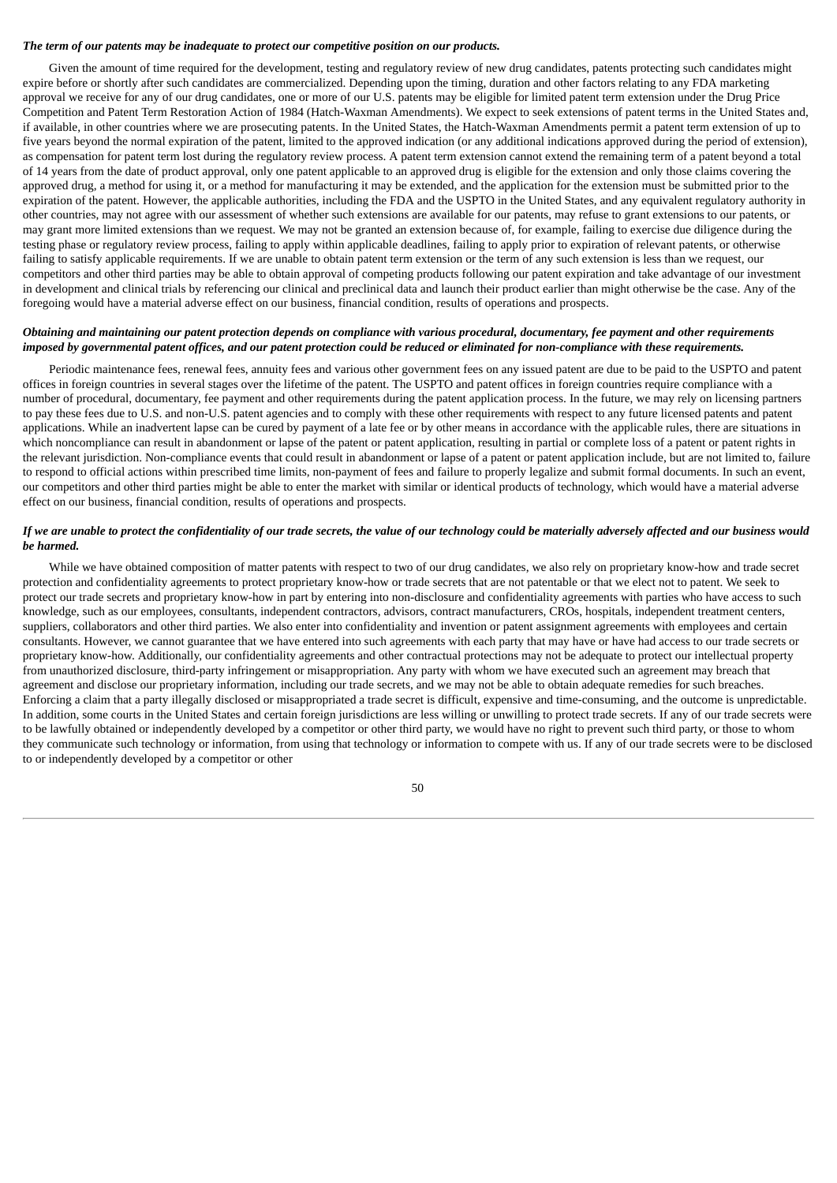#### *The term of our patents may be inadequate to protect our competitive position on our products.*

Given the amount of time required for the development, testing and regulatory review of new drug candidates, patents protecting such candidates might expire before or shortly after such candidates are commercialized. Depending upon the timing, duration and other factors relating to any FDA marketing approval we receive for any of our drug candidates, one or more of our U.S. patents may be eligible for limited patent term extension under the Drug Price Competition and Patent Term Restoration Action of 1984 (Hatch-Waxman Amendments). We expect to seek extensions of patent terms in the United States and, if available, in other countries where we are prosecuting patents. In the United States, the Hatch-Waxman Amendments permit a patent term extension of up to five years beyond the normal expiration of the patent, limited to the approved indication (or any additional indications approved during the period of extension), as compensation for patent term lost during the regulatory review process. A patent term extension cannot extend the remaining term of a patent beyond a total of 14 years from the date of product approval, only one patent applicable to an approved drug is eligible for the extension and only those claims covering the approved drug, a method for using it, or a method for manufacturing it may be extended, and the application for the extension must be submitted prior to the expiration of the patent. However, the applicable authorities, including the FDA and the USPTO in the United States, and any equivalent regulatory authority in other countries, may not agree with our assessment of whether such extensions are available for our patents, may refuse to grant extensions to our patents, or may grant more limited extensions than we request. We may not be granted an extension because of, for example, failing to exercise due diligence during the testing phase or regulatory review process, failing to apply within applicable deadlines, failing to apply prior to expiration of relevant patents, or otherwise failing to satisfy applicable requirements. If we are unable to obtain patent term extension or the term of any such extension is less than we request, our competitors and other third parties may be able to obtain approval of competing products following our patent expiration and take advantage of our investment in development and clinical trials by referencing our clinical and preclinical data and launch their product earlier than might otherwise be the case. Any of the foregoing would have a material adverse effect on our business, financial condition, results of operations and prospects.

#### Obtaining and maintaining our patent protection depends on compliance with various procedural, documentary, fee payment and other requirements imposed by governmental patent offices, and our patent protection could be reduced or eliminated for non-compliance with these requirements.

Periodic maintenance fees, renewal fees, annuity fees and various other government fees on any issued patent are due to be paid to the USPTO and patent offices in foreign countries in several stages over the lifetime of the patent. The USPTO and patent offices in foreign countries require compliance with a number of procedural, documentary, fee payment and other requirements during the patent application process. In the future, we may rely on licensing partners to pay these fees due to U.S. and non-U.S. patent agencies and to comply with these other requirements with respect to any future licensed patents and patent applications. While an inadvertent lapse can be cured by payment of a late fee or by other means in accordance with the applicable rules, there are situations in which noncompliance can result in abandonment or lapse of the patent or patent application, resulting in partial or complete loss of a patent or patent rights in the relevant jurisdiction. Non-compliance events that could result in abandonment or lapse of a patent or patent application include, but are not limited to, failure to respond to official actions within prescribed time limits, non-payment of fees and failure to properly legalize and submit formal documents. In such an event, our competitors and other third parties might be able to enter the market with similar or identical products of technology, which would have a material adverse effect on our business, financial condition, results of operations and prospects.

## If we are unable to protect the confidentiality of our trade secrets, the value of our technology could be materially adversely affected and our business would *be harmed.*

While we have obtained composition of matter patents with respect to two of our drug candidates, we also rely on proprietary know-how and trade secret protection and confidentiality agreements to protect proprietary know-how or trade secrets that are not patentable or that we elect not to patent. We seek to protect our trade secrets and proprietary know-how in part by entering into non-disclosure and confidentiality agreements with parties who have access to such knowledge, such as our employees, consultants, independent contractors, advisors, contract manufacturers, CROs, hospitals, independent treatment centers, suppliers, collaborators and other third parties. We also enter into confidentiality and invention or patent assignment agreements with employees and certain consultants. However, we cannot guarantee that we have entered into such agreements with each party that may have or have had access to our trade secrets or proprietary know-how. Additionally, our confidentiality agreements and other contractual protections may not be adequate to protect our intellectual property from unauthorized disclosure, third-party infringement or misappropriation. Any party with whom we have executed such an agreement may breach that agreement and disclose our proprietary information, including our trade secrets, and we may not be able to obtain adequate remedies for such breaches. Enforcing a claim that a party illegally disclosed or misappropriated a trade secret is difficult, expensive and time-consuming, and the outcome is unpredictable. In addition, some courts in the United States and certain foreign jurisdictions are less willing or unwilling to protect trade secrets. If any of our trade secrets were to be lawfully obtained or independently developed by a competitor or other third party, we would have no right to prevent such third party, or those to whom they communicate such technology or information, from using that technology or information to compete with us. If any of our trade secrets were to be disclosed to or independently developed by a competitor or other

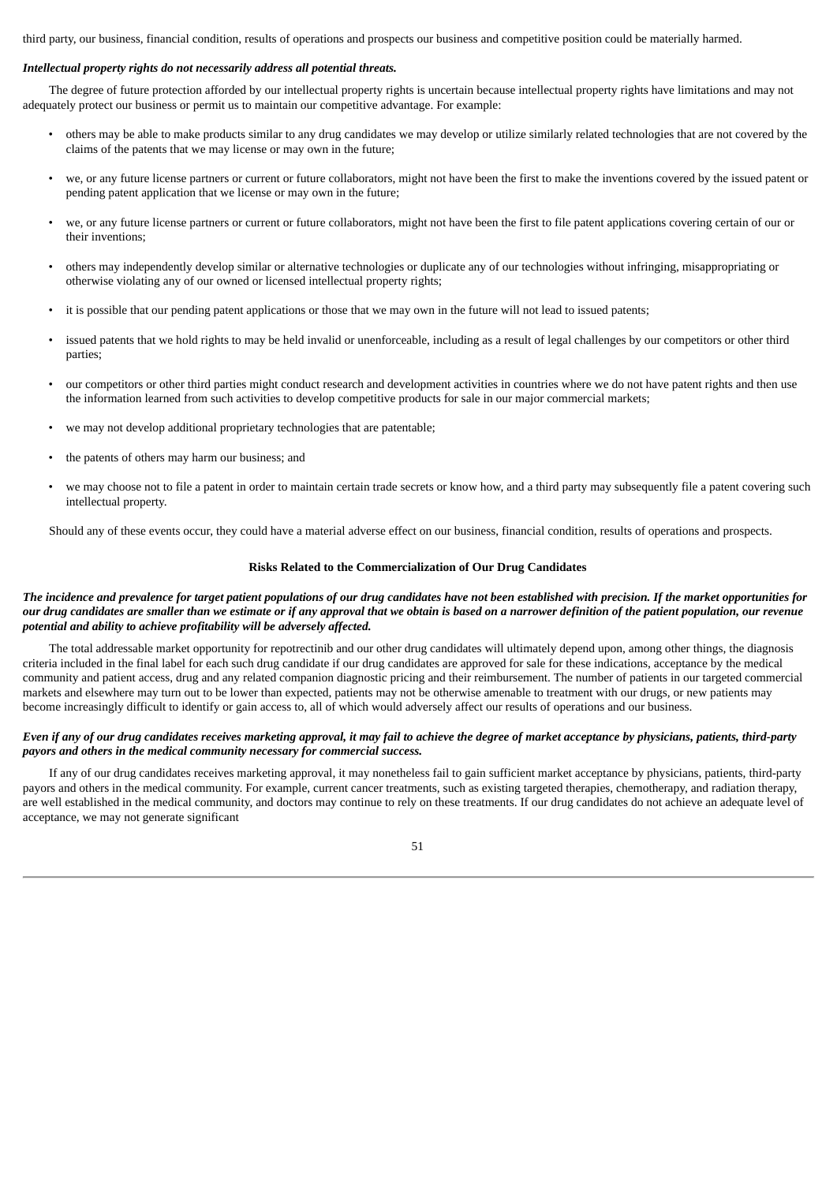third party, our business, financial condition, results of operations and prospects our business and competitive position could be materially harmed.

# *Intellectual property rights do not necessarily address all potential threats.*

The degree of future protection afforded by our intellectual property rights is uncertain because intellectual property rights have limitations and may not adequately protect our business or permit us to maintain our competitive advantage. For example:

- others may be able to make products similar to any drug candidates we may develop or utilize similarly related technologies that are not covered by the claims of the patents that we may license or may own in the future;
- we, or any future license partners or current or future collaborators, might not have been the first to make the inventions covered by the issued patent or pending patent application that we license or may own in the future;
- we, or any future license partners or current or future collaborators, might not have been the first to file patent applications covering certain of our or their inventions;
- others may independently develop similar or alternative technologies or duplicate any of our technologies without infringing, misappropriating or otherwise violating any of our owned or licensed intellectual property rights;
- it is possible that our pending patent applications or those that we may own in the future will not lead to issued patents;
- issued patents that we hold rights to may be held invalid or unenforceable, including as a result of legal challenges by our competitors or other third parties;
- our competitors or other third parties might conduct research and development activities in countries where we do not have patent rights and then use the information learned from such activities to develop competitive products for sale in our major commercial markets;
- we may not develop additional proprietary technologies that are patentable;
- the patents of others may harm our business; and
- we may choose not to file a patent in order to maintain certain trade secrets or know how, and a third party may subsequently file a patent covering such intellectual property.

Should any of these events occur, they could have a material adverse effect on our business, financial condition, results of operations and prospects.

#### **Risks Related to the Commercialization of Our Drug Candidates**

# The incidence and prevalence for target patient populations of our drug candidates have not been established with precision. If the market opportunities for our drug candidates are smaller than we estimate or if any approval that we obtain is based on a narrower definition of the patient population, our revenue *potential and ability to achieve profitability will be adversely affected.*

The total addressable market opportunity for repotrectinib and our other drug candidates will ultimately depend upon, among other things, the diagnosis criteria included in the final label for each such drug candidate if our drug candidates are approved for sale for these indications, acceptance by the medical community and patient access, drug and any related companion diagnostic pricing and their reimbursement. The number of patients in our targeted commercial markets and elsewhere may turn out to be lower than expected, patients may not be otherwise amenable to treatment with our drugs, or new patients may become increasingly difficult to identify or gain access to, all of which would adversely affect our results of operations and our business.

## Even if any of our drug candidates receives marketing approval, it may fail to achieve the degree of market acceptance by physicians, patients, third-party *payors and others in the medical community necessary for commercial success.*

If any of our drug candidates receives marketing approval, it may nonetheless fail to gain sufficient market acceptance by physicians, patients, third-party payors and others in the medical community. For example, current cancer treatments, such as existing targeted therapies, chemotherapy, and radiation therapy, are well established in the medical community, and doctors may continue to rely on these treatments. If our drug candidates do not achieve an adequate level of acceptance, we may not generate significant

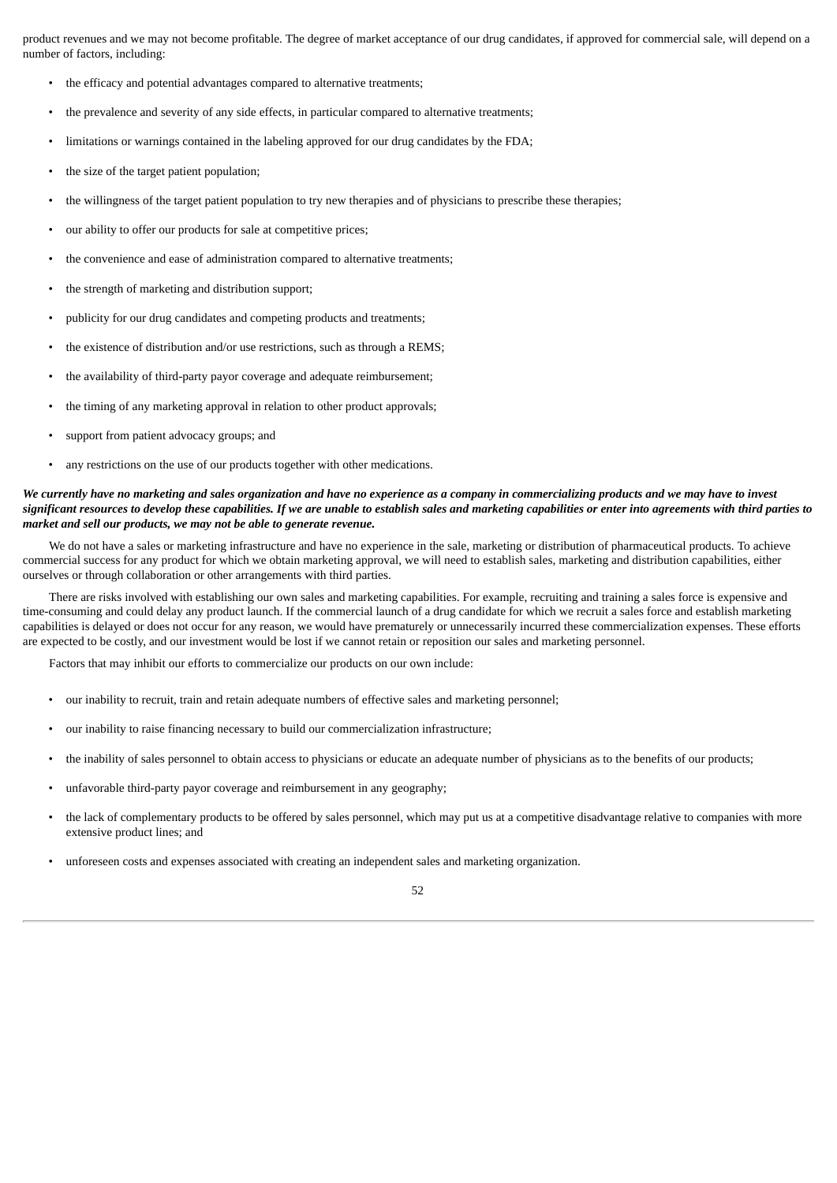product revenues and we may not become profitable. The degree of market acceptance of our drug candidates, if approved for commercial sale, will depend on a number of factors, including:

- the efficacy and potential advantages compared to alternative treatments;
- the prevalence and severity of any side effects, in particular compared to alternative treatments;
- limitations or warnings contained in the labeling approved for our drug candidates by the FDA;
- the size of the target patient population;
- the willingness of the target patient population to try new therapies and of physicians to prescribe these therapies;
- our ability to offer our products for sale at competitive prices;
- the convenience and ease of administration compared to alternative treatments;
- the strength of marketing and distribution support;
- publicity for our drug candidates and competing products and treatments;
- the existence of distribution and/or use restrictions, such as through a REMS;
- the availability of third-party payor coverage and adequate reimbursement;
- the timing of any marketing approval in relation to other product approvals;
- support from patient advocacy groups; and
- any restrictions on the use of our products together with other medications.

# We currently have no marketing and sales organization and have no experience as a company in commercializing products and we may have to invest significant resources to develop these capabilities. If we are unable to establish sales and marketing capabilities or enter into agreements with third parties to *market and sell our products, we may not be able to generate revenue.*

We do not have a sales or marketing infrastructure and have no experience in the sale, marketing or distribution of pharmaceutical products. To achieve commercial success for any product for which we obtain marketing approval, we will need to establish sales, marketing and distribution capabilities, either ourselves or through collaboration or other arrangements with third parties.

There are risks involved with establishing our own sales and marketing capabilities. For example, recruiting and training a sales force is expensive and time-consuming and could delay any product launch. If the commercial launch of a drug candidate for which we recruit a sales force and establish marketing capabilities is delayed or does not occur for any reason, we would have prematurely or unnecessarily incurred these commercialization expenses. These efforts are expected to be costly, and our investment would be lost if we cannot retain or reposition our sales and marketing personnel.

Factors that may inhibit our efforts to commercialize our products on our own include:

- our inability to recruit, train and retain adequate numbers of effective sales and marketing personnel;
- our inability to raise financing necessary to build our commercialization infrastructure;
- the inability of sales personnel to obtain access to physicians or educate an adequate number of physicians as to the benefits of our products;
- unfavorable third-party payor coverage and reimbursement in any geography;
- the lack of complementary products to be offered by sales personnel, which may put us at a competitive disadvantage relative to companies with more extensive product lines; and
- unforeseen costs and expenses associated with creating an independent sales and marketing organization.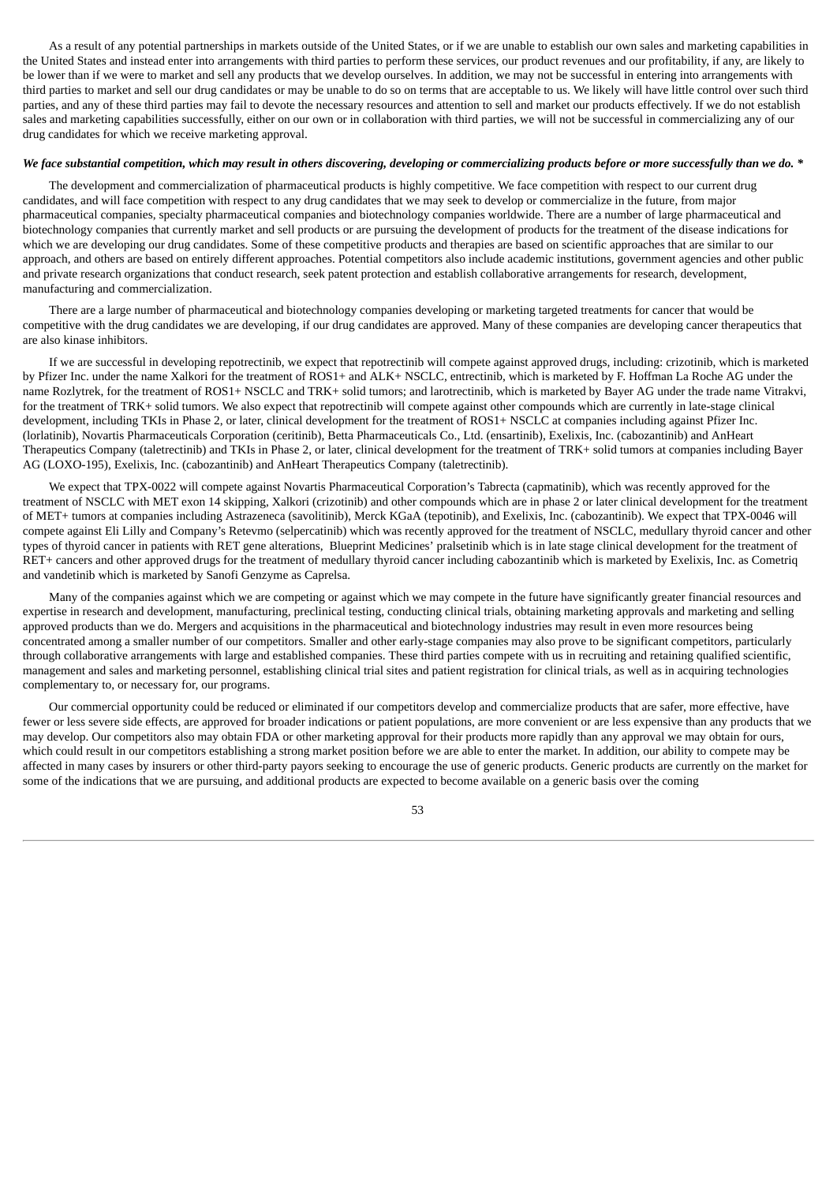As a result of any potential partnerships in markets outside of the United States, or if we are unable to establish our own sales and marketing capabilities in the United States and instead enter into arrangements with third parties to perform these services, our product revenues and our profitability, if any, are likely to be lower than if we were to market and sell any products that we develop ourselves. In addition, we may not be successful in entering into arrangements with third parties to market and sell our drug candidates or may be unable to do so on terms that are acceptable to us. We likely will have little control over such third parties, and any of these third parties may fail to devote the necessary resources and attention to sell and market our products effectively. If we do not establish sales and marketing capabilities successfully, either on our own or in collaboration with third parties, we will not be successful in commercializing any of our drug candidates for which we receive marketing approval.

#### We face substantial competition, which may result in others discovering, developing or commercializing products before or more successfully than we do. \*

The development and commercialization of pharmaceutical products is highly competitive. We face competition with respect to our current drug candidates, and will face competition with respect to any drug candidates that we may seek to develop or commercialize in the future, from major pharmaceutical companies, specialty pharmaceutical companies and biotechnology companies worldwide. There are a number of large pharmaceutical and biotechnology companies that currently market and sell products or are pursuing the development of products for the treatment of the disease indications for which we are developing our drug candidates. Some of these competitive products and therapies are based on scientific approaches that are similar to our approach, and others are based on entirely different approaches. Potential competitors also include academic institutions, government agencies and other public and private research organizations that conduct research, seek patent protection and establish collaborative arrangements for research, development, manufacturing and commercialization.

There are a large number of pharmaceutical and biotechnology companies developing or marketing targeted treatments for cancer that would be competitive with the drug candidates we are developing, if our drug candidates are approved. Many of these companies are developing cancer therapeutics that are also kinase inhibitors.

If we are successful in developing repotrectinib, we expect that repotrectinib will compete against approved drugs, including: crizotinib, which is marketed by Pfizer Inc. under the name Xalkori for the treatment of ROS1+ and ALK+ NSCLC, entrectinib, which is marketed by F. Hoffman La Roche AG under the name Rozlytrek, for the treatment of ROS1+ NSCLC and TRK+ solid tumors; and larotrectinib, which is marketed by Bayer AG under the trade name Vitrakvi, for the treatment of TRK+ solid tumors. We also expect that repotrectinib will compete against other compounds which are currently in late-stage clinical development, including TKIs in Phase 2, or later, clinical development for the treatment of ROS1+ NSCLC at companies including against Pfizer Inc. (lorlatinib), Novartis Pharmaceuticals Corporation (ceritinib), Betta Pharmaceuticals Co., Ltd. (ensartinib), Exelixis, Inc. (cabozantinib) and AnHeart Therapeutics Company (taletrectinib) and TKIs in Phase 2, or later, clinical development for the treatment of TRK+ solid tumors at companies including Bayer AG (LOXO-195), Exelixis, Inc. (cabozantinib) and AnHeart Therapeutics Company (taletrectinib).

We expect that TPX-0022 will compete against Novartis Pharmaceutical Corporation's Tabrecta (capmatinib), which was recently approved for the treatment of NSCLC with MET exon 14 skipping, Xalkori (crizotinib) and other compounds which are in phase 2 or later clinical development for the treatment of MET+ tumors at companies including Astrazeneca (savolitinib), Merck KGaA (tepotinib), and Exelixis, Inc. (cabozantinib). We expect that TPX-0046 will compete against Eli Lilly and Company's Retevmo (selpercatinib) which was recently approved for the treatment of NSCLC, medullary thyroid cancer and other types of thyroid cancer in patients with RET gene alterations, Blueprint Medicines' pralsetinib which is in late stage clinical development for the treatment of RET+ cancers and other approved drugs for the treatment of medullary thyroid cancer including cabozantinib which is marketed by Exelixis, Inc. as Cometriq and vandetinib which is marketed by Sanofi Genzyme as Caprelsa.

Many of the companies against which we are competing or against which we may compete in the future have significantly greater financial resources and expertise in research and development, manufacturing, preclinical testing, conducting clinical trials, obtaining marketing approvals and marketing and selling approved products than we do. Mergers and acquisitions in the pharmaceutical and biotechnology industries may result in even more resources being concentrated among a smaller number of our competitors. Smaller and other early-stage companies may also prove to be significant competitors, particularly through collaborative arrangements with large and established companies. These third parties compete with us in recruiting and retaining qualified scientific, management and sales and marketing personnel, establishing clinical trial sites and patient registration for clinical trials, as well as in acquiring technologies complementary to, or necessary for, our programs.

Our commercial opportunity could be reduced or eliminated if our competitors develop and commercialize products that are safer, more effective, have fewer or less severe side effects, are approved for broader indications or patient populations, are more convenient or are less expensive than any products that we may develop. Our competitors also may obtain FDA or other marketing approval for their products more rapidly than any approval we may obtain for ours, which could result in our competitors establishing a strong market position before we are able to enter the market. In addition, our ability to compete may be affected in many cases by insurers or other third-party payors seeking to encourage the use of generic products. Generic products are currently on the market for some of the indications that we are pursuing, and additional products are expected to become available on a generic basis over the coming

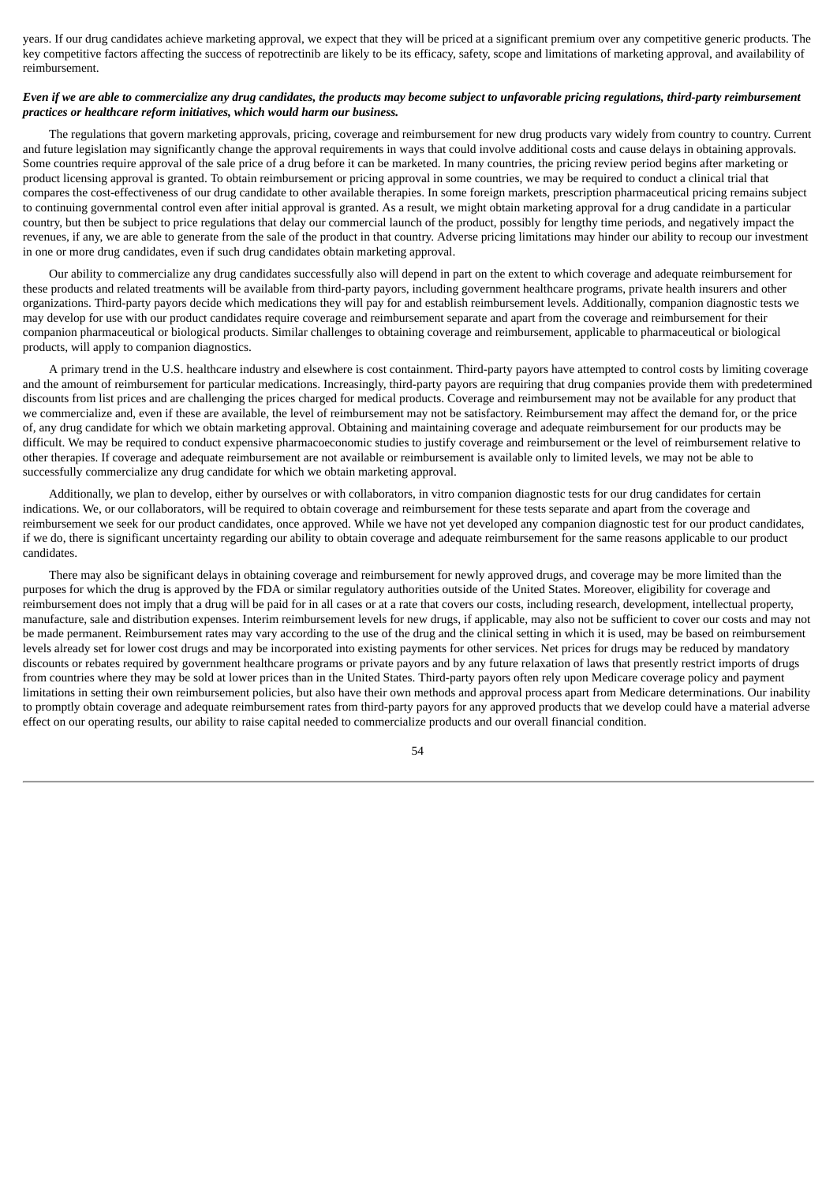years. If our drug candidates achieve marketing approval, we expect that they will be priced at a significant premium over any competitive generic products. The key competitive factors affecting the success of repotrectinib are likely to be its efficacy, safety, scope and limitations of marketing approval, and availability of reimbursement.

## Even if we are able to commercialize any drug candidates, the products may become subject to unfavorable pricing regulations, third-party reimbursement *practices or healthcare reform initiatives, which would harm our business.*

The regulations that govern marketing approvals, pricing, coverage and reimbursement for new drug products vary widely from country to country. Current and future legislation may significantly change the approval requirements in ways that could involve additional costs and cause delays in obtaining approvals. Some countries require approval of the sale price of a drug before it can be marketed. In many countries, the pricing review period begins after marketing or product licensing approval is granted. To obtain reimbursement or pricing approval in some countries, we may be required to conduct a clinical trial that compares the cost-effectiveness of our drug candidate to other available therapies. In some foreign markets, prescription pharmaceutical pricing remains subject to continuing governmental control even after initial approval is granted. As a result, we might obtain marketing approval for a drug candidate in a particular country, but then be subject to price regulations that delay our commercial launch of the product, possibly for lengthy time periods, and negatively impact the revenues, if any, we are able to generate from the sale of the product in that country. Adverse pricing limitations may hinder our ability to recoup our investment in one or more drug candidates, even if such drug candidates obtain marketing approval.

Our ability to commercialize any drug candidates successfully also will depend in part on the extent to which coverage and adequate reimbursement for these products and related treatments will be available from third-party payors, including government healthcare programs, private health insurers and other organizations. Third-party payors decide which medications they will pay for and establish reimbursement levels. Additionally, companion diagnostic tests we may develop for use with our product candidates require coverage and reimbursement separate and apart from the coverage and reimbursement for their companion pharmaceutical or biological products. Similar challenges to obtaining coverage and reimbursement, applicable to pharmaceutical or biological products, will apply to companion diagnostics.

A primary trend in the U.S. healthcare industry and elsewhere is cost containment. Third-party payors have attempted to control costs by limiting coverage and the amount of reimbursement for particular medications. Increasingly, third-party payors are requiring that drug companies provide them with predetermined discounts from list prices and are challenging the prices charged for medical products. Coverage and reimbursement may not be available for any product that we commercialize and, even if these are available, the level of reimbursement may not be satisfactory. Reimbursement may affect the demand for, or the price of, any drug candidate for which we obtain marketing approval. Obtaining and maintaining coverage and adequate reimbursement for our products may be difficult. We may be required to conduct expensive pharmacoeconomic studies to justify coverage and reimbursement or the level of reimbursement relative to other therapies. If coverage and adequate reimbursement are not available or reimbursement is available only to limited levels, we may not be able to successfully commercialize any drug candidate for which we obtain marketing approval.

Additionally, we plan to develop, either by ourselves or with collaborators, in vitro companion diagnostic tests for our drug candidates for certain indications. We, or our collaborators, will be required to obtain coverage and reimbursement for these tests separate and apart from the coverage and reimbursement we seek for our product candidates, once approved. While we have not yet developed any companion diagnostic test for our product candidates, if we do, there is significant uncertainty regarding our ability to obtain coverage and adequate reimbursement for the same reasons applicable to our product candidates.

There may also be significant delays in obtaining coverage and reimbursement for newly approved drugs, and coverage may be more limited than the purposes for which the drug is approved by the FDA or similar regulatory authorities outside of the United States. Moreover, eligibility for coverage and reimbursement does not imply that a drug will be paid for in all cases or at a rate that covers our costs, including research, development, intellectual property, manufacture, sale and distribution expenses. Interim reimbursement levels for new drugs, if applicable, may also not be sufficient to cover our costs and may not be made permanent. Reimbursement rates may vary according to the use of the drug and the clinical setting in which it is used, may be based on reimbursement levels already set for lower cost drugs and may be incorporated into existing payments for other services. Net prices for drugs may be reduced by mandatory discounts or rebates required by government healthcare programs or private payors and by any future relaxation of laws that presently restrict imports of drugs from countries where they may be sold at lower prices than in the United States. Third-party payors often rely upon Medicare coverage policy and payment limitations in setting their own reimbursement policies, but also have their own methods and approval process apart from Medicare determinations. Our inability to promptly obtain coverage and adequate reimbursement rates from third-party payors for any approved products that we develop could have a material adverse effect on our operating results, our ability to raise capital needed to commercialize products and our overall financial condition.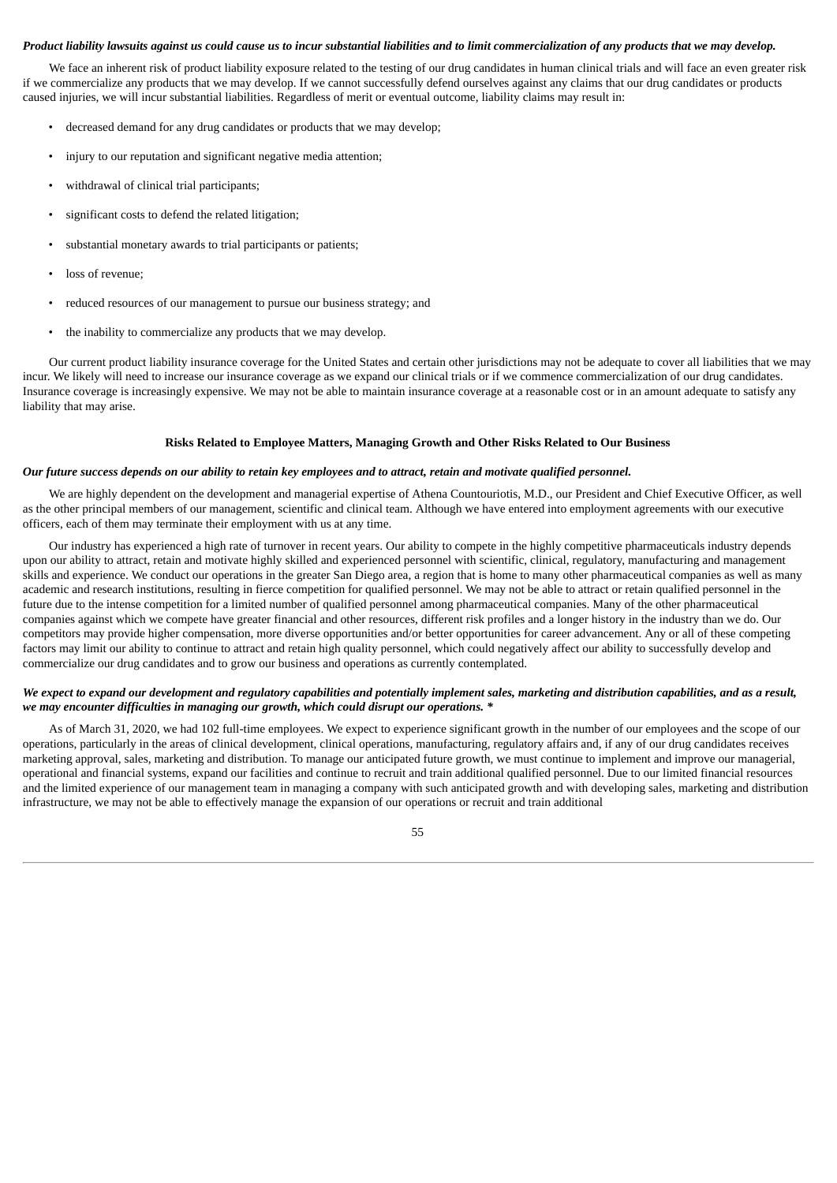#### Product liability lawsuits against us could cause us to incur substantial liabilities and to limit commercialization of any products that we may develop.

We face an inherent risk of product liability exposure related to the testing of our drug candidates in human clinical trials and will face an even greater risk if we commercialize any products that we may develop. If we cannot successfully defend ourselves against any claims that our drug candidates or products caused injuries, we will incur substantial liabilities. Regardless of merit or eventual outcome, liability claims may result in:

- decreased demand for any drug candidates or products that we may develop;
- injury to our reputation and significant negative media attention;
- withdrawal of clinical trial participants;
- significant costs to defend the related litigation;
- substantial monetary awards to trial participants or patients;
- loss of revenue:
- reduced resources of our management to pursue our business strategy; and
- the inability to commercialize any products that we may develop.

Our current product liability insurance coverage for the United States and certain other jurisdictions may not be adequate to cover all liabilities that we may incur. We likely will need to increase our insurance coverage as we expand our clinical trials or if we commence commercialization of our drug candidates. Insurance coverage is increasingly expensive. We may not be able to maintain insurance coverage at a reasonable cost or in an amount adequate to satisfy any liability that may arise.

# **Risks Related to Employee Matters, Managing Growth and Other Risks Related to Our Business**

#### Our future success depends on our ability to retain key employees and to attract, retain and motivate qualified personnel.

We are highly dependent on the development and managerial expertise of Athena Countouriotis, M.D., our President and Chief Executive Officer, as well as the other principal members of our management, scientific and clinical team. Although we have entered into employment agreements with our executive officers, each of them may terminate their employment with us at any time.

Our industry has experienced a high rate of turnover in recent years. Our ability to compete in the highly competitive pharmaceuticals industry depends upon our ability to attract, retain and motivate highly skilled and experienced personnel with scientific, clinical, regulatory, manufacturing and management skills and experience. We conduct our operations in the greater San Diego area, a region that is home to many other pharmaceutical companies as well as many academic and research institutions, resulting in fierce competition for qualified personnel. We may not be able to attract or retain qualified personnel in the future due to the intense competition for a limited number of qualified personnel among pharmaceutical companies. Many of the other pharmaceutical companies against which we compete have greater financial and other resources, different risk profiles and a longer history in the industry than we do. Our competitors may provide higher compensation, more diverse opportunities and/or better opportunities for career advancement. Any or all of these competing factors may limit our ability to continue to attract and retain high quality personnel, which could negatively affect our ability to successfully develop and commercialize our drug candidates and to grow our business and operations as currently contemplated.

# We expect to expand our development and regulatory capabilities and potentially implement sales, marketing and distribution capabilities, and as a result, *we may encounter difficulties in managing our growth, which could disrupt our operations. \**

As of March 31, 2020, we had 102 full-time employees. We expect to experience significant growth in the number of our employees and the scope of our operations, particularly in the areas of clinical development, clinical operations, manufacturing, regulatory affairs and, if any of our drug candidates receives marketing approval, sales, marketing and distribution. To manage our anticipated future growth, we must continue to implement and improve our managerial, operational and financial systems, expand our facilities and continue to recruit and train additional qualified personnel. Due to our limited financial resources and the limited experience of our management team in managing a company with such anticipated growth and with developing sales, marketing and distribution infrastructure, we may not be able to effectively manage the expansion of our operations or recruit and train additional

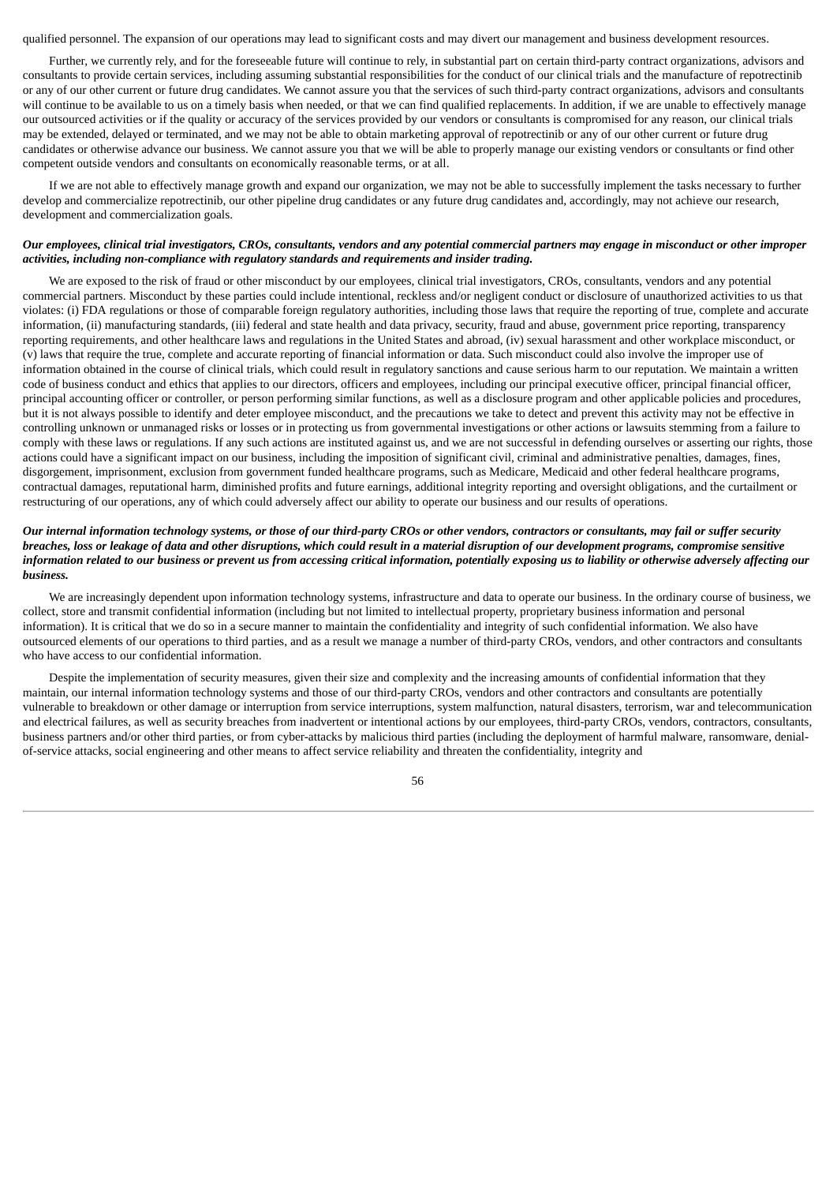qualified personnel. The expansion of our operations may lead to significant costs and may divert our management and business development resources.

Further, we currently rely, and for the foreseeable future will continue to rely, in substantial part on certain third-party contract organizations, advisors and consultants to provide certain services, including assuming substantial responsibilities for the conduct of our clinical trials and the manufacture of repotrectinib or any of our other current or future drug candidates. We cannot assure you that the services of such third-party contract organizations, advisors and consultants will continue to be available to us on a timely basis when needed, or that we can find qualified replacements. In addition, if we are unable to effectively manage our outsourced activities or if the quality or accuracy of the services provided by our vendors or consultants is compromised for any reason, our clinical trials may be extended, delayed or terminated, and we may not be able to obtain marketing approval of repotrectinib or any of our other current or future drug candidates or otherwise advance our business. We cannot assure you that we will be able to properly manage our existing vendors or consultants or find other competent outside vendors and consultants on economically reasonable terms, or at all.

If we are not able to effectively manage growth and expand our organization, we may not be able to successfully implement the tasks necessary to further develop and commercialize repotrectinib, our other pipeline drug candidates or any future drug candidates and, accordingly, may not achieve our research, development and commercialization goals.

# Our employees, clinical trial investigators, CROs, consultants, vendors and any potential commercial partners may engage in misconduct or other improper *activities, including non-compliance with regulatory standards and requirements and insider trading.*

We are exposed to the risk of fraud or other misconduct by our employees, clinical trial investigators, CROs, consultants, vendors and any potential commercial partners. Misconduct by these parties could include intentional, reckless and/or negligent conduct or disclosure of unauthorized activities to us that violates: (i) FDA regulations or those of comparable foreign regulatory authorities, including those laws that require the reporting of true, complete and accurate information, (ii) manufacturing standards, (iii) federal and state health and data privacy, security, fraud and abuse, government price reporting, transparency reporting requirements, and other healthcare laws and regulations in the United States and abroad, (iv) sexual harassment and other workplace misconduct, or (v) laws that require the true, complete and accurate reporting of financial information or data. Such misconduct could also involve the improper use of information obtained in the course of clinical trials, which could result in regulatory sanctions and cause serious harm to our reputation. We maintain a written code of business conduct and ethics that applies to our directors, officers and employees, including our principal executive officer, principal financial officer, principal accounting officer or controller, or person performing similar functions, as well as a disclosure program and other applicable policies and procedures, but it is not always possible to identify and deter employee misconduct, and the precautions we take to detect and prevent this activity may not be effective in controlling unknown or unmanaged risks or losses or in protecting us from governmental investigations or other actions or lawsuits stemming from a failure to comply with these laws or regulations. If any such actions are instituted against us, and we are not successful in defending ourselves or asserting our rights, those actions could have a significant impact on our business, including the imposition of significant civil, criminal and administrative penalties, damages, fines, disgorgement, imprisonment, exclusion from government funded healthcare programs, such as Medicare, Medicaid and other federal healthcare programs, contractual damages, reputational harm, diminished profits and future earnings, additional integrity reporting and oversight obligations, and the curtailment or restructuring of our operations, any of which could adversely affect our ability to operate our business and our results of operations.

# Our internal information technology systems, or those of our third-party CROs or other vendors, contractors or consultants, may fail or suffer security breaches, loss or leakage of data and other disruptions, which could result in a material disruption of our development programs, compromise sensitive information related to our business or prevent us from accessing critical information, potentially exposing us to liability or otherwise adversely affecting our *business.*

We are increasingly dependent upon information technology systems, infrastructure and data to operate our business. In the ordinary course of business, we collect, store and transmit confidential information (including but not limited to intellectual property, proprietary business information and personal information). It is critical that we do so in a secure manner to maintain the confidentiality and integrity of such confidential information. We also have outsourced elements of our operations to third parties, and as a result we manage a number of third-party CROs, vendors, and other contractors and consultants who have access to our confidential information.

Despite the implementation of security measures, given their size and complexity and the increasing amounts of confidential information that they maintain, our internal information technology systems and those of our third-party CROs, vendors and other contractors and consultants are potentially vulnerable to breakdown or other damage or interruption from service interruptions, system malfunction, natural disasters, terrorism, war and telecommunication and electrical failures, as well as security breaches from inadvertent or intentional actions by our employees, third-party CROs, vendors, contractors, consultants, business partners and/or other third parties, or from cyber-attacks by malicious third parties (including the deployment of harmful malware, ransomware, denialof-service attacks, social engineering and other means to affect service reliability and threaten the confidentiality, integrity and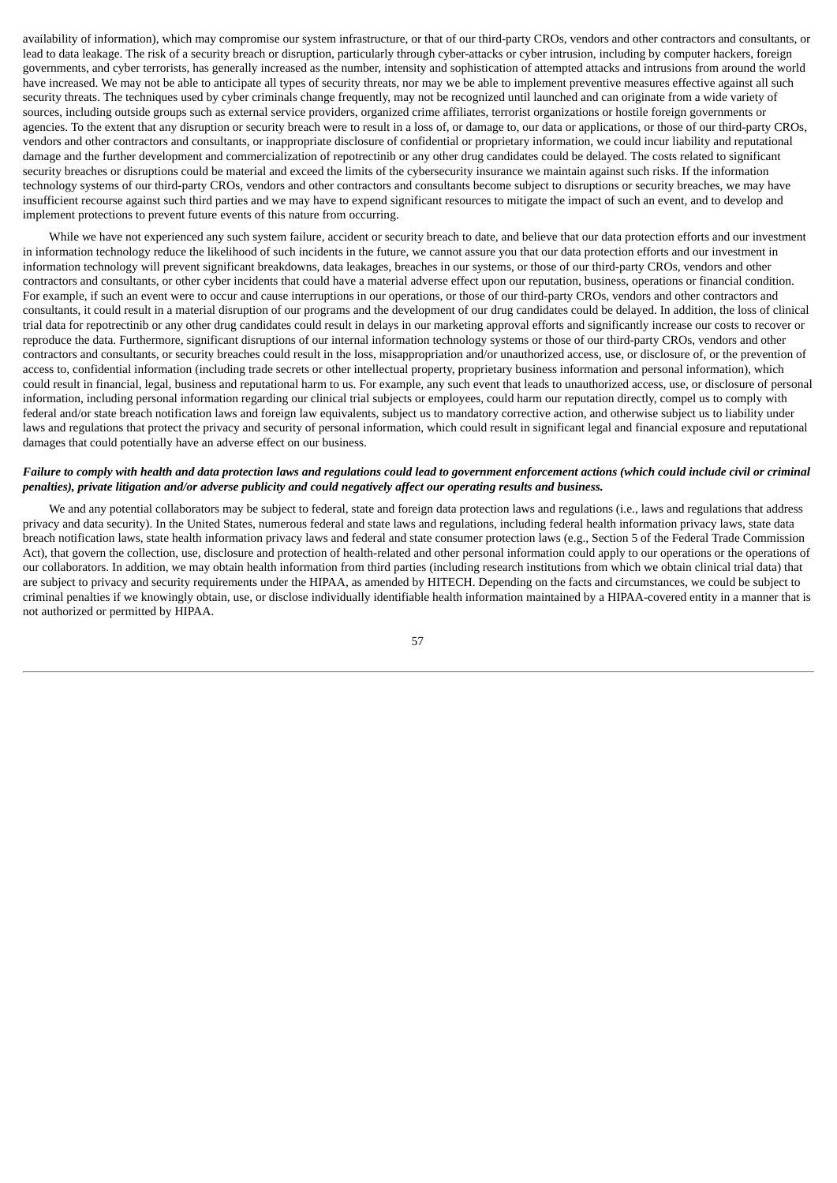availability of information), which may compromise our system infrastructure, or that of our third-party CROs, vendors and other contractors and consultants, or lead to data leakage. The risk of a security breach or disruption, particularly through cyber-attacks or cyber intrusion, including by computer hackers, foreign governments, and cyber terrorists, has generally increased as the number, intensity and sophistication of attempted attacks and intrusions from around the world have increased. We may not be able to anticipate all types of security threats, nor may we be able to implement preventive measures effective against all such security threats. The techniques used by cyber criminals change frequently, may not be recognized until launched and can originate from a wide variety of sources, including outside groups such as external service providers, organized crime affiliates, terrorist organizations or hostile foreign governments or agencies. To the extent that any disruption or security breach were to result in a loss of, or damage to, our data or applications, or those of our third-party CROs, vendors and other contractors and consultants, or inappropriate disclosure of confidential or proprietary information, we could incur liability and reputational damage and the further development and commercialization of repotrectinib or any other drug candidates could be delayed. The costs related to significant security breaches or disruptions could be material and exceed the limits of the cybersecurity insurance we maintain against such risks. If the information technology systems of our third-party CROs, vendors and other contractors and consultants become subject to disruptions or security breaches, we may have insufficient recourse against such third parties and we may have to expend significant resources to mitigate the impact of such an event, and to develop and implement protections to prevent future events of this nature from occurring.

While we have not experienced any such system failure, accident or security breach to date, and believe that our data protection efforts and our investment in information technology reduce the likelihood of such incidents in the future, we cannot assure you that our data protection efforts and our investment in information technology will prevent significant breakdowns, data leakages, breaches in our systems, or those of our third-party CROs, vendors and other contractors and consultants, or other cyber incidents that could have a material adverse effect upon our reputation, business, operations or financial condition. For example, if such an event were to occur and cause interruptions in our operations, or those of our third-party CROs, vendors and other contractors and consultants, it could result in a material disruption of our programs and the development of our drug candidates could be delayed. In addition, the loss of clinical trial data for repotrectinib or any other drug candidates could result in delays in our marketing approval efforts and significantly increase our costs to recover or reproduce the data. Furthermore, significant disruptions of our internal information technology systems or those of our third-party CROs, vendors and other contractors and consultants, or security breaches could result in the loss, misappropriation and/or unauthorized access, use, or disclosure of, or the prevention of access to, confidential information (including trade secrets or other intellectual property, proprietary business information and personal information), which could result in financial, legal, business and reputational harm to us. For example, any such event that leads to unauthorized access, use, or disclosure of personal information, including personal information regarding our clinical trial subjects or employees, could harm our reputation directly, compel us to comply with federal and/or state breach notification laws and foreign law equivalents, subject us to mandatory corrective action, and otherwise subject us to liability under laws and regulations that protect the privacy and security of personal information, which could result in significant legal and financial exposure and reputational damages that could potentially have an adverse effect on our business.

## Failure to comply with health and data protection laws and regulations could lead to government enforcement actions (which could include civil or criminal *penalties), private litigation and/or adverse publicity and could negatively affect our operating results and business.*

We and any potential collaborators may be subject to federal, state and foreign data protection laws and regulations (i.e., laws and regulations that address privacy and data security). In the United States, numerous federal and state laws and regulations, including federal health information privacy laws, state data breach notification laws, state health information privacy laws and federal and state consumer protection laws (e.g., Section 5 of the Federal Trade Commission Act), that govern the collection, use, disclosure and protection of health-related and other personal information could apply to our operations or the operations of our collaborators. In addition, we may obtain health information from third parties (including research institutions from which we obtain clinical trial data) that are subject to privacy and security requirements under the HIPAA, as amended by HITECH. Depending on the facts and circumstances, we could be subject to criminal penalties if we knowingly obtain, use, or disclose individually identifiable health information maintained by a HIPAA-covered entity in a manner that is not authorized or permitted by HIPAA.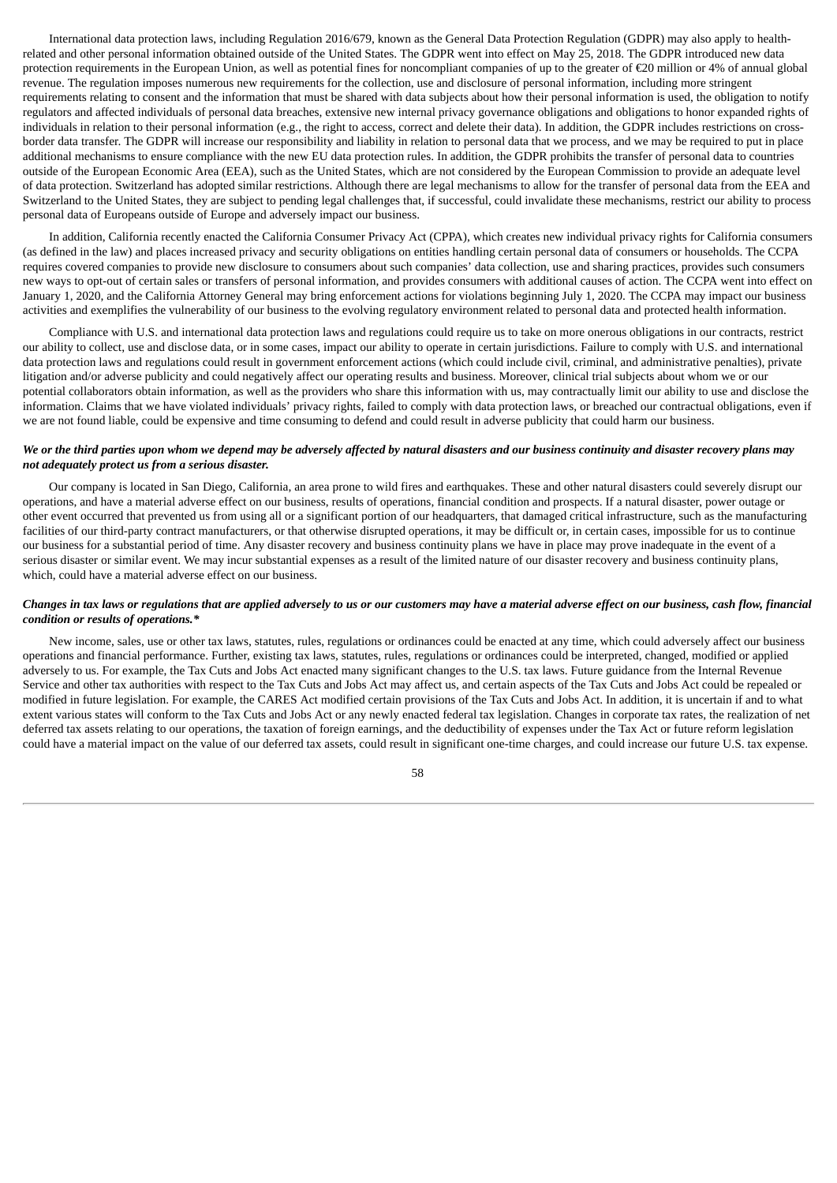International data protection laws, including Regulation 2016/679, known as the General Data Protection Regulation (GDPR) may also apply to healthrelated and other personal information obtained outside of the United States. The GDPR went into effect on May 25, 2018. The GDPR introduced new data protection requirements in the European Union, as well as potential fines for noncompliant companies of up to the greater of €20 million or 4% of annual global revenue. The regulation imposes numerous new requirements for the collection, use and disclosure of personal information, including more stringent requirements relating to consent and the information that must be shared with data subjects about how their personal information is used, the obligation to notify regulators and affected individuals of personal data breaches, extensive new internal privacy governance obligations and obligations to honor expanded rights of individuals in relation to their personal information (e.g., the right to access, correct and delete their data). In addition, the GDPR includes restrictions on crossborder data transfer. The GDPR will increase our responsibility and liability in relation to personal data that we process, and we may be required to put in place additional mechanisms to ensure compliance with the new EU data protection rules. In addition, the GDPR prohibits the transfer of personal data to countries outside of the European Economic Area (EEA), such as the United States, which are not considered by the European Commission to provide an adequate level of data protection. Switzerland has adopted similar restrictions. Although there are legal mechanisms to allow for the transfer of personal data from the EEA and Switzerland to the United States, they are subject to pending legal challenges that, if successful, could invalidate these mechanisms, restrict our ability to process personal data of Europeans outside of Europe and adversely impact our business.

In addition, California recently enacted the California Consumer Privacy Act (CPPA), which creates new individual privacy rights for California consumers (as defined in the law) and places increased privacy and security obligations on entities handling certain personal data of consumers or households. The CCPA requires covered companies to provide new disclosure to consumers about such companies' data collection, use and sharing practices, provides such consumers new ways to opt-out of certain sales or transfers of personal information, and provides consumers with additional causes of action. The CCPA went into effect on January 1, 2020, and the California Attorney General may bring enforcement actions for violations beginning July 1, 2020. The CCPA may impact our business activities and exemplifies the vulnerability of our business to the evolving regulatory environment related to personal data and protected health information.

Compliance with U.S. and international data protection laws and regulations could require us to take on more onerous obligations in our contracts, restrict our ability to collect, use and disclose data, or in some cases, impact our ability to operate in certain jurisdictions. Failure to comply with U.S. and international data protection laws and regulations could result in government enforcement actions (which could include civil, criminal, and administrative penalties), private litigation and/or adverse publicity and could negatively affect our operating results and business. Moreover, clinical trial subjects about whom we or our potential collaborators obtain information, as well as the providers who share this information with us, may contractually limit our ability to use and disclose the information. Claims that we have violated individuals' privacy rights, failed to comply with data protection laws, or breached our contractual obligations, even if we are not found liable, could be expensive and time consuming to defend and could result in adverse publicity that could harm our business.

# We or the third parties upon whom we depend may be adversely affected by natural disasters and our business continuity and disaster recovery plans may *not adequately protect us from a serious disaster.*

Our company is located in San Diego, California, an area prone to wild fires and earthquakes. These and other natural disasters could severely disrupt our operations, and have a material adverse effect on our business, results of operations, financial condition and prospects. If a natural disaster, power outage or other event occurred that prevented us from using all or a significant portion of our headquarters, that damaged critical infrastructure, such as the manufacturing facilities of our third-party contract manufacturers, or that otherwise disrupted operations, it may be difficult or, in certain cases, impossible for us to continue our business for a substantial period of time. Any disaster recovery and business continuity plans we have in place may prove inadequate in the event of a serious disaster or similar event. We may incur substantial expenses as a result of the limited nature of our disaster recovery and business continuity plans, which, could have a material adverse effect on our business.

## Changes in tax laws or regulations that are applied adversely to us or our customers may have a material adverse effect on our business, cash flow, financial *condition or results of operations.\**

New income, sales, use or other tax laws, statutes, rules, regulations or ordinances could be enacted at any time, which could adversely affect our business operations and financial performance. Further, existing tax laws, statutes, rules, regulations or ordinances could be interpreted, changed, modified or applied adversely to us. For example, the Tax Cuts and Jobs Act enacted many significant changes to the U.S. tax laws. Future guidance from the Internal Revenue Service and other tax authorities with respect to the Tax Cuts and Jobs Act may affect us, and certain aspects of the Tax Cuts and Jobs Act could be repealed or modified in future legislation. For example, the CARES Act modified certain provisions of the Tax Cuts and Jobs Act. In addition, it is uncertain if and to what extent various states will conform to the Tax Cuts and Jobs Act or any newly enacted federal tax legislation. Changes in corporate tax rates, the realization of net deferred tax assets relating to our operations, the taxation of foreign earnings, and the deductibility of expenses under the Tax Act or future reform legislation could have a material impact on the value of our deferred tax assets, could result in significant one-time charges, and could increase our future U.S. tax expense.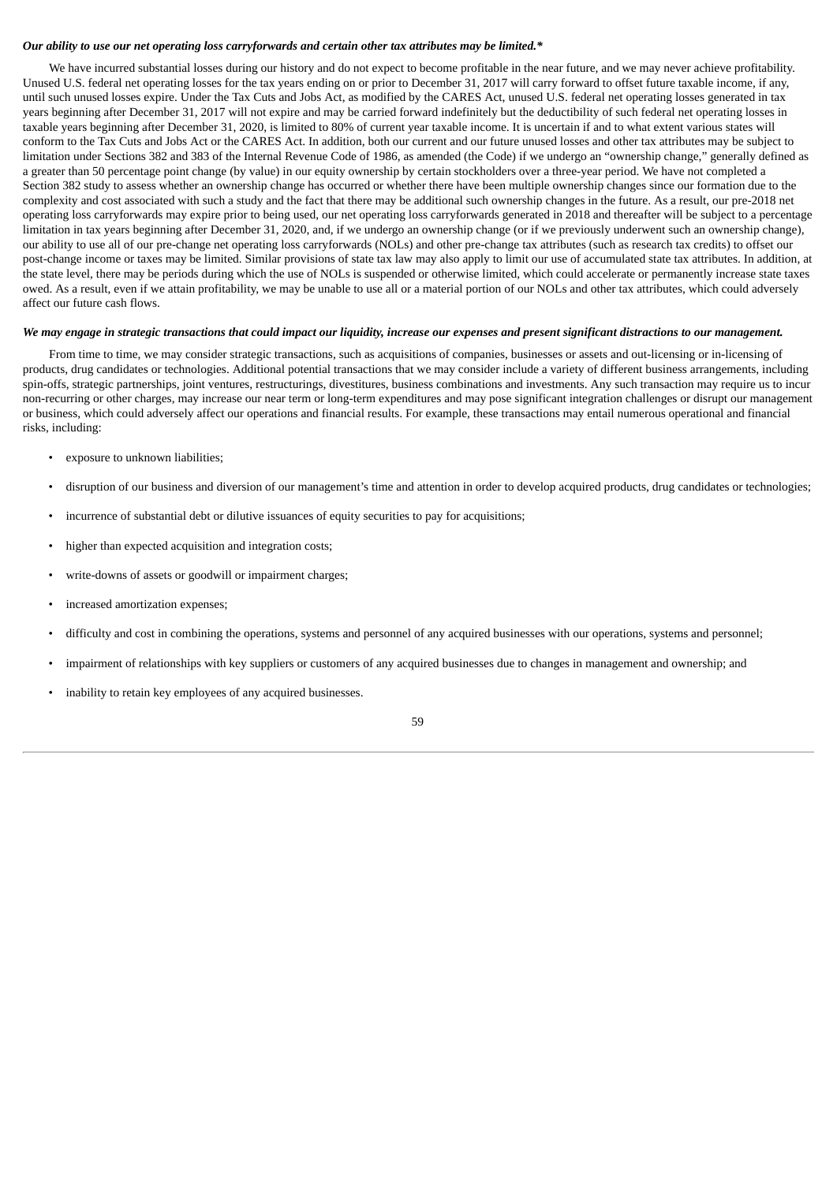## *Our ability to use our net operating loss carryforwards and certain other tax attributes may be limited.\**

We have incurred substantial losses during our history and do not expect to become profitable in the near future, and we may never achieve profitability. Unused U.S. federal net operating losses for the tax years ending on or prior to December 31, 2017 will carry forward to offset future taxable income, if any, until such unused losses expire. Under the Tax Cuts and Jobs Act, as modified by the CARES Act, unused U.S. federal net operating losses generated in tax years beginning after December 31, 2017 will not expire and may be carried forward indefinitely but the deductibility of such federal net operating losses in taxable years beginning after December 31, 2020, is limited to 80% of current year taxable income. It is uncertain if and to what extent various states will conform to the Tax Cuts and Jobs Act or the CARES Act. In addition, both our current and our future unused losses and other tax attributes may be subject to limitation under Sections 382 and 383 of the Internal Revenue Code of 1986, as amended (the Code) if we undergo an "ownership change," generally defined as a greater than 50 percentage point change (by value) in our equity ownership by certain stockholders over a three-year period. We have not completed a Section 382 study to assess whether an ownership change has occurred or whether there have been multiple ownership changes since our formation due to the complexity and cost associated with such a study and the fact that there may be additional such ownership changes in the future. As a result, our pre-2018 net operating loss carryforwards may expire prior to being used, our net operating loss carryforwards generated in 2018 and thereafter will be subject to a percentage limitation in tax years beginning after December 31, 2020, and, if we undergo an ownership change (or if we previously underwent such an ownership change), our ability to use all of our pre-change net operating loss carryforwards (NOLs) and other pre-change tax attributes (such as research tax credits) to offset our post-change income or taxes may be limited. Similar provisions of state tax law may also apply to limit our use of accumulated state tax attributes. In addition, at the state level, there may be periods during which the use of NOLs is suspended or otherwise limited, which could accelerate or permanently increase state taxes owed. As a result, even if we attain profitability, we may be unable to use all or a material portion of our NOLs and other tax attributes, which could adversely affect our future cash flows.

# We may engage in strategic transactions that could impact our liquidity, increase our expenses and present significant distractions to our management.

From time to time, we may consider strategic transactions, such as acquisitions of companies, businesses or assets and out-licensing or in-licensing of products, drug candidates or technologies. Additional potential transactions that we may consider include a variety of different business arrangements, including spin-offs, strategic partnerships, joint ventures, restructurings, divestitures, business combinations and investments. Any such transaction may require us to incur non-recurring or other charges, may increase our near term or long-term expenditures and may pose significant integration challenges or disrupt our management or business, which could adversely affect our operations and financial results. For example, these transactions may entail numerous operational and financial risks, including:

- exposure to unknown liabilities;
- disruption of our business and diversion of our management's time and attention in order to develop acquired products, drug candidates or technologies;
- incurrence of substantial debt or dilutive issuances of equity securities to pay for acquisitions;
- higher than expected acquisition and integration costs;
- write-downs of assets or goodwill or impairment charges;
- increased amortization expenses;
- difficulty and cost in combining the operations, systems and personnel of any acquired businesses with our operations, systems and personnel;
- impairment of relationships with key suppliers or customers of any acquired businesses due to changes in management and ownership; and
- inability to retain key employees of any acquired businesses.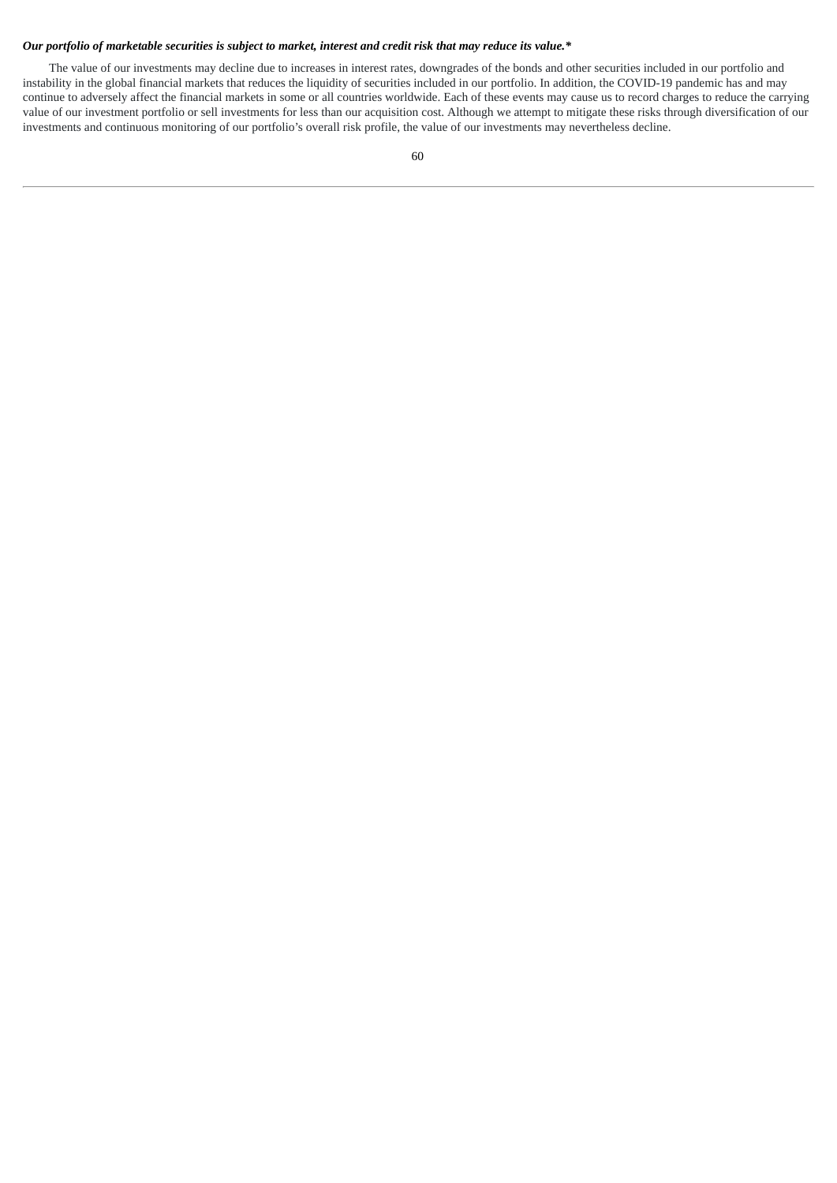#### Our portfolio of marketable securities is subject to market, interest and credit risk that may reduce its value.\*

The value of our investments may decline due to increases in interest rates, downgrades of the bonds and other securities included in our portfolio and instability in the global financial markets that reduces the liquidity of securities included in our portfolio. In addition, the COVID-19 pandemic has and may continue to adversely affect the financial markets in some or all countries worldwide. Each of these events may cause us to record charges to reduce the carrying value of our investment portfolio or sell investments for less than our acquisition cost. Although we attempt to mitigate these risks through diversification of our investments and continuous monitoring of our portfolio's overall risk profile, the value of our investments may nevertheless decline.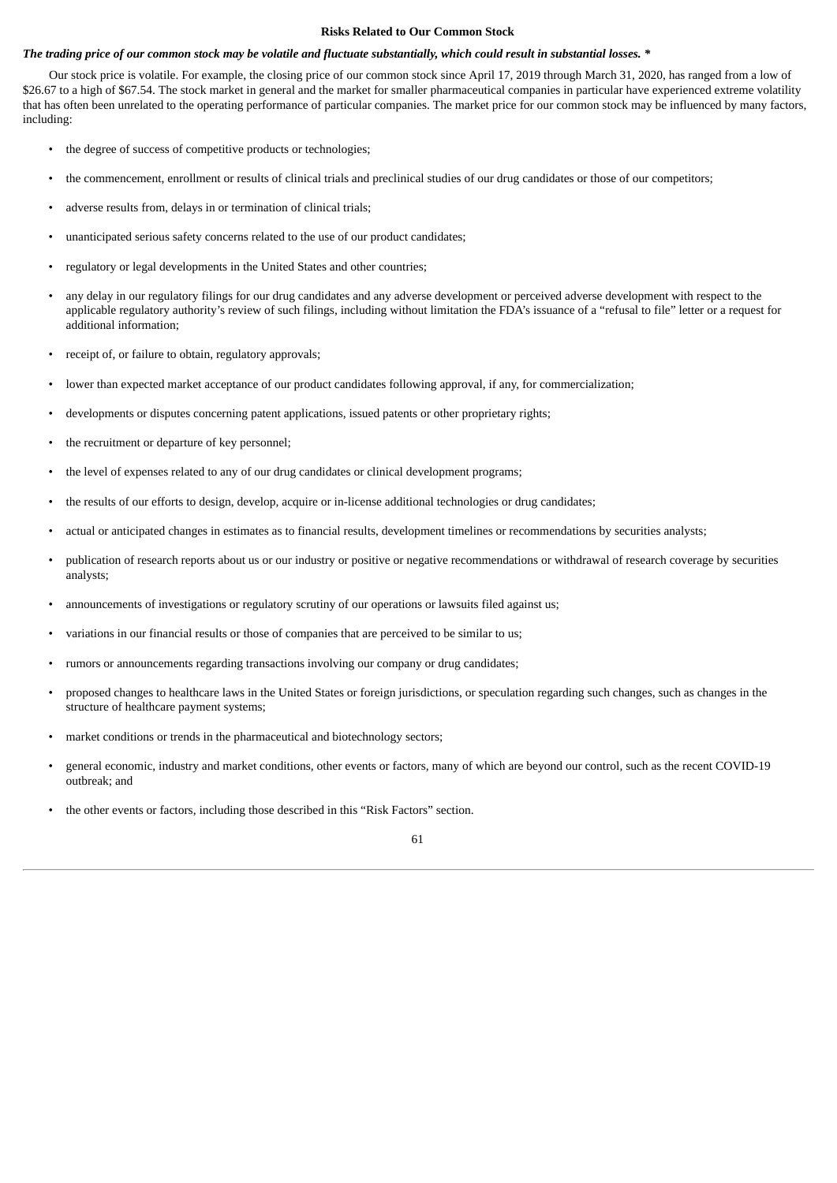#### **Risks Related to Our Common Stock**

## The trading price of our common stock may be volatile and fluctuate substantially, which could result in substantial losses. \*

Our stock price is volatile. For example, the closing price of our common stock since April 17, 2019 through March 31, 2020, has ranged from a low of \$26.67 to a high of \$67.54. The stock market in general and the market for smaller pharmaceutical companies in particular have experienced extreme volatility that has often been unrelated to the operating performance of particular companies. The market price for our common stock may be influenced by many factors, including:

- the degree of success of competitive products or technologies;
- the commencement, enrollment or results of clinical trials and preclinical studies of our drug candidates or those of our competitors;
- adverse results from, delays in or termination of clinical trials;
- unanticipated serious safety concerns related to the use of our product candidates;
- regulatory or legal developments in the United States and other countries;
- any delay in our regulatory filings for our drug candidates and any adverse development or perceived adverse development with respect to the applicable regulatory authority's review of such filings, including without limitation the FDA's issuance of a "refusal to file" letter or a request for additional information;
- receipt of, or failure to obtain, regulatory approvals;
- lower than expected market acceptance of our product candidates following approval, if any, for commercialization;
- developments or disputes concerning patent applications, issued patents or other proprietary rights;
- the recruitment or departure of key personnel;
- the level of expenses related to any of our drug candidates or clinical development programs;
- the results of our efforts to design, develop, acquire or in-license additional technologies or drug candidates;
- actual or anticipated changes in estimates as to financial results, development timelines or recommendations by securities analysts;
- publication of research reports about us or our industry or positive or negative recommendations or withdrawal of research coverage by securities analysts;
- announcements of investigations or regulatory scrutiny of our operations or lawsuits filed against us;
- variations in our financial results or those of companies that are perceived to be similar to us;
- rumors or announcements regarding transactions involving our company or drug candidates;
- proposed changes to healthcare laws in the United States or foreign jurisdictions, or speculation regarding such changes, such as changes in the structure of healthcare payment systems;
- market conditions or trends in the pharmaceutical and biotechnology sectors;
- general economic, industry and market conditions, other events or factors, many of which are beyond our control, such as the recent COVID-19 outbreak; and
- the other events or factors, including those described in this "Risk Factors" section.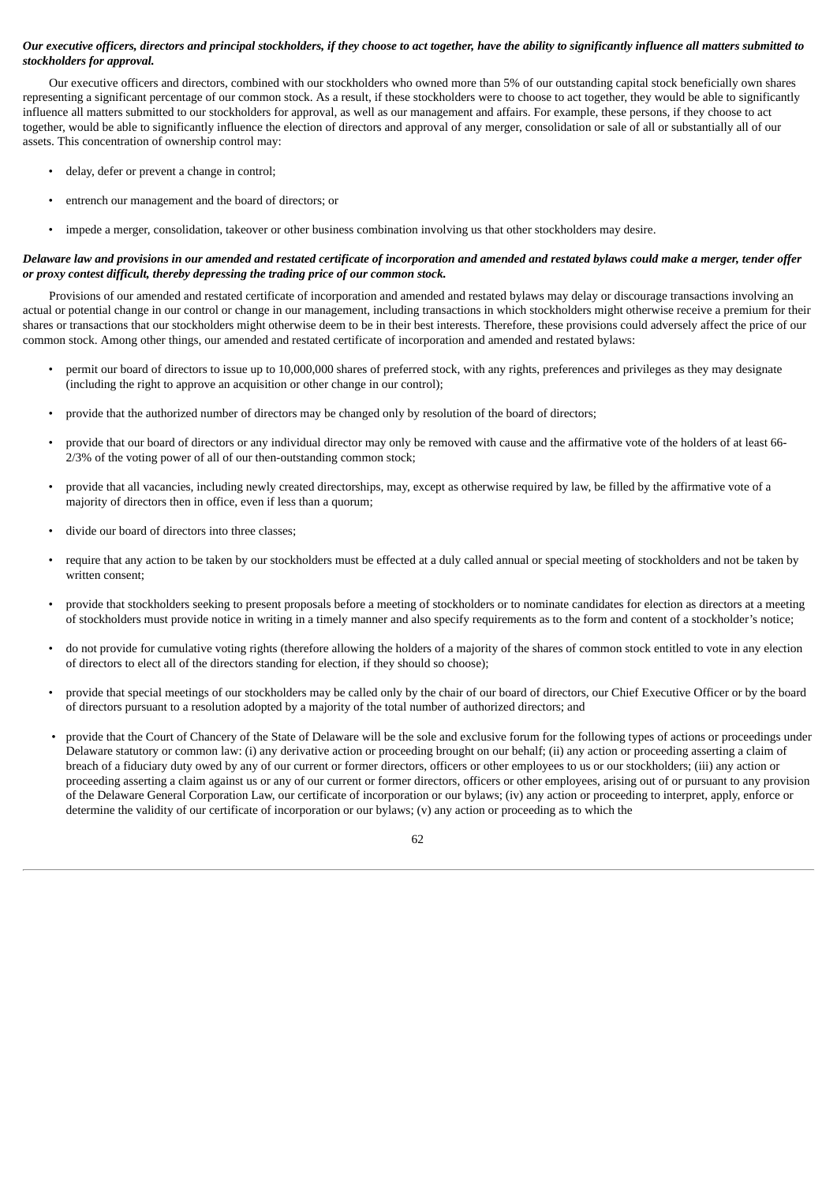# Our executive officers, directors and principal stockholders, if they choose to act together, have the ability to significantly influence all matters submitted to *stockholders for approval.*

Our executive officers and directors, combined with our stockholders who owned more than 5% of our outstanding capital stock beneficially own shares representing a significant percentage of our common stock. As a result, if these stockholders were to choose to act together, they would be able to significantly influence all matters submitted to our stockholders for approval, as well as our management and affairs. For example, these persons, if they choose to act together, would be able to significantly influence the election of directors and approval of any merger, consolidation or sale of all or substantially all of our assets. This concentration of ownership control may:

- delay, defer or prevent a change in control;
- entrench our management and the board of directors; or
- impede a merger, consolidation, takeover or other business combination involving us that other stockholders may desire.

# Delaware law and provisions in our amended and restated certificate of incorporation and amended and restated bylaws could make a merger, tender offer *or proxy contest difficult, thereby depressing the trading price of our common stock.*

Provisions of our amended and restated certificate of incorporation and amended and restated bylaws may delay or discourage transactions involving an actual or potential change in our control or change in our management, including transactions in which stockholders might otherwise receive a premium for their shares or transactions that our stockholders might otherwise deem to be in their best interests. Therefore, these provisions could adversely affect the price of our common stock. Among other things, our amended and restated certificate of incorporation and amended and restated bylaws:

- permit our board of directors to issue up to 10,000,000 shares of preferred stock, with any rights, preferences and privileges as they may designate (including the right to approve an acquisition or other change in our control);
- provide that the authorized number of directors may be changed only by resolution of the board of directors;
- provide that our board of directors or any individual director may only be removed with cause and the affirmative vote of the holders of at least 66- 2/3% of the voting power of all of our then-outstanding common stock;
- provide that all vacancies, including newly created directorships, may, except as otherwise required by law, be filled by the affirmative vote of a majority of directors then in office, even if less than a quorum;
- divide our board of directors into three classes;
- require that any action to be taken by our stockholders must be effected at a duly called annual or special meeting of stockholders and not be taken by written consent;
- provide that stockholders seeking to present proposals before a meeting of stockholders or to nominate candidates for election as directors at a meeting of stockholders must provide notice in writing in a timely manner and also specify requirements as to the form and content of a stockholder's notice;
- do not provide for cumulative voting rights (therefore allowing the holders of a majority of the shares of common stock entitled to vote in any election of directors to elect all of the directors standing for election, if they should so choose);
- provide that special meetings of our stockholders may be called only by the chair of our board of directors, our Chief Executive Officer or by the board of directors pursuant to a resolution adopted by a majority of the total number of authorized directors; and
- provide that the Court of Chancery of the State of Delaware will be the sole and exclusive forum for the following types of actions or proceedings under Delaware statutory or common law: (i) any derivative action or proceeding brought on our behalf; (ii) any action or proceeding asserting a claim of breach of a fiduciary duty owed by any of our current or former directors, officers or other employees to us or our stockholders; (iii) any action or proceeding asserting a claim against us or any of our current or former directors, officers or other employees, arising out of or pursuant to any provision of the Delaware General Corporation Law, our certificate of incorporation or our bylaws; (iv) any action or proceeding to interpret, apply, enforce or determine the validity of our certificate of incorporation or our bylaws; (v) any action or proceeding as to which the

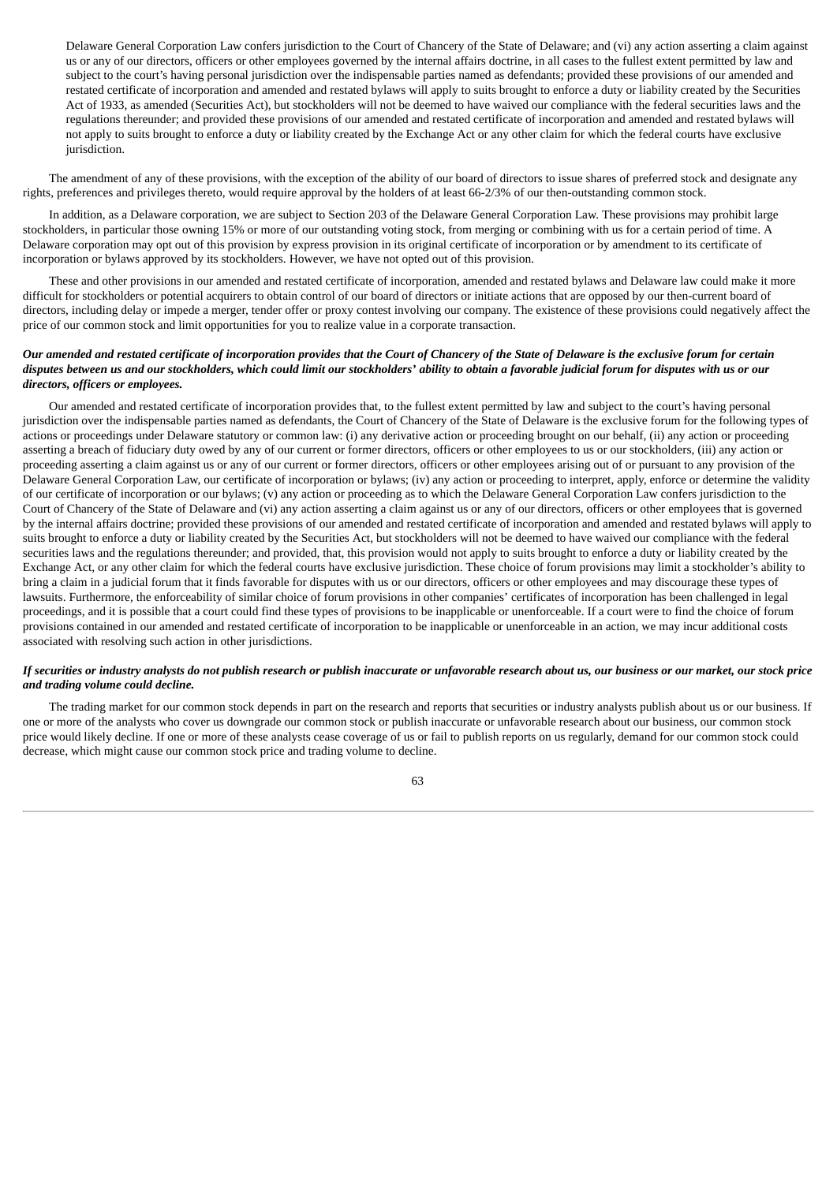Delaware General Corporation Law confers jurisdiction to the Court of Chancery of the State of Delaware; and (vi) any action asserting a claim against us or any of our directors, officers or other employees governed by the internal affairs doctrine, in all cases to the fullest extent permitted by law and subject to the court's having personal jurisdiction over the indispensable parties named as defendants; provided these provisions of our amended and restated certificate of incorporation and amended and restated bylaws will apply to suits brought to enforce a duty or liability created by the Securities Act of 1933, as amended (Securities Act), but stockholders will not be deemed to have waived our compliance with the federal securities laws and the regulations thereunder; and provided these provisions of our amended and restated certificate of incorporation and amended and restated bylaws will not apply to suits brought to enforce a duty or liability created by the Exchange Act or any other claim for which the federal courts have exclusive jurisdiction.

The amendment of any of these provisions, with the exception of the ability of our board of directors to issue shares of preferred stock and designate any rights, preferences and privileges thereto, would require approval by the holders of at least 66-2/3% of our then-outstanding common stock.

In addition, as a Delaware corporation, we are subject to Section 203 of the Delaware General Corporation Law. These provisions may prohibit large stockholders, in particular those owning 15% or more of our outstanding voting stock, from merging or combining with us for a certain period of time. A Delaware corporation may opt out of this provision by express provision in its original certificate of incorporation or by amendment to its certificate of incorporation or bylaws approved by its stockholders. However, we have not opted out of this provision.

These and other provisions in our amended and restated certificate of incorporation, amended and restated bylaws and Delaware law could make it more difficult for stockholders or potential acquirers to obtain control of our board of directors or initiate actions that are opposed by our then-current board of directors, including delay or impede a merger, tender offer or proxy contest involving our company. The existence of these provisions could negatively affect the price of our common stock and limit opportunities for you to realize value in a corporate transaction.

# Our amended and restated certificate of incorporation provides that the Court of Chancery of the State of Delaware is the exclusive forum for certain disputes between us and our stockholders, which could limit our stockholders' ability to obtain a favorable judicial forum for disputes with us or our *directors, officers or employees.*

Our amended and restated certificate of incorporation provides that, to the fullest extent permitted by law and subject to the court's having personal jurisdiction over the indispensable parties named as defendants, the Court of Chancery of the State of Delaware is the exclusive forum for the following types of actions or proceedings under Delaware statutory or common law: (i) any derivative action or proceeding brought on our behalf, (ii) any action or proceeding asserting a breach of fiduciary duty owed by any of our current or former directors, officers or other employees to us or our stockholders, (iii) any action or proceeding asserting a claim against us or any of our current or former directors, officers or other employees arising out of or pursuant to any provision of the Delaware General Corporation Law, our certificate of incorporation or bylaws; (iv) any action or proceeding to interpret, apply, enforce or determine the validity of our certificate of incorporation or our bylaws; (v) any action or proceeding as to which the Delaware General Corporation Law confers jurisdiction to the Court of Chancery of the State of Delaware and (vi) any action asserting a claim against us or any of our directors, officers or other employees that is governed by the internal affairs doctrine; provided these provisions of our amended and restated certificate of incorporation and amended and restated bylaws will apply to suits brought to enforce a duty or liability created by the Securities Act, but stockholders will not be deemed to have waived our compliance with the federal securities laws and the regulations thereunder; and provided, that, this provision would not apply to suits brought to enforce a duty or liability created by the Exchange Act, or any other claim for which the federal courts have exclusive jurisdiction. These choice of forum provisions may limit a stockholder's ability to bring a claim in a judicial forum that it finds favorable for disputes with us or our directors, officers or other employees and may discourage these types of lawsuits. Furthermore, the enforceability of similar choice of forum provisions in other companies' certificates of incorporation has been challenged in legal proceedings, and it is possible that a court could find these types of provisions to be inapplicable or unenforceable. If a court were to find the choice of forum provisions contained in our amended and restated certificate of incorporation to be inapplicable or unenforceable in an action, we may incur additional costs associated with resolving such action in other jurisdictions.

# If securities or industry analysts do not publish research or publish inaccurate or unfavorable research about us, our business or our market, our stock price *and trading volume could decline.*

The trading market for our common stock depends in part on the research and reports that securities or industry analysts publish about us or our business. If one or more of the analysts who cover us downgrade our common stock or publish inaccurate or unfavorable research about our business, our common stock price would likely decline. If one or more of these analysts cease coverage of us or fail to publish reports on us regularly, demand for our common stock could decrease, which might cause our common stock price and trading volume to decline.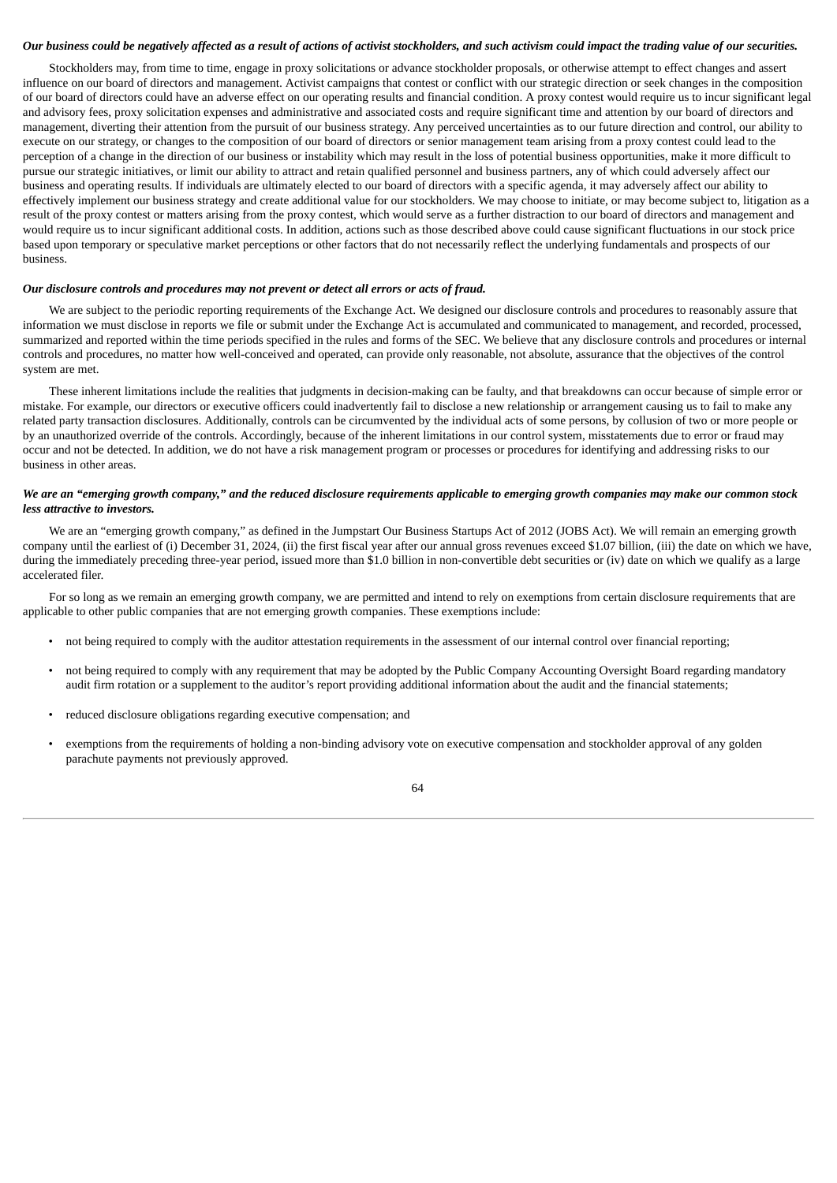## Our business could be negatively affected as a result of actions of activist stockholders, and such activism could impact the trading value of our securities.

Stockholders may, from time to time, engage in proxy solicitations or advance stockholder proposals, or otherwise attempt to effect changes and assert influence on our board of directors and management. Activist campaigns that contest or conflict with our strategic direction or seek changes in the composition of our board of directors could have an adverse effect on our operating results and financial condition. A proxy contest would require us to incur significant legal and advisory fees, proxy solicitation expenses and administrative and associated costs and require significant time and attention by our board of directors and management, diverting their attention from the pursuit of our business strategy. Any perceived uncertainties as to our future direction and control, our ability to execute on our strategy, or changes to the composition of our board of directors or senior management team arising from a proxy contest could lead to the perception of a change in the direction of our business or instability which may result in the loss of potential business opportunities, make it more difficult to pursue our strategic initiatives, or limit our ability to attract and retain qualified personnel and business partners, any of which could adversely affect our business and operating results. If individuals are ultimately elected to our board of directors with a specific agenda, it may adversely affect our ability to effectively implement our business strategy and create additional value for our stockholders. We may choose to initiate, or may become subject to, litigation as a result of the proxy contest or matters arising from the proxy contest, which would serve as a further distraction to our board of directors and management and would require us to incur significant additional costs. In addition, actions such as those described above could cause significant fluctuations in our stock price based upon temporary or speculative market perceptions or other factors that do not necessarily reflect the underlying fundamentals and prospects of our business.

## *Our disclosure controls and procedures may not prevent or detect all errors or acts of fraud.*

We are subject to the periodic reporting requirements of the Exchange Act. We designed our disclosure controls and procedures to reasonably assure that information we must disclose in reports we file or submit under the Exchange Act is accumulated and communicated to management, and recorded, processed, summarized and reported within the time periods specified in the rules and forms of the SEC. We believe that any disclosure controls and procedures or internal controls and procedures, no matter how well-conceived and operated, can provide only reasonable, not absolute, assurance that the objectives of the control system are met.

These inherent limitations include the realities that judgments in decision-making can be faulty, and that breakdowns can occur because of simple error or mistake. For example, our directors or executive officers could inadvertently fail to disclose a new relationship or arrangement causing us to fail to make any related party transaction disclosures. Additionally, controls can be circumvented by the individual acts of some persons, by collusion of two or more people or by an unauthorized override of the controls. Accordingly, because of the inherent limitations in our control system, misstatements due to error or fraud may occur and not be detected. In addition, we do not have a risk management program or processes or procedures for identifying and addressing risks to our business in other areas.

# We are an "emerging growth company," and the reduced disclosure requirements applicable to emerging growth companies may make our common stock *less attractive to investors.*

We are an "emerging growth company," as defined in the Jumpstart Our Business Startups Act of 2012 (JOBS Act). We will remain an emerging growth company until the earliest of (i) December 31, 2024, (ii) the first fiscal year after our annual gross revenues exceed \$1.07 billion, (iii) the date on which we have, during the immediately preceding three-year period, issued more than \$1.0 billion in non-convertible debt securities or (iv) date on which we qualify as a large accelerated filer.

For so long as we remain an emerging growth company, we are permitted and intend to rely on exemptions from certain disclosure requirements that are applicable to other public companies that are not emerging growth companies. These exemptions include:

- not being required to comply with the auditor attestation requirements in the assessment of our internal control over financial reporting;
- not being required to comply with any requirement that may be adopted by the Public Company Accounting Oversight Board regarding mandatory audit firm rotation or a supplement to the auditor's report providing additional information about the audit and the financial statements;
- reduced disclosure obligations regarding executive compensation; and
- exemptions from the requirements of holding a non-binding advisory vote on executive compensation and stockholder approval of any golden parachute payments not previously approved.

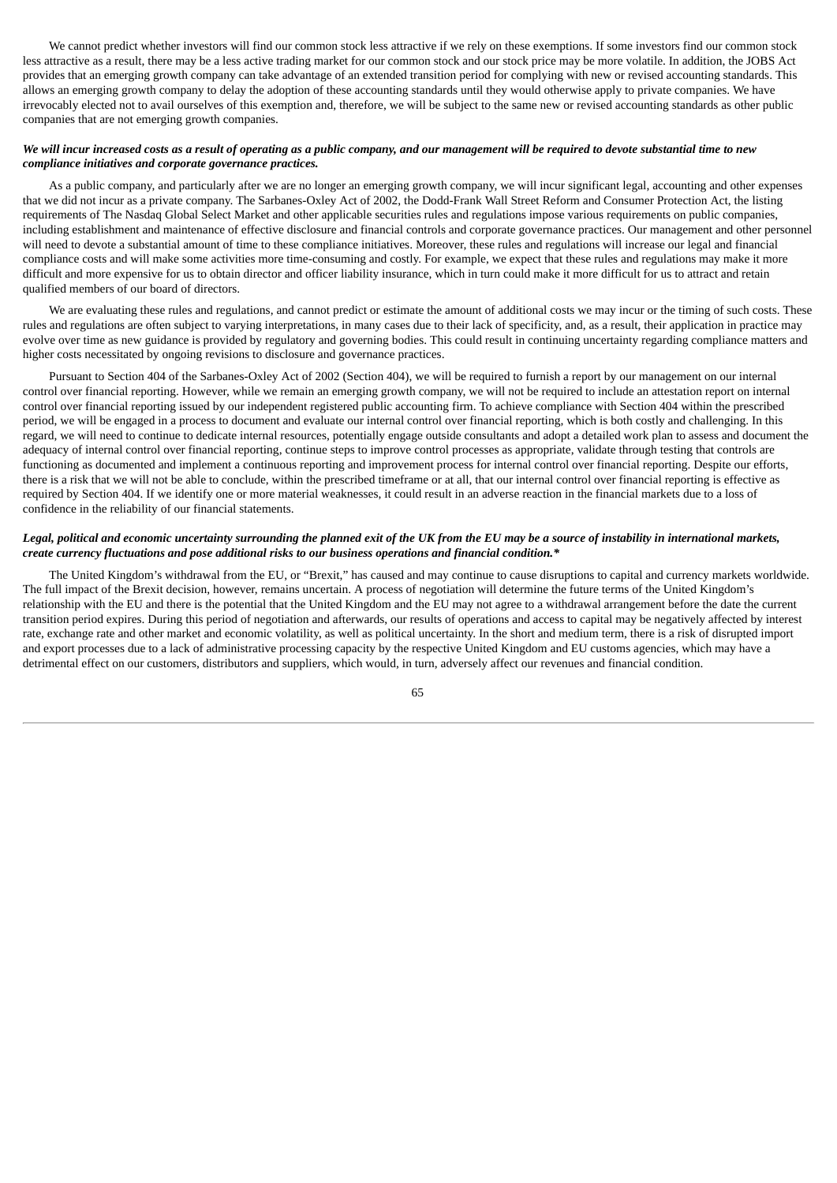We cannot predict whether investors will find our common stock less attractive if we rely on these exemptions. If some investors find our common stock less attractive as a result, there may be a less active trading market for our common stock and our stock price may be more volatile. In addition, the JOBS Act provides that an emerging growth company can take advantage of an extended transition period for complying with new or revised accounting standards. This allows an emerging growth company to delay the adoption of these accounting standards until they would otherwise apply to private companies. We have irrevocably elected not to avail ourselves of this exemption and, therefore, we will be subject to the same new or revised accounting standards as other public companies that are not emerging growth companies.

## We will incur increased costs as a result of operating as a public company, and our management will be required to devote substantial time to new *compliance initiatives and corporate governance practices.*

As a public company, and particularly after we are no longer an emerging growth company, we will incur significant legal, accounting and other expenses that we did not incur as a private company. The Sarbanes-Oxley Act of 2002, the Dodd-Frank Wall Street Reform and Consumer Protection Act, the listing requirements of The Nasdaq Global Select Market and other applicable securities rules and regulations impose various requirements on public companies, including establishment and maintenance of effective disclosure and financial controls and corporate governance practices. Our management and other personnel will need to devote a substantial amount of time to these compliance initiatives. Moreover, these rules and regulations will increase our legal and financial compliance costs and will make some activities more time-consuming and costly. For example, we expect that these rules and regulations may make it more difficult and more expensive for us to obtain director and officer liability insurance, which in turn could make it more difficult for us to attract and retain qualified members of our board of directors.

We are evaluating these rules and regulations, and cannot predict or estimate the amount of additional costs we may incur or the timing of such costs. These rules and regulations are often subject to varying interpretations, in many cases due to their lack of specificity, and, as a result, their application in practice may evolve over time as new guidance is provided by regulatory and governing bodies. This could result in continuing uncertainty regarding compliance matters and higher costs necessitated by ongoing revisions to disclosure and governance practices.

Pursuant to Section 404 of the Sarbanes-Oxley Act of 2002 (Section 404), we will be required to furnish a report by our management on our internal control over financial reporting. However, while we remain an emerging growth company, we will not be required to include an attestation report on internal control over financial reporting issued by our independent registered public accounting firm. To achieve compliance with Section 404 within the prescribed period, we will be engaged in a process to document and evaluate our internal control over financial reporting, which is both costly and challenging. In this regard, we will need to continue to dedicate internal resources, potentially engage outside consultants and adopt a detailed work plan to assess and document the adequacy of internal control over financial reporting, continue steps to improve control processes as appropriate, validate through testing that controls are functioning as documented and implement a continuous reporting and improvement process for internal control over financial reporting. Despite our efforts, there is a risk that we will not be able to conclude, within the prescribed timeframe or at all, that our internal control over financial reporting is effective as required by Section 404. If we identify one or more material weaknesses, it could result in an adverse reaction in the financial markets due to a loss of confidence in the reliability of our financial statements.

## Legal, political and economic uncertainty surrounding the planned exit of the UK from the EU may be a source of instability in international markets, *create currency fluctuations and pose additional risks to our business operations and financial condition.\**

The United Kingdom's withdrawal from the EU, or "Brexit," has caused and may continue to cause disruptions to capital and currency markets worldwide. The full impact of the Brexit decision, however, remains uncertain. A process of negotiation will determine the future terms of the United Kingdom's relationship with the EU and there is the potential that the United Kingdom and the EU may not agree to a withdrawal arrangement before the date the current transition period expires. During this period of negotiation and afterwards, our results of operations and access to capital may be negatively affected by interest rate, exchange rate and other market and economic volatility, as well as political uncertainty. In the short and medium term, there is a risk of disrupted import and export processes due to a lack of administrative processing capacity by the respective United Kingdom and EU customs agencies, which may have a detrimental effect on our customers, distributors and suppliers, which would, in turn, adversely affect our revenues and financial condition.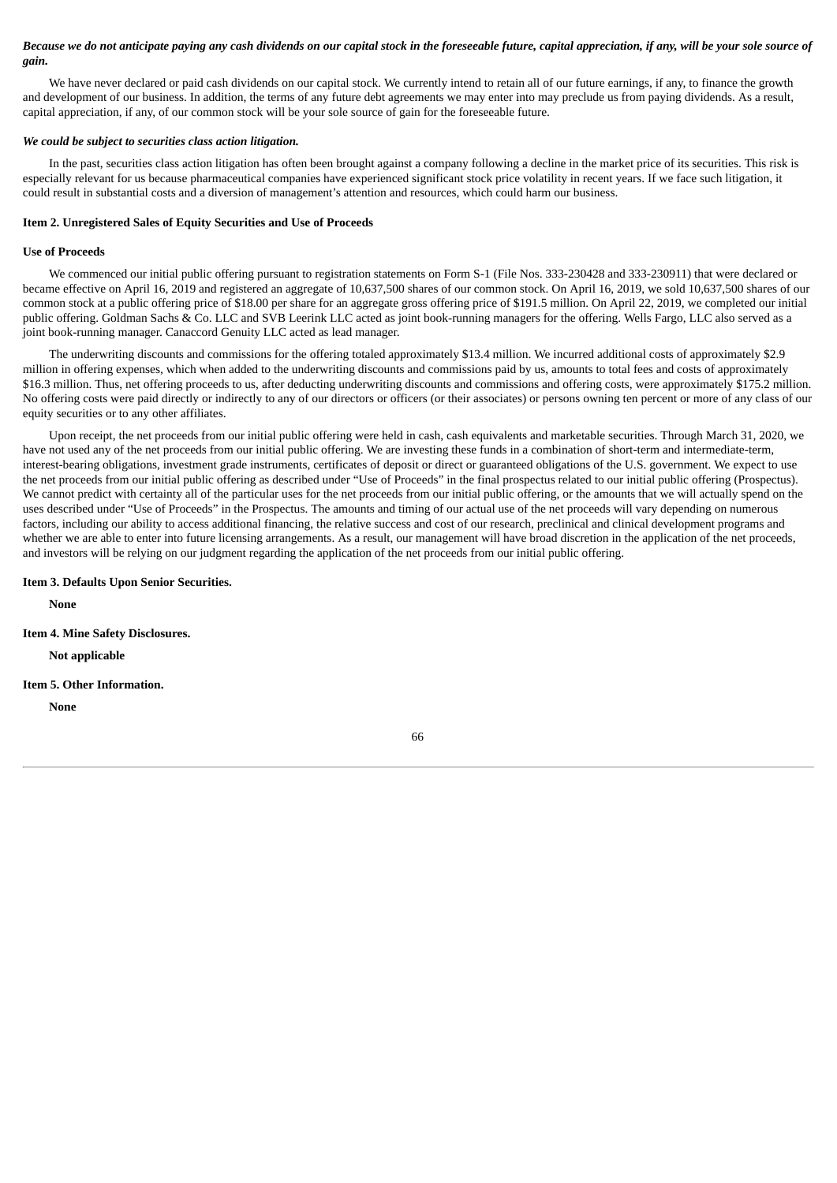# Because we do not anticipate paying any cash dividends on our capital stock in the foreseeable future, capital appreciation, if any, will be your sole source of *gain.*

We have never declared or paid cash dividends on our capital stock. We currently intend to retain all of our future earnings, if any, to finance the growth and development of our business. In addition, the terms of any future debt agreements we may enter into may preclude us from paying dividends. As a result, capital appreciation, if any, of our common stock will be your sole source of gain for the foreseeable future.

### *We could be subject to securities class action litigation.*

In the past, securities class action litigation has often been brought against a company following a decline in the market price of its securities. This risk is especially relevant for us because pharmaceutical companies have experienced significant stock price volatility in recent years. If we face such litigation, it could result in substantial costs and a diversion of management's attention and resources, which could harm our business.

### **Item 2. Unregistered Sales of Equity Securities and Use of Proceeds**

#### **Use of Proceeds**

We commenced our initial public offering pursuant to registration statements on Form S-1 (File Nos. 333-230428 and 333-230911) that were declared or became effective on April 16, 2019 and registered an aggregate of 10,637,500 shares of our common stock. On April 16, 2019, we sold 10,637,500 shares of our common stock at a public offering price of \$18.00 per share for an aggregate gross offering price of \$191.5 million. On April 22, 2019, we completed our initial public offering. Goldman Sachs & Co. LLC and SVB Leerink LLC acted as joint book-running managers for the offering. Wells Fargo, LLC also served as a joint book-running manager. Canaccord Genuity LLC acted as lead manager.

The underwriting discounts and commissions for the offering totaled approximately \$13.4 million. We incurred additional costs of approximately \$2.9 million in offering expenses, which when added to the underwriting discounts and commissions paid by us, amounts to total fees and costs of approximately \$16.3 million. Thus, net offering proceeds to us, after deducting underwriting discounts and commissions and offering costs, were approximately \$175.2 million. No offering costs were paid directly or indirectly to any of our directors or officers (or their associates) or persons owning ten percent or more of any class of our equity securities or to any other affiliates.

Upon receipt, the net proceeds from our initial public offering were held in cash, cash equivalents and marketable securities. Through March 31, 2020, we have not used any of the net proceeds from our initial public offering. We are investing these funds in a combination of short-term and intermediate-term, interest-bearing obligations, investment grade instruments, certificates of deposit or direct or guaranteed obligations of the U.S. government. We expect to use the net proceeds from our initial public offering as described under "Use of Proceeds" in the final prospectus related to our initial public offering (Prospectus). We cannot predict with certainty all of the particular uses for the net proceeds from our initial public offering, or the amounts that we will actually spend on the uses described under "Use of Proceeds" in the Prospectus. The amounts and timing of our actual use of the net proceeds will vary depending on numerous factors, including our ability to access additional financing, the relative success and cost of our research, preclinical and clinical development programs and whether we are able to enter into future licensing arrangements. As a result, our management will have broad discretion in the application of the net proceeds, and investors will be relying on our judgment regarding the application of the net proceeds from our initial public offering.

#### **Item 3. Defaults Upon Senior Securities.**

**None**

**Item 4. Mine Safety Disclosures. Not applicable**

**Item 5. Other Information.**

**None**

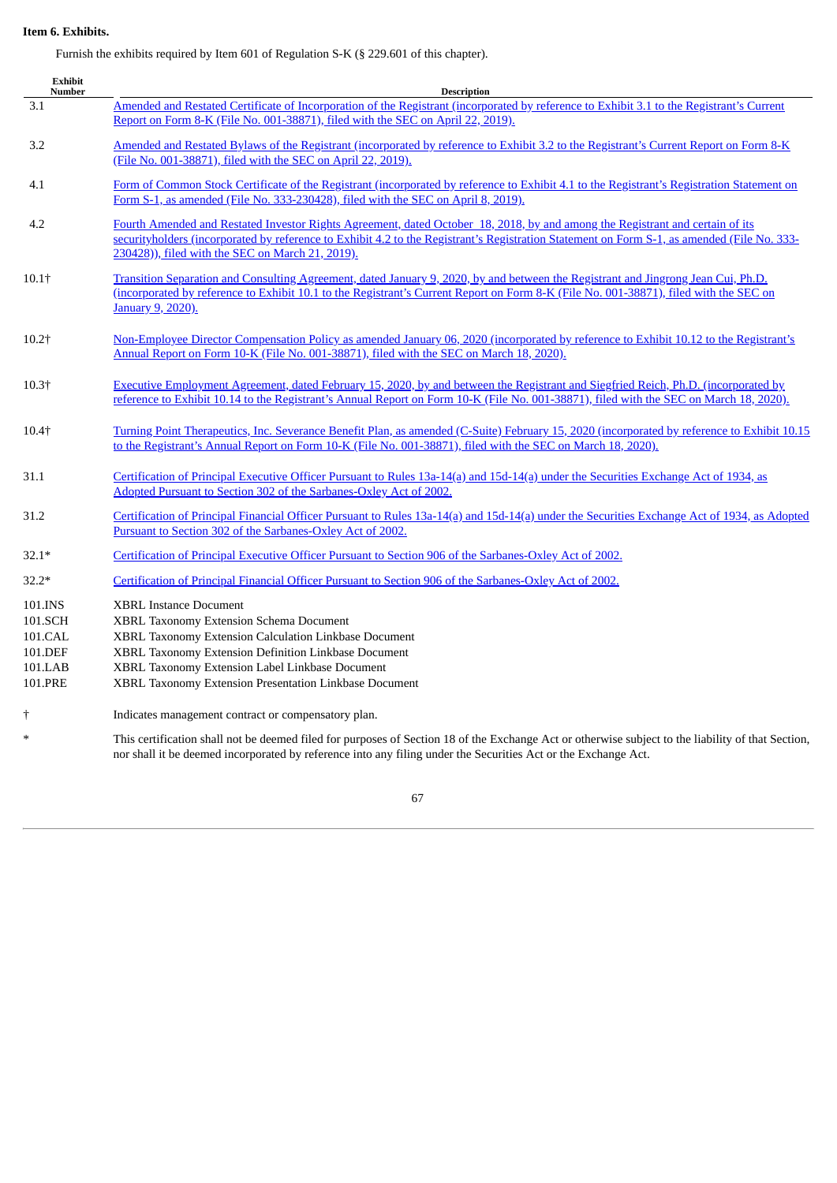# **Item 6. Exhibits.**

Furnish the exhibits required by Item 601 of Regulation S-K (§ 229.601 of this chapter).

| Exhibit<br><b>Number</b>                                       | <b>Description</b>                                                                                                                                                                                                                                                                                                               |
|----------------------------------------------------------------|----------------------------------------------------------------------------------------------------------------------------------------------------------------------------------------------------------------------------------------------------------------------------------------------------------------------------------|
| 3.1                                                            | Amended and Restated Certificate of Incorporation of the Registrant (incorporated by reference to Exhibit 3.1 to the Registrant's Current                                                                                                                                                                                        |
|                                                                | Report on Form 8-K (File No. 001-38871), filed with the SEC on April 22, 2019).                                                                                                                                                                                                                                                  |
| 3.2                                                            | Amended and Restated Bylaws of the Registrant (incorporated by reference to Exhibit 3.2 to the Registrant's Current Report on Form 8-K<br>(File No. 001-38871), filed with the SEC on April 22, 2019).                                                                                                                           |
| 4.1                                                            | Form of Common Stock Certificate of the Registrant (incorporated by reference to Exhibit 4.1 to the Registrant's Registration Statement on<br>Form S-1, as amended (File No. 333-230428), filed with the SEC on April 8, 2019).                                                                                                  |
| 4.2                                                            | Fourth Amended and Restated Investor Rights Agreement, dated October 18, 2018, by and among the Registrant and certain of its<br>securityholders (incorporated by reference to Exhibit 4.2 to the Registrant's Registration Statement on Form S-1, as amended (File No. 333-<br>230428)), filed with the SEC on March 21, 2019). |
| $10.1$ <sup><math>\dagger</math></sup>                         | Transition Separation and Consulting Agreement, dated January 9, 2020, by and between the Registrant and Jingrong Jean Cui, Ph.D.<br>(incorporated by reference to Exhibit 10.1 to the Registrant's Current Report on Form 8-K (File No. 001-38871), filed with the SEC on<br>January 9, 2020).                                  |
| 10.2†                                                          | Non-Employee Director Compensation Policy as amended January 06, 2020 (incorporated by reference to Exhibit 10.12 to the Registrant's<br>Annual Report on Form 10-K (File No. 001-38871), filed with the SEC on March 18, 2020).                                                                                                 |
| 10.3†                                                          | Executive Employment Agreement, dated February 15, 2020, by and between the Registrant and Siegfried Reich, Ph.D. (incorporated by<br>reference to Exhibit 10.14 to the Registrant's Annual Report on Form 10-K (File No. 001-38871), filed with the SEC on March 18, 2020).                                                     |
| 10.4†                                                          | Turning Point Therapeutics, Inc. Severance Benefit Plan, as amended (C-Suite) February 15, 2020 (incorporated by reference to Exhibit 10.15<br>to the Registrant's Annual Report on Form 10-K (File No. 001-38871), filed with the SEC on March 18, 2020).                                                                       |
| 31.1                                                           | Certification of Principal Executive Officer Pursuant to Rules 13a-14(a) and 15d-14(a) under the Securities Exchange Act of 1934, as<br>Adopted Pursuant to Section 302 of the Sarbanes-Oxley Act of 2002.                                                                                                                       |
| 31.2                                                           | Certification of Principal Financial Officer Pursuant to Rules 13a-14(a) and 15d-14(a) under the Securities Exchange Act of 1934, as Adopted<br>Pursuant to Section 302 of the Sarbanes-Oxley Act of 2002.                                                                                                                       |
| $32.1*$                                                        | Certification of Principal Executive Officer Pursuant to Section 906 of the Sarbanes-Oxley Act of 2002.                                                                                                                                                                                                                          |
| $32.2*$                                                        | Certification of Principal Financial Officer Pursuant to Section 906 of the Sarbanes-Oxley Act of 2002.                                                                                                                                                                                                                          |
| 101.INS<br>101.SCH<br>101.CAL<br>101.DEF<br>101.LAB<br>101.PRE | <b>XBRL Instance Document</b><br>XBRL Taxonomy Extension Schema Document<br>XBRL Taxonomy Extension Calculation Linkbase Document<br>XBRL Taxonomy Extension Definition Linkbase Document<br>XBRL Taxonomy Extension Label Linkbase Document<br>XBRL Taxonomy Extension Presentation Linkbase Document                           |
| ╈                                                              | Indicates management contract or compensatory plan.                                                                                                                                                                                                                                                                              |
| *                                                              | This certification shall not be deemed filed for purposes of Section 18 of the Exchange Act or otherwise subject to the liability of that Section,<br>nor shall it be deemed incorporated by reference into any filing under the Securities Act or the Exchange Act.                                                             |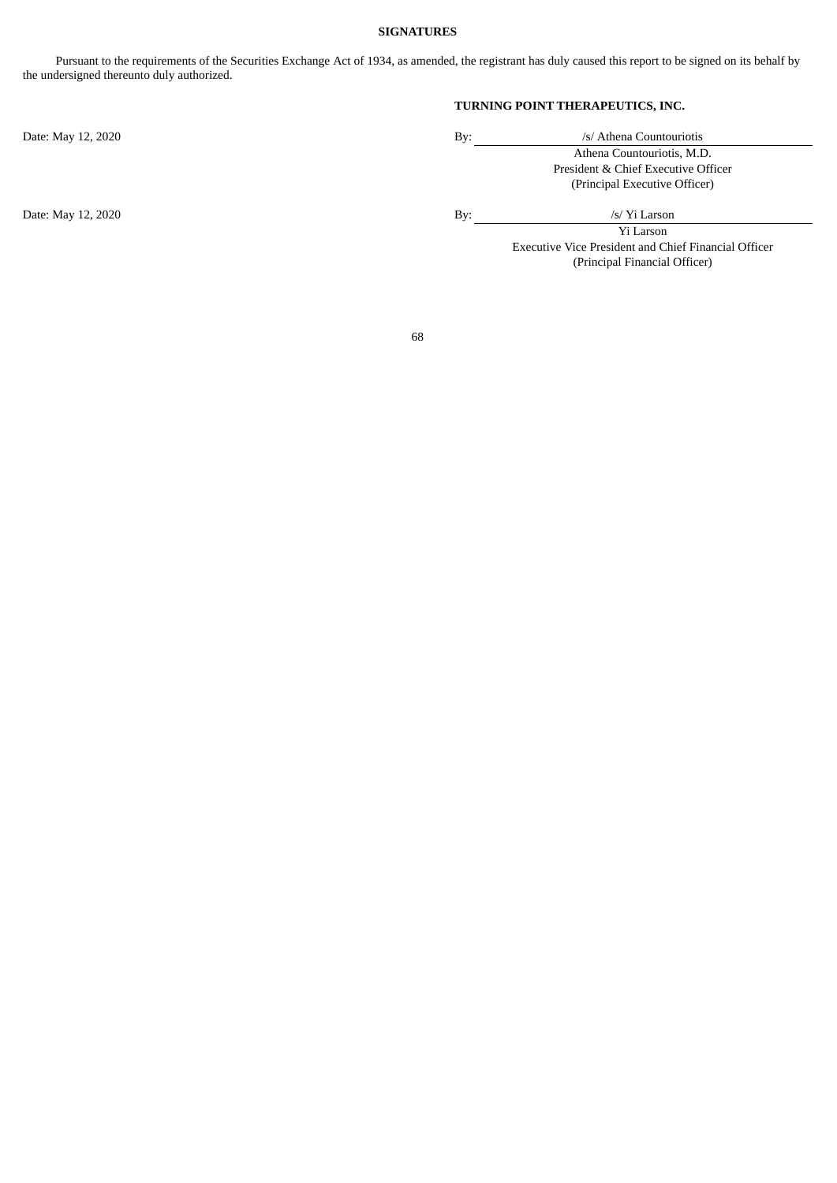# **SIGNATURES**

Pursuant to the requirements of the Securities Exchange Act of 1934, as amended, the registrant has duly caused this report to be signed on its behalf by the undersigned thereunto duly authorized.

# **TURNING POINT THERAPEUTICS, INC.**

| By: | /s/ Athena Countouriotis                                             |  |
|-----|----------------------------------------------------------------------|--|
|     | Athena Countouriotis, M.D.                                           |  |
|     | President & Chief Executive Officer<br>(Principal Executive Officer) |  |
| Bv: | /s/ Yi Larson                                                        |  |
|     | Yi Larson                                                            |  |

Executive Vice President and Chief Financial Officer (Principal Financial Officer)

68

Date: May 12, 2020

Date: May 12, 2020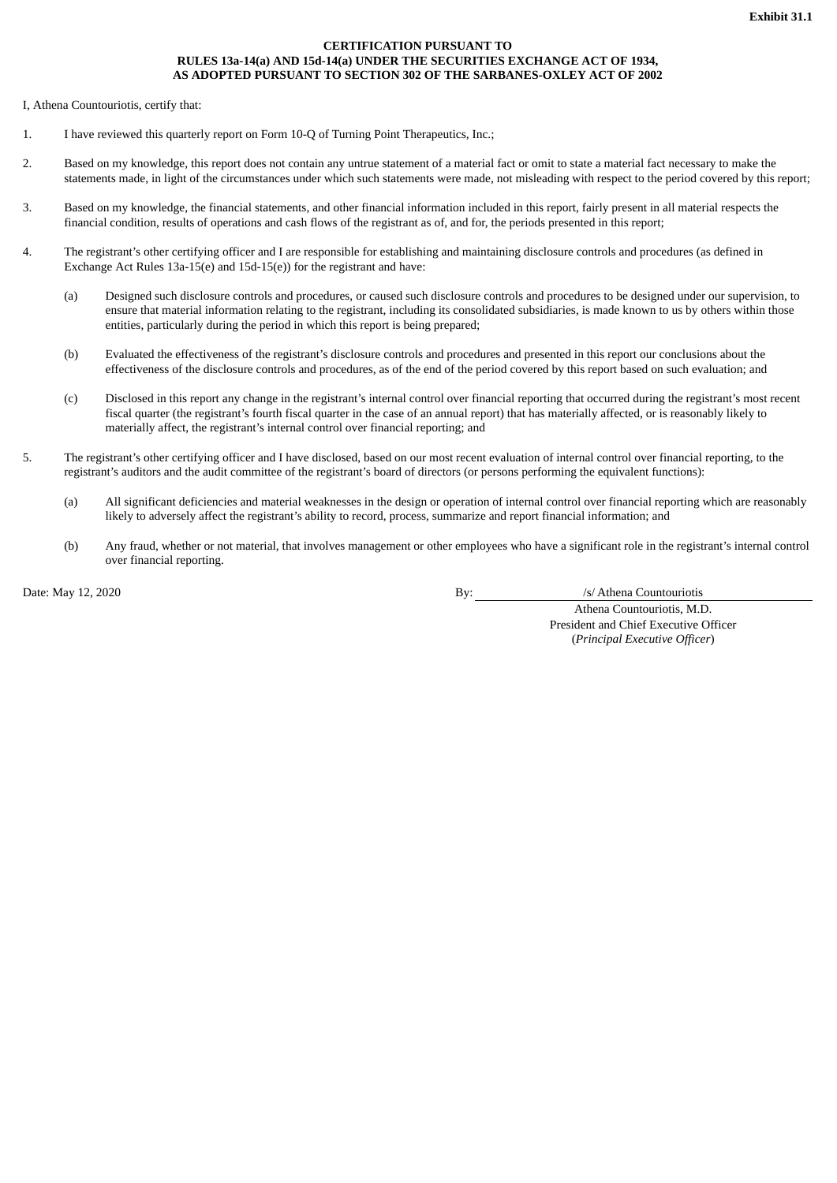# **CERTIFICATION PURSUANT TO RULES 13a-14(a) AND 15d-14(a) UNDER THE SECURITIES EXCHANGE ACT OF 1934, AS ADOPTED PURSUANT TO SECTION 302 OF THE SARBANES-OXLEY ACT OF 2002**

<span id="page-68-0"></span>I, Athena Countouriotis, certify that:

- 1. I have reviewed this quarterly report on Form 10-Q of Turning Point Therapeutics, Inc.;
- 2. Based on my knowledge, this report does not contain any untrue statement of a material fact or omit to state a material fact necessary to make the statements made, in light of the circumstances under which such statements were made, not misleading with respect to the period covered by this report;
- 3. Based on my knowledge, the financial statements, and other financial information included in this report, fairly present in all material respects the financial condition, results of operations and cash flows of the registrant as of, and for, the periods presented in this report;
- 4. The registrant's other certifying officer and I are responsible for establishing and maintaining disclosure controls and procedures (as defined in Exchange Act Rules 13a-15(e) and 15d-15(e)) for the registrant and have:
	- (a) Designed such disclosure controls and procedures, or caused such disclosure controls and procedures to be designed under our supervision, to ensure that material information relating to the registrant, including its consolidated subsidiaries, is made known to us by others within those entities, particularly during the period in which this report is being prepared;
	- (b) Evaluated the effectiveness of the registrant's disclosure controls and procedures and presented in this report our conclusions about the effectiveness of the disclosure controls and procedures, as of the end of the period covered by this report based on such evaluation; and
	- (c) Disclosed in this report any change in the registrant's internal control over financial reporting that occurred during the registrant's most recent fiscal quarter (the registrant's fourth fiscal quarter in the case of an annual report) that has materially affected, or is reasonably likely to materially affect, the registrant's internal control over financial reporting; and
- 5. The registrant's other certifying officer and I have disclosed, based on our most recent evaluation of internal control over financial reporting, to the registrant's auditors and the audit committee of the registrant's board of directors (or persons performing the equivalent functions):
	- (a) All significant deficiencies and material weaknesses in the design or operation of internal control over financial reporting which are reasonably likely to adversely affect the registrant's ability to record, process, summarize and report financial information; and
	- (b) Any fraud, whether or not material, that involves management or other employees who have a significant role in the registrant's internal control over financial reporting.

Date: May 12, 2020 *By:* /s/ Athena Countouriotis

Athena Countouriotis, M.D. President and Chief Executive Officer (*Principal Executive Officer*)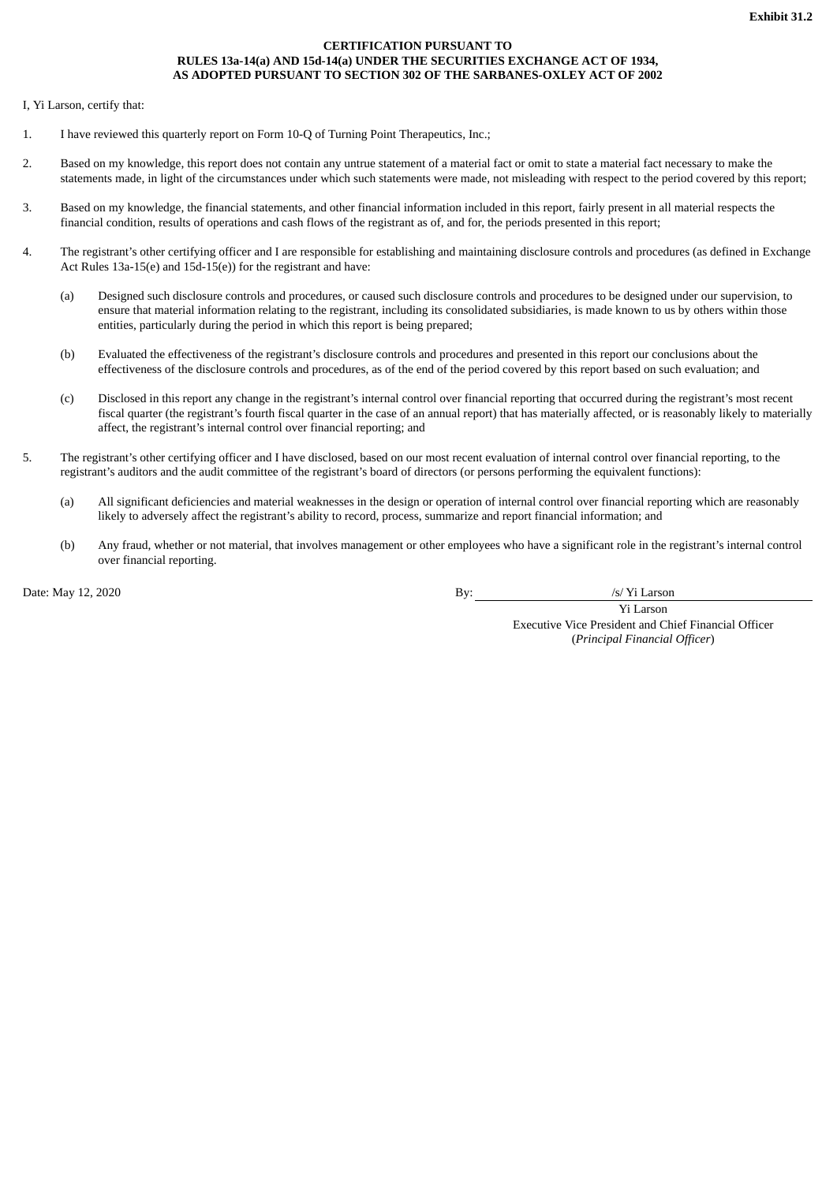# **CERTIFICATION PURSUANT TO RULES 13a-14(a) AND 15d-14(a) UNDER THE SECURITIES EXCHANGE ACT OF 1934, AS ADOPTED PURSUANT TO SECTION 302 OF THE SARBANES-OXLEY ACT OF 2002**

<span id="page-69-0"></span>I, Yi Larson, certify that:

- 1. I have reviewed this quarterly report on Form 10-Q of Turning Point Therapeutics, Inc.;
- 2. Based on my knowledge, this report does not contain any untrue statement of a material fact or omit to state a material fact necessary to make the statements made, in light of the circumstances under which such statements were made, not misleading with respect to the period covered by this report;
- 3. Based on my knowledge, the financial statements, and other financial information included in this report, fairly present in all material respects the financial condition, results of operations and cash flows of the registrant as of, and for, the periods presented in this report;
- 4. The registrant's other certifying officer and I are responsible for establishing and maintaining disclosure controls and procedures (as defined in Exchange Act Rules 13a-15(e) and 15d-15(e)) for the registrant and have:
	- (a) Designed such disclosure controls and procedures, or caused such disclosure controls and procedures to be designed under our supervision, to ensure that material information relating to the registrant, including its consolidated subsidiaries, is made known to us by others within those entities, particularly during the period in which this report is being prepared;
	- (b) Evaluated the effectiveness of the registrant's disclosure controls and procedures and presented in this report our conclusions about the effectiveness of the disclosure controls and procedures, as of the end of the period covered by this report based on such evaluation; and
	- (c) Disclosed in this report any change in the registrant's internal control over financial reporting that occurred during the registrant's most recent fiscal quarter (the registrant's fourth fiscal quarter in the case of an annual report) that has materially affected, or is reasonably likely to materially affect, the registrant's internal control over financial reporting; and
- 5. The registrant's other certifying officer and I have disclosed, based on our most recent evaluation of internal control over financial reporting, to the registrant's auditors and the audit committee of the registrant's board of directors (or persons performing the equivalent functions):
	- (a) All significant deficiencies and material weaknesses in the design or operation of internal control over financial reporting which are reasonably likely to adversely affect the registrant's ability to record, process, summarize and report financial information; and
	- (b) Any fraud, whether or not material, that involves management or other employees who have a significant role in the registrant's internal control over financial reporting.

Date: May 12, 2020 /s/ Yi Larson

Yi Larson Executive Vice President and Chief Financial Officer (*Principal Financial Officer*)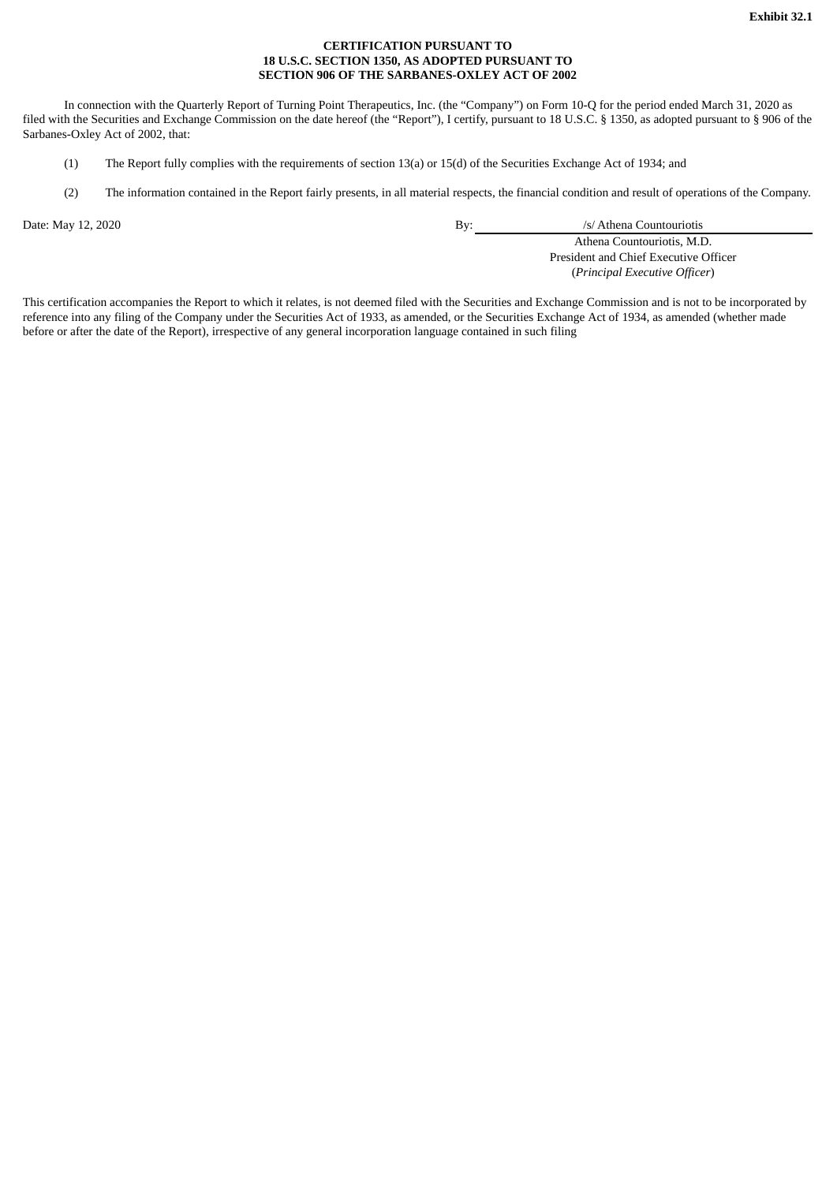# **CERTIFICATION PURSUANT TO 18 U.S.C. SECTION 1350, AS ADOPTED PURSUANT TO SECTION 906 OF THE SARBANES-OXLEY ACT OF 2002**

<span id="page-70-0"></span>In connection with the Quarterly Report of Turning Point Therapeutics, Inc. (the "Company") on Form 10-Q for the period ended March 31, 2020 as filed with the Securities and Exchange Commission on the date hereof (the "Report"), I certify, pursuant to 18 U.S.C. § 1350, as adopted pursuant to § 906 of the Sarbanes-Oxley Act of 2002, that:

- (1) The Report fully complies with the requirements of section 13(a) or 15(d) of the Securities Exchange Act of 1934; and
- (2) The information contained in the Report fairly presents, in all material respects, the financial condition and result of operations of the Company.

Date: May 12, 2020 By: /s/ Athena Countouriotis

Athena Countouriotis, M.D. President and Chief Executive Officer (*Principal Executive Officer*)

This certification accompanies the Report to which it relates, is not deemed filed with the Securities and Exchange Commission and is not to be incorporated by reference into any filing of the Company under the Securities Act of 1933, as amended, or the Securities Exchange Act of 1934, as amended (whether made before or after the date of the Report), irrespective of any general incorporation language contained in such filing